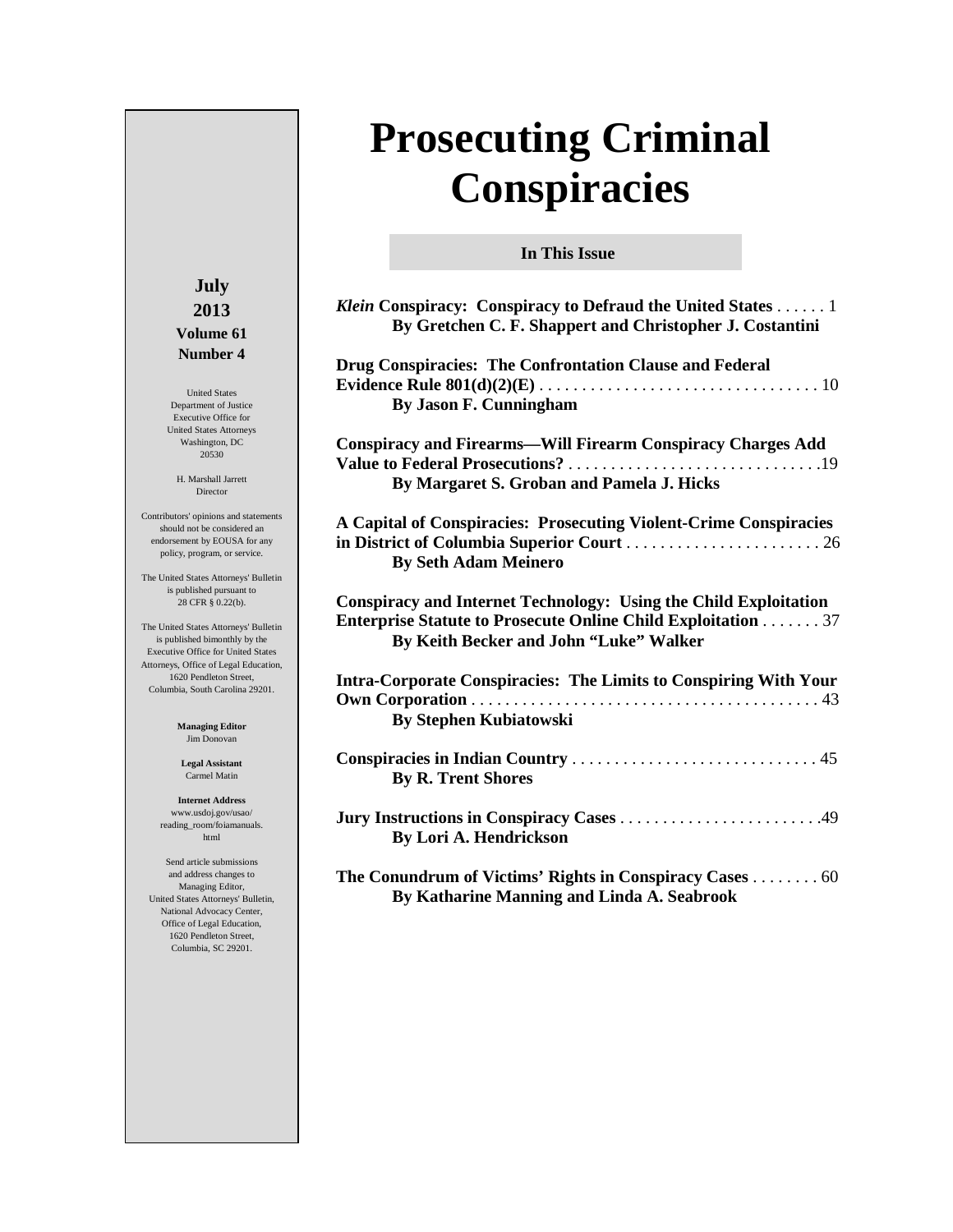# **Prosecuting Criminal Conspiracies**

**In This Issue**

| Klein Conspiracy: Conspiracy to Defraud the United States 1<br>By Gretchen C. F. Shappert and Christopher J. Costantini                                                                  |
|------------------------------------------------------------------------------------------------------------------------------------------------------------------------------------------|
| Drug Conspiracies: The Confrontation Clause and Federal<br>By Jason F. Cunningham                                                                                                        |
| <b>Conspiracy and Firearms-Will Firearm Conspiracy Charges Add</b><br>By Margaret S. Groban and Pamela J. Hicks                                                                          |
| A Capital of Conspiracies: Prosecuting Violent-Crime Conspiracies<br><b>By Seth Adam Meinero</b>                                                                                         |
| <b>Conspiracy and Internet Technology: Using the Child Exploitation</b><br><b>Enterprise Statute to Prosecute Online Child Exploitation 37</b><br>By Keith Becker and John "Luke" Walker |
| <b>Intra-Corporate Conspiracies: The Limits to Conspiring With Your</b><br><b>By Stephen Kubiatowski</b>                                                                                 |
| <b>By R. Trent Shores</b>                                                                                                                                                                |
| <b>By Lori A. Hendrickson</b>                                                                                                                                                            |
| The Conundrum of Victims' Rights in Conspiracy Cases 60<br><b>By Katharine Manning and Linda A. Seabrook</b>                                                                             |

## **July 2013 Volume 61 Number 4**

United States Department of Justice Executive Office for United States Attorneys Washington, DC 20530

H. Marshall Jarrett Director

Contributors' opinions and statements should not be considered an endorsement by EOUSA for any policy, program, or service.

The United States Attorneys' Bulletin is published pursuant to 28 CFR § 0.22(b).

The United States Attorneys' Bulletin is published bimonthly by the Executive Office for United States Attorneys, Office of Legal Education, 1620 Pendleton Street, Columbia, South Carolina 29201.

> **Managing Editor** Jim Donovan

**Legal Assistant** Carmel Matin

**Internet Address** www.usdoj.gov/usao/ reading\_room/foiamanuals. html

Send article submissions and address changes to Managing Editor, United States Attorneys' Bulletin, National Advocacy Center, Office of Legal Education, 1620 Pendleton Street, Columbia, SC 29201.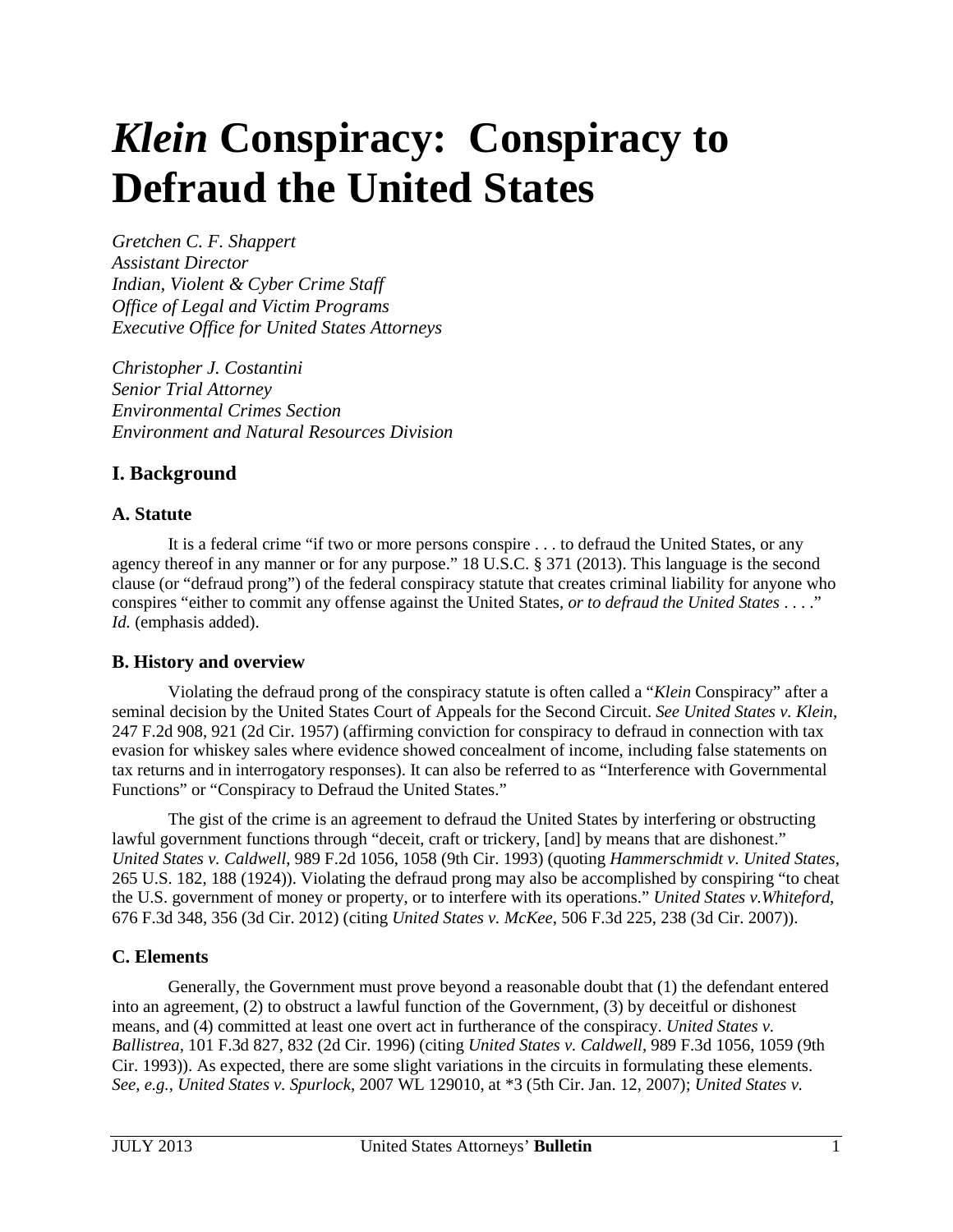# <span id="page-1-0"></span>*Klein* **Conspiracy: Conspiracy to Defraud the United States**

*Gretchen C. F. Shappert Assistant Director Indian, Violent & Cyber Crime Staff Office of Legal and Victim Programs Executive Office for United States Attorneys*

*Christopher J. Costantini Senior Trial Attorney Environmental Crimes Section Environment and Natural Resources Division* 

# **I. Background**

## **A. Statute**

It is a federal crime "if two or more persons conspire . . . to defraud the United States, or any agency thereof in any manner or for any purpose." 18 U.S.C. § 371 (2013). This language is the second clause (or "defraud prong") of the federal conspiracy statute that creates criminal liability for anyone who conspires "either to commit any offense against the United States, *or to defraud the United States* . . . ." *Id.* (emphasis added).

## **B. History and overview**

Violating the defraud prong of the conspiracy statute is often called a "*Klein* Conspiracy" after a seminal decision by the United States Court of Appeals for the Second Circuit. *See United States v. Klein*, 247 F.2d 908, 921 (2d Cir. 1957) (affirming conviction for conspiracy to defraud in connection with tax evasion for whiskey sales where evidence showed concealment of income, including false statements on tax returns and in interrogatory responses). It can also be referred to as "Interference with Governmental Functions" or "Conspiracy to Defraud the United States."

The gist of the crime is an agreement to defraud the United States by interfering or obstructing lawful government functions through "deceit, craft or trickery, [and] by means that are dishonest." *United States v. Caldwell*, 989 F.2d 1056, 1058 (9th Cir. 1993) (quoting *Hammerschmidt v. United States*, 265 U.S. 182, 188 (1924)). Violating the defraud prong may also be accomplished by conspiring "to cheat the U.S. government of money or property, or to interfere with its operations." *United States v.Whiteford*, 676 F.3d 348, 356 (3d Cir. 2012) (citing *United States v. McKee*, 506 F.3d 225, 238 (3d Cir. 2007)).

## **C. Elements**

Generally, the Government must prove beyond a reasonable doubt that (1) the defendant entered into an agreement, (2) to obstruct a lawful function of the Government, (3) by deceitful or dishonest means, and (4) committed at least one overt act in furtherance of the conspiracy. *United States v. Ballistrea*, 101 F.3d 827, 832 (2d Cir. 1996) (citing *United States v. Caldwell*, 989 F.3d 1056, 1059 (9th Cir. 1993)). As expected, there are some slight variations in the circuits in formulating these elements. *See, e.g.*, *United States v. Spurlock*, 2007 WL 129010, at \*3 (5th Cir. Jan. 12, 2007); *United States v.*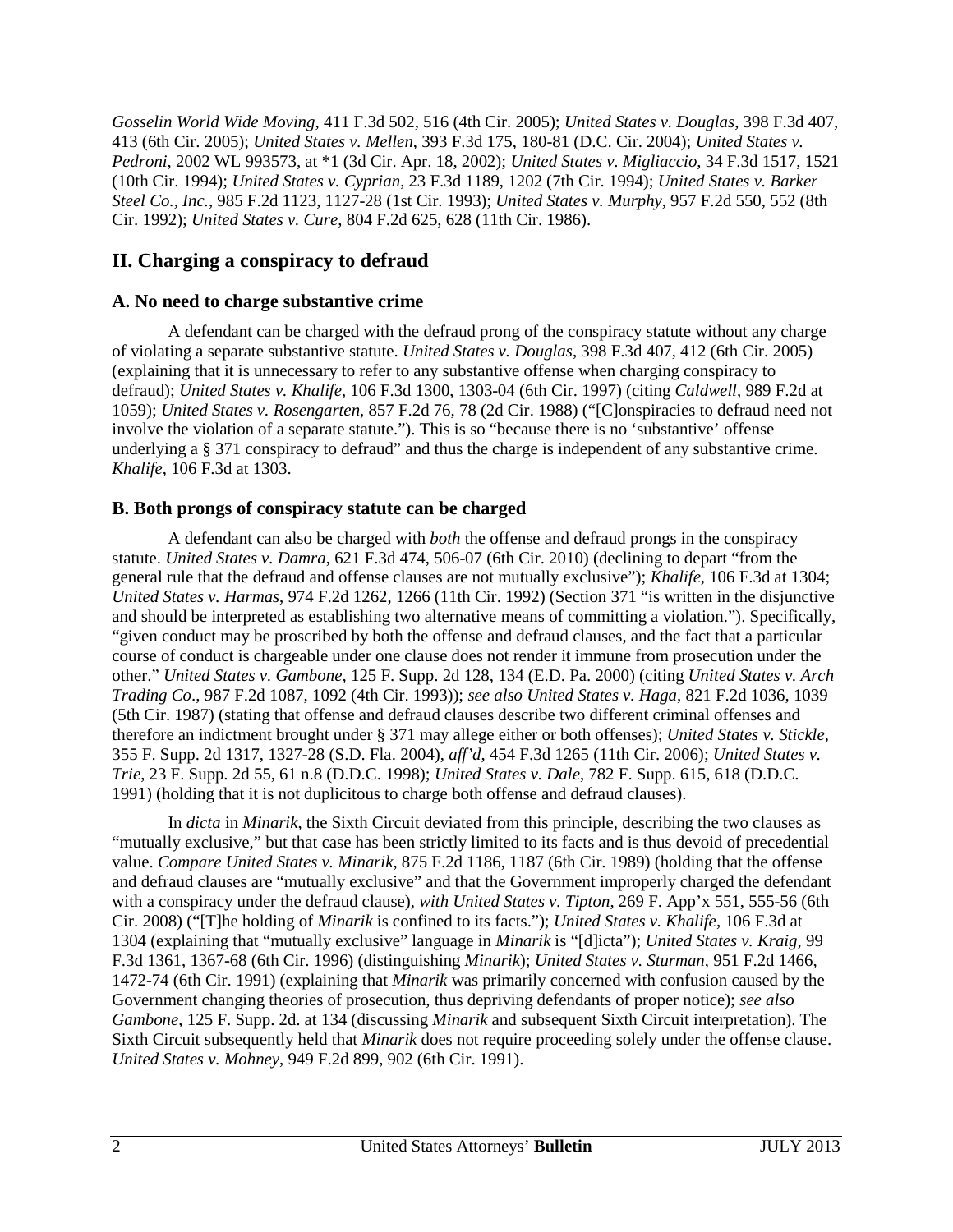*Gosselin World Wide Moving*, 411 F.3d 502, 516 (4th Cir. 2005); *United States v. Douglas*, 398 F.3d 407, 413 (6th Cir. 2005); *United States v. Mellen*, 393 F.3d 175, 180-81 (D.C. Cir. 2004); *United States v. Pedroni*, 2002 WL 993573, at \*1 (3d Cir. Apr. 18, 2002); *United States v. Migliaccio*, 34 F.3d 1517, 1521 (10th Cir. 1994); *United States v. Cyprian*, 23 F.3d 1189, 1202 (7th Cir. 1994); *United States v. Barker Steel Co., Inc.*, 985 F.2d 1123, 1127-28 (1st Cir. 1993); *United States v. Murphy*, 957 F.2d 550, 552 (8th Cir. 1992); *United States v. Cure*, 804 F.2d 625, 628 (11th Cir. 1986).

# **II. Charging a conspiracy to defraud**

## **A. No need to charge substantive crime**

A defendant can be charged with the defraud prong of the conspiracy statute without any charge of violating a separate substantive statute. *United States v. Douglas*, 398 F.3d 407, 412 (6th Cir. 2005) (explaining that it is unnecessary to refer to any substantive offense when charging conspiracy to defraud); *United States v. Khalife*, 106 F.3d 1300, 1303-04 (6th Cir. 1997) (citing *Caldwell*, 989 F.2d at 1059); *United States v. Rosengarten*, 857 F.2d 76, 78 (2d Cir. 1988) ("[C]onspiracies to defraud need not involve the violation of a separate statute."). This is so "because there is no 'substantive' offense underlying a § 371 conspiracy to defraud" and thus the charge is independent of any substantive crime. *Khalife*, 106 F.3d at 1303.

## **B. Both prongs of conspiracy statute can be charged**

A defendant can also be charged with *both* the offense and defraud prongs in the conspiracy statute. *United States v. Damra*, 621 F.3d 474, 506-07 (6th Cir. 2010) (declining to depart "from the general rule that the defraud and offense clauses are not mutually exclusive"); *Khalife*, 106 F.3d at 1304; *United States v. Harmas*, 974 F.2d 1262, 1266 (11th Cir. 1992) (Section 371 "is written in the disjunctive and should be interpreted as establishing two alternative means of committing a violation."). Specifically, "given conduct may be proscribed by both the offense and defraud clauses, and the fact that a particular course of conduct is chargeable under one clause does not render it immune from prosecution under the other." *United States v. Gambone*, 125 F. Supp. 2d 128, 134 (E.D. Pa. 2000) (citing *United States v. Arch Trading Co*., 987 F.2d 1087, 1092 (4th Cir. 1993)); *see also United States v. Haga*, 821 F.2d 1036, 1039 (5th Cir. 1987) (stating that offense and defraud clauses describe two different criminal offenses and therefore an indictment brought under § 371 may allege either or both offenses); *United States v. Stickle*, 355 F. Supp. 2d 1317, 1327-28 (S.D. Fla. 2004), *aff'd*, 454 F.3d 1265 (11th Cir. 2006); *United States v. Trie*, 23 F. Supp. 2d 55, 61 n.8 (D.D.C. 1998); *United States v. Dale*, 782 F. Supp. 615, 618 (D.D.C. 1991) (holding that it is not duplicitous to charge both offense and defraud clauses).

In *dicta* in *Minarik*, the Sixth Circuit deviated from this principle, describing the two clauses as "mutually exclusive," but that case has been strictly limited to its facts and is thus devoid of precedential value. *Compare United States v. Minarik*, 875 F.2d 1186, 1187 (6th Cir. 1989) (holding that the offense and defraud clauses are "mutually exclusive" and that the Government improperly charged the defendant with a conspiracy under the defraud clause), *with United States v. Tipton*, 269 F. App'x 551, 555-56 (6th Cir. 2008) ("[T]he holding of *Minarik* is confined to its facts."); *United States v. Khalife*, 106 F.3d at 1304 (explaining that "mutually exclusive" language in *Minarik* is "[d]icta"); *United States v. Kraig*, 99 F.3d 1361, 1367-68 (6th Cir. 1996) (distinguishing *Minarik*); *United States v. Sturman*, 951 F.2d 1466, 1472-74 (6th Cir. 1991) (explaining that *Minarik* was primarily concerned with confusion caused by the Government changing theories of prosecution, thus depriving defendants of proper notice); *see also Gambone*, 125 F. Supp. 2d. at 134 (discussing *Minarik* and subsequent Sixth Circuit interpretation). The Sixth Circuit subsequently held that *Minarik* does not require proceeding solely under the offense clause. *United States v. Mohney*, 949 F.2d 899, 902 (6th Cir. 1991).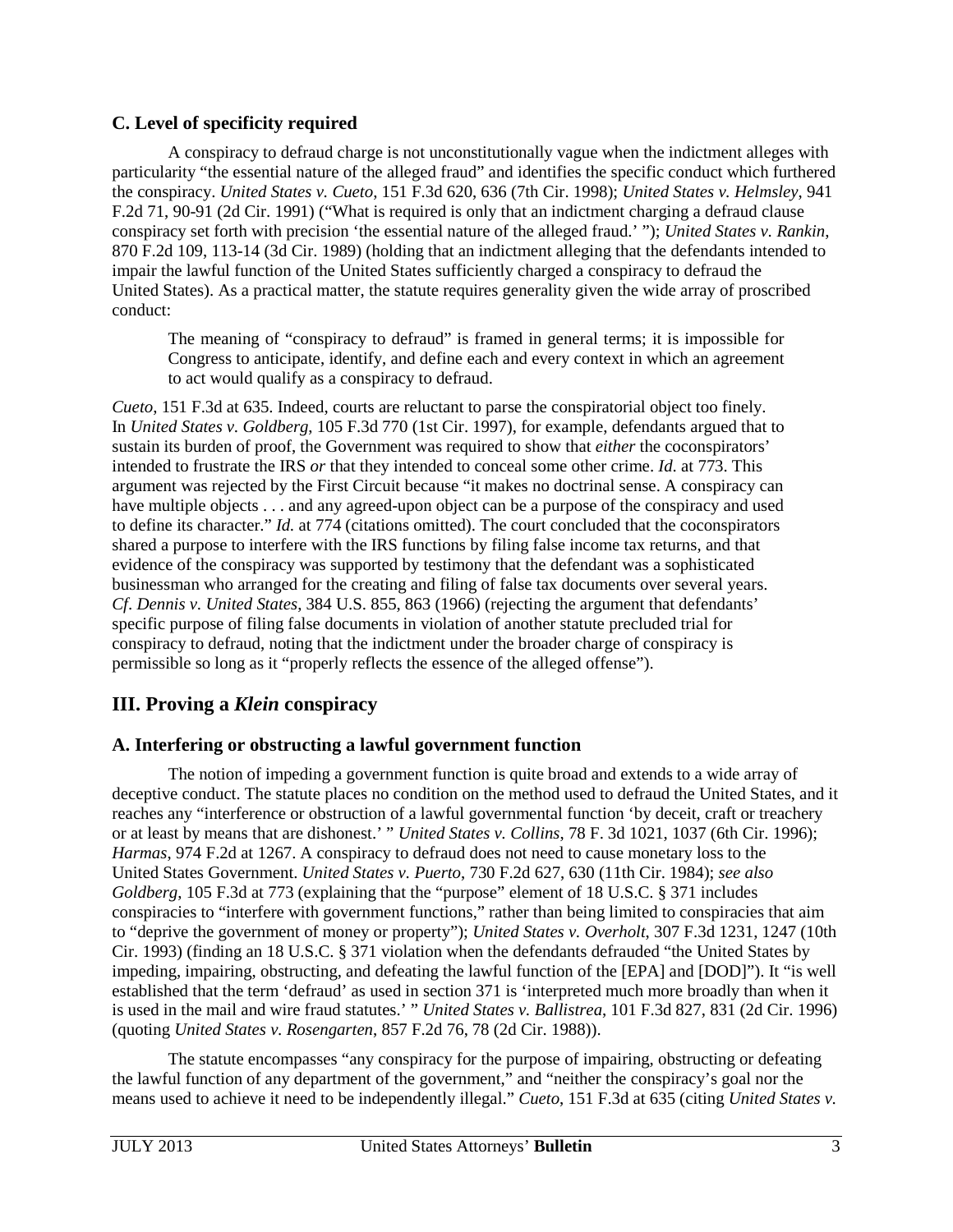#### **C. Level of specificity required**

A conspiracy to defraud charge is not unconstitutionally vague when the indictment alleges with particularity "the essential nature of the alleged fraud" and identifies the specific conduct which furthered the conspiracy. *United States v. Cueto*, 151 F.3d 620, 636 (7th Cir. 1998); *United States v. Helmsley*, 941 F.2d 71, 90-91 (2d Cir. 1991) ("What is required is only that an indictment charging a defraud clause conspiracy set forth with precision 'the essential nature of the alleged fraud.' "); *United States v. Rankin*, 870 F.2d 109, 113-14 (3d Cir. 1989) (holding that an indictment alleging that the defendants intended to impair the lawful function of the United States sufficiently charged a conspiracy to defraud the United States). As a practical matter, the statute requires generality given the wide array of proscribed conduct:

The meaning of "conspiracy to defraud" is framed in general terms; it is impossible for Congress to anticipate, identify, and define each and every context in which an agreement to act would qualify as a conspiracy to defraud.

*Cueto*, 151 F.3d at 635. Indeed, courts are reluctant to parse the conspiratorial object too finely. In *United States v. Goldberg*, 105 F.3d 770 (1st Cir. 1997), for example, defendants argued that to sustain its burden of proof, the Government was required to show that *either* the coconspirators' intended to frustrate the IRS *or* that they intended to conceal some other crime. *Id*. at 773. This argument was rejected by the First Circuit because "it makes no doctrinal sense. A conspiracy can have multiple objects . . . and any agreed-upon object can be a purpose of the conspiracy and used to define its character." *Id.* at 774 (citations omitted). The court concluded that the coconspirators shared a purpose to interfere with the IRS functions by filing false income tax returns, and that evidence of the conspiracy was supported by testimony that the defendant was a sophisticated businessman who arranged for the creating and filing of false tax documents over several years. *Cf*. *Dennis v. United States*, 384 U.S. 855, 863 (1966) (rejecting the argument that defendants' specific purpose of filing false documents in violation of another statute precluded trial for conspiracy to defraud, noting that the indictment under the broader charge of conspiracy is permissible so long as it "properly reflects the essence of the alleged offense").

## **III. Proving a** *Klein* **conspiracy**

## **A. Interfering or obstructing a lawful government function**

The notion of impeding a government function is quite broad and extends to a wide array of deceptive conduct. The statute places no condition on the method used to defraud the United States, and it reaches any "interference or obstruction of a lawful governmental function 'by deceit, craft or treachery or at least by means that are dishonest.' " *United States v. Collins*, 78 F. 3d 1021, 1037 (6th Cir. 1996); *Harmas*, 974 F.2d at 1267. A conspiracy to defraud does not need to cause monetary loss to the United States Government. *United States v. Puerto*, 730 F.2d 627, 630 (11th Cir. 1984); *see also Goldberg*, 105 F.3d at 773 (explaining that the "purpose" element of 18 U.S.C. § 371 includes conspiracies to "interfere with government functions," rather than being limited to conspiracies that aim to "deprive the government of money or property"); *United States v. Overholt*, 307 F.3d 1231, 1247 (10th Cir. 1993) (finding an 18 U.S.C. § 371 violation when the defendants defrauded "the United States by impeding, impairing, obstructing, and defeating the lawful function of the [EPA] and [DOD]"). It "is well established that the term 'defraud' as used in section 371 is 'interpreted much more broadly than when it is used in the mail and wire fraud statutes.' " *United States v. Ballistrea*, 101 F.3d 827, 831 (2d Cir. 1996) (quoting *United States v. Rosengarten*, 857 F.2d 76, 78 (2d Cir. 1988)).

The statute encompasses "any conspiracy for the purpose of impairing, obstructing or defeating the lawful function of any department of the government," and "neither the conspiracy's goal nor the means used to achieve it need to be independently illegal." *Cueto*, 151 F.3d at 635 (citing *United States v.*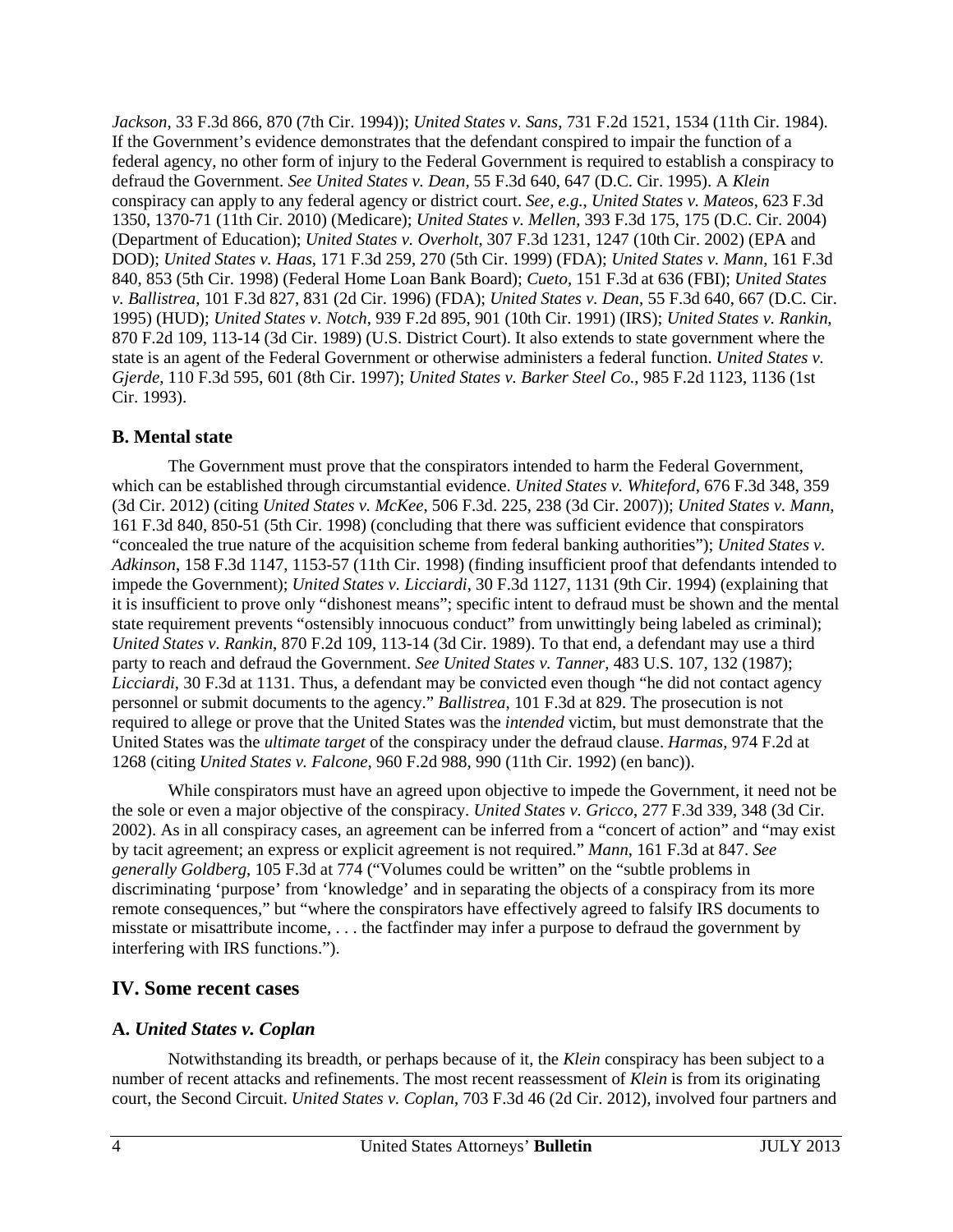*Jackson*, 33 F.3d 866, 870 (7th Cir. 1994)); *United States v. Sans*, 731 F.2d 1521, 1534 (11th Cir. 1984). If the Government's evidence demonstrates that the defendant conspired to impair the function of a federal agency, no other form of injury to the Federal Government is required to establish a conspiracy to defraud the Government. *See United States v. Dean*, 55 F.3d 640, 647 (D.C. Cir. 1995). A *Klein* conspiracy can apply to any federal agency or district court. *See, e.g.*, *United States v. Mateos*, 623 F.3d 1350, 1370-71 (11th Cir. 2010) (Medicare); *United States v. Mellen*, 393 F.3d 175, 175 (D.C. Cir. 2004) (Department of Education); *United States v. Overholt*, 307 F.3d 1231, 1247 (10th Cir. 2002) (EPA and DOD); *United States v. Haas*, 171 F.3d 259, 270 (5th Cir. 1999) (FDA); *United States v. Mann*, 161 F.3d 840, 853 (5th Cir. 1998) (Federal Home Loan Bank Board); *Cueto*, 151 F.3d at 636 (FBI); *United States v. Ballistrea*, 101 F.3d 827, 831 (2d Cir. 1996) (FDA); *United States v. Dean*, 55 F.3d 640, 667 (D.C. Cir. 1995) (HUD); *United States v. Notch*, 939 F.2d 895, 901 (10th Cir. 1991) (IRS); *United States v. Rankin*, 870 F.2d 109, 113-14 (3d Cir. 1989) (U.S. District Court). It also extends to state government where the state is an agent of the Federal Government or otherwise administers a federal function. *United States v. Gjerde*, 110 F.3d 595, 601 (8th Cir. 1997); *United States v. Barker Steel Co.*, 985 F.2d 1123, 1136 (1st Cir. 1993).

#### **B. Mental state**

The Government must prove that the conspirators intended to harm the Federal Government, which can be established through circumstantial evidence. *United States v. Whiteford*, 676 F.3d 348, 359 (3d Cir. 2012) (citing *United States v. McKee*, 506 F.3d. 225, 238 (3d Cir. 2007)); *United States v. Mann*, 161 F.3d 840, 850-51 (5th Cir. 1998) (concluding that there was sufficient evidence that conspirators "concealed the true nature of the acquisition scheme from federal banking authorities"); *United States v. Adkinson*, 158 F.3d 1147, 1153-57 (11th Cir. 1998) (finding insufficient proof that defendants intended to impede the Government); *United States v. Licciardi*, 30 F.3d 1127, 1131 (9th Cir. 1994) (explaining that it is insufficient to prove only "dishonest means"; specific intent to defraud must be shown and the mental state requirement prevents "ostensibly innocuous conduct" from unwittingly being labeled as criminal); *United States v. Rankin*, 870 F.2d 109, 113-14 (3d Cir. 1989). To that end, a defendant may use a third party to reach and defraud the Government. *See United States v. Tanner*, 483 U.S. 107, 132 (1987); *Licciardi*, 30 F.3d at 1131. Thus, a defendant may be convicted even though "he did not contact agency personnel or submit documents to the agency." *Ballistrea*, 101 F.3d at 829. The prosecution is not required to allege or prove that the United States was the *intended* victim, but must demonstrate that the United States was the *ultimate target* of the conspiracy under the defraud clause. *Harmas*, 974 F.2d at 1268 (citing *United States v. Falcone*, 960 F.2d 988, 990 (11th Cir. 1992) (en banc)).

While conspirators must have an agreed upon objective to impede the Government, it need not be the sole or even a major objective of the conspiracy. *United States v. Gricco*, 277 F.3d 339, 348 (3d Cir. 2002). As in all conspiracy cases, an agreement can be inferred from a "concert of action" and "may exist by tacit agreement; an express or explicit agreement is not required." *Mann*, 161 F.3d at 847. *See generally Goldberg*, 105 F.3d at 774 ("Volumes could be written" on the "subtle problems in discriminating 'purpose' from 'knowledge' and in separating the objects of a conspiracy from its more remote consequences," but "where the conspirators have effectively agreed to falsify IRS documents to misstate or misattribute income, . . . the factfinder may infer a purpose to defraud the government by interfering with IRS functions.").

## **IV. Some recent cases**

## **A.** *United States v. Coplan*

Notwithstanding its breadth, or perhaps because of it, the *Klein* conspiracy has been subject to a number of recent attacks and refinements. The most recent reassessment of *Klein* is from its originating court, the Second Circuit. *United States v. Coplan*, 703 F.3d 46 (2d Cir. 2012), involved four partners and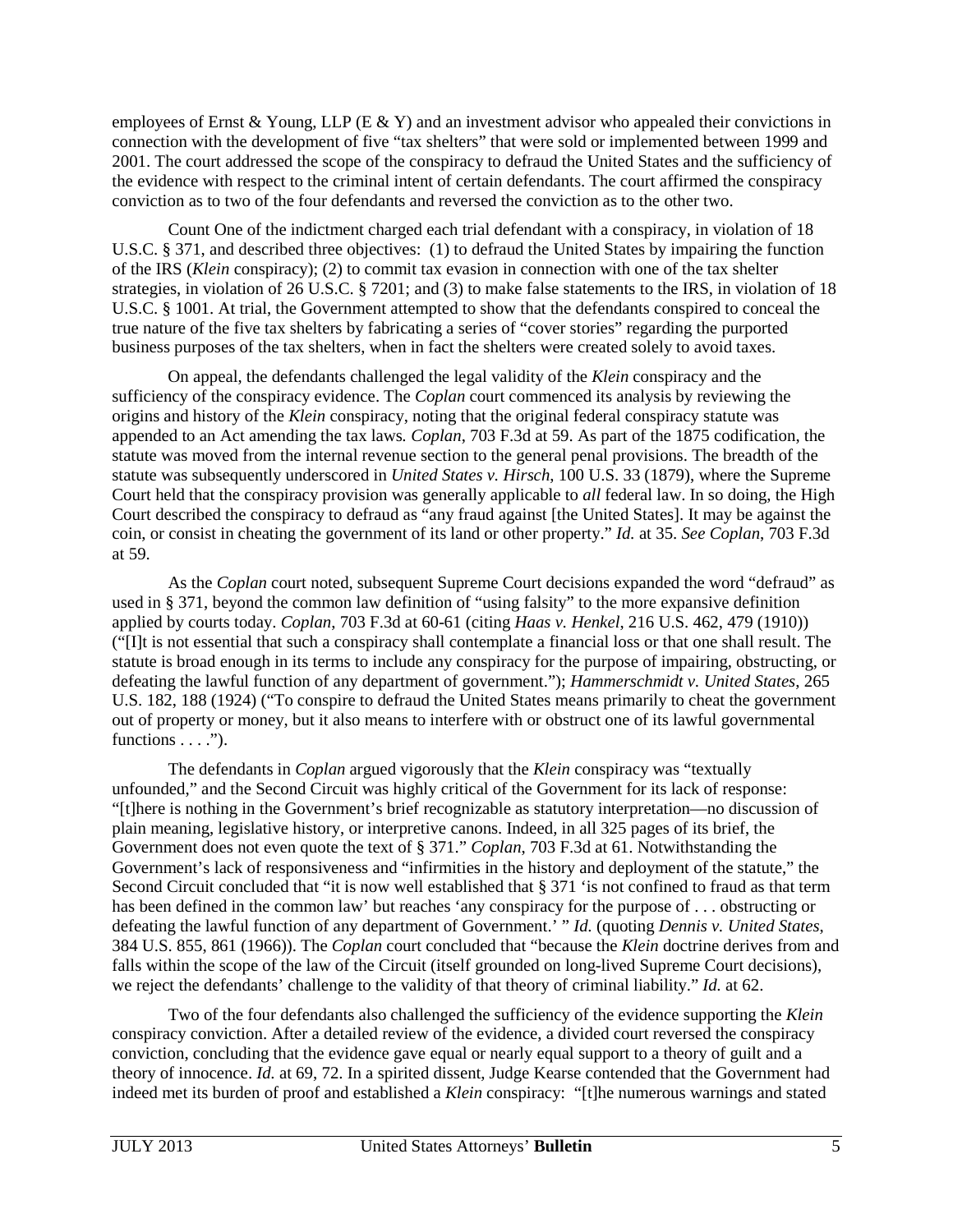employees of Ernst & Young, LLP (E & Y) and an investment advisor who appealed their convictions in connection with the development of five "tax shelters" that were sold or implemented between 1999 and 2001. The court addressed the scope of the conspiracy to defraud the United States and the sufficiency of the evidence with respect to the criminal intent of certain defendants. The court affirmed the conspiracy conviction as to two of the four defendants and reversed the conviction as to the other two.

Count One of the indictment charged each trial defendant with a conspiracy, in violation of 18 U.S.C. § 371, and described three objectives: (1) to defraud the United States by impairing the function of the IRS (*Klein* conspiracy); (2) to commit tax evasion in connection with one of the tax shelter strategies, in violation of 26 U.S.C. § 7201; and (3) to make false statements to the IRS, in violation of 18 U.S.C. § 1001. At trial, the Government attempted to show that the defendants conspired to conceal the true nature of the five tax shelters by fabricating a series of "cover stories" regarding the purported business purposes of the tax shelters, when in fact the shelters were created solely to avoid taxes.

On appeal, the defendants challenged the legal validity of the *Klein* conspiracy and the sufficiency of the conspiracy evidence. The *Coplan* court commenced its analysis by reviewing the origins and history of the *Klein* conspiracy, noting that the original federal conspiracy statute was appended to an Act amending the tax laws*. Coplan*, 703 F.3d at 59. As part of the 1875 codification, the statute was moved from the internal revenue section to the general penal provisions. The breadth of the statute was subsequently underscored in *United States v. Hirsch*, 100 U.S. 33 (1879), where the Supreme Court held that the conspiracy provision was generally applicable to *all* federal law. In so doing, the High Court described the conspiracy to defraud as "any fraud against [the United States]. It may be against the coin, or consist in cheating the government of its land or other property." *Id.* at 35. *See Coplan*, 703 F.3d at 59.

As the *Coplan* court noted, subsequent Supreme Court decisions expanded the word "defraud" as used in § 371, beyond the common law definition of "using falsity" to the more expansive definition applied by courts today. *Coplan*, 703 F.3d at 60-61 (citing *Haas v. Henkel*, 216 U.S. 462, 479 (1910)) ("[I]t is not essential that such a conspiracy shall contemplate a financial loss or that one shall result. The statute is broad enough in its terms to include any conspiracy for the purpose of impairing, obstructing, or defeating the lawful function of any department of government."); *Hammerschmidt v. United States*, 265 U.S. 182, 188 (1924) ("To conspire to defraud the United States means primarily to cheat the government out of property or money, but it also means to interfere with or obstruct one of its lawful governmental functions  $\dots$ .").

The defendants in *Coplan* argued vigorously that the *Klein* conspiracy was "textually unfounded," and the Second Circuit was highly critical of the Government for its lack of response: "[t]here is nothing in the Government's brief recognizable as statutory interpretation—no discussion of plain meaning, legislative history, or interpretive canons. Indeed, in all 325 pages of its brief, the Government does not even quote the text of § 371." *Coplan*, 703 F.3d at 61. Notwithstanding the Government's lack of responsiveness and "infirmities in the history and deployment of the statute," the Second Circuit concluded that "it is now well established that § 371 'is not confined to fraud as that term has been defined in the common law' but reaches 'any conspiracy for the purpose of . . . obstructing or defeating the lawful function of any department of Government.' " *Id.* (quoting *Dennis v. United States*, 384 U.S. 855, 861 (1966)). The *Coplan* court concluded that "because the *Klein* doctrine derives from and falls within the scope of the law of the Circuit (itself grounded on long-lived Supreme Court decisions), we reject the defendants' challenge to the validity of that theory of criminal liability." *Id.* at 62.

Two of the four defendants also challenged the sufficiency of the evidence supporting the *Klein* conspiracy conviction. After a detailed review of the evidence, a divided court reversed the conspiracy conviction, concluding that the evidence gave equal or nearly equal support to a theory of guilt and a theory of innocence. *Id.* at 69, 72. In a spirited dissent, Judge Kearse contended that the Government had indeed met its burden of proof and established a *Klein* conspiracy: "[t]he numerous warnings and stated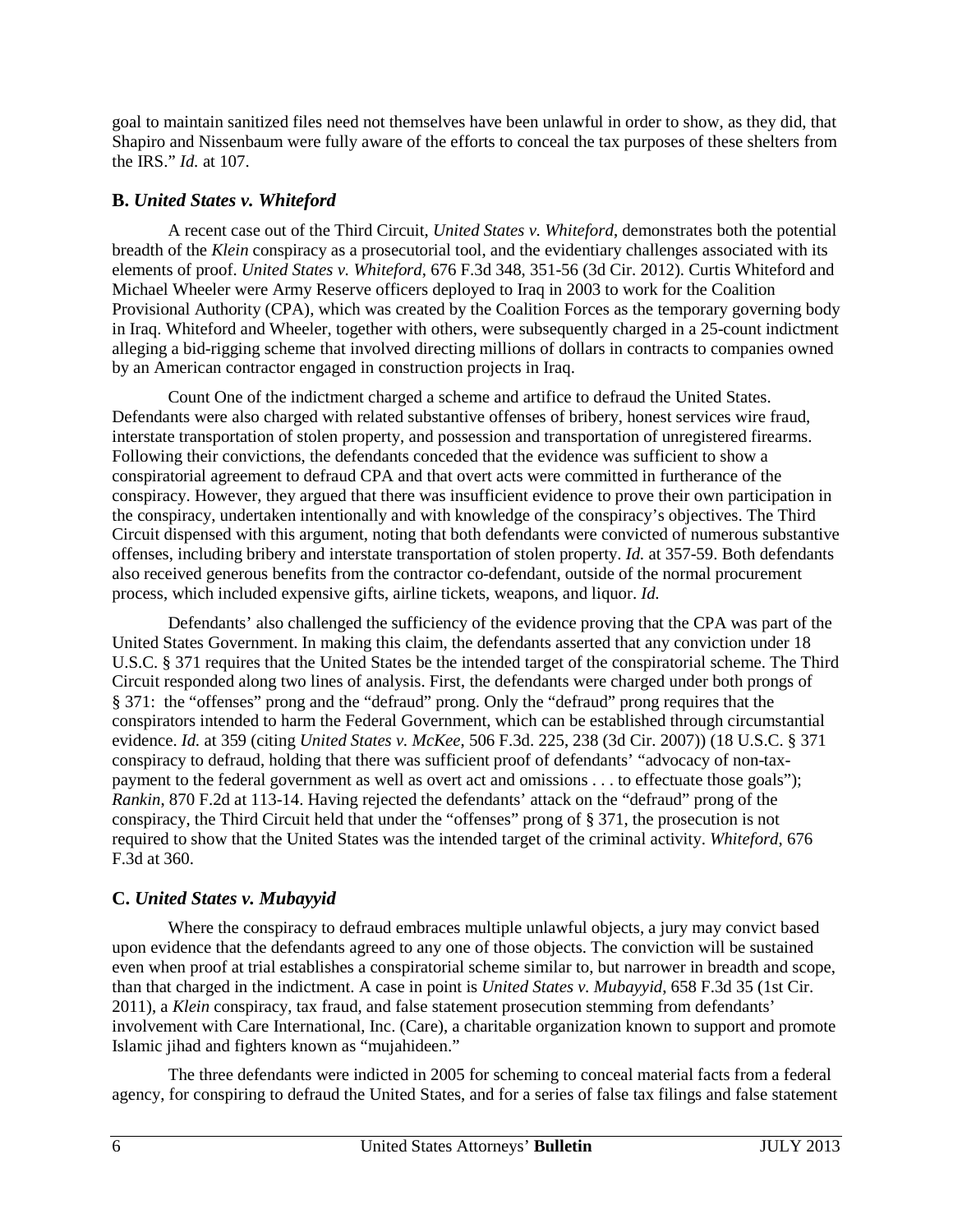goal to maintain sanitized files need not themselves have been unlawful in order to show, as they did, that Shapiro and Nissenbaum were fully aware of the efforts to conceal the tax purposes of these shelters from the IRS." *Id.* at 107.

#### **B.** *United States v. Whiteford*

A recent case out of the Third Circuit, *United States v. Whiteford*, demonstrates both the potential breadth of the *Klein* conspiracy as a prosecutorial tool, and the evidentiary challenges associated with its elements of proof. *United States v. Whiteford*, 676 F.3d 348, 351-56 (3d Cir. 2012). Curtis Whiteford and Michael Wheeler were Army Reserve officers deployed to Iraq in 2003 to work for the Coalition Provisional Authority (CPA), which was created by the Coalition Forces as the temporary governing body in Iraq. Whiteford and Wheeler, together with others, were subsequently charged in a 25-count indictment alleging a bid-rigging scheme that involved directing millions of dollars in contracts to companies owned by an American contractor engaged in construction projects in Iraq.

Count One of the indictment charged a scheme and artifice to defraud the United States. Defendants were also charged with related substantive offenses of bribery, honest services wire fraud, interstate transportation of stolen property, and possession and transportation of unregistered firearms. Following their convictions, the defendants conceded that the evidence was sufficient to show a conspiratorial agreement to defraud CPA and that overt acts were committed in furtherance of the conspiracy. However, they argued that there was insufficient evidence to prove their own participation in the conspiracy, undertaken intentionally and with knowledge of the conspiracy's objectives. The Third Circuit dispensed with this argument, noting that both defendants were convicted of numerous substantive offenses, including bribery and interstate transportation of stolen property. *Id.* at 357-59. Both defendants also received generous benefits from the contractor co-defendant, outside of the normal procurement process, which included expensive gifts, airline tickets, weapons, and liquor. *Id.* 

Defendants' also challenged the sufficiency of the evidence proving that the CPA was part of the United States Government. In making this claim, the defendants asserted that any conviction under 18 U.S.C. § 371 requires that the United States be the intended target of the conspiratorial scheme. The Third Circuit responded along two lines of analysis. First, the defendants were charged under both prongs of § 371: the "offenses" prong and the "defraud" prong. Only the "defraud" prong requires that the conspirators intended to harm the Federal Government, which can be established through circumstantial evidence. *Id.* at 359 (citing *United States v. McKee*, 506 F.3d. 225, 238 (3d Cir. 2007)) (18 U.S.C. § 371 conspiracy to defraud, holding that there was sufficient proof of defendants' "advocacy of non-taxpayment to the federal government as well as overt act and omissions . . . to effectuate those goals"); *Rankin*, 870 F.2d at 113-14. Having rejected the defendants' attack on the "defraud" prong of the conspiracy, the Third Circuit held that under the "offenses" prong of § 371, the prosecution is not required to show that the United States was the intended target of the criminal activity. *Whiteford*, 676 F.3d at 360.

## **C.** *United States v. Mubayyid*

Where the conspiracy to defraud embraces multiple unlawful objects, a jury may convict based upon evidence that the defendants agreed to any one of those objects. The conviction will be sustained even when proof at trial establishes a conspiratorial scheme similar to, but narrower in breadth and scope, than that charged in the indictment. A case in point is *United States v. Mubayyid*, 658 F.3d 35 (1st Cir. 2011), a *Klein* conspiracy, tax fraud, and false statement prosecution stemming from defendants' involvement with Care International, Inc. (Care), a charitable organization known to support and promote Islamic jihad and fighters known as "mujahideen."

 The three defendants were indicted in 2005 for scheming to conceal material facts from a federal agency, for conspiring to defraud the United States, and for a series of false tax filings and false statement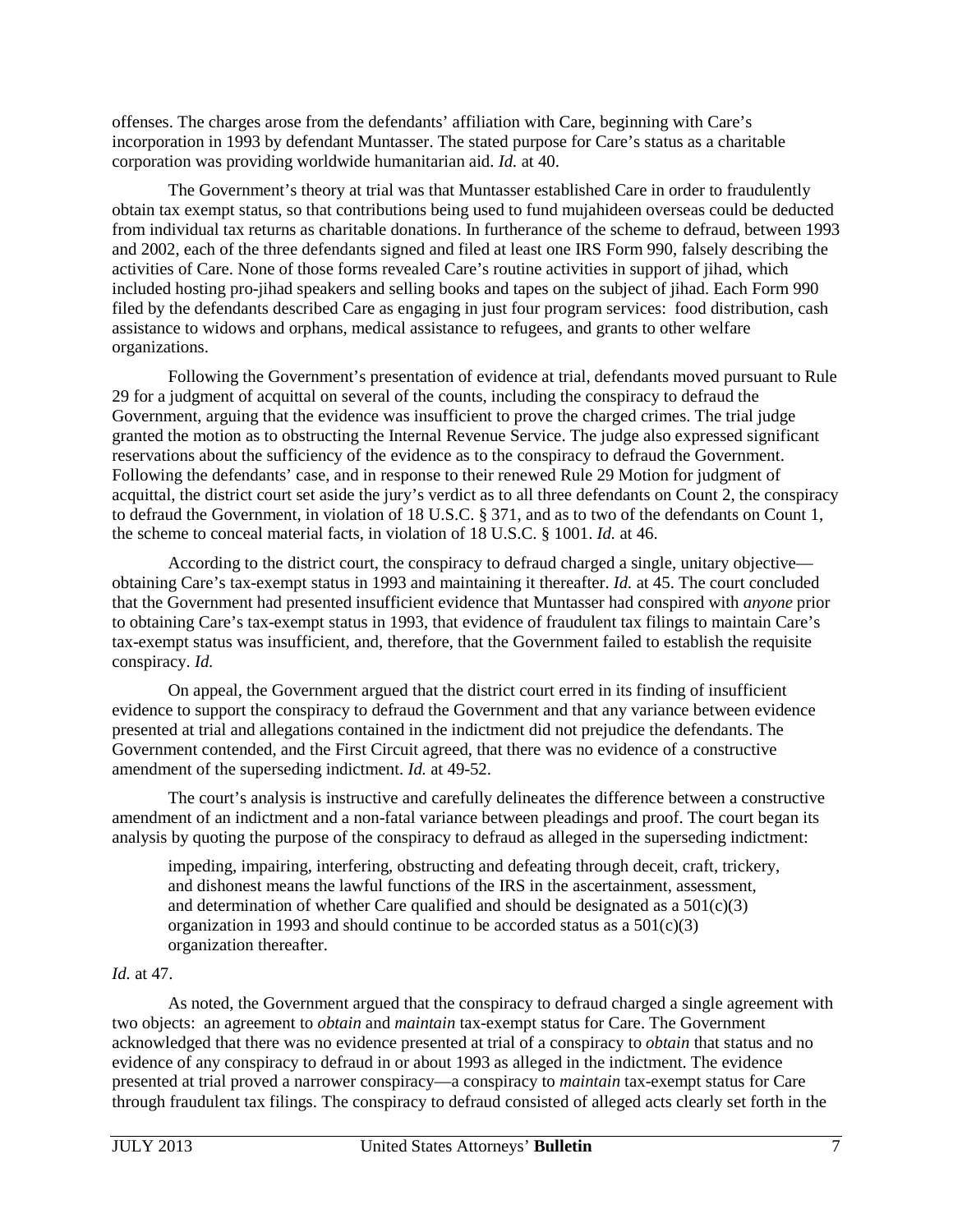offenses. The charges arose from the defendants' affiliation with Care, beginning with Care's incorporation in 1993 by defendant Muntasser. The stated purpose for Care's status as a charitable corporation was providing worldwide humanitarian aid. *Id.* at 40.

The Government's theory at trial was that Muntasser established Care in order to fraudulently obtain tax exempt status, so that contributions being used to fund mujahideen overseas could be deducted from individual tax returns as charitable donations. In furtherance of the scheme to defraud, between 1993 and 2002, each of the three defendants signed and filed at least one IRS Form 990, falsely describing the activities of Care. None of those forms revealed Care's routine activities in support of jihad, which included hosting pro-jihad speakers and selling books and tapes on the subject of jihad. Each Form 990 filed by the defendants described Care as engaging in just four program services: food distribution, cash assistance to widows and orphans, medical assistance to refugees, and grants to other welfare organizations.

Following the Government's presentation of evidence at trial, defendants moved pursuant to Rule 29 for a judgment of acquittal on several of the counts, including the conspiracy to defraud the Government, arguing that the evidence was insufficient to prove the charged crimes. The trial judge granted the motion as to obstructing the Internal Revenue Service. The judge also expressed significant reservations about the sufficiency of the evidence as to the conspiracy to defraud the Government. Following the defendants' case, and in response to their renewed Rule 29 Motion for judgment of acquittal, the district court set aside the jury's verdict as to all three defendants on Count 2, the conspiracy to defraud the Government, in violation of 18 U.S.C. § 371, and as to two of the defendants on Count 1, the scheme to conceal material facts, in violation of 18 U.S.C. § 1001. *Id.* at 46.

 According to the district court, the conspiracy to defraud charged a single, unitary objective obtaining Care's tax-exempt status in 1993 and maintaining it thereafter. *Id.* at 45. The court concluded that the Government had presented insufficient evidence that Muntasser had conspired with *anyone* prior to obtaining Care's tax-exempt status in 1993, that evidence of fraudulent tax filings to maintain Care's tax-exempt status was insufficient, and, therefore, that the Government failed to establish the requisite conspiracy. *Id.* 

On appeal, the Government argued that the district court erred in its finding of insufficient evidence to support the conspiracy to defraud the Government and that any variance between evidence presented at trial and allegations contained in the indictment did not prejudice the defendants. The Government contended, and the First Circuit agreed, that there was no evidence of a constructive amendment of the superseding indictment. *Id.* at 49-52.

 The court's analysis is instructive and carefully delineates the difference between a constructive amendment of an indictment and a non-fatal variance between pleadings and proof. The court began its analysis by quoting the purpose of the conspiracy to defraud as alleged in the superseding indictment:

impeding, impairing, interfering, obstructing and defeating through deceit, craft, trickery, and dishonest means the lawful functions of the IRS in the ascertainment, assessment, and determination of whether Care qualified and should be designated as a  $501(c)(3)$ organization in 1993 and should continue to be accorded status as a  $501(c)(3)$ organization thereafter.

#### *Id.* at 47.

As noted, the Government argued that the conspiracy to defraud charged a single agreement with two objects: an agreement to *obtain* and *maintain* tax-exempt status for Care. The Government acknowledged that there was no evidence presented at trial of a conspiracy to *obtain* that status and no evidence of any conspiracy to defraud in or about 1993 as alleged in the indictment. The evidence presented at trial proved a narrower conspiracy—a conspiracy to *maintain* tax-exempt status for Care through fraudulent tax filings. The conspiracy to defraud consisted of alleged acts clearly set forth in the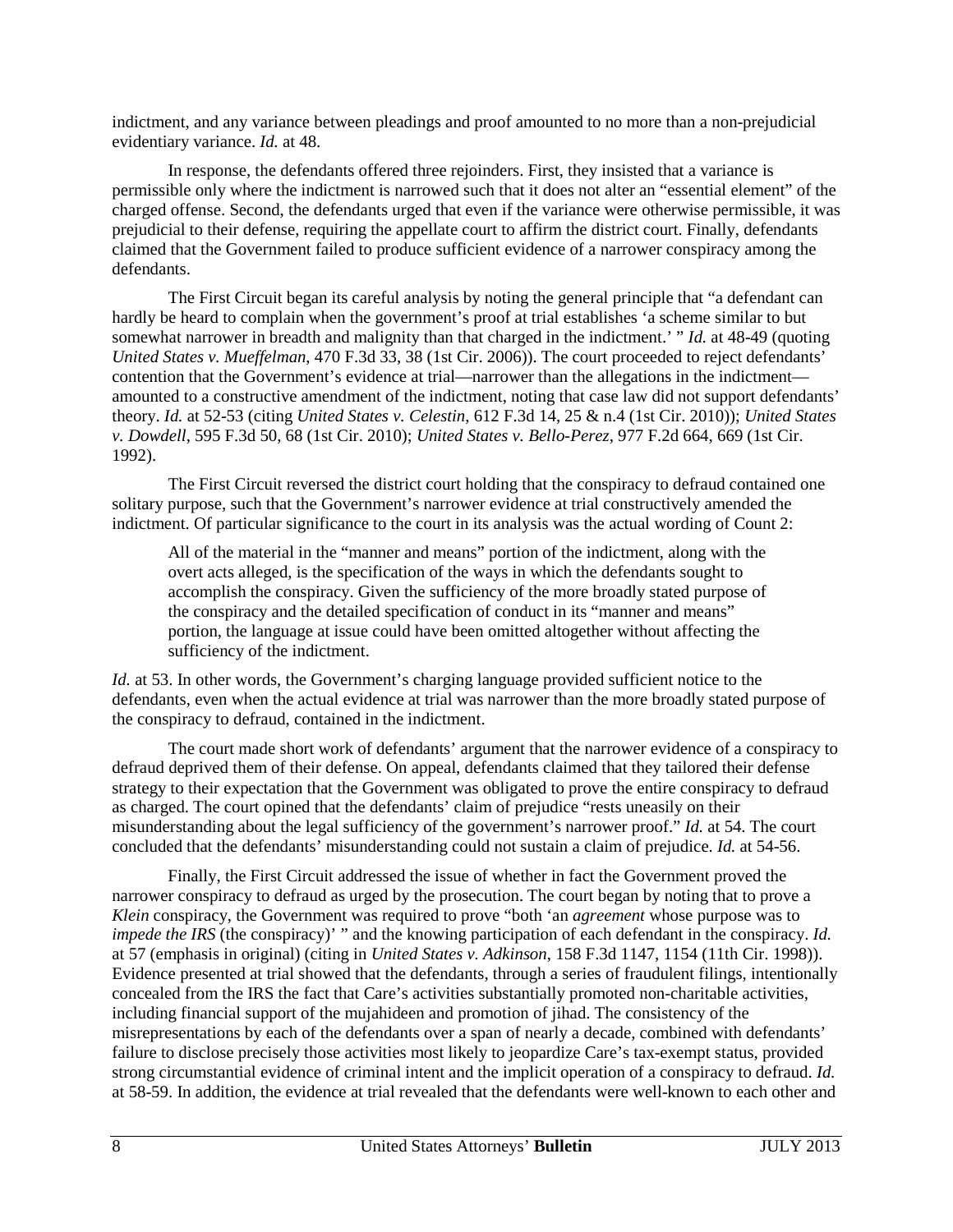indictment, and any variance between pleadings and proof amounted to no more than a non-prejudicial evidentiary variance. *Id.* at 48.

In response, the defendants offered three rejoinders. First, they insisted that a variance is permissible only where the indictment is narrowed such that it does not alter an "essential element" of the charged offense. Second, the defendants urged that even if the variance were otherwise permissible, it was prejudicial to their defense, requiring the appellate court to affirm the district court. Finally, defendants claimed that the Government failed to produce sufficient evidence of a narrower conspiracy among the defendants.

The First Circuit began its careful analysis by noting the general principle that "a defendant can hardly be heard to complain when the government's proof at trial establishes 'a scheme similar to but somewhat narrower in breadth and malignity than that charged in the indictment.' " *Id.* at 48-49 (quoting *United States v. Mueffelman*, 470 F.3d 33, 38 (1st Cir. 2006)). The court proceeded to reject defendants' contention that the Government's evidence at trial—narrower than the allegations in the indictment amounted to a constructive amendment of the indictment, noting that case law did not support defendants' theory. *Id.* at 52-53 (citing *United States v. Celestin*, 612 F.3d 14, 25 & n.4 (1st Cir. 2010)); *United States v. Dowdell*, 595 F.3d 50, 68 (1st Cir. 2010); *United States v. Bello-Perez*, 977 F.2d 664, 669 (1st Cir. 1992).

The First Circuit reversed the district court holding that the conspiracy to defraud contained one solitary purpose, such that the Government's narrower evidence at trial constructively amended the indictment. Of particular significance to the court in its analysis was the actual wording of Count 2:

All of the material in the "manner and means" portion of the indictment, along with the overt acts alleged, is the specification of the ways in which the defendants sought to accomplish the conspiracy. Given the sufficiency of the more broadly stated purpose of the conspiracy and the detailed specification of conduct in its "manner and means" portion, the language at issue could have been omitted altogether without affecting the sufficiency of the indictment.

*Id.* at 53. In other words, the Government's charging language provided sufficient notice to the defendants, even when the actual evidence at trial was narrower than the more broadly stated purpose of the conspiracy to defraud, contained in the indictment.

The court made short work of defendants' argument that the narrower evidence of a conspiracy to defraud deprived them of their defense. On appeal, defendants claimed that they tailored their defense strategy to their expectation that the Government was obligated to prove the entire conspiracy to defraud as charged. The court opined that the defendants' claim of prejudice "rests uneasily on their misunderstanding about the legal sufficiency of the government's narrower proof." *Id.* at 54. The court concluded that the defendants' misunderstanding could not sustain a claim of prejudice. *Id.* at 54-56.

Finally, the First Circuit addressed the issue of whether in fact the Government proved the narrower conspiracy to defraud as urged by the prosecution. The court began by noting that to prove a *Klein* conspiracy, the Government was required to prove "both 'an *agreement* whose purpose was to *impede the IRS* (the conspiracy)' " and the knowing participation of each defendant in the conspiracy. *Id.* at 57 (emphasis in original) (citing in *United States v. Adkinson*, 158 F.3d 1147, 1154 (11th Cir. 1998)). Evidence presented at trial showed that the defendants, through a series of fraudulent filings, intentionally concealed from the IRS the fact that Care's activities substantially promoted non-charitable activities, including financial support of the mujahideen and promotion of jihad. The consistency of the misrepresentations by each of the defendants over a span of nearly a decade, combined with defendants' failure to disclose precisely those activities most likely to jeopardize Care's tax-exempt status, provided strong circumstantial evidence of criminal intent and the implicit operation of a conspiracy to defraud. *Id.* at 58-59. In addition, the evidence at trial revealed that the defendants were well-known to each other and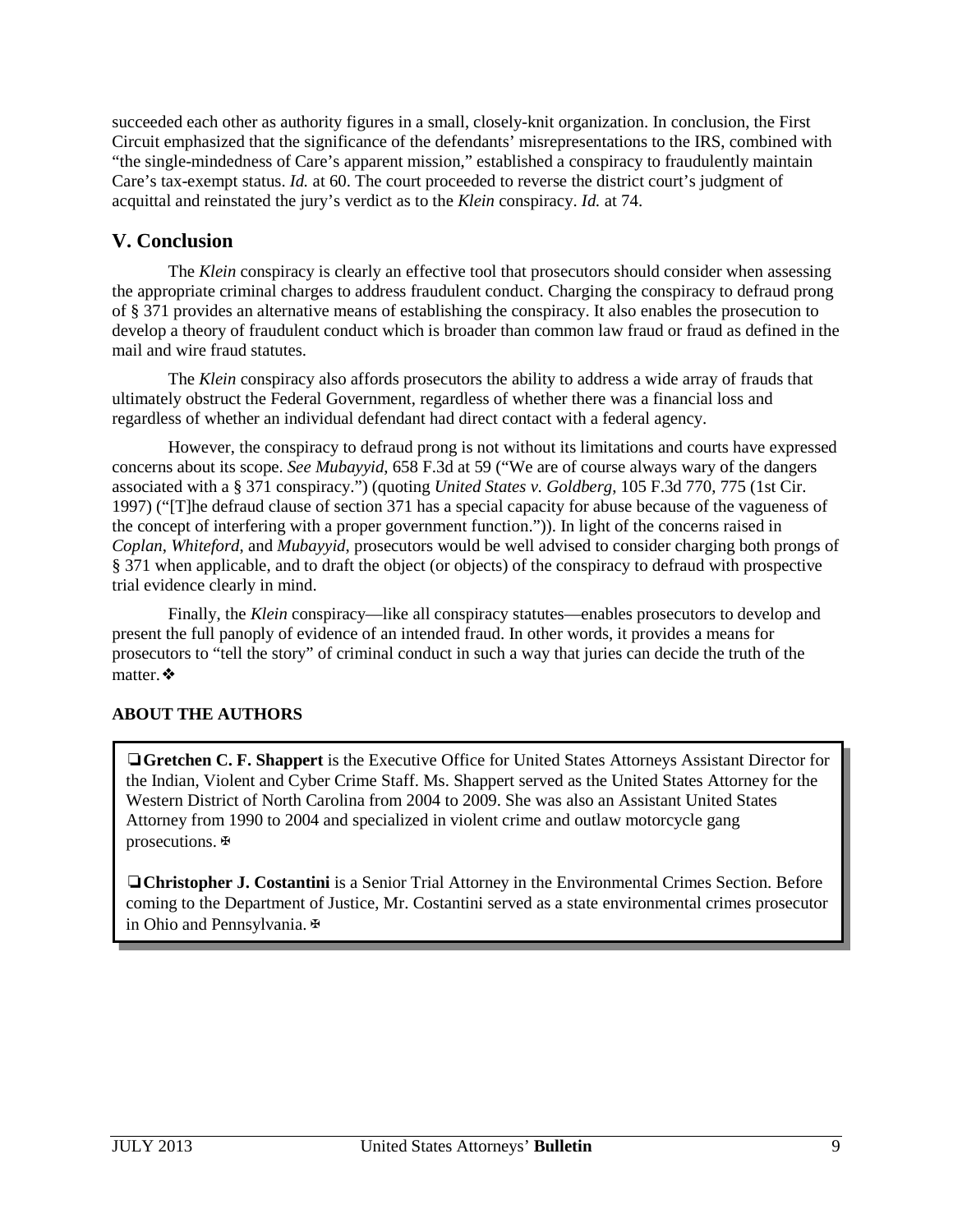succeeded each other as authority figures in a small, closely-knit organization. In conclusion, the First Circuit emphasized that the significance of the defendants' misrepresentations to the IRS, combined with "the single-mindedness of Care's apparent mission," established a conspiracy to fraudulently maintain Care's tax-exempt status. *Id.* at 60. The court proceeded to reverse the district court's judgment of acquittal and reinstated the jury's verdict as to the *Klein* conspiracy. *Id.* at 74.

# **V. Conclusion**

The *Klein* conspiracy is clearly an effective tool that prosecutors should consider when assessing the appropriate criminal charges to address fraudulent conduct. Charging the conspiracy to defraud prong of § 371 provides an alternative means of establishing the conspiracy. It also enables the prosecution to develop a theory of fraudulent conduct which is broader than common law fraud or fraud as defined in the mail and wire fraud statutes.

The *Klein* conspiracy also affords prosecutors the ability to address a wide array of frauds that ultimately obstruct the Federal Government, regardless of whether there was a financial loss and regardless of whether an individual defendant had direct contact with a federal agency.

However, the conspiracy to defraud prong is not without its limitations and courts have expressed concerns about its scope. *See Mubayyid*, 658 F.3d at 59 ("We are of course always wary of the dangers associated with a § 371 conspiracy.") (quoting *United States v. Goldberg*, 105 F.3d 770, 775 (1st Cir. 1997) ("[T]he defraud clause of section 371 has a special capacity for abuse because of the vagueness of the concept of interfering with a proper government function.")). In light of the concerns raised in *Coplan*, *Whiteford*, and *Mubayyid*, prosecutors would be well advised to consider charging both prongs of § 371 when applicable, and to draft the object (or objects) of the conspiracy to defraud with prospective trial evidence clearly in mind.

Finally, the *Klein* conspiracy—like all conspiracy statutes—enables prosecutors to develop and present the full panoply of evidence of an intended fraud. In other words, it provides a means for prosecutors to "tell the story" of criminal conduct in such a way that juries can decide the truth of the matter.❖

## **ABOUT THE AUTHORS**

❏**Gretchen C. F. Shappert** is the Executive Office for United States Attorneys Assistant Director for the Indian, Violent and Cyber Crime Staff. Ms. Shappert served as the United States Attorney for the Western District of North Carolina from 2004 to 2009. She was also an Assistant United States Attorney from 1990 to 2004 and specialized in violent crime and outlaw motorcycle gang prosecutions.✠

❏**Christopher J. Costantini** is a Senior Trial Attorney in the Environmental Crimes Section. Before coming to the Department of Justice, Mr. Costantini served as a state environmental crimes prosecutor in Ohio and Pennsylvania.✠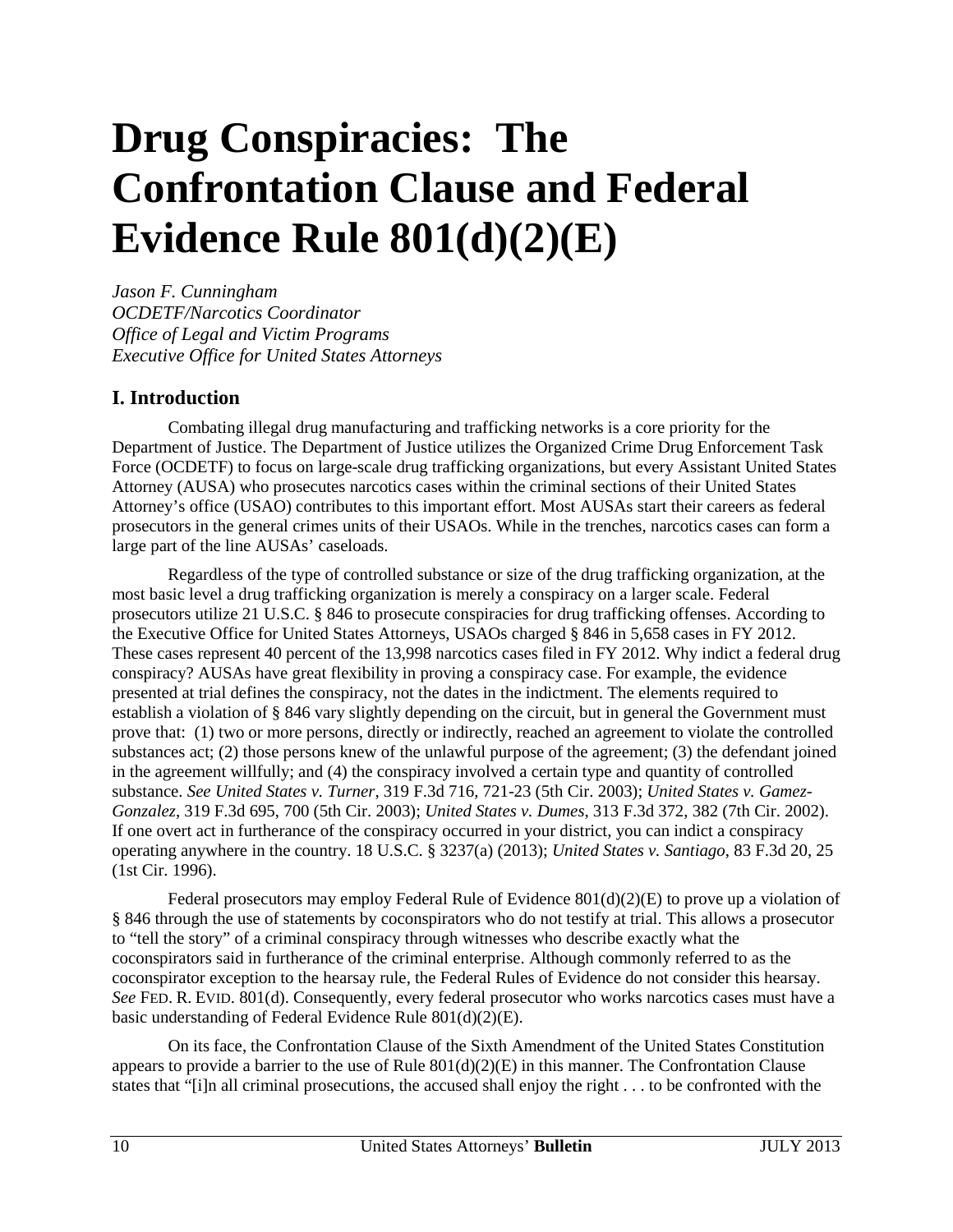# <span id="page-10-0"></span>**Drug Conspiracies: The Confrontation Clause and Federal Evidence Rule 801(d)(2)(E)**

*Jason F. Cunningham OCDETF/Narcotics Coordinator Office of Legal and Victim Programs Executive Office for United States Attorneys*

## **I. Introduction**

Combating illegal drug manufacturing and trafficking networks is a core priority for the Department of Justice. The Department of Justice utilizes the Organized Crime Drug Enforcement Task Force (OCDETF) to focus on large-scale drug trafficking organizations, but every Assistant United States Attorney (AUSA) who prosecutes narcotics cases within the criminal sections of their United States Attorney's office (USAO) contributes to this important effort. Most AUSAs start their careers as federal prosecutors in the general crimes units of their USAOs. While in the trenches, narcotics cases can form a large part of the line AUSAs' caseloads.

Regardless of the type of controlled substance or size of the drug trafficking organization, at the most basic level a drug trafficking organization is merely a conspiracy on a larger scale. Federal prosecutors utilize 21 U.S.C. § 846 to prosecute conspiracies for drug trafficking offenses. According to the Executive Office for United States Attorneys, USAOs charged § 846 in 5,658 cases in FY 2012. These cases represent 40 percent of the 13,998 narcotics cases filed in FY 2012. Why indict a federal drug conspiracy? AUSAs have great flexibility in proving a conspiracy case. For example, the evidence presented at trial defines the conspiracy, not the dates in the indictment. The elements required to establish a violation of § 846 vary slightly depending on the circuit, but in general the Government must prove that: (1) two or more persons, directly or indirectly, reached an agreement to violate the controlled substances act; (2) those persons knew of the unlawful purpose of the agreement; (3) the defendant joined in the agreement willfully; and (4) the conspiracy involved a certain type and quantity of controlled substance. *See United States v. Turner*, 319 F.3d 716, 721-23 (5th Cir. 2003); *United States v. Gamez-Gonzalez*, 319 F.3d 695, 700 (5th Cir. 2003); *United States v. Dumes*, 313 F.3d 372, 382 (7th Cir. 2002). If one overt act in furtherance of the conspiracy occurred in your district, you can indict a conspiracy operating anywhere in the country. 18 U.S.C. § 3237(a) (2013); *United States v. Santiago*, 83 F.3d 20, 25 (1st Cir. 1996).

Federal prosecutors may employ Federal Rule of Evidence 801(d)(2)(E) to prove up a violation of § 846 through the use of statements by coconspirators who do not testify at trial. This allows a prosecutor to "tell the story" of a criminal conspiracy through witnesses who describe exactly what the coconspirators said in furtherance of the criminal enterprise. Although commonly referred to as the coconspirator exception to the hearsay rule, the Federal Rules of Evidence do not consider this hearsay. *See* FED. R. EVID. 801(d). Consequently, every federal prosecutor who works narcotics cases must have a basic understanding of Federal Evidence Rule 801(d)(2)(E).

On its face, the Confrontation Clause of the Sixth Amendment of the United States Constitution appears to provide a barrier to the use of Rule  $801(d)(2)(E)$  in this manner. The Confrontation Clause states that "[i]n all criminal prosecutions, the accused shall enjoy the right . . . to be confronted with the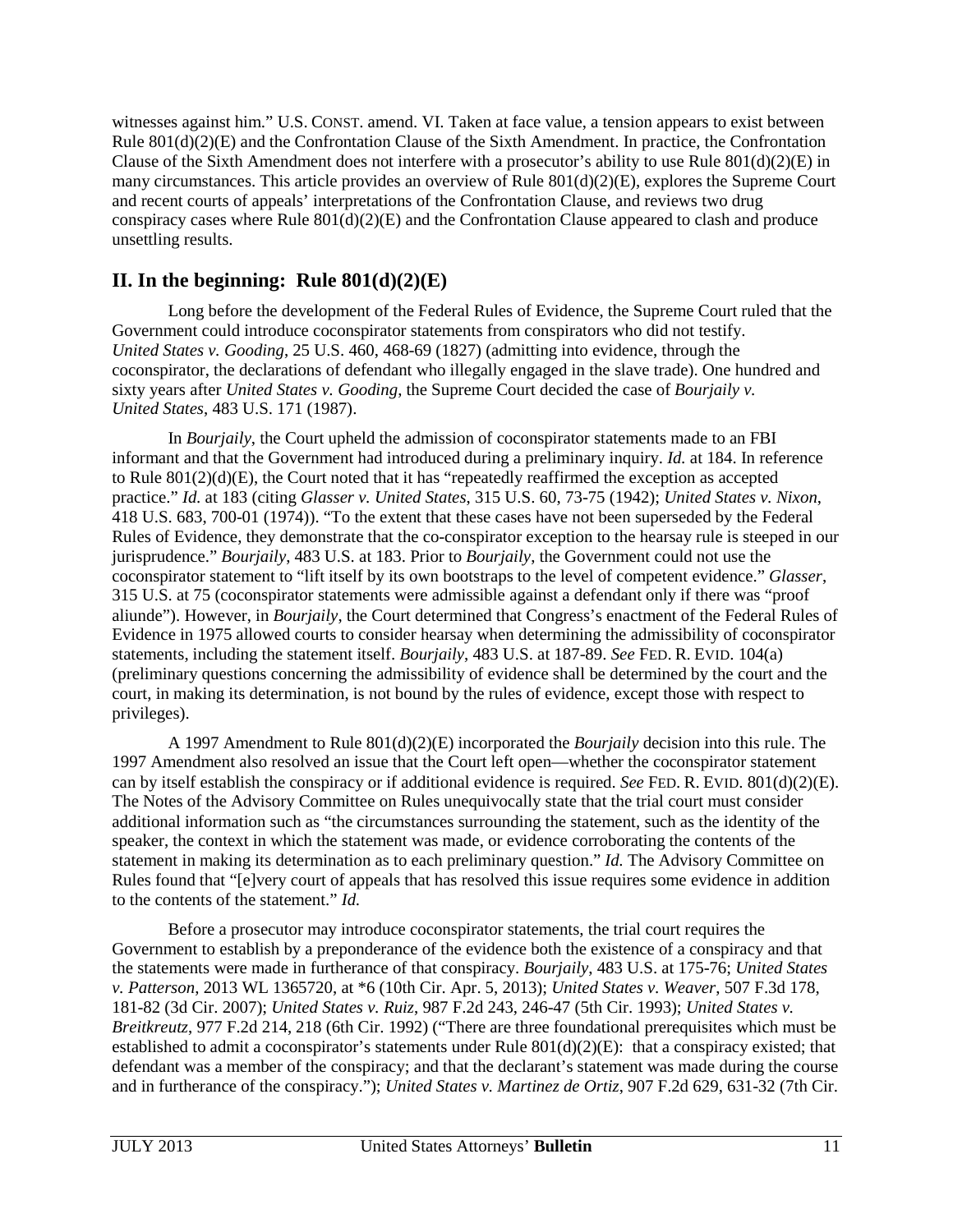witnesses against him." U.S. CONST. amend. VI. Taken at face value, a tension appears to exist between Rule 801(d)(2)(E) and the Confrontation Clause of the Sixth Amendment. In practice, the Confrontation Clause of the Sixth Amendment does not interfere with a prosecutor's ability to use Rule  $801(d)(2)(E)$  in many circumstances. This article provides an overview of Rule 801(d)(2)(E), explores the Supreme Court and recent courts of appeals' interpretations of the Confrontation Clause, and reviews two drug conspiracy cases where Rule  $801(d)(2)(E)$  and the Confrontation Clause appeared to clash and produce unsettling results.

## **II. In the beginning: Rule 801(d)(2)(E)**

Long before the development of the Federal Rules of Evidence, the Supreme Court ruled that the Government could introduce coconspirator statements from conspirators who did not testify. *United States v. Gooding*, 25 U.S. 460, 468-69 (1827) (admitting into evidence, through the coconspirator, the declarations of defendant who illegally engaged in the slave trade). One hundred and sixty years after *United States v. Gooding*, the Supreme Court decided the case of *Bourjaily v. United States*, 483 U.S. 171 (1987).

In *Bourjaily*, the Court upheld the admission of coconspirator statements made to an FBI informant and that the Government had introduced during a preliminary inquiry. *Id.* at 184. In reference to Rule 801(2)(d)(E), the Court noted that it has "repeatedly reaffirmed the exception as accepted practice." *Id.* at 183 (citing *Glasser v. United States*, 315 U.S. 60, 73-75 (1942); *United States v. Nixon*, 418 U.S. 683, 700-01 (1974)). "To the extent that these cases have not been superseded by the Federal Rules of Evidence, they demonstrate that the co-conspirator exception to the hearsay rule is steeped in our jurisprudence." *Bourjaily*, 483 U.S. at 183. Prior to *Bourjaily*, the Government could not use the coconspirator statement to "lift itself by its own bootstraps to the level of competent evidence." *Glasser*, 315 U.S. at 75 (coconspirator statements were admissible against a defendant only if there was "proof aliunde"). However, in *Bourjaily*, the Court determined that Congress's enactment of the Federal Rules of Evidence in 1975 allowed courts to consider hearsay when determining the admissibility of coconspirator statements, including the statement itself. *Bourjaily*, 483 U.S. at 187-89. *See* FED. R. EVID. 104(a) (preliminary questions concerning the admissibility of evidence shall be determined by the court and the court, in making its determination, is not bound by the rules of evidence, except those with respect to privileges).

A 1997 Amendment to Rule 801(d)(2)(E) incorporated the *Bourjaily* decision into this rule. The 1997 Amendment also resolved an issue that the Court left open—whether the coconspirator statement can by itself establish the conspiracy or if additional evidence is required. *See* FED. R. EVID. 801(d)(2)(E). The Notes of the Advisory Committee on Rules unequivocally state that the trial court must consider additional information such as "the circumstances surrounding the statement, such as the identity of the speaker, the context in which the statement was made, or evidence corroborating the contents of the statement in making its determination as to each preliminary question." *Id.* The Advisory Committee on Rules found that "[e]very court of appeals that has resolved this issue requires some evidence in addition to the contents of the statement." *Id.*

Before a prosecutor may introduce coconspirator statements, the trial court requires the Government to establish by a preponderance of the evidence both the existence of a conspiracy and that the statements were made in furtherance of that conspiracy. *Bourjaily*, 483 U.S. at 175-76; *United States v. Patterson*, 2013 WL 1365720, at \*6 (10th Cir. Apr. 5, 2013); *United States v. Weaver*, 507 F.3d 178, 181-82 (3d Cir. 2007); *United States v. Ruiz*, 987 F.2d 243, 246-47 (5th Cir. 1993); *United States v. Breitkreutz*, 977 F.2d 214, 218 (6th Cir. 1992) ("There are three foundational prerequisites which must be established to admit a coconspirator's statements under Rule  $801(d)(2)(E)$ : that a conspiracy existed; that defendant was a member of the conspiracy; and that the declarant's statement was made during the course and in furtherance of the conspiracy."); *United States v. Martinez de Ortiz*, 907 F.2d 629, 631-32 (7th Cir.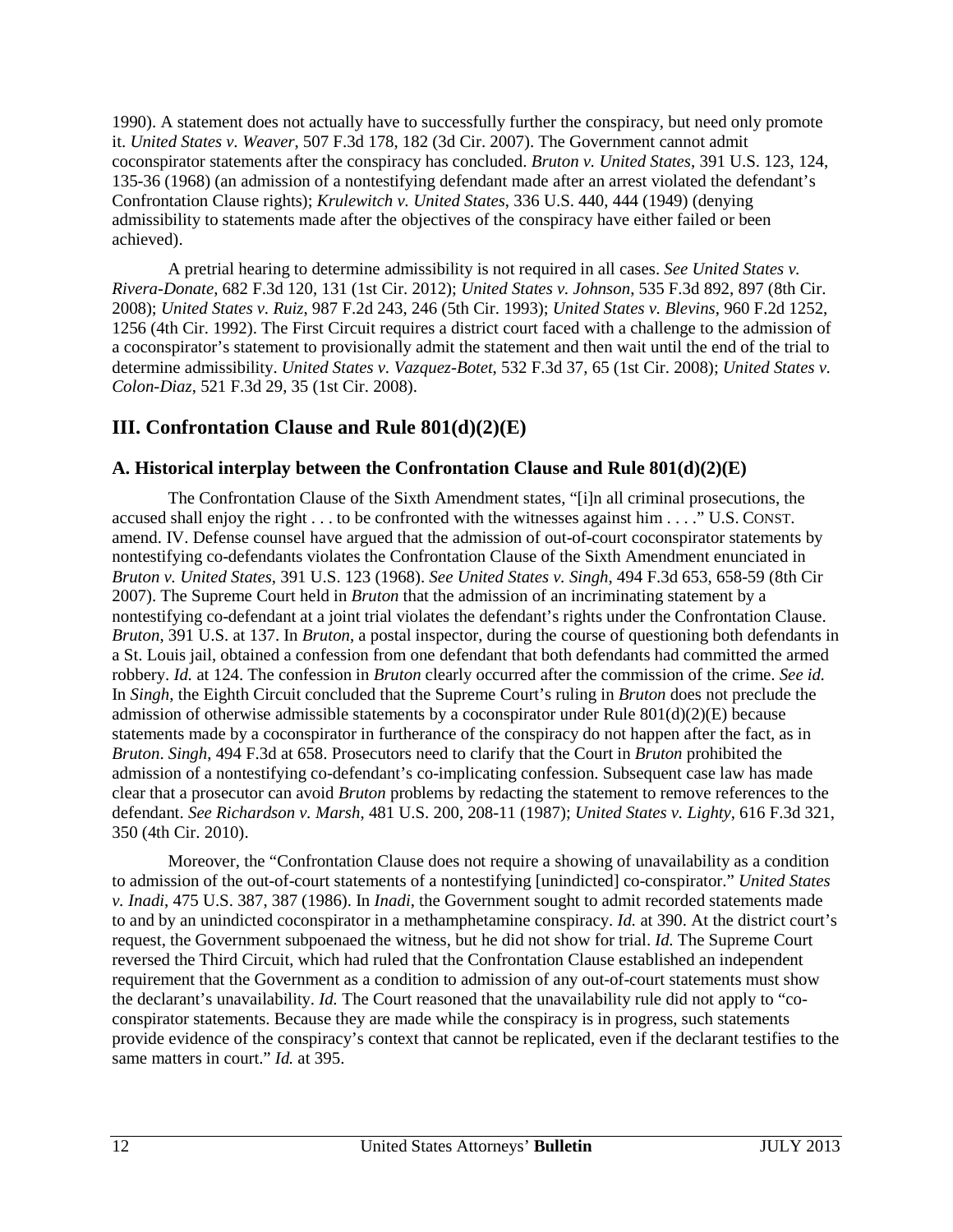1990). A statement does not actually have to successfully further the conspiracy, but need only promote it. *United States v. Weaver*, 507 F.3d 178, 182 (3d Cir. 2007). The Government cannot admit coconspirator statements after the conspiracy has concluded. *Bruton v. United States*, 391 U.S. 123, 124, 135-36 (1968) (an admission of a nontestifying defendant made after an arrest violated the defendant's Confrontation Clause rights); *Krulewitch v. United States*, 336 U.S. 440, 444 (1949) (denying admissibility to statements made after the objectives of the conspiracy have either failed or been achieved).

A pretrial hearing to determine admissibility is not required in all cases. *See United States v. Rivera-Donate*, 682 F.3d 120, 131 (1st Cir. 2012); *United States v. Johnson*, 535 F.3d 892, 897 (8th Cir. 2008); *United States v. Ruiz*, 987 F.2d 243, 246 (5th Cir. 1993); *United States v. Blevins*, 960 F.2d 1252, 1256 (4th Cir. 1992). The First Circuit requires a district court faced with a challenge to the admission of a coconspirator's statement to provisionally admit the statement and then wait until the end of the trial to determine admissibility. *United States v. Vazquez-Botet*, 532 F.3d 37, 65 (1st Cir. 2008); *United States v. Colon-Diaz*, 521 F.3d 29, 35 (1st Cir. 2008).

# **III. Confrontation Clause and Rule 801(d)(2)(E)**

## **A. Historical interplay between the Confrontation Clause and Rule 801(d)(2)(E)**

The Confrontation Clause of the Sixth Amendment states, "[i]n all criminal prosecutions, the accused shall enjoy the right . . . to be confronted with the witnesses against him . . . ." U.S. CONST. amend. IV. Defense counsel have argued that the admission of out-of-court coconspirator statements by nontestifying co-defendants violates the Confrontation Clause of the Sixth Amendment enunciated in *Bruton v. United States*, 391 U.S. 123 (1968). *See United States v. Singh*, 494 F.3d 653, 658-59 (8th Cir 2007). The Supreme Court held in *Bruton* that the admission of an incriminating statement by a nontestifying co-defendant at a joint trial violates the defendant's rights under the Confrontation Clause. *Bruton*, 391 U.S. at 137. In *Bruton*, a postal inspector, during the course of questioning both defendants in a St. Louis jail, obtained a confession from one defendant that both defendants had committed the armed robbery. *Id.* at 124. The confession in *Bruton* clearly occurred after the commission of the crime. *See id.* In *Singh*, the Eighth Circuit concluded that the Supreme Court's ruling in *Bruton* does not preclude the admission of otherwise admissible statements by a coconspirator under Rule  $801(d)(2)(E)$  because statements made by a coconspirator in furtherance of the conspiracy do not happen after the fact, as in *Bruton*. *Singh*, 494 F.3d at 658. Prosecutors need to clarify that the Court in *Bruton* prohibited the admission of a nontestifying co-defendant's co-implicating confession. Subsequent case law has made clear that a prosecutor can avoid *Bruton* problems by redacting the statement to remove references to the defendant. *See Richardson v. Marsh*, 481 U.S. 200, 208-11 (1987); *United States v. Lighty*, 616 F.3d 321, 350 (4th Cir. 2010).

Moreover, the "Confrontation Clause does not require a showing of unavailability as a condition to admission of the out-of-court statements of a nontestifying [unindicted] co-conspirator." *United States v. Inadi*, 475 U.S. 387, 387 (1986). In *Inadi*, the Government sought to admit recorded statements made to and by an unindicted coconspirator in a methamphetamine conspiracy. *Id.* at 390. At the district court's request, the Government subpoenaed the witness, but he did not show for trial. *Id.* The Supreme Court reversed the Third Circuit, which had ruled that the Confrontation Clause established an independent requirement that the Government as a condition to admission of any out-of-court statements must show the declarant's unavailability. *Id.* The Court reasoned that the unavailability rule did not apply to "coconspirator statements. Because they are made while the conspiracy is in progress, such statements provide evidence of the conspiracy's context that cannot be replicated, even if the declarant testifies to the same matters in court." *Id.* at 395.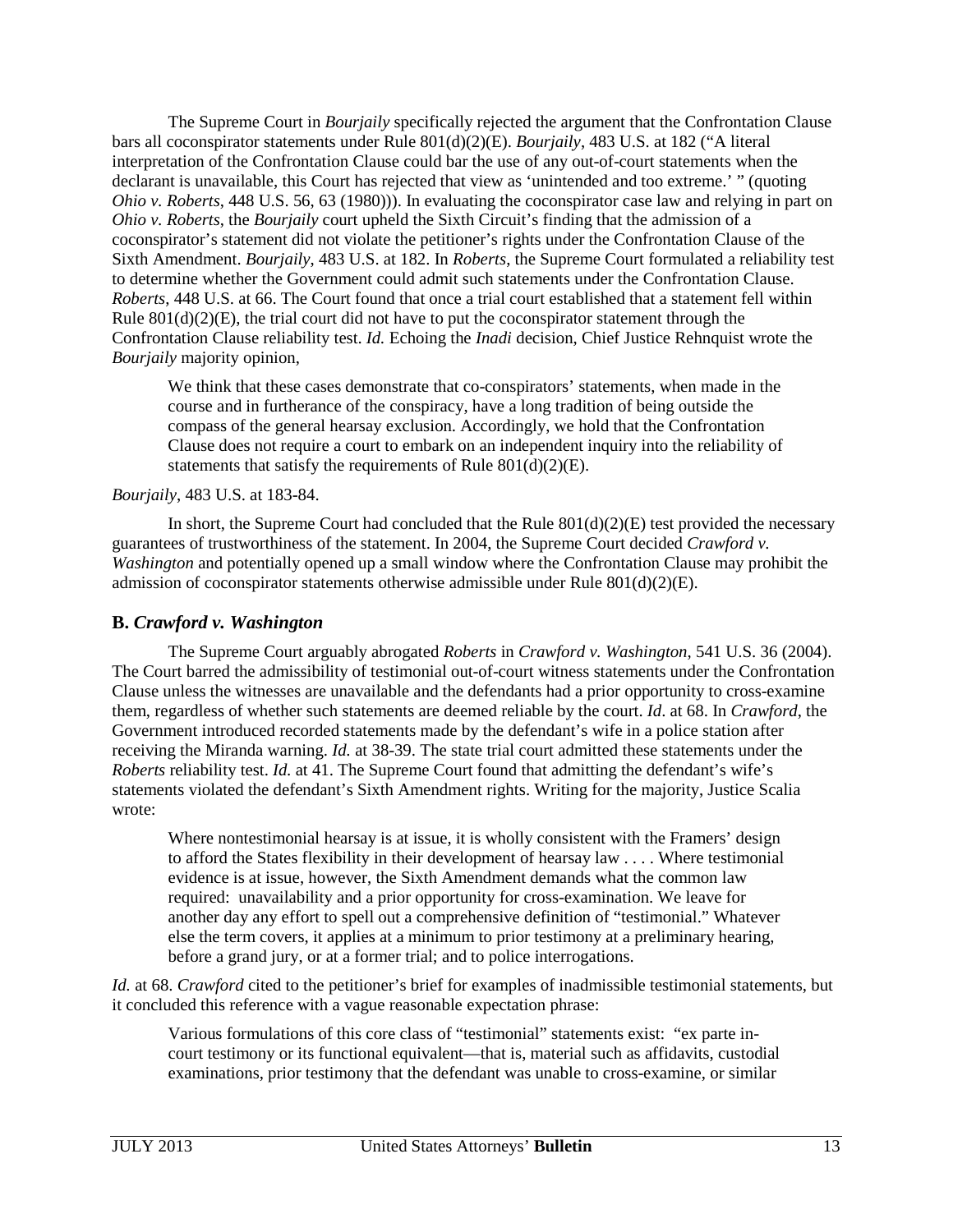The Supreme Court in *Bourjaily* specifically rejected the argument that the Confrontation Clause bars all coconspirator statements under Rule 801(d)(2)(E). *Bourjaily*, 483 U.S. at 182 ("A literal interpretation of the Confrontation Clause could bar the use of any out-of-court statements when the declarant is unavailable, this Court has rejected that view as 'unintended and too extreme.' " (quoting *Ohio v. Roberts*, 448 U.S. 56, 63 (1980))). In evaluating the coconspirator case law and relying in part on *Ohio v. Roberts*, the *Bourjaily* court upheld the Sixth Circuit's finding that the admission of a coconspirator's statement did not violate the petitioner's rights under the Confrontation Clause of the Sixth Amendment. *Bourjaily*, 483 U.S. at 182. In *Roberts*, the Supreme Court formulated a reliability test to determine whether the Government could admit such statements under the Confrontation Clause. *Roberts*, 448 U.S. at 66. The Court found that once a trial court established that a statement fell within Rule  $801(d)(2)(E)$ , the trial court did not have to put the coconspirator statement through the Confrontation Clause reliability test. *Id.* Echoing the *Inadi* decision, Chief Justice Rehnquist wrote the *Bourjaily* majority opinion,

We think that these cases demonstrate that co-conspirators' statements, when made in the course and in furtherance of the conspiracy, have a long tradition of being outside the compass of the general hearsay exclusion. Accordingly, we hold that the Confrontation Clause does not require a court to embark on an independent inquiry into the reliability of statements that satisfy the requirements of Rule  $801(d)(2)(E)$ .

#### *Bourjaily*, 483 U.S. at 183-84.

In short, the Supreme Court had concluded that the Rule  $801(d)(2)(E)$  test provided the necessary guarantees of trustworthiness of the statement. In 2004, the Supreme Court decided *Crawford v. Washington* and potentially opened up a small window where the Confrontation Clause may prohibit the admission of coconspirator statements otherwise admissible under Rule 801(d)(2)(E).

#### **B.** *Crawford v. Washington*

The Supreme Court arguably abrogated *Roberts* in *Crawford v. Washington*, 541 U.S. 36 (2004). The Court barred the admissibility of testimonial out-of-court witness statements under the Confrontation Clause unless the witnesses are unavailable and the defendants had a prior opportunity to cross-examine them, regardless of whether such statements are deemed reliable by the court. *Id*. at 68. In *Crawford*, the Government introduced recorded statements made by the defendant's wife in a police station after receiving the Miranda warning. *Id.* at 38-39. The state trial court admitted these statements under the *Roberts* reliability test. *Id.* at 41. The Supreme Court found that admitting the defendant's wife's statements violated the defendant's Sixth Amendment rights. Writing for the majority, Justice Scalia wrote:

Where nontestimonial hearsay is at issue, it is wholly consistent with the Framers' design to afford the States flexibility in their development of hearsay law . . . . Where testimonial evidence is at issue, however, the Sixth Amendment demands what the common law required: unavailability and a prior opportunity for cross-examination. We leave for another day any effort to spell out a comprehensive definition of "testimonial." Whatever else the term covers, it applies at a minimum to prior testimony at a preliminary hearing, before a grand jury, or at a former trial; and to police interrogations.

*Id.* at 68. *Crawford* cited to the petitioner's brief for examples of inadmissible testimonial statements, but it concluded this reference with a vague reasonable expectation phrase:

Various formulations of this core class of "testimonial" statements exist: "ex parte incourt testimony or its functional equivalent—that is, material such as affidavits, custodial examinations, prior testimony that the defendant was unable to cross-examine, or similar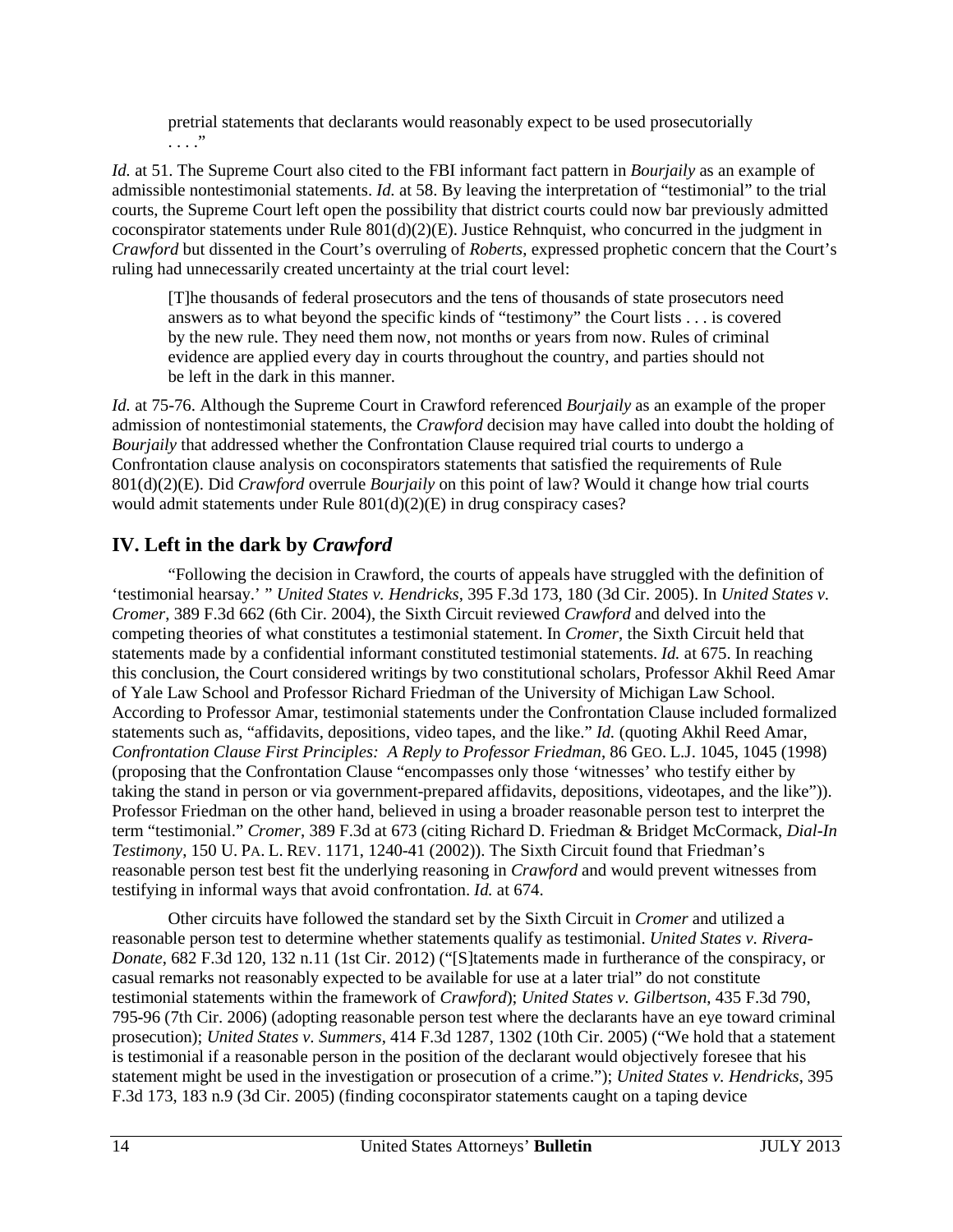pretrial statements that declarants would reasonably expect to be used prosecutorially . . . ."

*Id.* at 51. The Supreme Court also cited to the FBI informant fact pattern in *Bourjaily* as an example of admissible nontestimonial statements. *Id.* at 58. By leaving the interpretation of "testimonial" to the trial courts, the Supreme Court left open the possibility that district courts could now bar previously admitted coconspirator statements under Rule  $801(d)(2)(E)$ . Justice Rehnquist, who concurred in the judgment in *Crawford* but dissented in the Court's overruling of *Roberts*, expressed prophetic concern that the Court's ruling had unnecessarily created uncertainty at the trial court level:

[T]he thousands of federal prosecutors and the tens of thousands of state prosecutors need answers as to what beyond the specific kinds of "testimony" the Court lists . . . is covered by the new rule. They need them now, not months or years from now. Rules of criminal evidence are applied every day in courts throughout the country, and parties should not be left in the dark in this manner.

*Id.* at 75-76. Although the Supreme Court in Crawford referenced *Bourjaily* as an example of the proper admission of nontestimonial statements, the *Crawford* decision may have called into doubt the holding of *Bourjaily* that addressed whether the Confrontation Clause required trial courts to undergo a Confrontation clause analysis on coconspirators statements that satisfied the requirements of Rule 801(d)(2)(E). Did *Crawford* overrule *Bourjaily* on this point of law? Would it change how trial courts would admit statements under Rule 801(d)(2)(E) in drug conspiracy cases?

# **IV. Left in the dark by** *Crawford*

"Following the decision in Crawford, the courts of appeals have struggled with the definition of 'testimonial hearsay.' " *United States v. Hendricks*, 395 F.3d 173, 180 (3d Cir. 2005). In *United States v. Cromer*, 389 F.3d 662 (6th Cir. 2004), the Sixth Circuit reviewed *Crawford* and delved into the competing theories of what constitutes a testimonial statement. In *Cromer*, the Sixth Circuit held that statements made by a confidential informant constituted testimonial statements. *Id.* at 675. In reaching this conclusion, the Court considered writings by two constitutional scholars, Professor Akhil Reed Amar of Yale Law School and Professor Richard Friedman of the University of Michigan Law School. According to Professor Amar, testimonial statements under the Confrontation Clause included formalized statements such as, "affidavits, depositions, video tapes, and the like." *Id.* (quoting Akhil Reed Amar, *Confrontation Clause First Principles: A Reply to Professor Friedman*, 86 GEO. L.J. 1045, 1045 (1998) (proposing that the Confrontation Clause "encompasses only those 'witnesses' who testify either by taking the stand in person or via government-prepared affidavits, depositions, videotapes, and the like")). Professor Friedman on the other hand, believed in using a broader reasonable person test to interpret the term "testimonial." *Cromer*, 389 F.3d at 673 (citing Richard D. Friedman & Bridget McCormack, *Dial-In Testimony*, 150 U. PA. L. REV. 1171, 1240-41 (2002)). The Sixth Circuit found that Friedman's reasonable person test best fit the underlying reasoning in *Crawford* and would prevent witnesses from testifying in informal ways that avoid confrontation. *Id.* at 674.

Other circuits have followed the standard set by the Sixth Circuit in *Cromer* and utilized a reasonable person test to determine whether statements qualify as testimonial. *United States v. Rivera-Donate*, 682 F.3d 120, 132 n.11 (1st Cir. 2012) ("[S]tatements made in furtherance of the conspiracy, or casual remarks not reasonably expected to be available for use at a later trial" do not constitute testimonial statements within the framework of *Crawford*); *United States v. Gilbertson*, 435 F.3d 790, 795-96 (7th Cir. 2006) (adopting reasonable person test where the declarants have an eye toward criminal prosecution); *United States v. Summers*, 414 F.3d 1287, 1302 (10th Cir. 2005) ("We hold that a statement is testimonial if a reasonable person in the position of the declarant would objectively foresee that his statement might be used in the investigation or prosecution of a crime."); *United States v. Hendricks*, 395 F.3d 173, 183 n.9 (3d Cir. 2005) (finding coconspirator statements caught on a taping device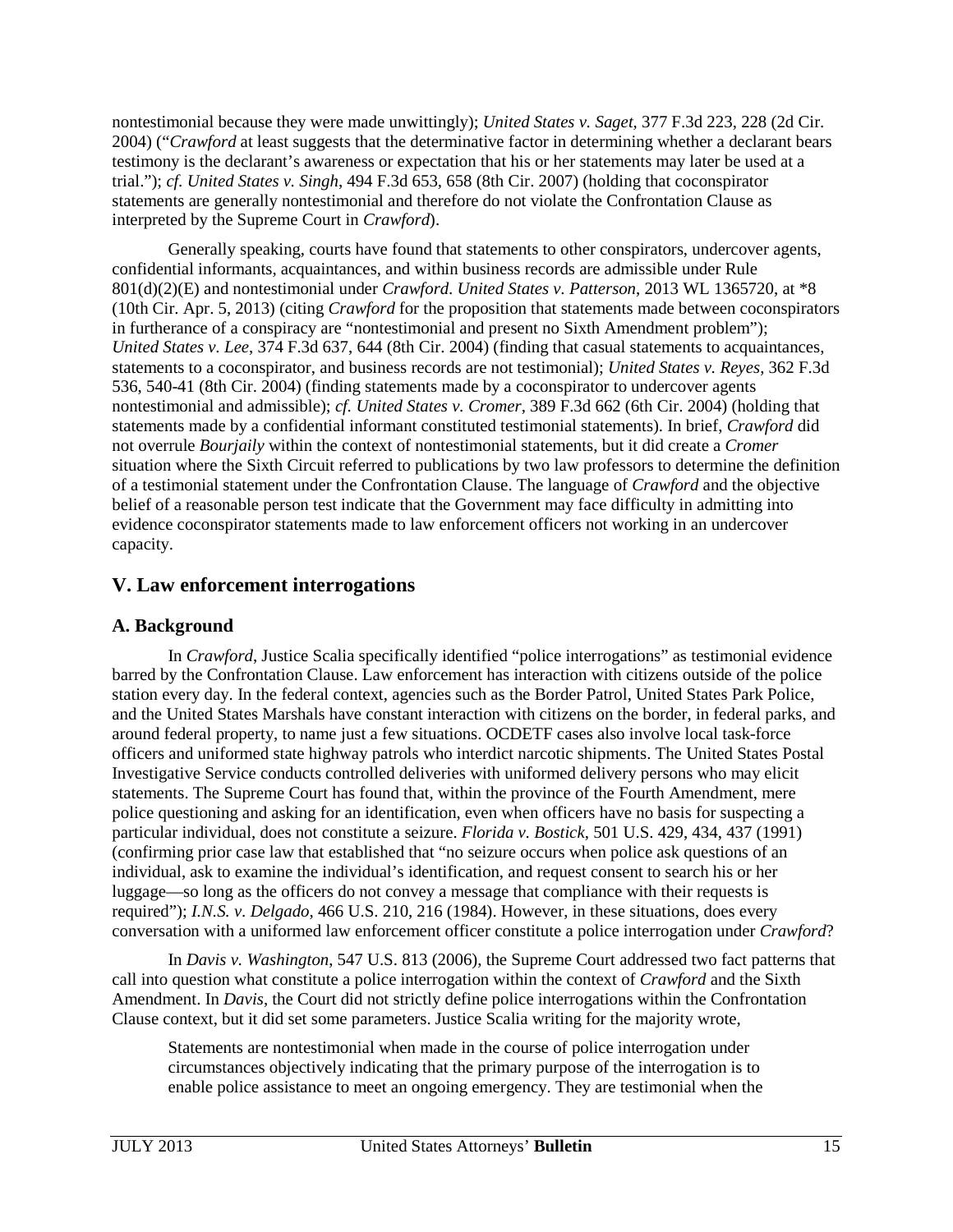nontestimonial because they were made unwittingly); *United States v. Saget*, 377 F.3d 223, 228 (2d Cir. 2004) ("*Crawford* at least suggests that the determinative factor in determining whether a declarant bears testimony is the declarant's awareness or expectation that his or her statements may later be used at a trial."); *cf. United States v. Singh*, 494 F.3d 653, 658 (8th Cir. 2007) (holding that coconspirator statements are generally nontestimonial and therefore do not violate the Confrontation Clause as interpreted by the Supreme Court in *Crawford*).

Generally speaking, courts have found that statements to other conspirators, undercover agents, confidential informants, acquaintances, and within business records are admissible under Rule 801(d)(2)(E) and nontestimonial under *Crawford*. *United States v. Patterson*, 2013 WL 1365720, at \*8 (10th Cir. Apr. 5, 2013) (citing *Crawford* for the proposition that statements made between coconspirators in furtherance of a conspiracy are "nontestimonial and present no Sixth Amendment problem"); *United States v. Lee*, 374 F.3d 637, 644 (8th Cir. 2004) (finding that casual statements to acquaintances, statements to a coconspirator, and business records are not testimonial); *United States v. Reyes*, 362 F.3d 536, 540-41 (8th Cir. 2004) (finding statements made by a coconspirator to undercover agents nontestimonial and admissible); *cf. United States v. Cromer*, 389 F.3d 662 (6th Cir. 2004) (holding that statements made by a confidential informant constituted testimonial statements). In brief, *Crawford* did not overrule *Bourjaily* within the context of nontestimonial statements, but it did create a *Cromer* situation where the Sixth Circuit referred to publications by two law professors to determine the definition of a testimonial statement under the Confrontation Clause. The language of *Crawford* and the objective belief of a reasonable person test indicate that the Government may face difficulty in admitting into evidence coconspirator statements made to law enforcement officers not working in an undercover capacity.

## **V. Law enforcement interrogations**

## **A. Background**

In *Crawford*, Justice Scalia specifically identified "police interrogations" as testimonial evidence barred by the Confrontation Clause. Law enforcement has interaction with citizens outside of the police station every day. In the federal context, agencies such as the Border Patrol, United States Park Police, and the United States Marshals have constant interaction with citizens on the border, in federal parks, and around federal property, to name just a few situations. OCDETF cases also involve local task-force officers and uniformed state highway patrols who interdict narcotic shipments. The United States Postal Investigative Service conducts controlled deliveries with uniformed delivery persons who may elicit statements. The Supreme Court has found that, within the province of the Fourth Amendment, mere police questioning and asking for an identification, even when officers have no basis for suspecting a particular individual, does not constitute a seizure. *Florida v. Bostick*, 501 U.S. 429, 434, 437 (1991) (confirming prior case law that established that "no seizure occurs when police ask questions of an individual, ask to examine the individual's identification, and request consent to search his or her luggage—so long as the officers do not convey a message that compliance with their requests is required"); *I.N.S. v. Delgado*, 466 U.S. 210, 216 (1984). However, in these situations, does every conversation with a uniformed law enforcement officer constitute a police interrogation under *Crawford*?

In *Davis v. Washington*, 547 U.S. 813 (2006), the Supreme Court addressed two fact patterns that call into question what constitute a police interrogation within the context of *Crawford* and the Sixth Amendment. In *Davis*, the Court did not strictly define police interrogations within the Confrontation Clause context, but it did set some parameters. Justice Scalia writing for the majority wrote,

Statements are nontestimonial when made in the course of police interrogation under circumstances objectively indicating that the primary purpose of the interrogation is to enable police assistance to meet an ongoing emergency. They are testimonial when the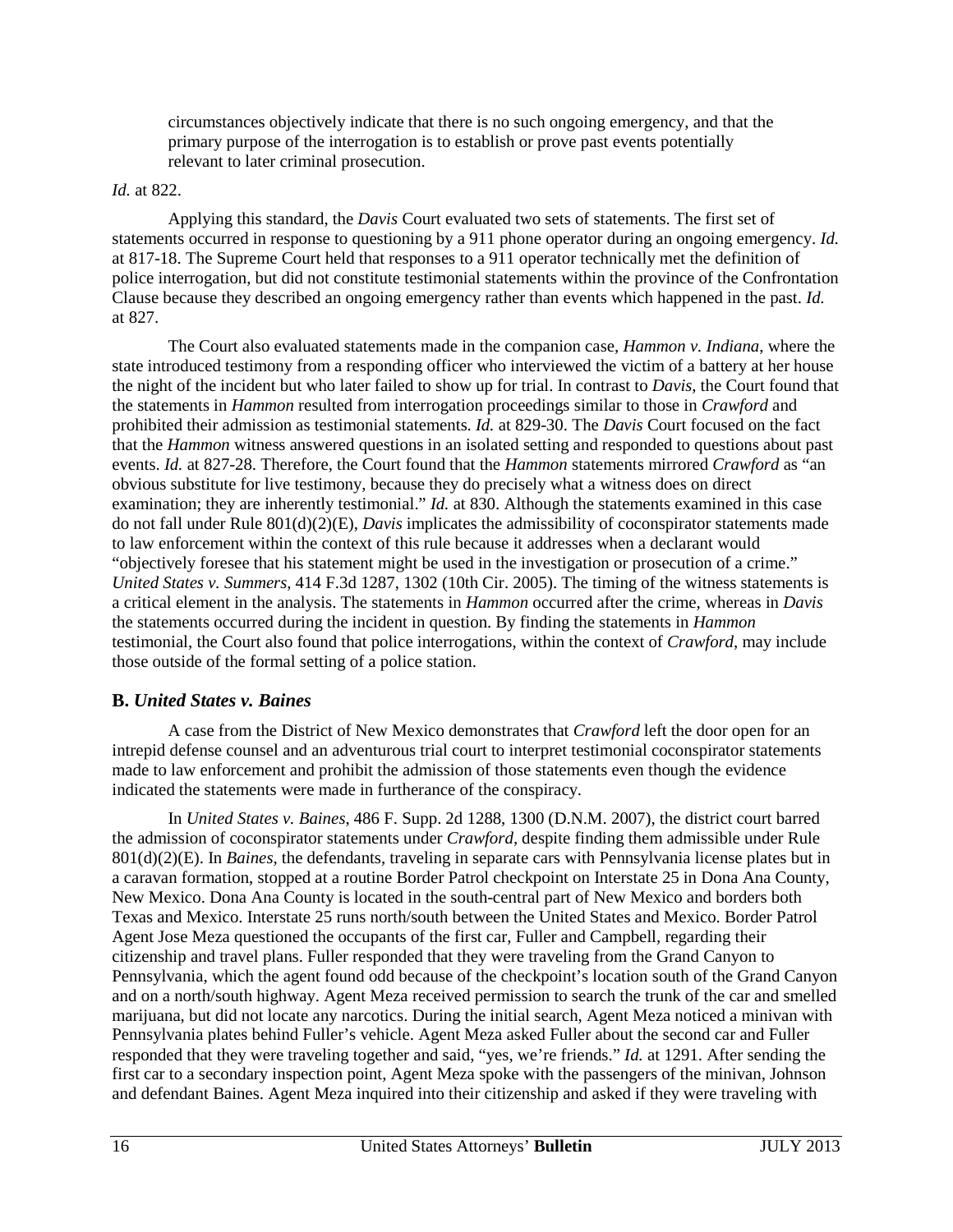circumstances objectively indicate that there is no such ongoing emergency, and that the primary purpose of the interrogation is to establish or prove past events potentially relevant to later criminal prosecution.

#### *Id.* at 822.

Applying this standard, the *Davis* Court evaluated two sets of statements. The first set of statements occurred in response to questioning by a 911 phone operator during an ongoing emergency. *Id.* at 817-18. The Supreme Court held that responses to a 911 operator technically met the definition of police interrogation, but did not constitute testimonial statements within the province of the Confrontation Clause because they described an ongoing emergency rather than events which happened in the past. *Id.* at 827.

The Court also evaluated statements made in the companion case, *Hammon v. Indiana*, where the state introduced testimony from a responding officer who interviewed the victim of a battery at her house the night of the incident but who later failed to show up for trial. In contrast to *Davis*, the Court found that the statements in *Hammon* resulted from interrogation proceedings similar to those in *Crawford* and prohibited their admission as testimonial statements. *Id.* at 829-30. The *Davis* Court focused on the fact that the *Hammon* witness answered questions in an isolated setting and responded to questions about past events. *Id.* at 827-28. Therefore, the Court found that the *Hammon* statements mirrored *Crawford* as "an obvious substitute for live testimony, because they do precisely what a witness does on direct examination; they are inherently testimonial." *Id.* at 830. Although the statements examined in this case do not fall under Rule 801(d)(2)(E), *Davis* implicates the admissibility of coconspirator statements made to law enforcement within the context of this rule because it addresses when a declarant would "objectively foresee that his statement might be used in the investigation or prosecution of a crime." *United States v. Summers*, 414 F.3d 1287, 1302 (10th Cir. 2005). The timing of the witness statements is a critical element in the analysis. The statements in *Hammon* occurred after the crime, whereas in *Davis*  the statements occurred during the incident in question. By finding the statements in *Hammon* testimonial, the Court also found that police interrogations, within the context of *Crawford*, may include those outside of the formal setting of a police station.

## **B.** *United States v. Baines*

A case from the District of New Mexico demonstrates that *Crawford* left the door open for an intrepid defense counsel and an adventurous trial court to interpret testimonial coconspirator statements made to law enforcement and prohibit the admission of those statements even though the evidence indicated the statements were made in furtherance of the conspiracy.

In *United States v. Baines*, 486 F. Supp. 2d 1288, 1300 (D.N.M. 2007), the district court barred the admission of coconspirator statements under *Crawford*, despite finding them admissible under Rule 801(d)(2)(E). In *Baines*, the defendants, traveling in separate cars with Pennsylvania license plates but in a caravan formation, stopped at a routine Border Patrol checkpoint on Interstate 25 in Dona Ana County, New Mexico. Dona Ana County is located in the south-central part of New Mexico and borders both Texas and Mexico. Interstate 25 runs north/south between the United States and Mexico. Border Patrol Agent Jose Meza questioned the occupants of the first car, Fuller and Campbell, regarding their citizenship and travel plans. Fuller responded that they were traveling from the Grand Canyon to Pennsylvania, which the agent found odd because of the checkpoint's location south of the Grand Canyon and on a north/south highway. Agent Meza received permission to search the trunk of the car and smelled marijuana, but did not locate any narcotics. During the initial search, Agent Meza noticed a minivan with Pennsylvania plates behind Fuller's vehicle. Agent Meza asked Fuller about the second car and Fuller responded that they were traveling together and said, "yes, we're friends." *Id.* at 1291. After sending the first car to a secondary inspection point, Agent Meza spoke with the passengers of the minivan, Johnson and defendant Baines. Agent Meza inquired into their citizenship and asked if they were traveling with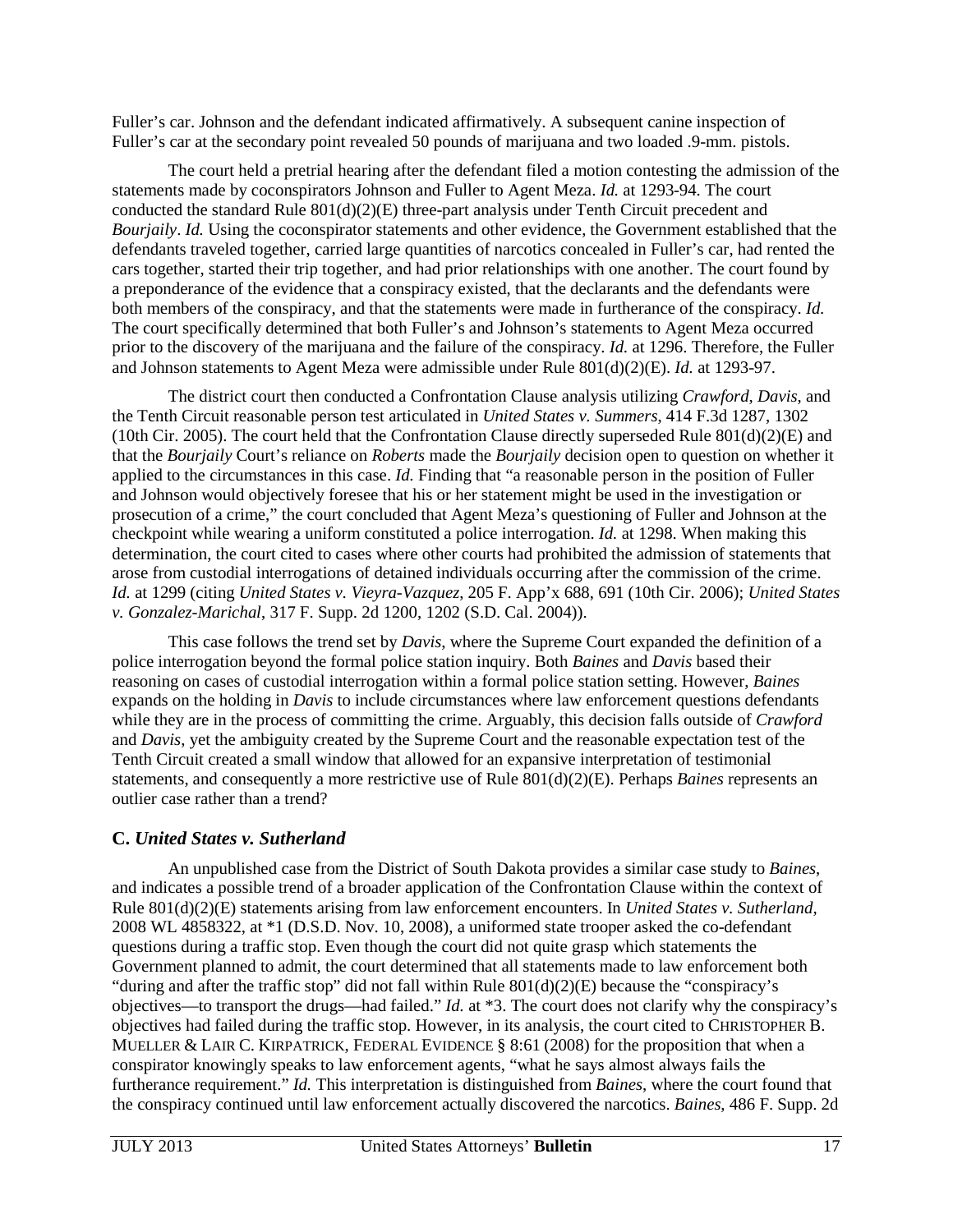Fuller's car. Johnson and the defendant indicated affirmatively. A subsequent canine inspection of Fuller's car at the secondary point revealed 50 pounds of marijuana and two loaded .9-mm. pistols.

The court held a pretrial hearing after the defendant filed a motion contesting the admission of the statements made by coconspirators Johnson and Fuller to Agent Meza. *Id.* at 1293-94. The court conducted the standard Rule 801(d)(2)(E) three-part analysis under Tenth Circuit precedent and *Bourjaily*. *Id.* Using the coconspirator statements and other evidence, the Government established that the defendants traveled together, carried large quantities of narcotics concealed in Fuller's car, had rented the cars together, started their trip together, and had prior relationships with one another. The court found by a preponderance of the evidence that a conspiracy existed, that the declarants and the defendants were both members of the conspiracy, and that the statements were made in furtherance of the conspiracy. *Id.* The court specifically determined that both Fuller's and Johnson's statements to Agent Meza occurred prior to the discovery of the marijuana and the failure of the conspiracy. *Id.* at 1296. Therefore, the Fuller and Johnson statements to Agent Meza were admissible under Rule 801(d)(2)(E). *Id.* at 1293-97.

The district court then conducted a Confrontation Clause analysis utilizing *Crawford*, *Davis*, and the Tenth Circuit reasonable person test articulated in *United States v. Summers*, 414 F.3d 1287, 1302 (10th Cir. 2005). The court held that the Confrontation Clause directly superseded Rule  $801(d)(2)(E)$  and that the *Bourjaily* Court's reliance on *Roberts* made the *Bourjaily* decision open to question on whether it applied to the circumstances in this case. *Id.* Finding that "a reasonable person in the position of Fuller and Johnson would objectively foresee that his or her statement might be used in the investigation or prosecution of a crime," the court concluded that Agent Meza's questioning of Fuller and Johnson at the checkpoint while wearing a uniform constituted a police interrogation. *Id.* at 1298. When making this determination, the court cited to cases where other courts had prohibited the admission of statements that arose from custodial interrogations of detained individuals occurring after the commission of the crime. *Id.* at 1299 (citing *United States v. Vieyra-Vazquez*, 205 F. App'x 688, 691 (10th Cir. 2006); *United States v. Gonzalez-Marichal*, 317 F. Supp. 2d 1200, 1202 (S.D. Cal. 2004)).

This case follows the trend set by *Davis*, where the Supreme Court expanded the definition of a police interrogation beyond the formal police station inquiry. Both *Baines* and *Davis* based their reasoning on cases of custodial interrogation within a formal police station setting. However, *Baines* expands on the holding in *Davis* to include circumstances where law enforcement questions defendants while they are in the process of committing the crime. Arguably, this decision falls outside of *Crawford* and *Davis*, yet the ambiguity created by the Supreme Court and the reasonable expectation test of the Tenth Circuit created a small window that allowed for an expansive interpretation of testimonial statements, and consequently a more restrictive use of Rule 801(d)(2)(E). Perhaps *Baines* represents an outlier case rather than a trend?

## **C.** *United States v. Sutherland*

An unpublished case from the District of South Dakota provides a similar case study to *Baines*, and indicates a possible trend of a broader application of the Confrontation Clause within the context of Rule 801(d)(2)(E) statements arising from law enforcement encounters. In *United States v. Sutherland*, 2008 WL 4858322, at \*1 (D.S.D. Nov. 10, 2008), a uniformed state trooper asked the co-defendant questions during a traffic stop. Even though the court did not quite grasp which statements the Government planned to admit, the court determined that all statements made to law enforcement both "during and after the traffic stop" did not fall within Rule  $801(d)(2)(E)$  because the "conspiracy's" objectives—to transport the drugs—had failed." *Id.* at \*3. The court does not clarify why the conspiracy's objectives had failed during the traffic stop. However, in its analysis, the court cited to CHRISTOPHER B. MUELLER & LAIR C. KIRPATRICK, FEDERAL EVIDENCE § 8:61 (2008) for the proposition that when a conspirator knowingly speaks to law enforcement agents, "what he says almost always fails the furtherance requirement." *Id.* This interpretation is distinguished from *Baines*, where the court found that the conspiracy continued until law enforcement actually discovered the narcotics. *Baines*, 486 F. Supp. 2d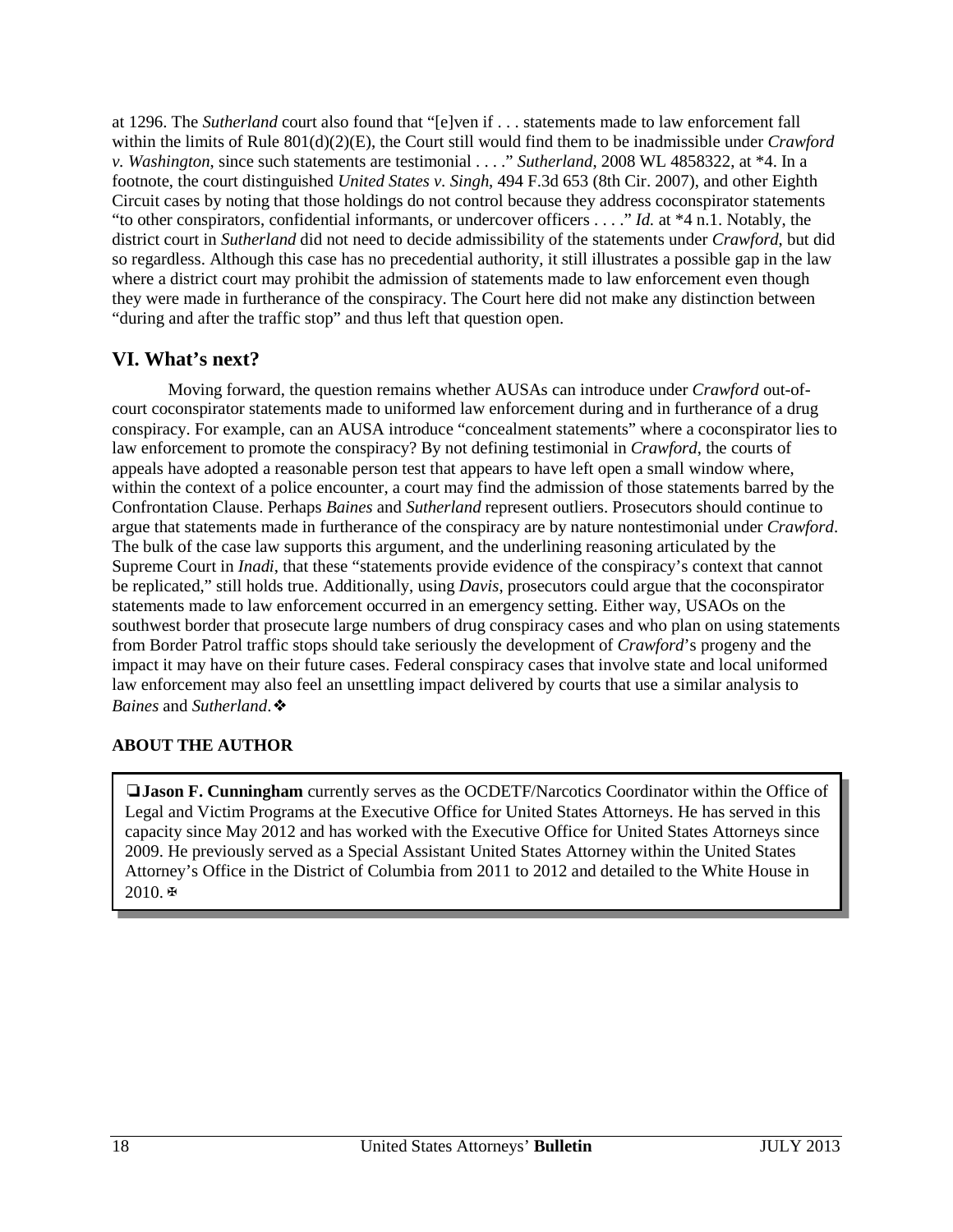at 1296. The *Sutherland* court also found that "[e]ven if . . . statements made to law enforcement fall within the limits of Rule 801(d)(2)(E), the Court still would find them to be inadmissible under *Crawford v. Washington*, since such statements are testimonial . . . ." *Sutherland*, 2008 WL 4858322, at \*4. In a footnote, the court distinguished *United States v. Singh*, 494 F.3d 653 (8th Cir. 2007), and other Eighth Circuit cases by noting that those holdings do not control because they address coconspirator statements "to other conspirators, confidential informants, or undercover officers . . . ." *Id.* at \*4 n.1. Notably, the district court in *Sutherland* did not need to decide admissibility of the statements under *Crawford*, but did so regardless. Although this case has no precedential authority, it still illustrates a possible gap in the law where a district court may prohibit the admission of statements made to law enforcement even though they were made in furtherance of the conspiracy. The Court here did not make any distinction between "during and after the traffic stop" and thus left that question open.

## **VI. What's next?**

Moving forward, the question remains whether AUSAs can introduce under *Crawford* out-ofcourt coconspirator statements made to uniformed law enforcement during and in furtherance of a drug conspiracy. For example, can an AUSA introduce "concealment statements" where a coconspirator lies to law enforcement to promote the conspiracy? By not defining testimonial in *Crawford*, the courts of appeals have adopted a reasonable person test that appears to have left open a small window where, within the context of a police encounter, a court may find the admission of those statements barred by the Confrontation Clause. Perhaps *Baines* and *Sutherland* represent outliers. Prosecutors should continue to argue that statements made in furtherance of the conspiracy are by nature nontestimonial under *Crawford*. The bulk of the case law supports this argument, and the underlining reasoning articulated by the Supreme Court in *Inadi*, that these "statements provide evidence of the conspiracy's context that cannot be replicated," still holds true. Additionally, using *Davis*, prosecutors could argue that the coconspirator statements made to law enforcement occurred in an emergency setting. Either way, USAOs on the southwest border that prosecute large numbers of drug conspiracy cases and who plan on using statements from Border Patrol traffic stops should take seriously the development of *Crawford*'s progeny and the impact it may have on their future cases. Federal conspiracy cases that involve state and local uniformed law enforcement may also feel an unsettling impact delivered by courts that use a similar analysis to *Baines* and *Sutherland*.❖

## **ABOUT THE AUTHOR**

❏**Jason F. Cunningham** currently serves as the OCDETF/Narcotics Coordinator within the Office of Legal and Victim Programs at the Executive Office for United States Attorneys. He has served in this capacity since May 2012 and has worked with the Executive Office for United States Attorneys since 2009. He previously served as a Special Assistant United States Attorney within the United States Attorney's Office in the District of Columbia from 2011 to 2012 and detailed to the White House in 2010.✠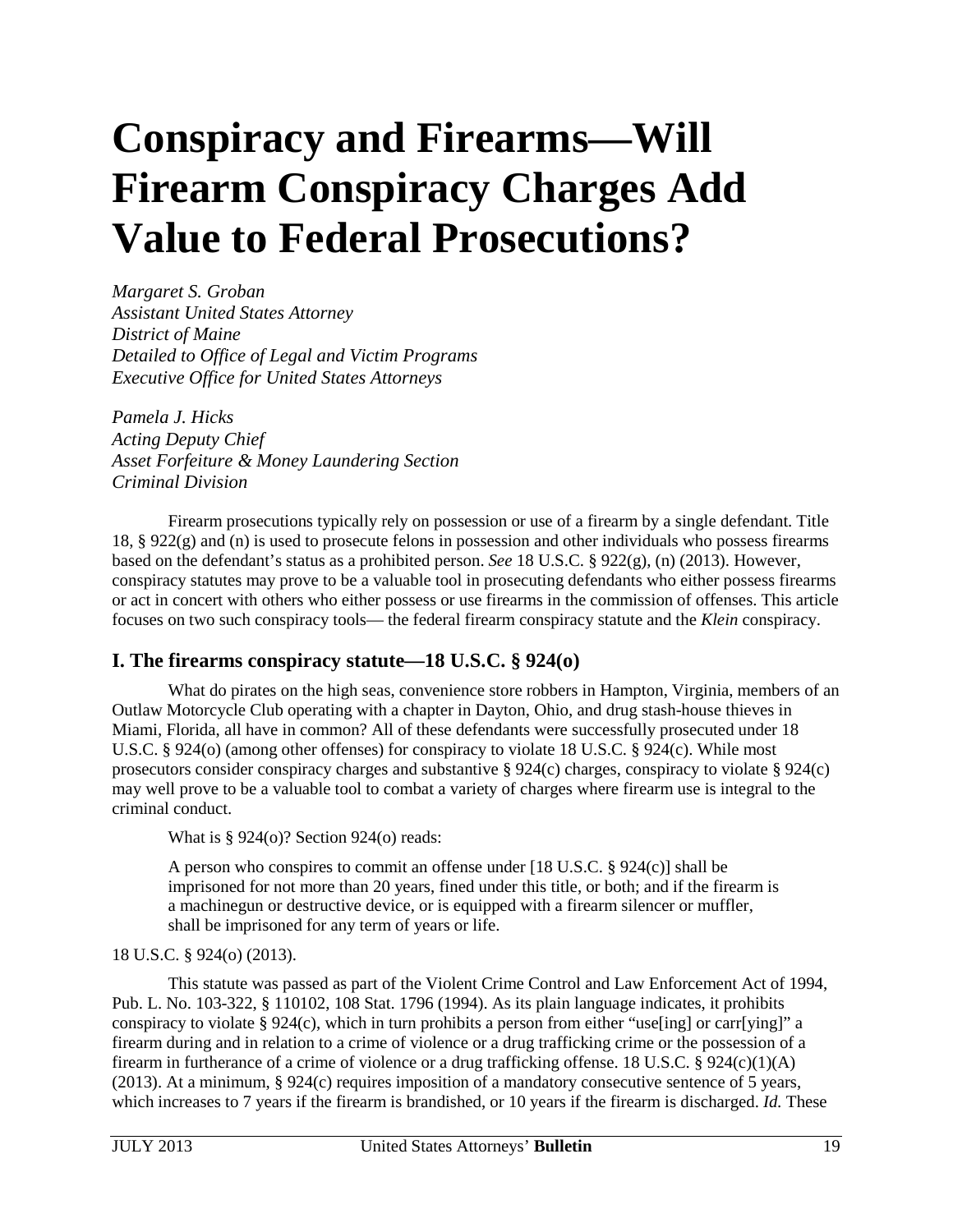# <span id="page-19-0"></span>**Conspiracy and Firearms—Will Firearm Conspiracy Charges Add Value to Federal Prosecutions?**

*Margaret S. Groban Assistant United States Attorney District of Maine Detailed to Office of Legal and Victim Programs Executive Office for United States Attorneys* 

*Pamela J. Hicks Acting Deputy Chief Asset Forfeiture & Money Laundering Section Criminal Division*

Firearm prosecutions typically rely on possession or use of a firearm by a single defendant. Title 18,  $\S 922(g)$  and (n) is used to prosecute felons in possession and other individuals who possess firearms based on the defendant's status as a prohibited person. *See* 18 U.S.C. § 922(g), (n) (2013). However, conspiracy statutes may prove to be a valuable tool in prosecuting defendants who either possess firearms or act in concert with others who either possess or use firearms in the commission of offenses. This article focuses on two such conspiracy tools— the federal firearm conspiracy statute and the *Klein* conspiracy.

## **I. The firearms conspiracy statute—18 U.S.C. § 924(o)**

What do pirates on the high seas, convenience store robbers in Hampton, Virginia, members of an Outlaw Motorcycle Club operating with a chapter in Dayton, Ohio, and drug stash-house thieves in Miami, Florida, all have in common? All of these defendants were successfully prosecuted under 18 U.S.C. § 924(o) (among other offenses) for conspiracy to violate 18 U.S.C. § 924(c). While most prosecutors consider conspiracy charges and substantive § 924(c) charges, conspiracy to violate § 924(c) may well prove to be a valuable tool to combat a variety of charges where firearm use is integral to the criminal conduct.

What is § 924(o)? Section 924(o) reads:

A person who conspires to commit an offense under [18 U.S.C. § 924(c)] shall be imprisoned for not more than 20 years, fined under this title, or both; and if the firearm is a machinegun or destructive device, or is equipped with a firearm silencer or muffler, shall be imprisoned for any term of years or life.

## 18 U.S.C. § 924(o) (2013).

This statute was passed as part of the Violent Crime Control and Law Enforcement Act of 1994, Pub. L. No. 103-322, § 110102, 108 Stat. 1796 (1994). As its plain language indicates, it prohibits conspiracy to violate § 924(c), which in turn prohibits a person from either "use[ing] or carr[ying]" a firearm during and in relation to a crime of violence or a drug trafficking crime or the possession of a firearm in furtherance of a crime of violence or a drug trafficking offense. 18 U.S.C. § 924(c)(1)(A) (2013). At a minimum, § 924(c) requires imposition of a mandatory consecutive sentence of 5 years, which increases to 7 years if the firearm is brandished, or 10 years if the firearm is discharged. *Id.* These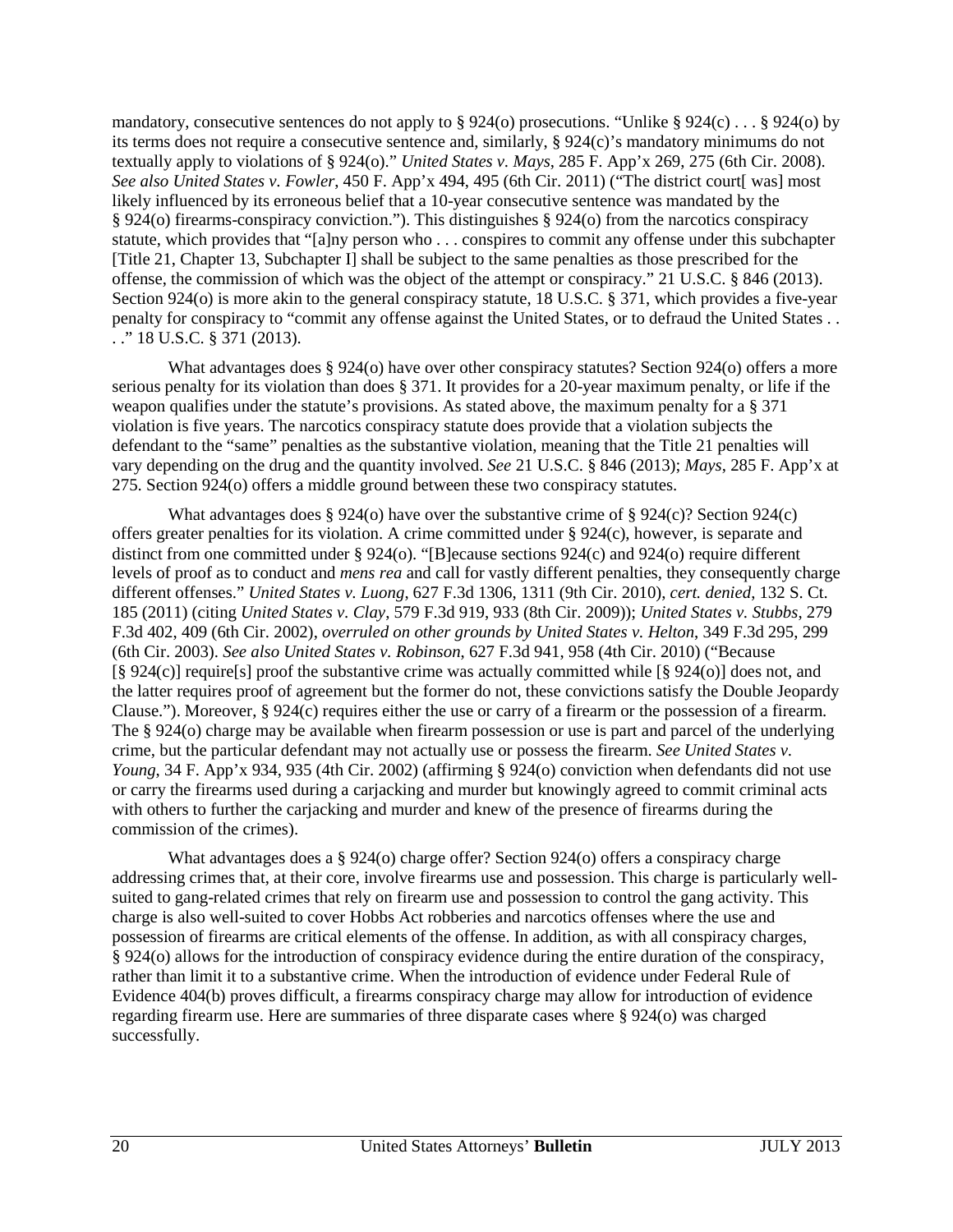mandatory, consecutive sentences do not apply to § 924(o) prosecutions. "Unlike § 924(c) . . . § 924(o) by its terms does not require a consecutive sentence and, similarly, § 924(c)'s mandatory minimums do not textually apply to violations of § 924(o)." *United States v. Mays*, 285 F. App'x 269, 275 (6th Cir. 2008). *See also United States v. Fowler*, 450 F. App'x 494, 495 (6th Cir. 2011) ("The district court[ was] most likely influenced by its erroneous belief that a 10-year consecutive sentence was mandated by the § 924(o) firearms-conspiracy conviction."). This distinguishes § 924(o) from the narcotics conspiracy statute, which provides that "[a]ny person who . . . conspires to commit any offense under this subchapter [Title 21, Chapter 13, Subchapter I] shall be subject to the same penalties as those prescribed for the offense, the commission of which was the object of the attempt or conspiracy." 21 U.S.C. § 846 (2013). Section 924(o) is more akin to the general conspiracy statute, 18 U.S.C. § 371, which provides a five-year penalty for conspiracy to "commit any offense against the United States, or to defraud the United States . . . ." 18 U.S.C. § 371 (2013).

What advantages does § 924(o) have over other conspiracy statutes? Section 924(o) offers a more serious penalty for its violation than does § 371. It provides for a 20-year maximum penalty, or life if the weapon qualifies under the statute's provisions. As stated above, the maximum penalty for a § 371 violation is five years. The narcotics conspiracy statute does provide that a violation subjects the defendant to the "same" penalties as the substantive violation, meaning that the Title 21 penalties will vary depending on the drug and the quantity involved. *See* 21 U.S.C. § 846 (2013); *Mays*, 285 F. App'x at 275. Section 924(o) offers a middle ground between these two conspiracy statutes.

What advantages does  $\S 924$ (o) have over the substantive crime of  $\S 924$ (c)? Section 924(c) offers greater penalties for its violation. A crime committed under § 924(c), however, is separate and distinct from one committed under § 924(o). "[B]ecause sections 924(c) and 924(o) require different levels of proof as to conduct and *mens rea* and call for vastly different penalties, they consequently charge different offenses." *United States v. Luong*, 627 F.3d 1306, 1311 (9th Cir. 2010), *cert. denied*, 132 S. Ct. 185 (2011) (citing *United States v. Clay*, 579 F.3d 919, 933 (8th Cir. 2009)); *United States v. Stubbs*, 279 F.3d 402, 409 (6th Cir. 2002), *overruled on other grounds by United States v. Helton*, 349 F.3d 295, 299 (6th Cir. 2003). *See also United States v. Robinson*, 627 F.3d 941, 958 (4th Cir. 2010) ("Because [§ 924(c)] require[s] proof the substantive crime was actually committed while [§ 924(o)] does not, and the latter requires proof of agreement but the former do not, these convictions satisfy the Double Jeopardy Clause."). Moreover, § 924(c) requires either the use or carry of a firearm or the possession of a firearm. The § 924(o) charge may be available when firearm possession or use is part and parcel of the underlying crime, but the particular defendant may not actually use or possess the firearm. *See United States v. Young*, 34 F. App'x 934, 935 (4th Cir. 2002) (affirming § 924(o) conviction when defendants did not use or carry the firearms used during a carjacking and murder but knowingly agreed to commit criminal acts with others to further the carjacking and murder and knew of the presence of firearms during the commission of the crimes).

What advantages does a § 924(o) charge offer? Section 924(o) offers a conspiracy charge addressing crimes that, at their core, involve firearms use and possession. This charge is particularly wellsuited to gang-related crimes that rely on firearm use and possession to control the gang activity. This charge is also well-suited to cover Hobbs Act robberies and narcotics offenses where the use and possession of firearms are critical elements of the offense. In addition, as with all conspiracy charges, § 924(o) allows for the introduction of conspiracy evidence during the entire duration of the conspiracy, rather than limit it to a substantive crime. When the introduction of evidence under Federal Rule of Evidence 404(b) proves difficult, a firearms conspiracy charge may allow for introduction of evidence regarding firearm use. Here are summaries of three disparate cases where § 924(o) was charged successfully.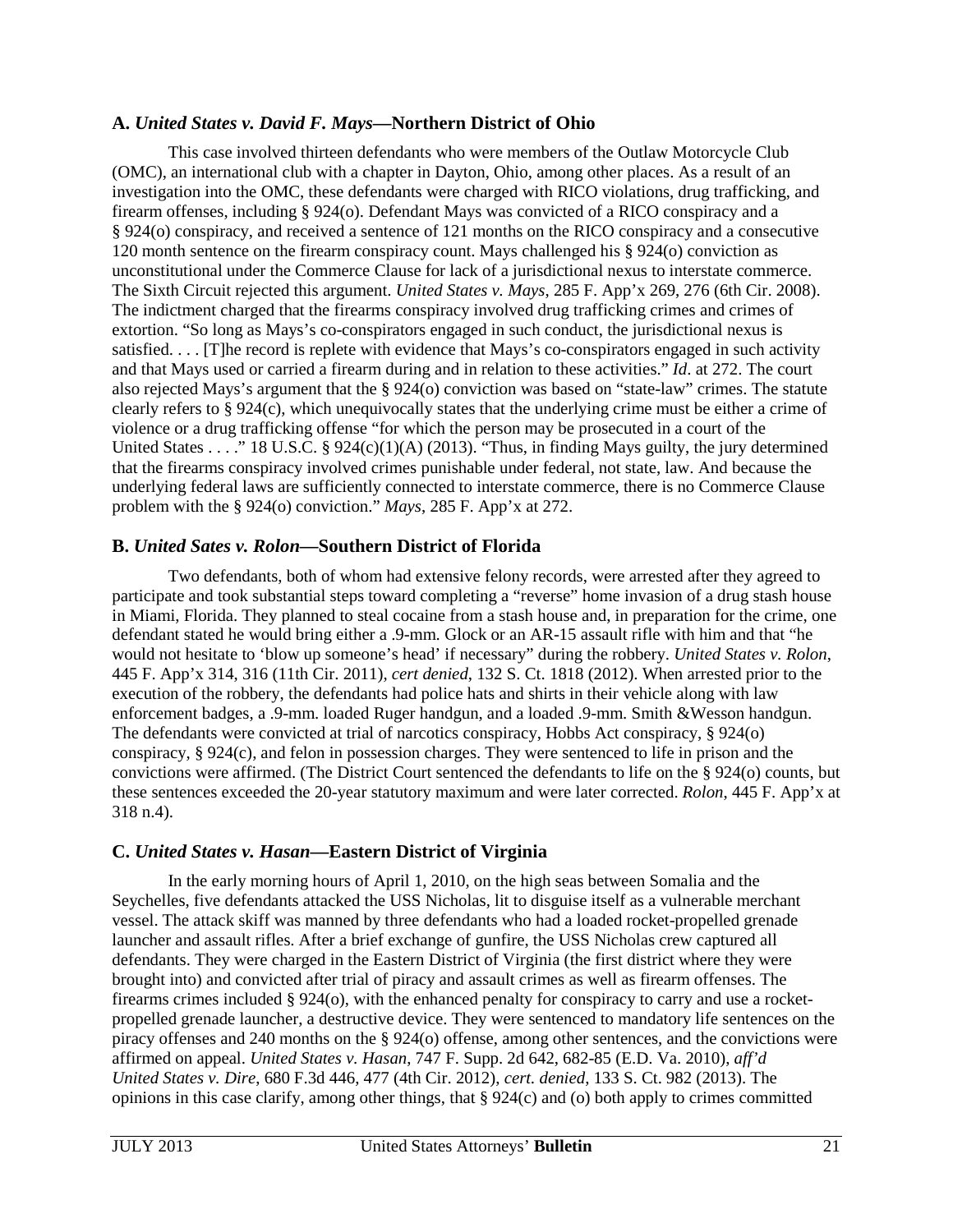#### **A.** *United States v. David F. Mays***—Northern District of Ohio**

This case involved thirteen defendants who were members of the Outlaw Motorcycle Club (OMC), an international club with a chapter in Dayton, Ohio, among other places. As a result of an investigation into the OMC, these defendants were charged with RICO violations, drug trafficking, and firearm offenses, including § 924(o). Defendant Mays was convicted of a RICO conspiracy and a § 924(o) conspiracy, and received a sentence of 121 months on the RICO conspiracy and a consecutive 120 month sentence on the firearm conspiracy count. Mays challenged his § 924(o) conviction as unconstitutional under the Commerce Clause for lack of a jurisdictional nexus to interstate commerce. The Sixth Circuit rejected this argument. *United States v. Mays*, 285 F. App'x 269, 276 (6th Cir. 2008). The indictment charged that the firearms conspiracy involved drug trafficking crimes and crimes of extortion. "So long as Mays's co-conspirators engaged in such conduct, the jurisdictional nexus is satisfied. . . . [T]he record is replete with evidence that Mays's co-conspirators engaged in such activity and that Mays used or carried a firearm during and in relation to these activities." *Id*. at 272. The court also rejected Mays's argument that the § 924(o) conviction was based on "state-law" crimes. The statute clearly refers to § 924(c), which unequivocally states that the underlying crime must be either a crime of violence or a drug trafficking offense "for which the person may be prosecuted in a court of the United States . . . . " 18 U.S.C. § 924(c)(1)(A) (2013). "Thus, in finding Mays guilty, the jury determined that the firearms conspiracy involved crimes punishable under federal, not state, law. And because the underlying federal laws are sufficiently connected to interstate commerce, there is no Commerce Clause problem with the § 924(o) conviction." *Mays*, 285 F. App'x at 272.

#### **B.** *United Sates v. Rolon***—Southern District of Florida**

Two defendants, both of whom had extensive felony records, were arrested after they agreed to participate and took substantial steps toward completing a "reverse" home invasion of a drug stash house in Miami, Florida. They planned to steal cocaine from a stash house and, in preparation for the crime, one defendant stated he would bring either a .9-mm. Glock or an AR-15 assault rifle with him and that "he would not hesitate to 'blow up someone's head' if necessary" during the robbery. *United States v. Rolon*, 445 F. App'x 314, 316 (11th Cir. 2011), *cert denied*, 132 S. Ct. 1818 (2012). When arrested prior to the execution of the robbery, the defendants had police hats and shirts in their vehicle along with law enforcement badges, a .9-mm. loaded Ruger handgun, and a loaded .9-mm. Smith &Wesson handgun. The defendants were convicted at trial of narcotics conspiracy, Hobbs Act conspiracy, § 924(o) conspiracy, § 924(c), and felon in possession charges. They were sentenced to life in prison and the convictions were affirmed. (The District Court sentenced the defendants to life on the § 924(o) counts, but these sentences exceeded the 20-year statutory maximum and were later corrected. *Rolon*, 445 F. App'x at 318 n.4).

## **C.** *United States v. Hasan***—Eastern District of Virginia**

In the early morning hours of April 1, 2010, on the high seas between Somalia and the Seychelles, five defendants attacked the USS Nicholas, lit to disguise itself as a vulnerable merchant vessel. The attack skiff was manned by three defendants who had a loaded rocket-propelled grenade launcher and assault rifles. After a brief exchange of gunfire, the USS Nicholas crew captured all defendants. They were charged in the Eastern District of Virginia (the first district where they were brought into) and convicted after trial of piracy and assault crimes as well as firearm offenses. The firearms crimes included § 924(o), with the enhanced penalty for conspiracy to carry and use a rocketpropelled grenade launcher, a destructive device. They were sentenced to mandatory life sentences on the piracy offenses and 240 months on the § 924(o) offense, among other sentences, and the convictions were affirmed on appeal. *United States v. Hasan*, 747 F. Supp. 2d 642, 682-85 (E.D. Va. 2010), *aff'd United States v. Dire*, 680 F.3d 446, 477 (4th Cir. 2012), *cert. denied*, 133 S. Ct. 982 (2013). The opinions in this case clarify, among other things, that § 924(c) and (o) both apply to crimes committed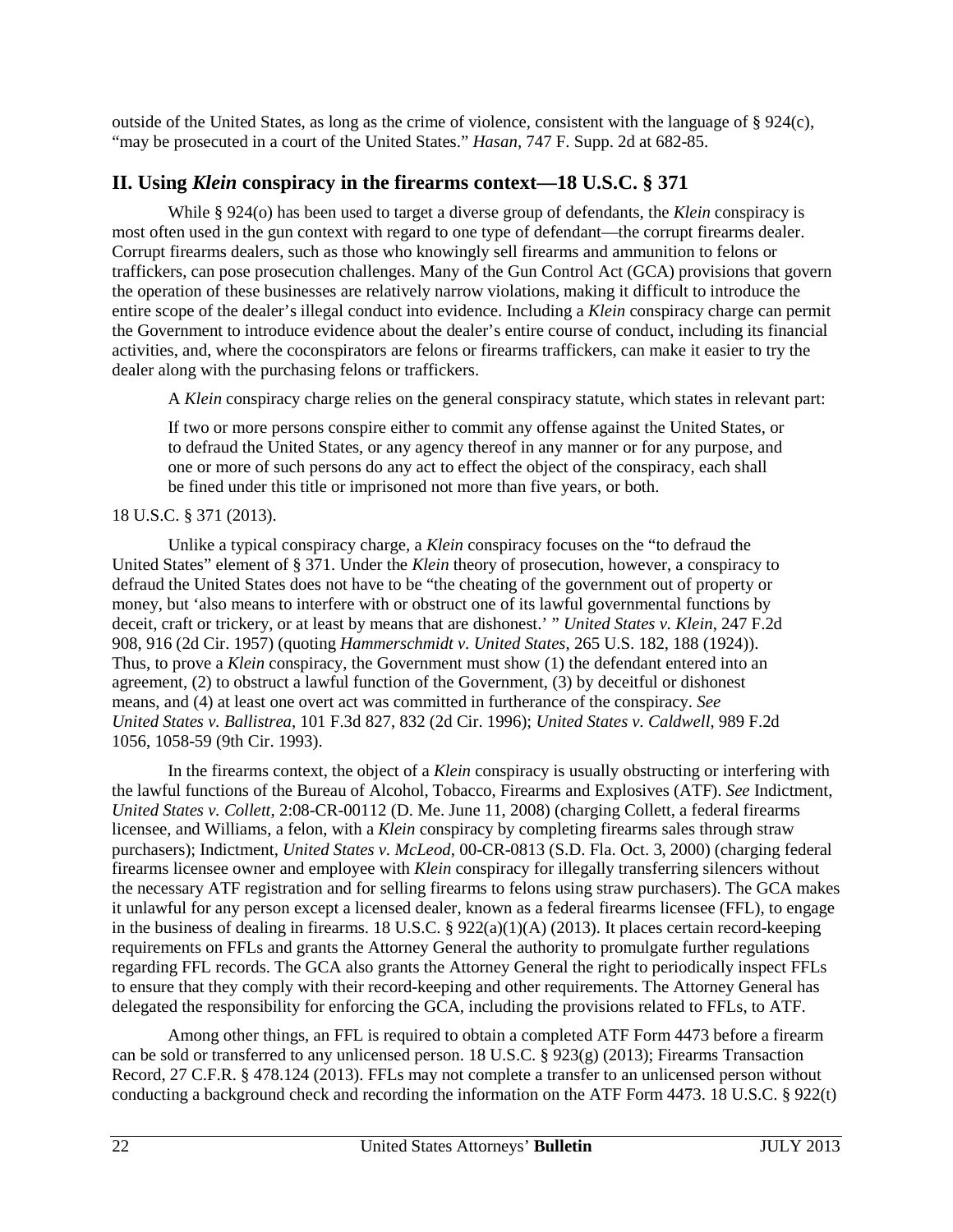outside of the United States, as long as the crime of violence, consistent with the language of  $\S 924(c)$ , "may be prosecuted in a court of the United States." *Hasan*, 747 F. Supp. 2d at 682-85.

# **II. Using** *Klein* **conspiracy in the firearms context—18 U.S.C. § 371**

While § 924(o) has been used to target a diverse group of defendants, the *Klein* conspiracy is most often used in the gun context with regard to one type of defendant—the corrupt firearms dealer. Corrupt firearms dealers, such as those who knowingly sell firearms and ammunition to felons or traffickers, can pose prosecution challenges. Many of the Gun Control Act (GCA) provisions that govern the operation of these businesses are relatively narrow violations, making it difficult to introduce the entire scope of the dealer's illegal conduct into evidence. Including a *Klein* conspiracy charge can permit the Government to introduce evidence about the dealer's entire course of conduct, including its financial activities, and, where the coconspirators are felons or firearms traffickers, can make it easier to try the dealer along with the purchasing felons or traffickers.

A *Klein* conspiracy charge relies on the general conspiracy statute, which states in relevant part:

If two or more persons conspire either to commit any offense against the United States, or to defraud the United States, or any agency thereof in any manner or for any purpose, and one or more of such persons do any act to effect the object of the conspiracy, each shall be fined under this title or imprisoned not more than five years, or both.

## 18 U.S.C. § 371 (2013).

Unlike a typical conspiracy charge, a *Klein* conspiracy focuses on the "to defraud the United States" element of § 371. Under the *Klein* theory of prosecution, however, a conspiracy to defraud the United States does not have to be "the cheating of the government out of property or money, but 'also means to interfere with or obstruct one of its lawful governmental functions by deceit, craft or trickery, or at least by means that are dishonest.' " *United States v. Klein*, 247 F.2d 908, 916 (2d Cir. 1957) (quoting *Hammerschmidt v. United States*, 265 U.S. 182, 188 (1924)). Thus, to prove a *Klein* conspiracy, the Government must show (1) the defendant entered into an agreement, (2) to obstruct a lawful function of the Government, (3) by deceitful or dishonest means, and (4) at least one overt act was committed in furtherance of the conspiracy. *See United States v. Ballistrea*, 101 F.3d 827, 832 (2d Cir. 1996); *United States v. Caldwell*, 989 F.2d 1056, 1058-59 (9th Cir. 1993).

In the firearms context, the object of a *Klein* conspiracy is usually obstructing or interfering with the lawful functions of the Bureau of Alcohol, Tobacco, Firearms and Explosives (ATF). *See* Indictment, *United States v. Collett*, 2:08-CR-00112 (D. Me. June 11, 2008) (charging Collett, a federal firearms licensee, and Williams, a felon, with a *Klein* conspiracy by completing firearms sales through straw purchasers); Indictment, *United States v. McLeod*, 00-CR-0813 (S.D. Fla. Oct. 3, 2000) (charging federal firearms licensee owner and employee with *Klein* conspiracy for illegally transferring silencers without the necessary ATF registration and for selling firearms to felons using straw purchasers). The GCA makes it unlawful for any person except a licensed dealer, known as a federal firearms licensee (FFL), to engage in the business of dealing in firearms. 18 U.S.C.  $\S 922(a)(1)(A) (2013)$ . It places certain record-keeping requirements on FFLs and grants the Attorney General the authority to promulgate further regulations regarding FFL records. The GCA also grants the Attorney General the right to periodically inspect FFLs to ensure that they comply with their record-keeping and other requirements. The Attorney General has delegated the responsibility for enforcing the GCA, including the provisions related to FFLs, to ATF.

Among other things, an FFL is required to obtain a completed ATF Form 4473 before a firearm can be sold or transferred to any unlicensed person. 18 U.S.C. § 923(g) (2013); Firearms Transaction Record, 27 C.F.R. § 478.124 (2013). FFLs may not complete a transfer to an unlicensed person without conducting a background check and recording the information on the ATF Form 4473. 18 U.S.C. § 922(t)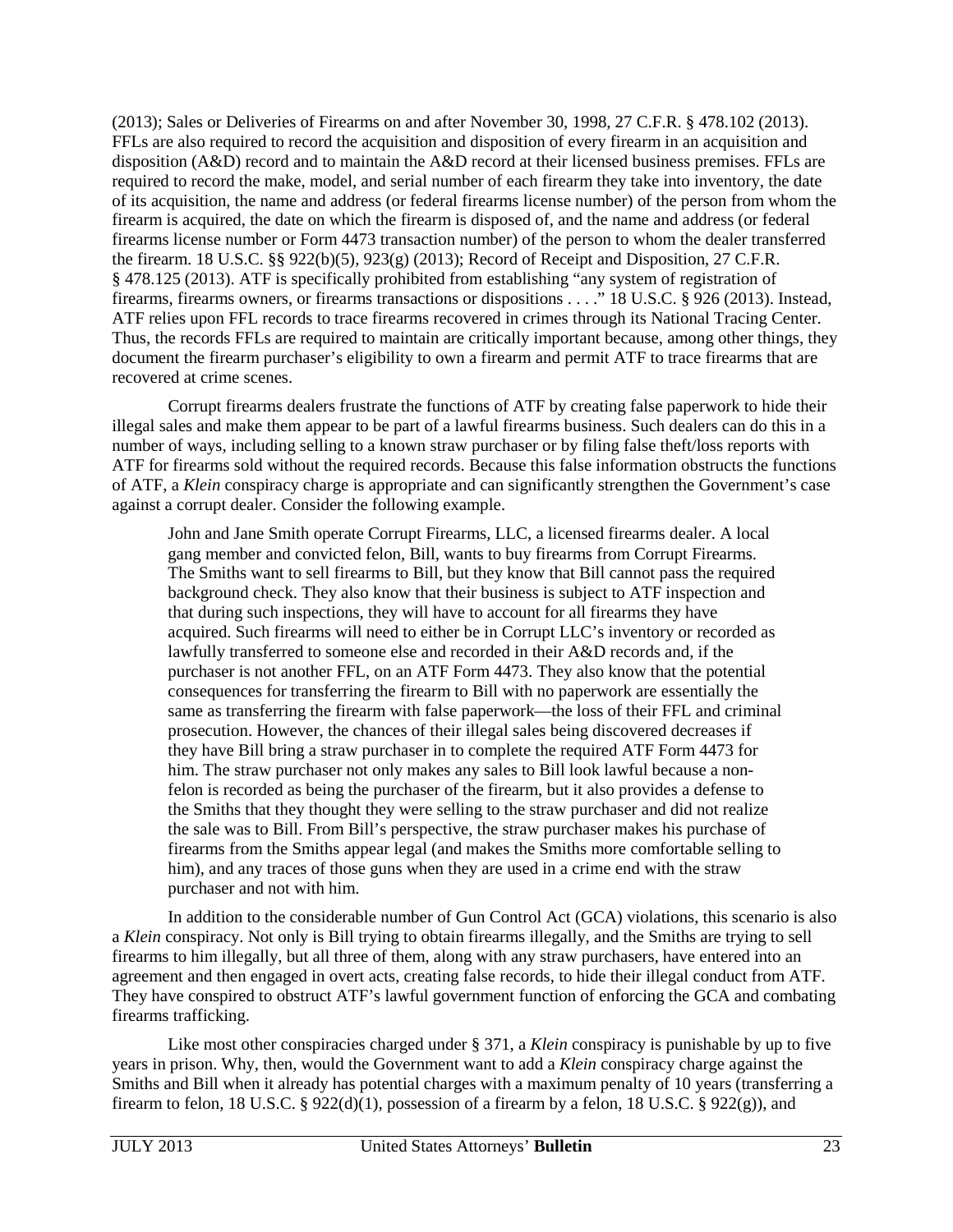(2013); Sales or Deliveries of Firearms on and after November 30, 1998, 27 C.F.R. § 478.102 (2013). FFLs are also required to record the acquisition and disposition of every firearm in an acquisition and disposition (A&D) record and to maintain the A&D record at their licensed business premises. FFLs are required to record the make, model, and serial number of each firearm they take into inventory, the date of its acquisition, the name and address (or federal firearms license number) of the person from whom the firearm is acquired, the date on which the firearm is disposed of, and the name and address (or federal firearms license number or Form 4473 transaction number) of the person to whom the dealer transferred the firearm. 18 U.S.C. §§ 922(b)(5), 923(g) (2013); Record of Receipt and Disposition, 27 C.F.R. § 478.125 (2013). ATF is specifically prohibited from establishing "any system of registration of firearms, firearms owners, or firearms transactions or dispositions . . . ." 18 U.S.C. § 926 (2013). Instead, ATF relies upon FFL records to trace firearms recovered in crimes through its National Tracing Center. Thus, the records FFLs are required to maintain are critically important because, among other things, they document the firearm purchaser's eligibility to own a firearm and permit ATF to trace firearms that are recovered at crime scenes.

Corrupt firearms dealers frustrate the functions of ATF by creating false paperwork to hide their illegal sales and make them appear to be part of a lawful firearms business. Such dealers can do this in a number of ways, including selling to a known straw purchaser or by filing false theft/loss reports with ATF for firearms sold without the required records. Because this false information obstructs the functions of ATF, a *Klein* conspiracy charge is appropriate and can significantly strengthen the Government's case against a corrupt dealer. Consider the following example.

John and Jane Smith operate Corrupt Firearms, LLC, a licensed firearms dealer. A local gang member and convicted felon, Bill, wants to buy firearms from Corrupt Firearms. The Smiths want to sell firearms to Bill, but they know that Bill cannot pass the required background check. They also know that their business is subject to ATF inspection and that during such inspections, they will have to account for all firearms they have acquired. Such firearms will need to either be in Corrupt LLC's inventory or recorded as lawfully transferred to someone else and recorded in their A&D records and, if the purchaser is not another FFL, on an ATF Form 4473. They also know that the potential consequences for transferring the firearm to Bill with no paperwork are essentially the same as transferring the firearm with false paperwork—the loss of their FFL and criminal prosecution. However, the chances of their illegal sales being discovered decreases if they have Bill bring a straw purchaser in to complete the required ATF Form 4473 for him. The straw purchaser not only makes any sales to Bill look lawful because a nonfelon is recorded as being the purchaser of the firearm, but it also provides a defense to the Smiths that they thought they were selling to the straw purchaser and did not realize the sale was to Bill. From Bill's perspective, the straw purchaser makes his purchase of firearms from the Smiths appear legal (and makes the Smiths more comfortable selling to him), and any traces of those guns when they are used in a crime end with the straw purchaser and not with him.

In addition to the considerable number of Gun Control Act (GCA) violations, this scenario is also a *Klein* conspiracy. Not only is Bill trying to obtain firearms illegally, and the Smiths are trying to sell firearms to him illegally, but all three of them, along with any straw purchasers, have entered into an agreement and then engaged in overt acts, creating false records, to hide their illegal conduct from ATF. They have conspired to obstruct ATF's lawful government function of enforcing the GCA and combating firearms trafficking.

Like most other conspiracies charged under § 371, a *Klein* conspiracy is punishable by up to five years in prison. Why, then, would the Government want to add a *Klein* conspiracy charge against the Smiths and Bill when it already has potential charges with a maximum penalty of 10 years (transferring a firearm to felon, 18 U.S.C. §  $922(d)(1)$ , possession of a firearm by a felon, 18 U.S.C. §  $922(g)$ ), and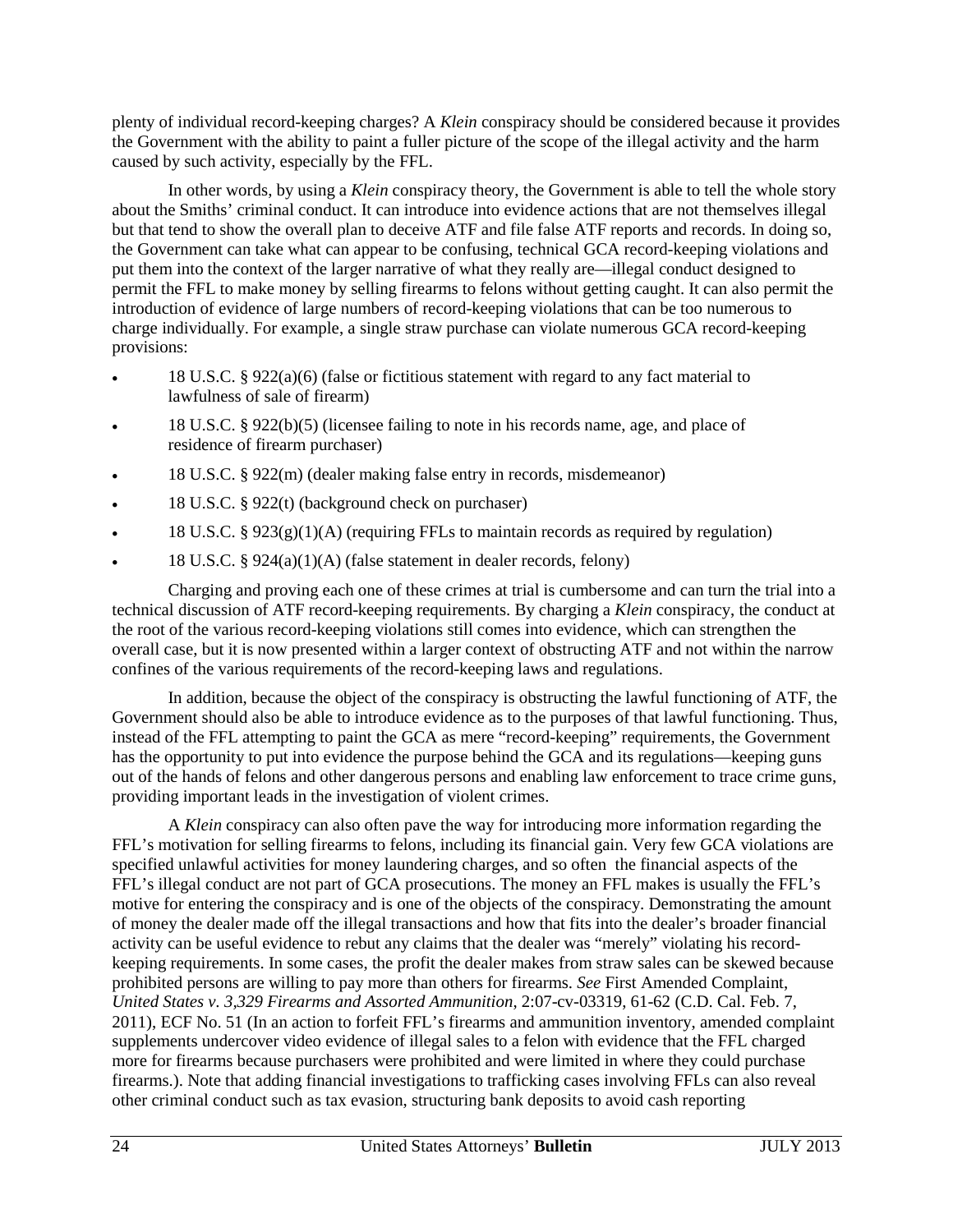plenty of individual record-keeping charges? A *Klein* conspiracy should be considered because it provides the Government with the ability to paint a fuller picture of the scope of the illegal activity and the harm caused by such activity, especially by the FFL.

In other words, by using a *Klein* conspiracy theory, the Government is able to tell the whole story about the Smiths' criminal conduct. It can introduce into evidence actions that are not themselves illegal but that tend to show the overall plan to deceive ATF and file false ATF reports and records. In doing so, the Government can take what can appear to be confusing, technical GCA record-keeping violations and put them into the context of the larger narrative of what they really are—illegal conduct designed to permit the FFL to make money by selling firearms to felons without getting caught. It can also permit the introduction of evidence of large numbers of record-keeping violations that can be too numerous to charge individually. For example, a single straw purchase can violate numerous GCA record-keeping provisions:

- 18 U.S.C. § 922(a)(6) (false or fictitious statement with regard to any fact material to lawfulness of sale of firearm)
- 18 U.S.C. § 922(b)(5) (licensee failing to note in his records name, age, and place of residence of firearm purchaser)
- 18 U.S.C. § 922(m) (dealer making false entry in records, misdemeanor)
- 18 U.S.C. § 922(t) (background check on purchaser)
- 18 U.S.C. §  $923(g)(1)(A)$  (requiring FFLs to maintain records as required by regulation)
- 18 U.S.C. § 924(a)(1)(A) (false statement in dealer records, felony)

Charging and proving each one of these crimes at trial is cumbersome and can turn the trial into a technical discussion of ATF record-keeping requirements. By charging a *Klein* conspiracy, the conduct at the root of the various record-keeping violations still comes into evidence, which can strengthen the overall case, but it is now presented within a larger context of obstructing ATF and not within the narrow confines of the various requirements of the record-keeping laws and regulations.

In addition, because the object of the conspiracy is obstructing the lawful functioning of ATF, the Government should also be able to introduce evidence as to the purposes of that lawful functioning. Thus, instead of the FFL attempting to paint the GCA as mere "record-keeping" requirements, the Government has the opportunity to put into evidence the purpose behind the GCA and its regulations—keeping guns out of the hands of felons and other dangerous persons and enabling law enforcement to trace crime guns, providing important leads in the investigation of violent crimes.

A *Klein* conspiracy can also often pave the way for introducing more information regarding the FFL's motivation for selling firearms to felons, including its financial gain. Very few GCA violations are specified unlawful activities for money laundering charges, and so often the financial aspects of the FFL's illegal conduct are not part of GCA prosecutions. The money an FFL makes is usually the FFL's motive for entering the conspiracy and is one of the objects of the conspiracy. Demonstrating the amount of money the dealer made off the illegal transactions and how that fits into the dealer's broader financial activity can be useful evidence to rebut any claims that the dealer was "merely" violating his recordkeeping requirements. In some cases, the profit the dealer makes from straw sales can be skewed because prohibited persons are willing to pay more than others for firearms. *See* First Amended Complaint, *United States v. 3,329 Firearms and Assorted Ammunition*, 2:07-cv-03319, 61-62 (C.D. Cal. Feb. 7, 2011), ECF No. 51 (In an action to forfeit FFL's firearms and ammunition inventory, amended complaint supplements undercover video evidence of illegal sales to a felon with evidence that the FFL charged more for firearms because purchasers were prohibited and were limited in where they could purchase firearms.). Note that adding financial investigations to trafficking cases involving FFLs can also reveal other criminal conduct such as tax evasion, structuring bank deposits to avoid cash reporting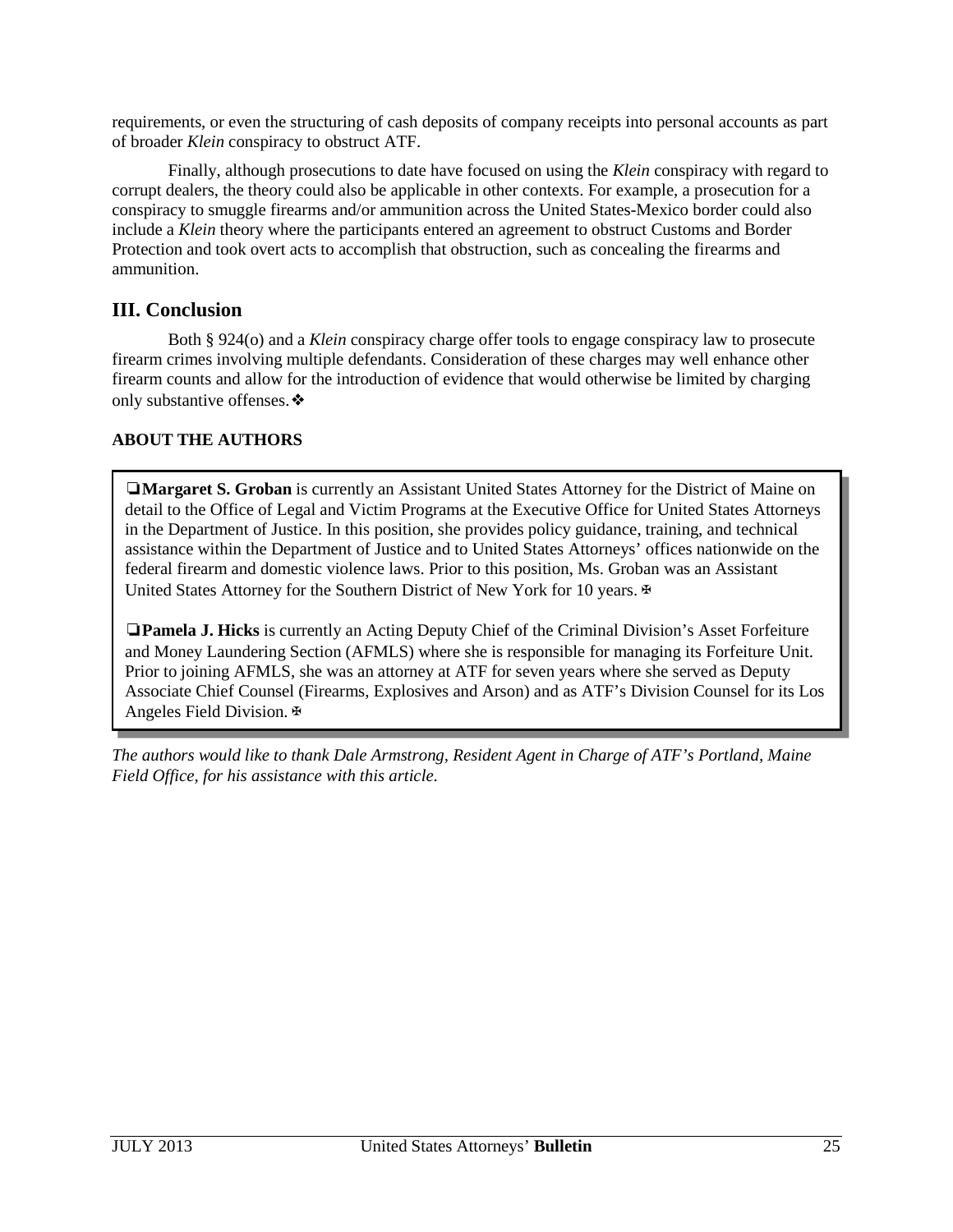requirements, or even the structuring of cash deposits of company receipts into personal accounts as part of broader *Klein* conspiracy to obstruct ATF.

Finally, although prosecutions to date have focused on using the *Klein* conspiracy with regard to corrupt dealers, the theory could also be applicable in other contexts. For example, a prosecution for a conspiracy to smuggle firearms and/or ammunition across the United States-Mexico border could also include a *Klein* theory where the participants entered an agreement to obstruct Customs and Border Protection and took overt acts to accomplish that obstruction, such as concealing the firearms and ammunition.

## **III. Conclusion**

Both § 924(o) and a *Klein* conspiracy charge offer tools to engage conspiracy law to prosecute firearm crimes involving multiple defendants. Consideration of these charges may well enhance other firearm counts and allow for the introduction of evidence that would otherwise be limited by charging only substantive offenses.❖

## **ABOUT THE AUTHORS**

❏**Margaret S. Groban** is currently an Assistant United States Attorney for the District of Maine on detail to the Office of Legal and Victim Programs at the Executive Office for United States Attorneys in the Department of Justice. In this position, she provides policy guidance, training, and technical assistance within the Department of Justice and to United States Attorneys' offices nationwide on the federal firearm and domestic violence laws. Prior to this position, Ms. Groban was an Assistant United States Attorney for the Southern District of New York for 10 years. ⊕

❏**Pamela J. Hicks** is currently an Acting Deputy Chief of the Criminal Division's Asset Forfeiture and Money Laundering Section (AFMLS) where she is responsible for managing its Forfeiture Unit. Prior to joining AFMLS, she was an attorney at ATF for seven years where she served as Deputy Associate Chief Counsel (Firearms, Explosives and Arson) and as ATF's Division Counsel for its Los Angeles Field Division.✠

*The authors would like to thank Dale Armstrong, Resident Agent in Charge of ATF's Portland, Maine Field Office, for his assistance with this article.*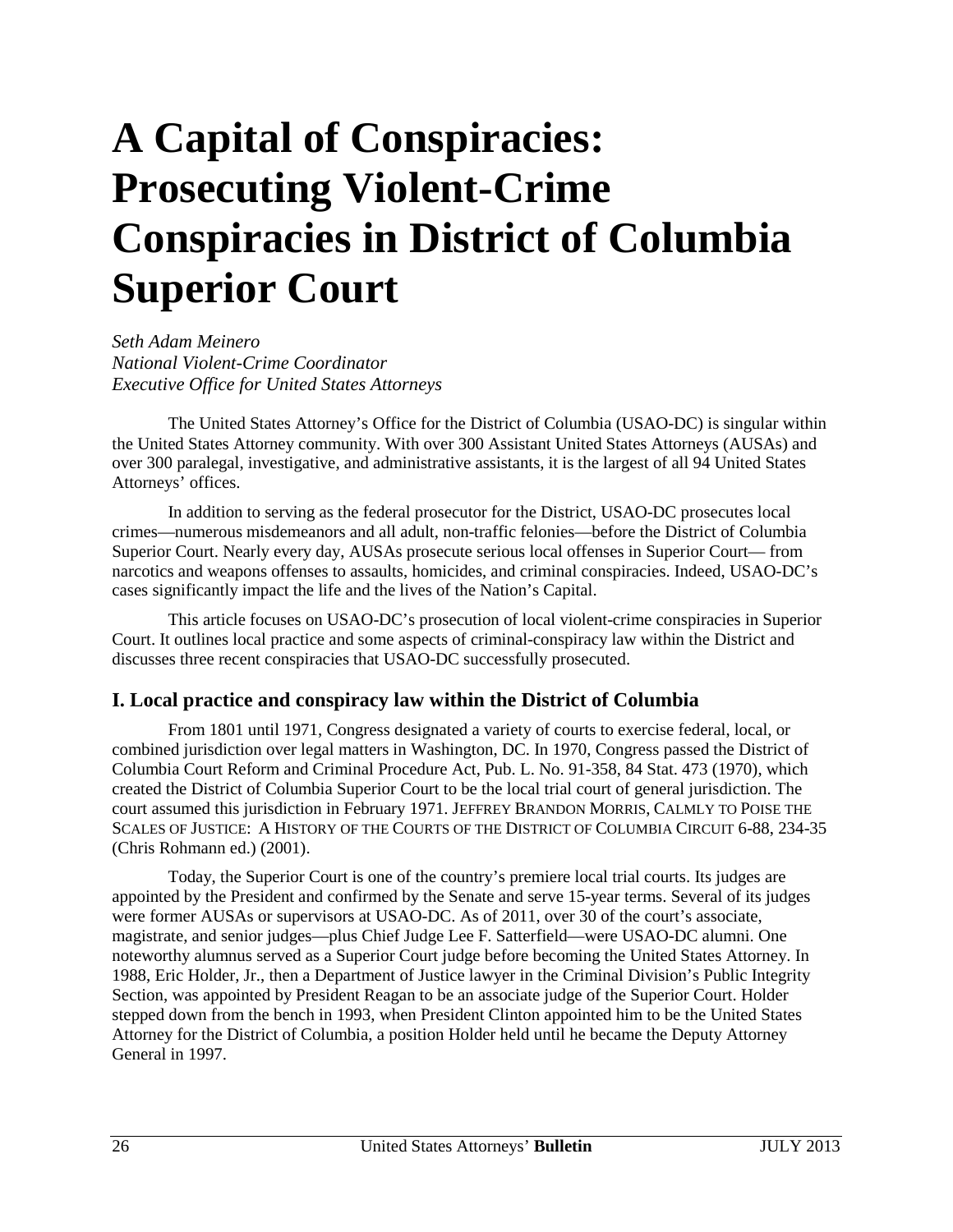# <span id="page-26-0"></span>**A Capital of Conspiracies: Prosecuting Violent-Crime Conspiracies in District of Columbia Superior Court**

*Seth Adam Meinero National Violent-Crime Coordinator Executive Office for United States Attorneys*

The United States Attorney's Office for the District of Columbia (USAO-DC) is singular within the United States Attorney community. With over 300 Assistant United States Attorneys (AUSAs) and over 300 paralegal, investigative, and administrative assistants, it is the largest of all 94 United States Attorneys' offices.

In addition to serving as the federal prosecutor for the District, USAO-DC prosecutes local crimes—numerous misdemeanors and all adult, non-traffic felonies—before the District of Columbia Superior Court. Nearly every day, AUSAs prosecute serious local offenses in Superior Court— from narcotics and weapons offenses to assaults, homicides, and criminal conspiracies. Indeed, USAO-DC's cases significantly impact the life and the lives of the Nation's Capital.

This article focuses on USAO-DC's prosecution of local violent-crime conspiracies in Superior Court. It outlines local practice and some aspects of criminal-conspiracy law within the District and discusses three recent conspiracies that USAO-DC successfully prosecuted.

## **I. Local practice and conspiracy law within the District of Columbia**

From 1801 until 1971, Congress designated a variety of courts to exercise federal, local, or combined jurisdiction over legal matters in Washington, DC. In 1970, Congress passed the District of Columbia Court Reform and Criminal Procedure Act, Pub. L. No. 91-358, 84 Stat. 473 (1970), which created the District of Columbia Superior Court to be the local trial court of general jurisdiction. The court assumed this jurisdiction in February 1971. JEFFREY BRANDON MORRIS, CALMLY TO POISE THE SCALES OF JUSTICE: A HISTORY OF THE COURTS OF THE DISTRICT OF COLUMBIA CIRCUIT 6-88, 234-35 (Chris Rohmann ed.) (2001).

Today, the Superior Court is one of the country's premiere local trial courts. Its judges are appointed by the President and confirmed by the Senate and serve 15-year terms. Several of its judges were former AUSAs or supervisors at USAO-DC. As of 2011, over 30 of the court's associate, magistrate, and senior judges—plus Chief Judge Lee F. Satterfield—were USAO-DC alumni. One noteworthy alumnus served as a Superior Court judge before becoming the United States Attorney. In 1988, Eric Holder, Jr., then a Department of Justice lawyer in the Criminal Division's Public Integrity Section, was appointed by President Reagan to be an associate judge of the Superior Court. Holder stepped down from the bench in 1993, when President Clinton appointed him to be the United States Attorney for the District of Columbia, a position Holder held until he became the Deputy Attorney General in 1997.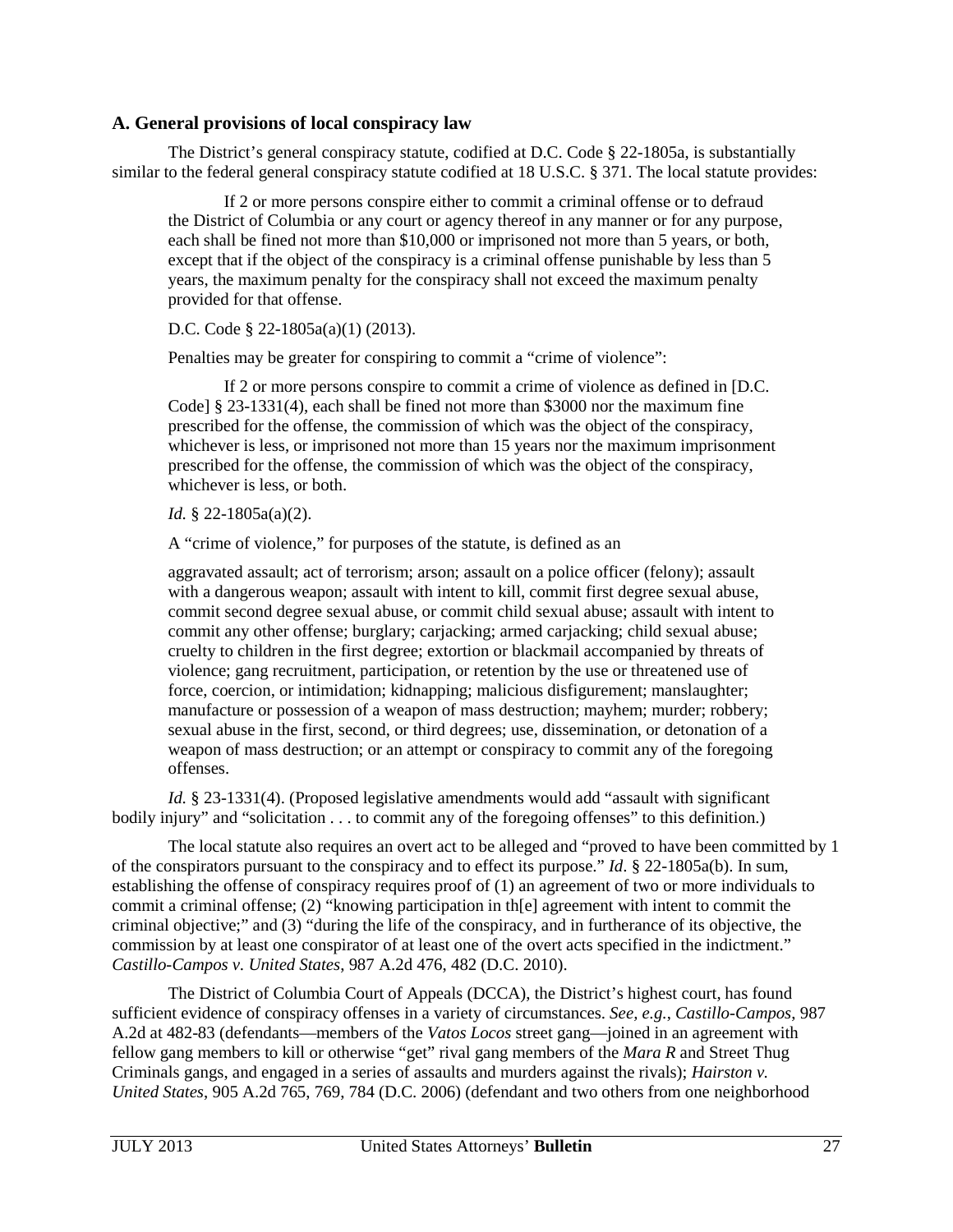#### **A. General provisions of local conspiracy law**

The District's general conspiracy statute, codified at D.C. Code § 22-1805a, is substantially similar to the federal general conspiracy statute codified at 18 U.S.C. § 371. The local statute provides:

If 2 or more persons conspire either to commit a criminal offense or to defraud the District of Columbia or any court or agency thereof in any manner or for any purpose, each shall be fined not more than \$10,000 or imprisoned not more than 5 years, or both, except that if the object of the conspiracy is a criminal offense punishable by less than 5 years, the maximum penalty for the conspiracy shall not exceed the maximum penalty provided for that offense.

D.C. Code § 22-1805a(a)(1) (2013).

Penalties may be greater for conspiring to commit a "crime of violence":

If 2 or more persons conspire to commit a crime of violence as defined in [D.C. Code] § 23-1331(4), each shall be fined not more than \$3000 nor the maximum fine prescribed for the offense, the commission of which was the object of the conspiracy, whichever is less, or imprisoned not more than 15 years nor the maximum imprisonment prescribed for the offense, the commission of which was the object of the conspiracy, whichever is less, or both.

*Id.* § 22-1805a(a)(2).

A "crime of violence," for purposes of the statute, is defined as an

aggravated assault; act of terrorism; arson; assault on a police officer (felony); assault with a dangerous weapon; assault with intent to kill, commit first degree sexual abuse, commit second degree sexual abuse, or commit child sexual abuse; assault with intent to commit any other offense; burglary; carjacking; armed carjacking; child sexual abuse; cruelty to children in the first degree; extortion or blackmail accompanied by threats of violence; gang recruitment, participation, or retention by the use or threatened use of force, coercion, or intimidation; kidnapping; malicious disfigurement; manslaughter; manufacture or possession of a weapon of mass destruction; mayhem; murder; robbery; sexual abuse in the first, second, or third degrees; use, dissemination, or detonation of a weapon of mass destruction; or an attempt or conspiracy to commit any of the foregoing offenses.

*Id.* § 23-1331(4). (Proposed legislative amendments would add "assault with significant bodily injury" and "solicitation . . . to commit any of the foregoing offenses" to this definition.)

The local statute also requires an overt act to be alleged and "proved to have been committed by 1 of the conspirators pursuant to the conspiracy and to effect its purpose." *Id*. § 22-1805a(b). In sum, establishing the offense of conspiracy requires proof of (1) an agreement of two or more individuals to commit a criminal offense; (2) "knowing participation in th[e] agreement with intent to commit the criminal objective;" and (3) "during the life of the conspiracy, and in furtherance of its objective, the commission by at least one conspirator of at least one of the overt acts specified in the indictment." *Castillo-Campos v. United States*, 987 A.2d 476, 482 (D.C. 2010).

The District of Columbia Court of Appeals (DCCA), the District's highest court, has found sufficient evidence of conspiracy offenses in a variety of circumstances. *See, e.g.*, *Castillo-Campos*, 987 A.2d at 482-83 (defendants—members of the *Vatos Locos* street gang—joined in an agreement with fellow gang members to kill or otherwise "get" rival gang members of the *Mara R* and Street Thug Criminals gangs, and engaged in a series of assaults and murders against the rivals); *Hairston v. United States*, 905 A.2d 765, 769, 784 (D.C. 2006) (defendant and two others from one neighborhood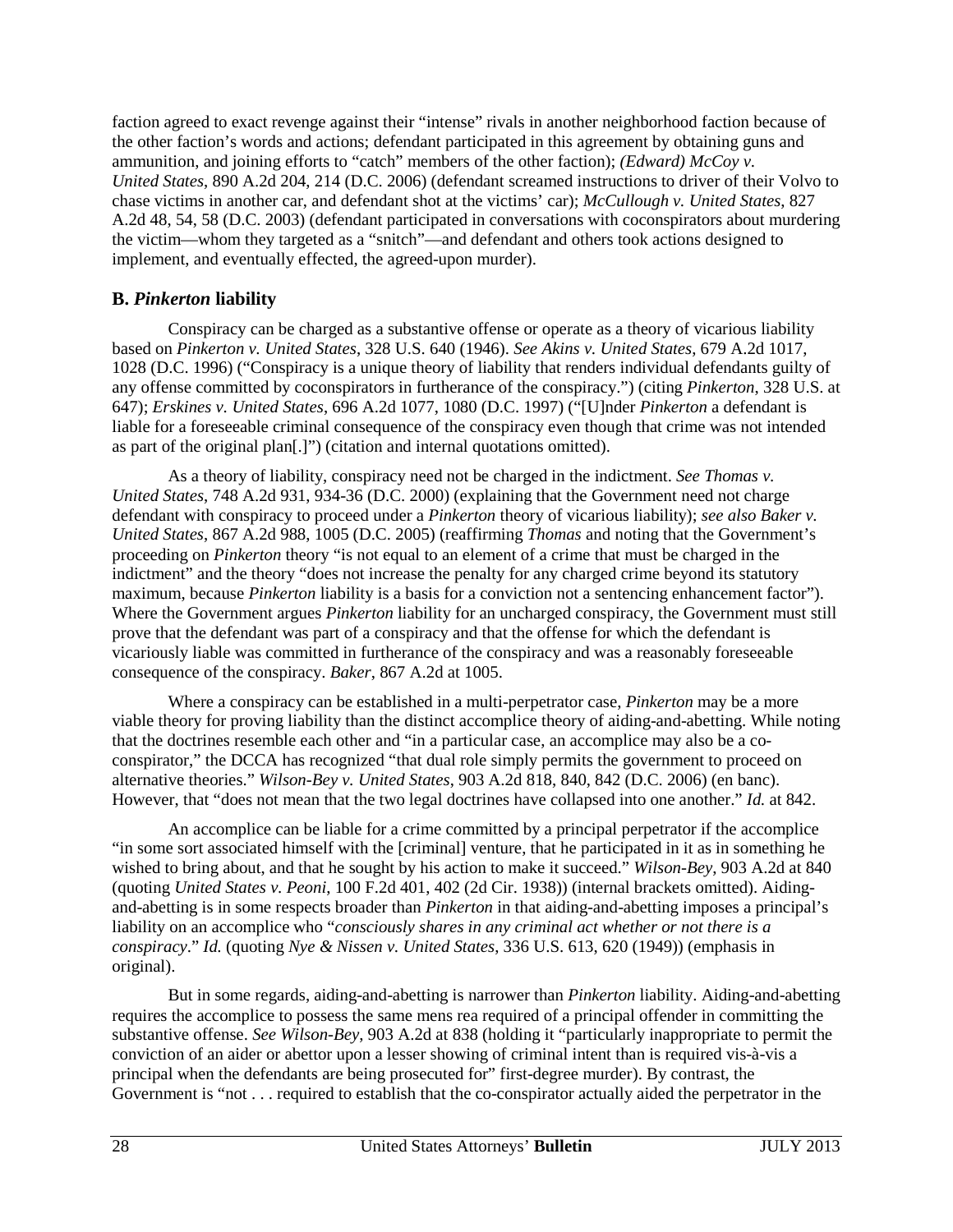faction agreed to exact revenge against their "intense" rivals in another neighborhood faction because of the other faction's words and actions; defendant participated in this agreement by obtaining guns and ammunition, and joining efforts to "catch" members of the other faction); *(Edward) McCoy v. United States*, 890 A.2d 204, 214 (D.C. 2006) (defendant screamed instructions to driver of their Volvo to chase victims in another car, and defendant shot at the victims' car); *McCullough v. United States*, 827 A.2d 48, 54, 58 (D.C. 2003) (defendant participated in conversations with coconspirators about murdering the victim—whom they targeted as a "snitch"—and defendant and others took actions designed to implement, and eventually effected, the agreed-upon murder).

## **B.** *Pinkerton* **liability**

Conspiracy can be charged as a substantive offense or operate as a theory of vicarious liability based on *Pinkerton v. United States*, 328 U.S. 640 (1946). *See Akins v. United States*, 679 A.2d 1017, 1028 (D.C. 1996) ("Conspiracy is a unique theory of liability that renders individual defendants guilty of any offense committed by coconspirators in furtherance of the conspiracy.") (citing *Pinkerton*, 328 U.S. at 647); *Erskines v. United States*, 696 A.2d 1077, 1080 (D.C. 1997) ("[U]nder *Pinkerton* a defendant is liable for a foreseeable criminal consequence of the conspiracy even though that crime was not intended as part of the original plan[.]") (citation and internal quotations omitted).

As a theory of liability, conspiracy need not be charged in the indictment. *See Thomas v. United States*, 748 A.2d 931, 934-36 (D.C. 2000) (explaining that the Government need not charge defendant with conspiracy to proceed under a *Pinkerton* theory of vicarious liability); *see also Baker v. United States*, 867 A.2d 988, 1005 (D.C. 2005) (reaffirming *Thomas* and noting that the Government's proceeding on *Pinkerton* theory "is not equal to an element of a crime that must be charged in the indictment" and the theory "does not increase the penalty for any charged crime beyond its statutory maximum, because *Pinkerton* liability is a basis for a conviction not a sentencing enhancement factor"). Where the Government argues *Pinkerton* liability for an uncharged conspiracy, the Government must still prove that the defendant was part of a conspiracy and that the offense for which the defendant is vicariously liable was committed in furtherance of the conspiracy and was a reasonably foreseeable consequence of the conspiracy. *Baker*, 867 A.2d at 1005.

Where a conspiracy can be established in a multi-perpetrator case, *Pinkerton* may be a more viable theory for proving liability than the distinct accomplice theory of aiding-and-abetting. While noting that the doctrines resemble each other and "in a particular case, an accomplice may also be a coconspirator," the DCCA has recognized "that dual role simply permits the government to proceed on alternative theories." *Wilson-Bey v. United States*, 903 A.2d 818, 840, 842 (D.C. 2006) (en banc). However, that "does not mean that the two legal doctrines have collapsed into one another." *Id.* at 842.

An accomplice can be liable for a crime committed by a principal perpetrator if the accomplice "in some sort associated himself with the [criminal] venture, that he participated in it as in something he wished to bring about, and that he sought by his action to make it succeed." *Wilson-Bey*, 903 A.2d at 840 (quoting *United States v. Peoni*, 100 F.2d 401, 402 (2d Cir. 1938)) (internal brackets omitted). Aidingand-abetting is in some respects broader than *Pinkerton* in that aiding-and-abetting imposes a principal's liability on an accomplice who "*consciously shares in any criminal act whether or not there is a conspiracy*." *Id.* (quoting *Nye & Nissen v. United States*, 336 U.S. 613, 620 (1949)) (emphasis in original).

But in some regards, aiding-and-abetting is narrower than *Pinkerton* liability. Aiding-and-abetting requires the accomplice to possess the same mens rea required of a principal offender in committing the substantive offense. *See Wilson-Bey*, 903 A.2d at 838 (holding it "particularly inappropriate to permit the conviction of an aider or abettor upon a lesser showing of criminal intent than is required vis-à-vis a principal when the defendants are being prosecuted for" first-degree murder). By contrast, the Government is "not . . . required to establish that the co-conspirator actually aided the perpetrator in the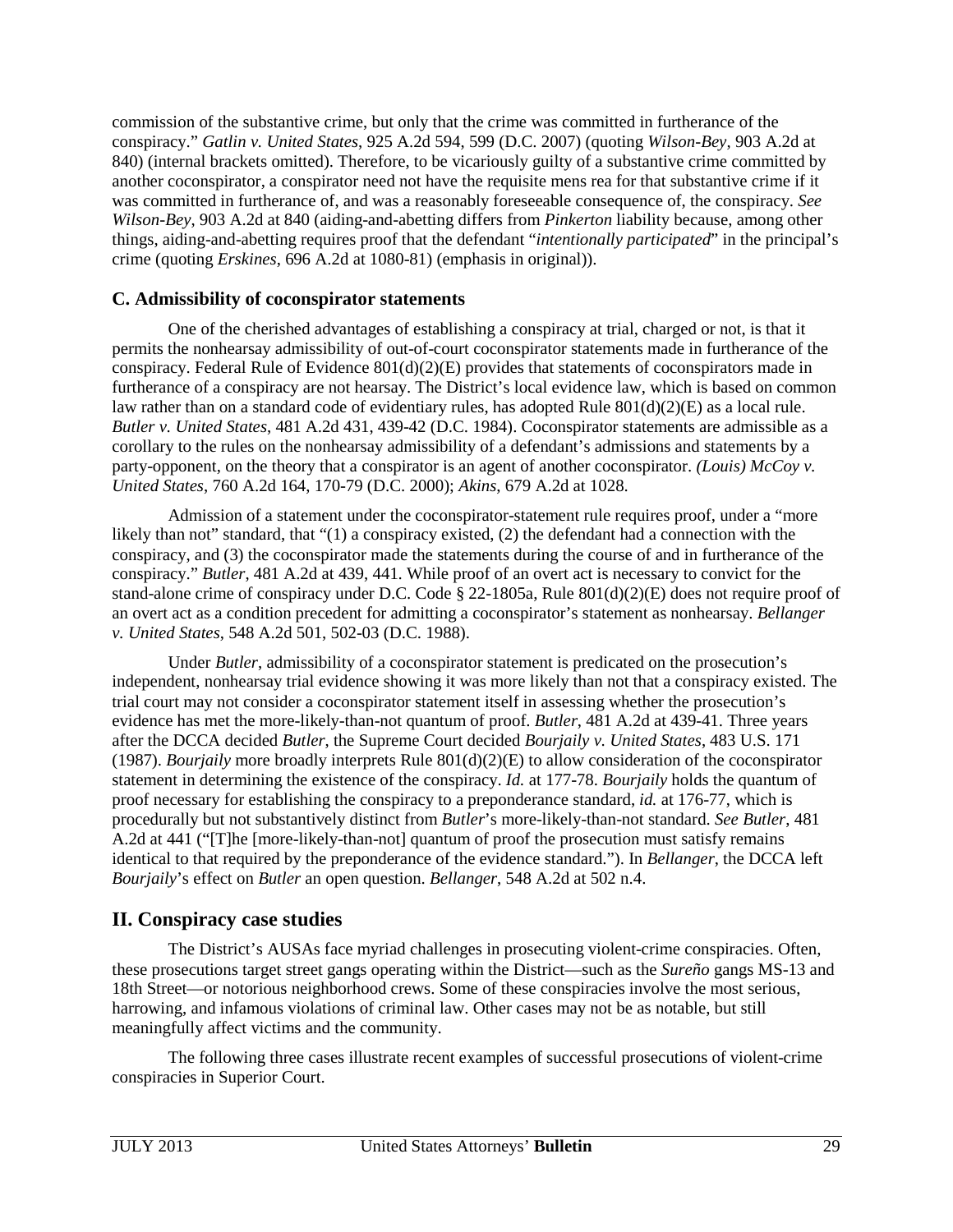commission of the substantive crime, but only that the crime was committed in furtherance of the conspiracy." *Gatlin v. United States*, 925 A.2d 594, 599 (D.C. 2007) (quoting *Wilson-Bey*, 903 A.2d at 840) (internal brackets omitted). Therefore, to be vicariously guilty of a substantive crime committed by another coconspirator, a conspirator need not have the requisite mens rea for that substantive crime if it was committed in furtherance of, and was a reasonably foreseeable consequence of, the conspiracy. *See Wilson-Bey*, 903 A.2d at 840 (aiding-and-abetting differs from *Pinkerton* liability because, among other things, aiding-and-abetting requires proof that the defendant "*intentionally participated*" in the principal's crime (quoting *Erskines*, 696 A.2d at 1080-81) (emphasis in original)).

## **C. Admissibility of coconspirator statements**

One of the cherished advantages of establishing a conspiracy at trial, charged or not, is that it permits the nonhearsay admissibility of out-of-court coconspirator statements made in furtherance of the conspiracy. Federal Rule of Evidence 801(d)(2)(E) provides that statements of coconspirators made in furtherance of a conspiracy are not hearsay. The District's local evidence law, which is based on common law rather than on a standard code of evidentiary rules, has adopted Rule 801(d)(2)(E) as a local rule. *Butler v. United States*, 481 A.2d 431, 439-42 (D.C. 1984). Coconspirator statements are admissible as a corollary to the rules on the nonhearsay admissibility of a defendant's admissions and statements by a party-opponent, on the theory that a conspirator is an agent of another coconspirator. *(Louis) McCoy v. United States*, 760 A.2d 164, 170-79 (D.C. 2000); *Akins*, 679 A.2d at 1028.

Admission of a statement under the coconspirator-statement rule requires proof, under a "more likely than not" standard, that "(1) a conspiracy existed, (2) the defendant had a connection with the conspiracy, and (3) the coconspirator made the statements during the course of and in furtherance of the conspiracy." *Butler*, 481 A.2d at 439, 441. While proof of an overt act is necessary to convict for the stand-alone crime of conspiracy under D.C. Code § 22-1805a, Rule 801(d)(2)(E) does not require proof of an overt act as a condition precedent for admitting a coconspirator's statement as nonhearsay. *Bellanger v. United States*, 548 A.2d 501, 502-03 (D.C. 1988).

Under *Butler*, admissibility of a coconspirator statement is predicated on the prosecution's independent, nonhearsay trial evidence showing it was more likely than not that a conspiracy existed. The trial court may not consider a coconspirator statement itself in assessing whether the prosecution's evidence has met the more-likely-than-not quantum of proof. *Butler*, 481 A.2d at 439-41. Three years after the DCCA decided *Butler*, the Supreme Court decided *Bourjaily v. United States*, 483 U.S. 171 (1987). *Bourjaily* more broadly interprets Rule 801(d)(2)(E) to allow consideration of the coconspirator statement in determining the existence of the conspiracy. *Id.* at 177-78. *Bourjaily* holds the quantum of proof necessary for establishing the conspiracy to a preponderance standard, *id.* at 176-77, which is procedurally but not substantively distinct from *Butler*'s more-likely-than-not standard. *See Butler*, 481 A.2d at 441 ("[T]he [more-likely-than-not] quantum of proof the prosecution must satisfy remains identical to that required by the preponderance of the evidence standard."). In *Bellanger*, the DCCA left *Bourjaily*'s effect on *Butler* an open question. *Bellanger*, 548 A.2d at 502 n.4.

# **II. Conspiracy case studies**

The District's AUSAs face myriad challenges in prosecuting violent-crime conspiracies. Often, these prosecutions target street gangs operating within the District—such as the *Sureño* gangs MS-13 and 18th Street—or notorious neighborhood crews. Some of these conspiracies involve the most serious, harrowing, and infamous violations of criminal law. Other cases may not be as notable, but still meaningfully affect victims and the community.

The following three cases illustrate recent examples of successful prosecutions of violent-crime conspiracies in Superior Court.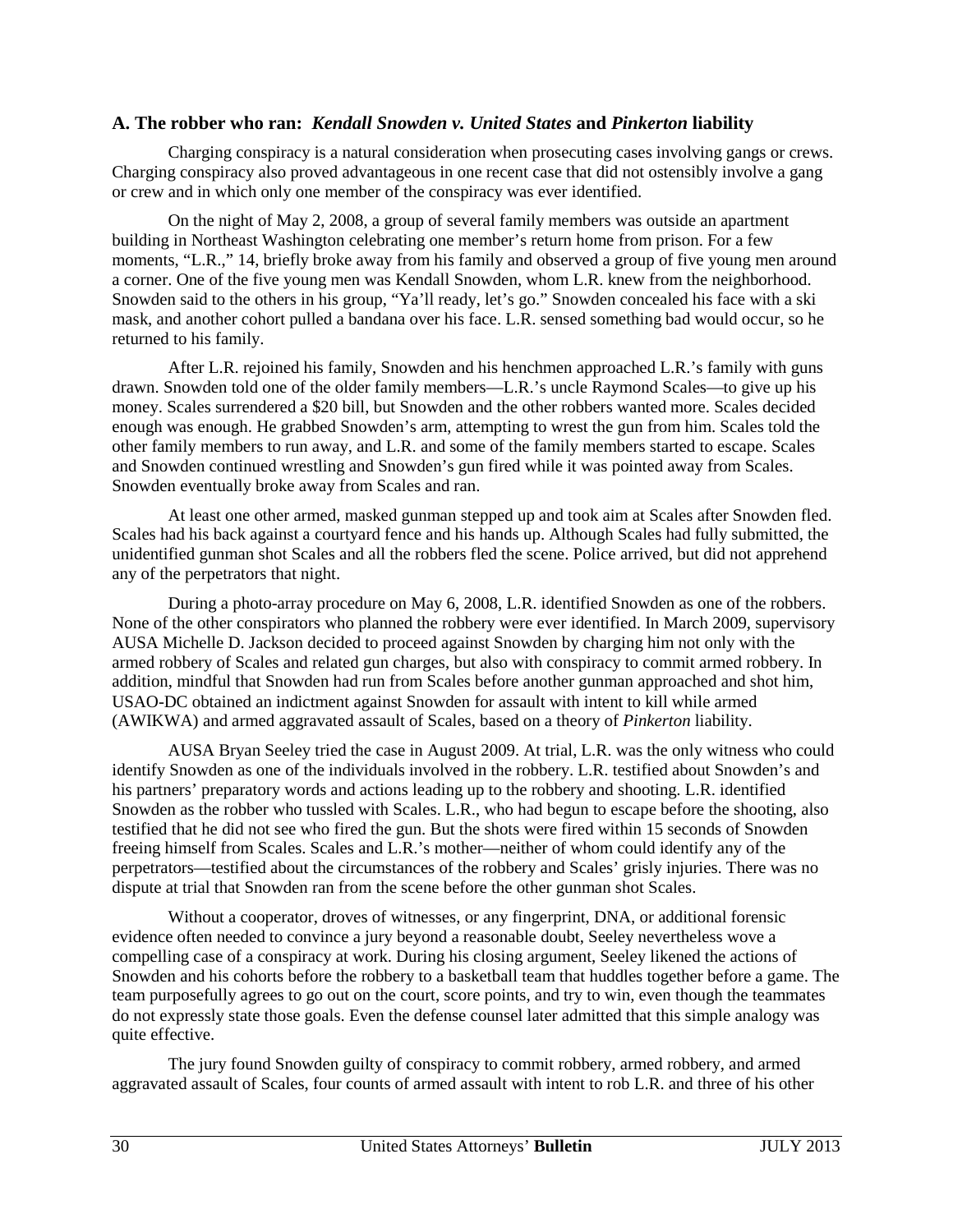#### **A. The robber who ran:** *Kendall Snowden v. United States* **and** *Pinkerton* **liability**

Charging conspiracy is a natural consideration when prosecuting cases involving gangs or crews. Charging conspiracy also proved advantageous in one recent case that did not ostensibly involve a gang or crew and in which only one member of the conspiracy was ever identified.

On the night of May 2, 2008, a group of several family members was outside an apartment building in Northeast Washington celebrating one member's return home from prison. For a few moments, "L.R.," 14, briefly broke away from his family and observed a group of five young men around a corner. One of the five young men was Kendall Snowden, whom L.R. knew from the neighborhood. Snowden said to the others in his group, "Ya'll ready, let's go." Snowden concealed his face with a ski mask, and another cohort pulled a bandana over his face. L.R. sensed something bad would occur, so he returned to his family.

After L.R. rejoined his family, Snowden and his henchmen approached L.R.'s family with guns drawn. Snowden told one of the older family members—L.R.'s uncle Raymond Scales—to give up his money. Scales surrendered a \$20 bill, but Snowden and the other robbers wanted more. Scales decided enough was enough. He grabbed Snowden's arm, attempting to wrest the gun from him. Scales told the other family members to run away, and L.R. and some of the family members started to escape. Scales and Snowden continued wrestling and Snowden's gun fired while it was pointed away from Scales. Snowden eventually broke away from Scales and ran.

At least one other armed, masked gunman stepped up and took aim at Scales after Snowden fled. Scales had his back against a courtyard fence and his hands up. Although Scales had fully submitted, the unidentified gunman shot Scales and all the robbers fled the scene. Police arrived, but did not apprehend any of the perpetrators that night.

During a photo-array procedure on May 6, 2008, L.R. identified Snowden as one of the robbers. None of the other conspirators who planned the robbery were ever identified. In March 2009, supervisory AUSA Michelle D. Jackson decided to proceed against Snowden by charging him not only with the armed robbery of Scales and related gun charges, but also with conspiracy to commit armed robbery. In addition, mindful that Snowden had run from Scales before another gunman approached and shot him, USAO-DC obtained an indictment against Snowden for assault with intent to kill while armed (AWIKWA) and armed aggravated assault of Scales, based on a theory of *Pinkerton* liability.

AUSA Bryan Seeley tried the case in August 2009. At trial, L.R. was the only witness who could identify Snowden as one of the individuals involved in the robbery. L.R. testified about Snowden's and his partners' preparatory words and actions leading up to the robbery and shooting. L.R. identified Snowden as the robber who tussled with Scales. L.R., who had begun to escape before the shooting, also testified that he did not see who fired the gun. But the shots were fired within 15 seconds of Snowden freeing himself from Scales. Scales and L.R.'s mother—neither of whom could identify any of the perpetrators—testified about the circumstances of the robbery and Scales' grisly injuries. There was no dispute at trial that Snowden ran from the scene before the other gunman shot Scales.

Without a cooperator, droves of witnesses, or any fingerprint, DNA, or additional forensic evidence often needed to convince a jury beyond a reasonable doubt, Seeley nevertheless wove a compelling case of a conspiracy at work. During his closing argument, Seeley likened the actions of Snowden and his cohorts before the robbery to a basketball team that huddles together before a game. The team purposefully agrees to go out on the court, score points, and try to win, even though the teammates do not expressly state those goals. Even the defense counsel later admitted that this simple analogy was quite effective.

The jury found Snowden guilty of conspiracy to commit robbery, armed robbery, and armed aggravated assault of Scales, four counts of armed assault with intent to rob L.R. and three of his other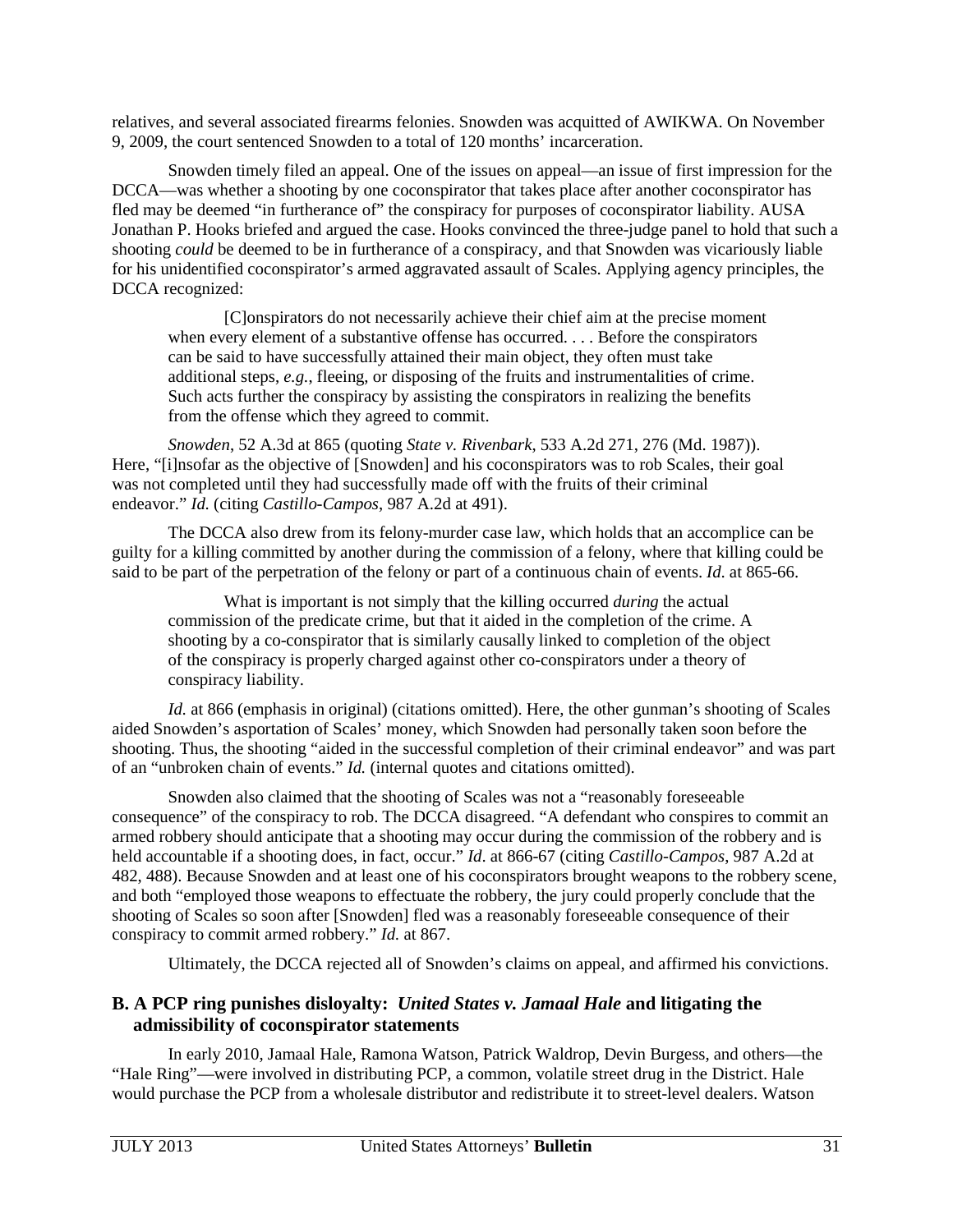relatives, and several associated firearms felonies. Snowden was acquitted of AWIKWA. On November 9, 2009, the court sentenced Snowden to a total of 120 months' incarceration.

Snowden timely filed an appeal. One of the issues on appeal—an issue of first impression for the DCCA—was whether a shooting by one coconspirator that takes place after another coconspirator has fled may be deemed "in furtherance of" the conspiracy for purposes of coconspirator liability. AUSA Jonathan P. Hooks briefed and argued the case. Hooks convinced the three-judge panel to hold that such a shooting *could* be deemed to be in furtherance of a conspiracy, and that Snowden was vicariously liable for his unidentified coconspirator's armed aggravated assault of Scales. Applying agency principles, the DCCA recognized:

[C]onspirators do not necessarily achieve their chief aim at the precise moment when every element of a substantive offense has occurred. . . . Before the conspirators can be said to have successfully attained their main object, they often must take additional steps, *e.g.*, fleeing, or disposing of the fruits and instrumentalities of crime. Such acts further the conspiracy by assisting the conspirators in realizing the benefits from the offense which they agreed to commit.

*Snowden*, 52 A.3d at 865 (quoting *State v. Rivenbark*, 533 A.2d 271, 276 (Md. 1987)). Here, "[i]nsofar as the objective of [Snowden] and his coconspirators was to rob Scales, their goal was not completed until they had successfully made off with the fruits of their criminal endeavor." *Id.* (citing *Castillo-Campos*, 987 A.2d at 491).

The DCCA also drew from its felony-murder case law, which holds that an accomplice can be guilty for a killing committed by another during the commission of a felony, where that killing could be said to be part of the perpetration of the felony or part of a continuous chain of events. *Id*. at 865-66.

What is important is not simply that the killing occurred *during* the actual commission of the predicate crime, but that it aided in the completion of the crime. A shooting by a co-conspirator that is similarly causally linked to completion of the object of the conspiracy is properly charged against other co-conspirators under a theory of conspiracy liability.

*Id.* at 866 (emphasis in original) (citations omitted). Here, the other gunman's shooting of Scales aided Snowden's asportation of Scales' money, which Snowden had personally taken soon before the shooting. Thus, the shooting "aided in the successful completion of their criminal endeavor" and was part of an "unbroken chain of events." *Id.* (internal quotes and citations omitted).

Snowden also claimed that the shooting of Scales was not a "reasonably foreseeable consequence" of the conspiracy to rob. The DCCA disagreed. "A defendant who conspires to commit an armed robbery should anticipate that a shooting may occur during the commission of the robbery and is held accountable if a shooting does, in fact, occur." *Id*. at 866-67 (citing *Castillo-Campos*, 987 A.2d at 482, 488). Because Snowden and at least one of his coconspirators brought weapons to the robbery scene, and both "employed those weapons to effectuate the robbery, the jury could properly conclude that the shooting of Scales so soon after [Snowden] fled was a reasonably foreseeable consequence of their conspiracy to commit armed robbery." *Id.* at 867.

Ultimately, the DCCA rejected all of Snowden's claims on appeal, and affirmed his convictions.

## **B. A PCP ring punishes disloyalty:** *United States v. Jamaal Hale* **and litigating the admissibility of coconspirator statements**

In early 2010, Jamaal Hale, Ramona Watson, Patrick Waldrop, Devin Burgess, and others—the "Hale Ring"—were involved in distributing PCP, a common, volatile street drug in the District. Hale would purchase the PCP from a wholesale distributor and redistribute it to street-level dealers. Watson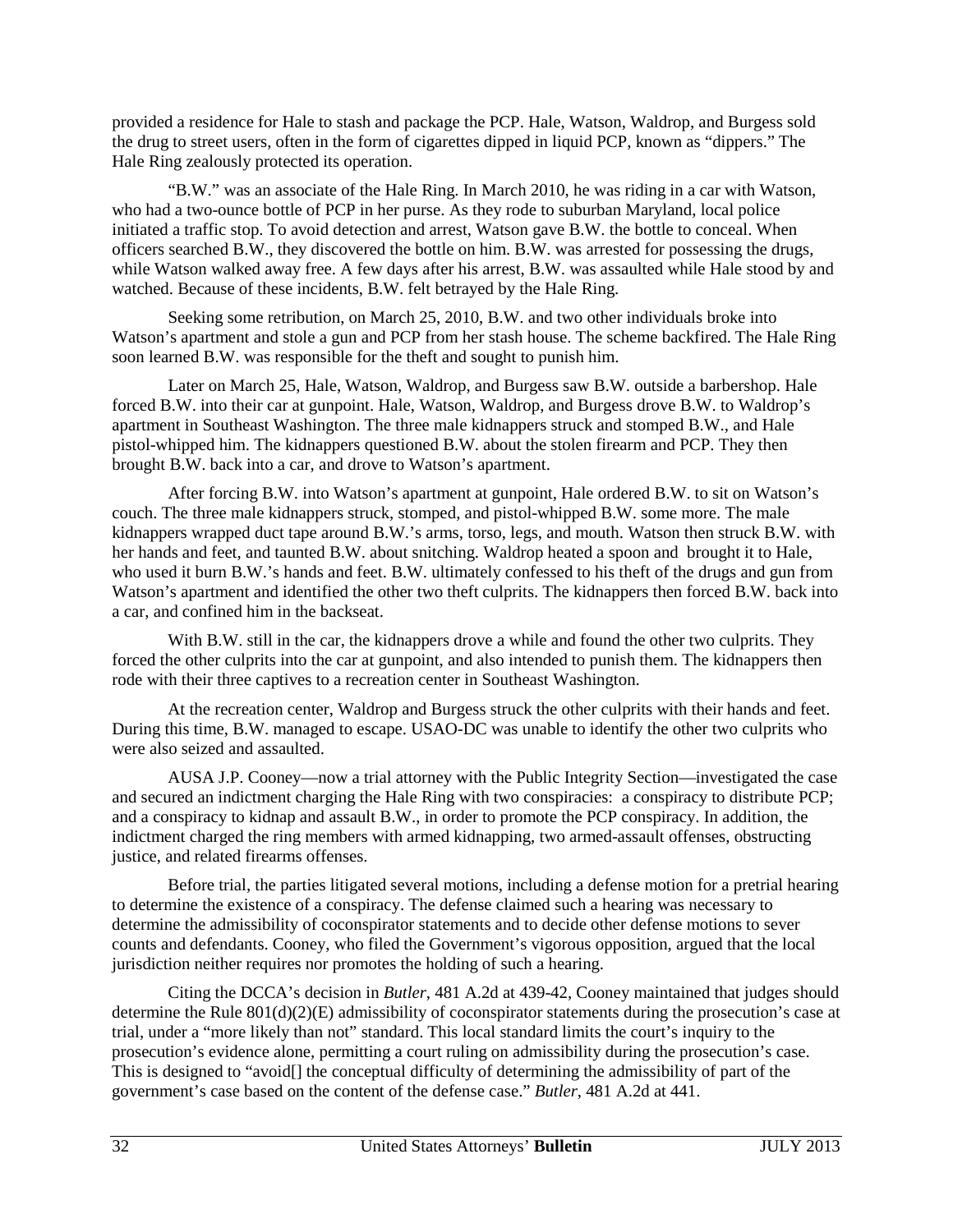provided a residence for Hale to stash and package the PCP. Hale, Watson, Waldrop, and Burgess sold the drug to street users, often in the form of cigarettes dipped in liquid PCP, known as "dippers." The Hale Ring zealously protected its operation.

"B.W." was an associate of the Hale Ring. In March 2010, he was riding in a car with Watson, who had a two-ounce bottle of PCP in her purse. As they rode to suburban Maryland, local police initiated a traffic stop. To avoid detection and arrest, Watson gave B.W. the bottle to conceal. When officers searched B.W., they discovered the bottle on him. B.W. was arrested for possessing the drugs, while Watson walked away free. A few days after his arrest, B.W. was assaulted while Hale stood by and watched. Because of these incidents, B.W. felt betrayed by the Hale Ring.

Seeking some retribution, on March 25, 2010, B.W. and two other individuals broke into Watson's apartment and stole a gun and PCP from her stash house. The scheme backfired. The Hale Ring soon learned B.W. was responsible for the theft and sought to punish him.

Later on March 25, Hale, Watson, Waldrop, and Burgess saw B.W. outside a barbershop. Hale forced B.W. into their car at gunpoint. Hale, Watson, Waldrop, and Burgess drove B.W. to Waldrop's apartment in Southeast Washington. The three male kidnappers struck and stomped B.W., and Hale pistol-whipped him. The kidnappers questioned B.W. about the stolen firearm and PCP. They then brought B.W. back into a car, and drove to Watson's apartment.

After forcing B.W. into Watson's apartment at gunpoint, Hale ordered B.W. to sit on Watson's couch. The three male kidnappers struck, stomped, and pistol-whipped B.W. some more. The male kidnappers wrapped duct tape around B.W.'s arms, torso, legs, and mouth. Watson then struck B.W. with her hands and feet, and taunted B.W. about snitching. Waldrop heated a spoon and brought it to Hale, who used it burn B.W.'s hands and feet. B.W. ultimately confessed to his theft of the drugs and gun from Watson's apartment and identified the other two theft culprits. The kidnappers then forced B.W. back into a car, and confined him in the backseat.

With B.W. still in the car, the kidnappers drove a while and found the other two culprits. They forced the other culprits into the car at gunpoint, and also intended to punish them. The kidnappers then rode with their three captives to a recreation center in Southeast Washington.

At the recreation center, Waldrop and Burgess struck the other culprits with their hands and feet. During this time, B.W. managed to escape. USAO-DC was unable to identify the other two culprits who were also seized and assaulted.

AUSA J.P. Cooney—now a trial attorney with the Public Integrity Section—investigated the case and secured an indictment charging the Hale Ring with two conspiracies: a conspiracy to distribute PCP; and a conspiracy to kidnap and assault B.W., in order to promote the PCP conspiracy. In addition, the indictment charged the ring members with armed kidnapping, two armed-assault offenses, obstructing justice, and related firearms offenses.

Before trial, the parties litigated several motions, including a defense motion for a pretrial hearing to determine the existence of a conspiracy. The defense claimed such a hearing was necessary to determine the admissibility of coconspirator statements and to decide other defense motions to sever counts and defendants. Cooney, who filed the Government's vigorous opposition, argued that the local jurisdiction neither requires nor promotes the holding of such a hearing.

Citing the DCCA's decision in *Butler*, 481 A.2d at 439-42, Cooney maintained that judges should determine the Rule 801(d)(2)(E) admissibility of coconspirator statements during the prosecution's case at trial, under a "more likely than not" standard. This local standard limits the court's inquiry to the prosecution's evidence alone, permitting a court ruling on admissibility during the prosecution's case. This is designed to "avoid[] the conceptual difficulty of determining the admissibility of part of the government's case based on the content of the defense case." *Butler*, 481 A.2d at 441.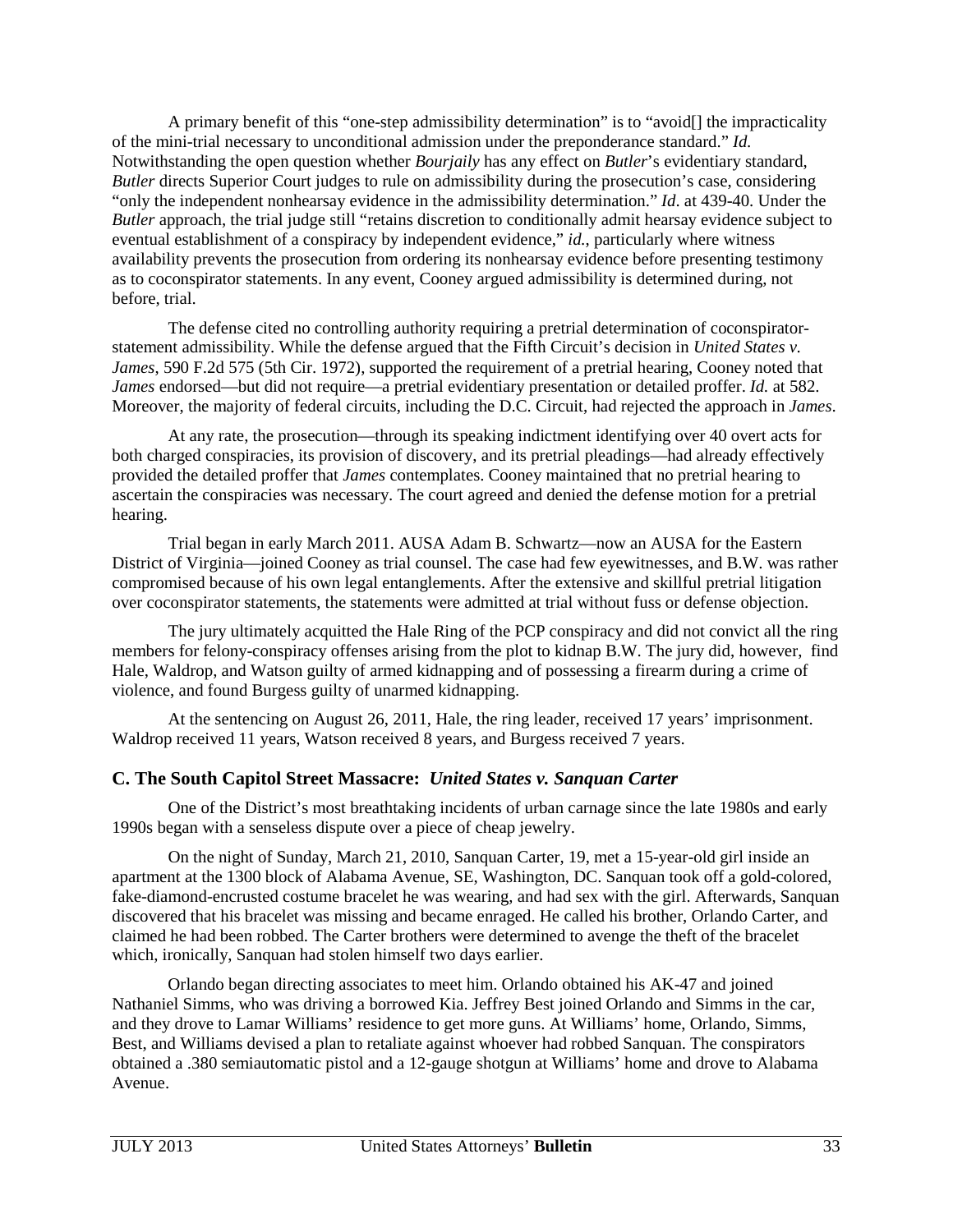A primary benefit of this "one-step admissibility determination" is to "avoid[] the impracticality of the mini-trial necessary to unconditional admission under the preponderance standard." *Id.* Notwithstanding the open question whether *Bourjaily* has any effect on *Butler*'s evidentiary standard, *Butler* directs Superior Court judges to rule on admissibility during the prosecution's case, considering "only the independent nonhearsay evidence in the admissibility determination." *Id*. at 439-40. Under the *Butler* approach, the trial judge still "retains discretion to conditionally admit hearsay evidence subject to eventual establishment of a conspiracy by independent evidence," *id.*, particularly where witness availability prevents the prosecution from ordering its nonhearsay evidence before presenting testimony as to coconspirator statements. In any event, Cooney argued admissibility is determined during, not before, trial.

The defense cited no controlling authority requiring a pretrial determination of coconspiratorstatement admissibility. While the defense argued that the Fifth Circuit's decision in *United States v. James*, 590 F.2d 575 (5th Cir. 1972), supported the requirement of a pretrial hearing, Cooney noted that *James* endorsed—but did not require—a pretrial evidentiary presentation or detailed proffer. *Id.* at 582. Moreover, the majority of federal circuits, including the D.C. Circuit, had rejected the approach in *James*.

At any rate, the prosecution—through its speaking indictment identifying over 40 overt acts for both charged conspiracies, its provision of discovery, and its pretrial pleadings—had already effectively provided the detailed proffer that *James* contemplates. Cooney maintained that no pretrial hearing to ascertain the conspiracies was necessary. The court agreed and denied the defense motion for a pretrial hearing.

Trial began in early March 2011. AUSA Adam B. Schwartz—now an AUSA for the Eastern District of Virginia—joined Cooney as trial counsel. The case had few eyewitnesses, and B.W. was rather compromised because of his own legal entanglements. After the extensive and skillful pretrial litigation over coconspirator statements, the statements were admitted at trial without fuss or defense objection.

The jury ultimately acquitted the Hale Ring of the PCP conspiracy and did not convict all the ring members for felony-conspiracy offenses arising from the plot to kidnap B.W. The jury did, however, find Hale, Waldrop, and Watson guilty of armed kidnapping and of possessing a firearm during a crime of violence, and found Burgess guilty of unarmed kidnapping.

At the sentencing on August 26, 2011, Hale, the ring leader, received 17 years' imprisonment. Waldrop received 11 years, Watson received 8 years, and Burgess received 7 years.

## **C. The South Capitol Street Massacre:** *United States v. Sanquan Carter*

One of the District's most breathtaking incidents of urban carnage since the late 1980s and early 1990s began with a senseless dispute over a piece of cheap jewelry.

On the night of Sunday, March 21, 2010, Sanquan Carter, 19, met a 15-year-old girl inside an apartment at the 1300 block of Alabama Avenue, SE, Washington, DC. Sanquan took off a gold-colored, fake-diamond-encrusted costume bracelet he was wearing, and had sex with the girl. Afterwards, Sanquan discovered that his bracelet was missing and became enraged. He called his brother, Orlando Carter, and claimed he had been robbed. The Carter brothers were determined to avenge the theft of the bracelet which, ironically, Sanquan had stolen himself two days earlier.

Orlando began directing associates to meet him. Orlando obtained his AK-47 and joined Nathaniel Simms, who was driving a borrowed Kia. Jeffrey Best joined Orlando and Simms in the car, and they drove to Lamar Williams' residence to get more guns. At Williams' home, Orlando, Simms, Best, and Williams devised a plan to retaliate against whoever had robbed Sanquan. The conspirators obtained a .380 semiautomatic pistol and a 12-gauge shotgun at Williams' home and drove to Alabama Avenue.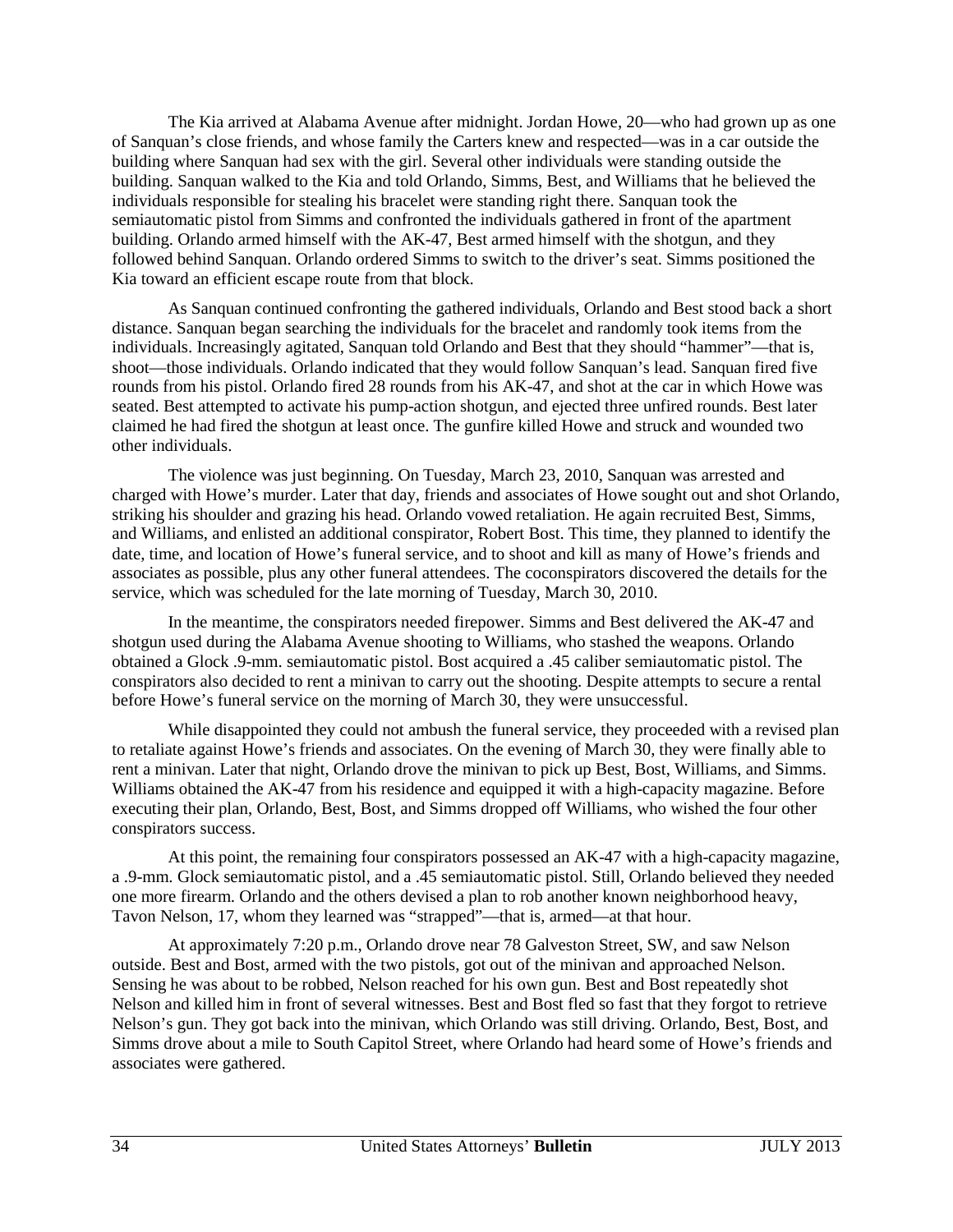The Kia arrived at Alabama Avenue after midnight. Jordan Howe, 20—who had grown up as one of Sanquan's close friends, and whose family the Carters knew and respected—was in a car outside the building where Sanquan had sex with the girl. Several other individuals were standing outside the building. Sanquan walked to the Kia and told Orlando, Simms, Best, and Williams that he believed the individuals responsible for stealing his bracelet were standing right there. Sanquan took the semiautomatic pistol from Simms and confronted the individuals gathered in front of the apartment building. Orlando armed himself with the AK-47, Best armed himself with the shotgun, and they followed behind Sanquan. Orlando ordered Simms to switch to the driver's seat. Simms positioned the Kia toward an efficient escape route from that block.

As Sanquan continued confronting the gathered individuals, Orlando and Best stood back a short distance. Sanquan began searching the individuals for the bracelet and randomly took items from the individuals. Increasingly agitated, Sanquan told Orlando and Best that they should "hammer"—that is, shoot—those individuals. Orlando indicated that they would follow Sanquan's lead. Sanquan fired five rounds from his pistol. Orlando fired 28 rounds from his AK-47, and shot at the car in which Howe was seated. Best attempted to activate his pump-action shotgun, and ejected three unfired rounds. Best later claimed he had fired the shotgun at least once. The gunfire killed Howe and struck and wounded two other individuals.

The violence was just beginning. On Tuesday, March 23, 2010, Sanquan was arrested and charged with Howe's murder. Later that day, friends and associates of Howe sought out and shot Orlando, striking his shoulder and grazing his head. Orlando vowed retaliation. He again recruited Best, Simms, and Williams, and enlisted an additional conspirator, Robert Bost. This time, they planned to identify the date, time, and location of Howe's funeral service, and to shoot and kill as many of Howe's friends and associates as possible, plus any other funeral attendees. The coconspirators discovered the details for the service, which was scheduled for the late morning of Tuesday, March 30, 2010.

In the meantime, the conspirators needed firepower. Simms and Best delivered the AK-47 and shotgun used during the Alabama Avenue shooting to Williams, who stashed the weapons. Orlando obtained a Glock .9-mm. semiautomatic pistol. Bost acquired a .45 caliber semiautomatic pistol. The conspirators also decided to rent a minivan to carry out the shooting. Despite attempts to secure a rental before Howe's funeral service on the morning of March 30, they were unsuccessful.

While disappointed they could not ambush the funeral service, they proceeded with a revised plan to retaliate against Howe's friends and associates. On the evening of March 30, they were finally able to rent a minivan. Later that night, Orlando drove the minivan to pick up Best, Bost, Williams, and Simms. Williams obtained the AK-47 from his residence and equipped it with a high-capacity magazine. Before executing their plan, Orlando, Best, Bost, and Simms dropped off Williams, who wished the four other conspirators success.

At this point, the remaining four conspirators possessed an AK-47 with a high-capacity magazine, a .9-mm. Glock semiautomatic pistol, and a .45 semiautomatic pistol. Still, Orlando believed they needed one more firearm. Orlando and the others devised a plan to rob another known neighborhood heavy, Tavon Nelson, 17, whom they learned was "strapped"—that is, armed—at that hour.

At approximately 7:20 p.m., Orlando drove near 78 Galveston Street, SW, and saw Nelson outside. Best and Bost, armed with the two pistols, got out of the minivan and approached Nelson. Sensing he was about to be robbed, Nelson reached for his own gun. Best and Bost repeatedly shot Nelson and killed him in front of several witnesses. Best and Bost fled so fast that they forgot to retrieve Nelson's gun. They got back into the minivan, which Orlando was still driving. Orlando, Best, Bost, and Simms drove about a mile to South Capitol Street, where Orlando had heard some of Howe's friends and associates were gathered.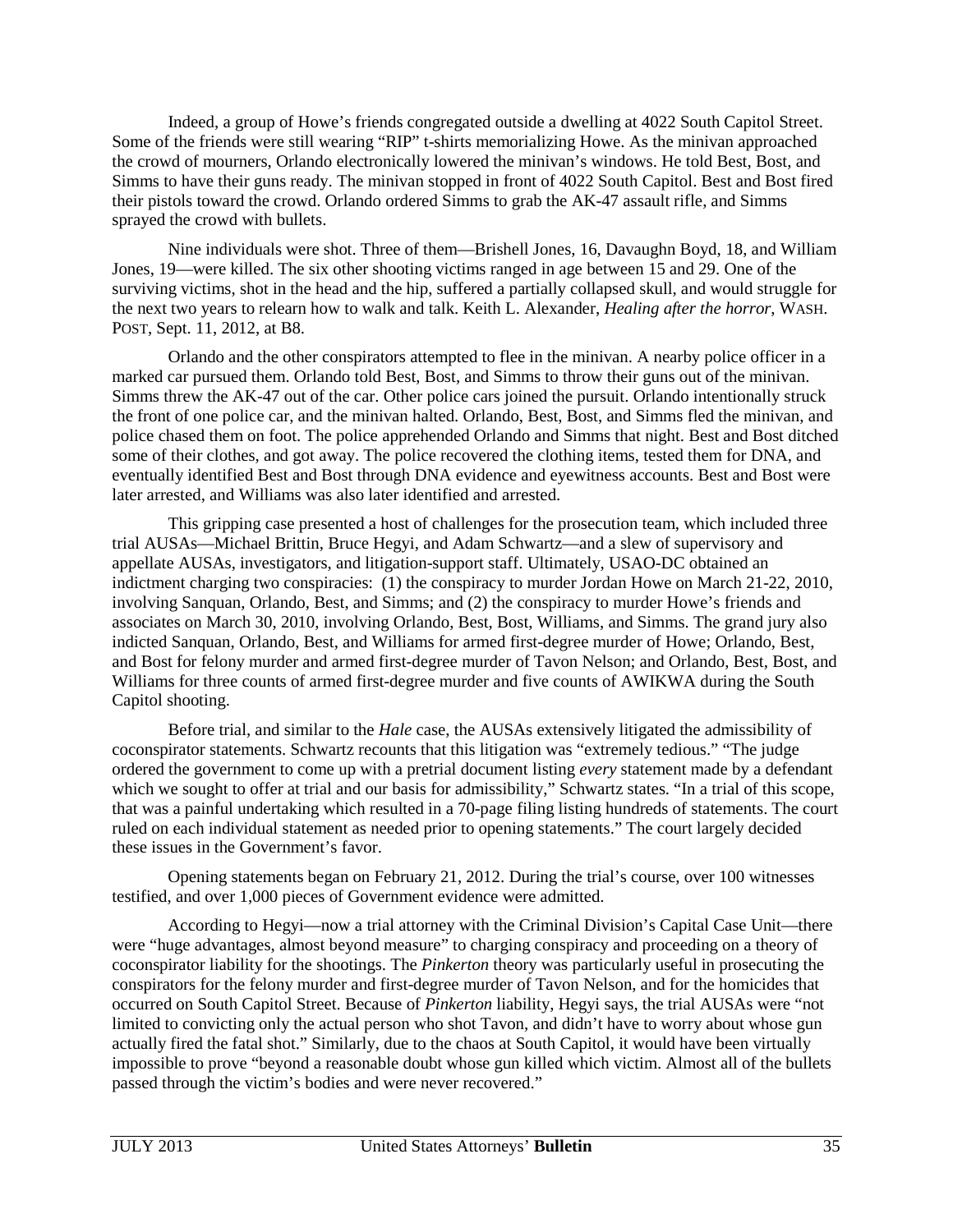Indeed, a group of Howe's friends congregated outside a dwelling at 4022 South Capitol Street. Some of the friends were still wearing "RIP" t-shirts memorializing Howe. As the minivan approached the crowd of mourners, Orlando electronically lowered the minivan's windows. He told Best, Bost, and Simms to have their guns ready. The minivan stopped in front of 4022 South Capitol. Best and Bost fired their pistols toward the crowd. Orlando ordered Simms to grab the AK-47 assault rifle, and Simms sprayed the crowd with bullets.

Nine individuals were shot. Three of them—Brishell Jones, 16, Davaughn Boyd, 18, and William Jones, 19—were killed. The six other shooting victims ranged in age between 15 and 29. One of the surviving victims, shot in the head and the hip, suffered a partially collapsed skull, and would struggle for the next two years to relearn how to walk and talk. Keith L. Alexander, *Healing after the horror*, WASH. POST, Sept. 11, 2012, at B8.

Orlando and the other conspirators attempted to flee in the minivan. A nearby police officer in a marked car pursued them. Orlando told Best, Bost, and Simms to throw their guns out of the minivan. Simms threw the AK-47 out of the car. Other police cars joined the pursuit. Orlando intentionally struck the front of one police car, and the minivan halted. Orlando, Best, Bost, and Simms fled the minivan, and police chased them on foot. The police apprehended Orlando and Simms that night. Best and Bost ditched some of their clothes, and got away. The police recovered the clothing items, tested them for DNA, and eventually identified Best and Bost through DNA evidence and eyewitness accounts. Best and Bost were later arrested, and Williams was also later identified and arrested.

This gripping case presented a host of challenges for the prosecution team, which included three trial AUSAs—Michael Brittin, Bruce Hegyi, and Adam Schwartz—and a slew of supervisory and appellate AUSAs, investigators, and litigation-support staff. Ultimately, USAO-DC obtained an indictment charging two conspiracies: (1) the conspiracy to murder Jordan Howe on March 21-22, 2010, involving Sanquan, Orlando, Best, and Simms; and (2) the conspiracy to murder Howe's friends and associates on March 30, 2010, involving Orlando, Best, Bost, Williams, and Simms. The grand jury also indicted Sanquan, Orlando, Best, and Williams for armed first-degree murder of Howe; Orlando, Best, and Bost for felony murder and armed first-degree murder of Tavon Nelson; and Orlando, Best, Bost, and Williams for three counts of armed first-degree murder and five counts of AWIKWA during the South Capitol shooting.

Before trial, and similar to the *Hale* case, the AUSAs extensively litigated the admissibility of coconspirator statements. Schwartz recounts that this litigation was "extremely tedious." "The judge ordered the government to come up with a pretrial document listing *every* statement made by a defendant which we sought to offer at trial and our basis for admissibility," Schwartz states. "In a trial of this scope, that was a painful undertaking which resulted in a 70-page filing listing hundreds of statements. The court ruled on each individual statement as needed prior to opening statements." The court largely decided these issues in the Government's favor.

Opening statements began on February 21, 2012. During the trial's course, over 100 witnesses testified, and over 1,000 pieces of Government evidence were admitted.

According to Hegyi—now a trial attorney with the Criminal Division's Capital Case Unit—there were "huge advantages, almost beyond measure" to charging conspiracy and proceeding on a theory of coconspirator liability for the shootings. The *Pinkerton* theory was particularly useful in prosecuting the conspirators for the felony murder and first-degree murder of Tavon Nelson, and for the homicides that occurred on South Capitol Street. Because of *Pinkerton* liability, Hegyi says, the trial AUSAs were "not limited to convicting only the actual person who shot Tavon, and didn't have to worry about whose gun actually fired the fatal shot." Similarly, due to the chaos at South Capitol, it would have been virtually impossible to prove "beyond a reasonable doubt whose gun killed which victim. Almost all of the bullets passed through the victim's bodies and were never recovered."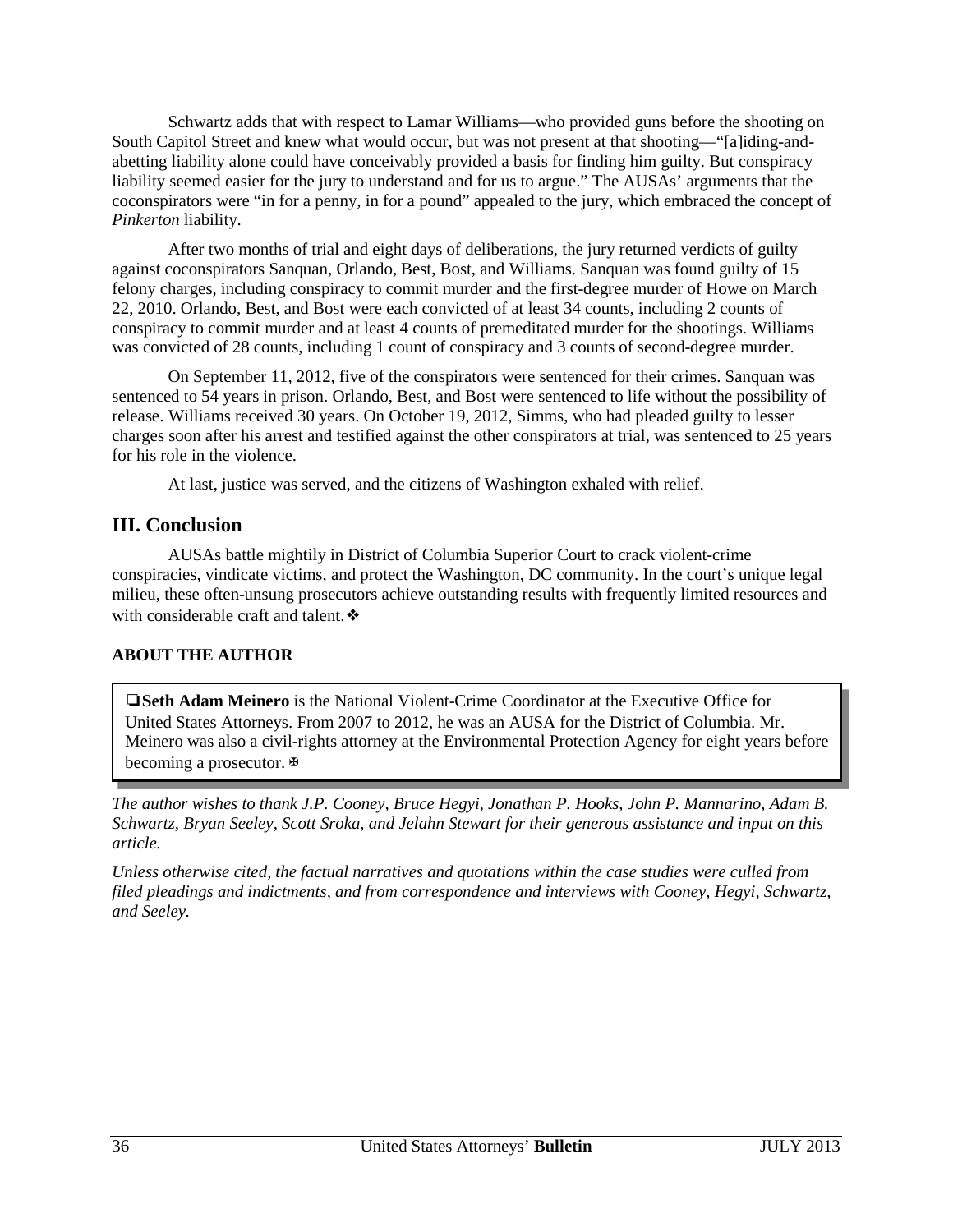Schwartz adds that with respect to Lamar Williams—who provided guns before the shooting on South Capitol Street and knew what would occur, but was not present at that shooting—"[a]iding-andabetting liability alone could have conceivably provided a basis for finding him guilty. But conspiracy liability seemed easier for the jury to understand and for us to argue." The AUSAs' arguments that the coconspirators were "in for a penny, in for a pound" appealed to the jury, which embraced the concept of *Pinkerton* liability.

After two months of trial and eight days of deliberations, the jury returned verdicts of guilty against coconspirators Sanquan, Orlando, Best, Bost, and Williams. Sanquan was found guilty of 15 felony charges, including conspiracy to commit murder and the first-degree murder of Howe on March 22, 2010. Orlando, Best, and Bost were each convicted of at least 34 counts, including 2 counts of conspiracy to commit murder and at least 4 counts of premeditated murder for the shootings. Williams was convicted of 28 counts, including 1 count of conspiracy and 3 counts of second-degree murder.

On September 11, 2012, five of the conspirators were sentenced for their crimes. Sanquan was sentenced to 54 years in prison. Orlando, Best, and Bost were sentenced to life without the possibility of release. Williams received 30 years. On October 19, 2012, Simms, who had pleaded guilty to lesser charges soon after his arrest and testified against the other conspirators at trial, was sentenced to 25 years for his role in the violence.

At last, justice was served, and the citizens of Washington exhaled with relief.

## **III. Conclusion**

AUSAs battle mightily in District of Columbia Superior Court to crack violent-crime conspiracies, vindicate victims, and protect the Washington, DC community. In the court's unique legal milieu, these often-unsung prosecutors achieve outstanding results with frequently limited resources and with considerable craft and talent. ❖

## **ABOUT THE AUTHOR**

❏**Seth Adam Meinero** is the National Violent-Crime Coordinator at the Executive Office for United States Attorneys. From 2007 to 2012, he was an AUSA for the District of Columbia. Mr. Meinero was also a civil-rights attorney at the Environmental Protection Agency for eight years before becoming a prosecutor. **⊕** 

*The author wishes to thank J.P. Cooney, Bruce Hegyi, Jonathan P. Hooks, John P. Mannarino, Adam B. Schwartz, Bryan Seeley, Scott Sroka, and Jelahn Stewart for their generous assistance and input on this article.*

*Unless otherwise cited, the factual narratives and quotations within the case studies were culled from filed pleadings and indictments, and from correspondence and interviews with Cooney, Hegyi, Schwartz, and Seeley.*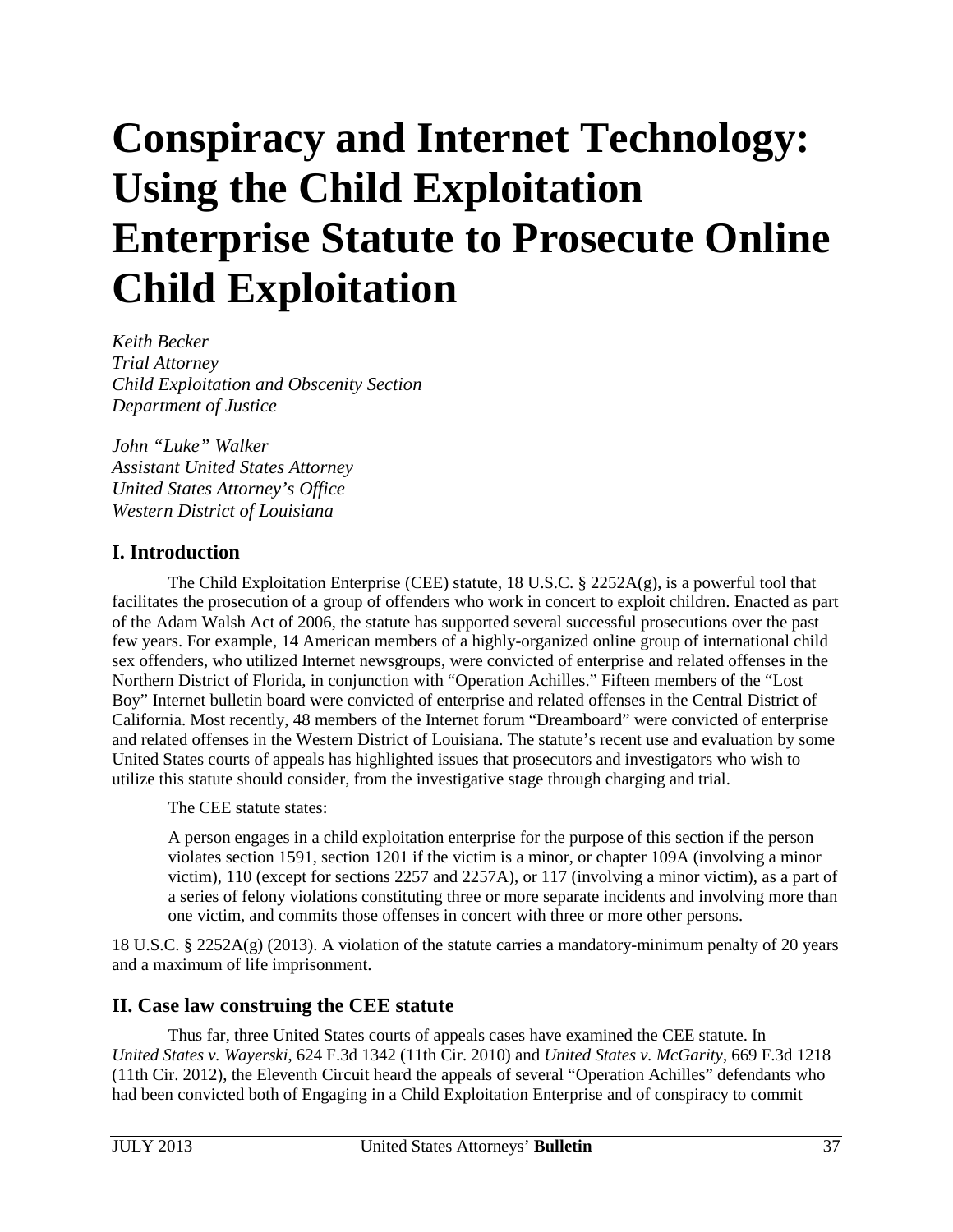# <span id="page-37-0"></span>**Conspiracy and Internet Technology: Using the Child Exploitation Enterprise Statute to Prosecute Online Child Exploitation**

*Keith Becker Trial Attorney Child Exploitation and Obscenity Section Department of Justice* 

*John "Luke" Walker Assistant United States Attorney United States Attorney's Office Western District of Louisiana*

## **I. Introduction**

The Child Exploitation Enterprise (CEE) statute, 18 U.S.C. § 2252A(g), is a powerful tool that facilitates the prosecution of a group of offenders who work in concert to exploit children. Enacted as part of the Adam Walsh Act of 2006, the statute has supported several successful prosecutions over the past few years. For example, 14 American members of a highly-organized online group of international child sex offenders, who utilized Internet newsgroups, were convicted of enterprise and related offenses in the Northern District of Florida, in conjunction with "Operation Achilles." Fifteen members of the "Lost Boy" Internet bulletin board were convicted of enterprise and related offenses in the Central District of California. Most recently, 48 members of the Internet forum "Dreamboard" were convicted of enterprise and related offenses in the Western District of Louisiana. The statute's recent use and evaluation by some United States courts of appeals has highlighted issues that prosecutors and investigators who wish to utilize this statute should consider, from the investigative stage through charging and trial.

The CEE statute states:

A person engages in a child exploitation enterprise for the purpose of this section if the person violates section 1591, section 1201 if the victim is a minor, or chapter 109A (involving a minor victim), 110 (except for sections 2257 and 2257A), or 117 (involving a minor victim), as a part of a series of felony violations constituting three or more separate incidents and involving more than one victim, and commits those offenses in concert with three or more other persons.

18 U.S.C. § 2252A(g) (2013). A violation of the statute carries a mandatory-minimum penalty of 20 years and a maximum of life imprisonment.

## **II. Case law construing the CEE statute**

Thus far, three United States courts of appeals cases have examined the CEE statute. In *United States v. Wayerski*, 624 F.3d 1342 (11th Cir. 2010) and *United States v. McGarity*, 669 F.3d 1218 (11th Cir. 2012), the Eleventh Circuit heard the appeals of several "Operation Achilles" defendants who had been convicted both of Engaging in a Child Exploitation Enterprise and of conspiracy to commit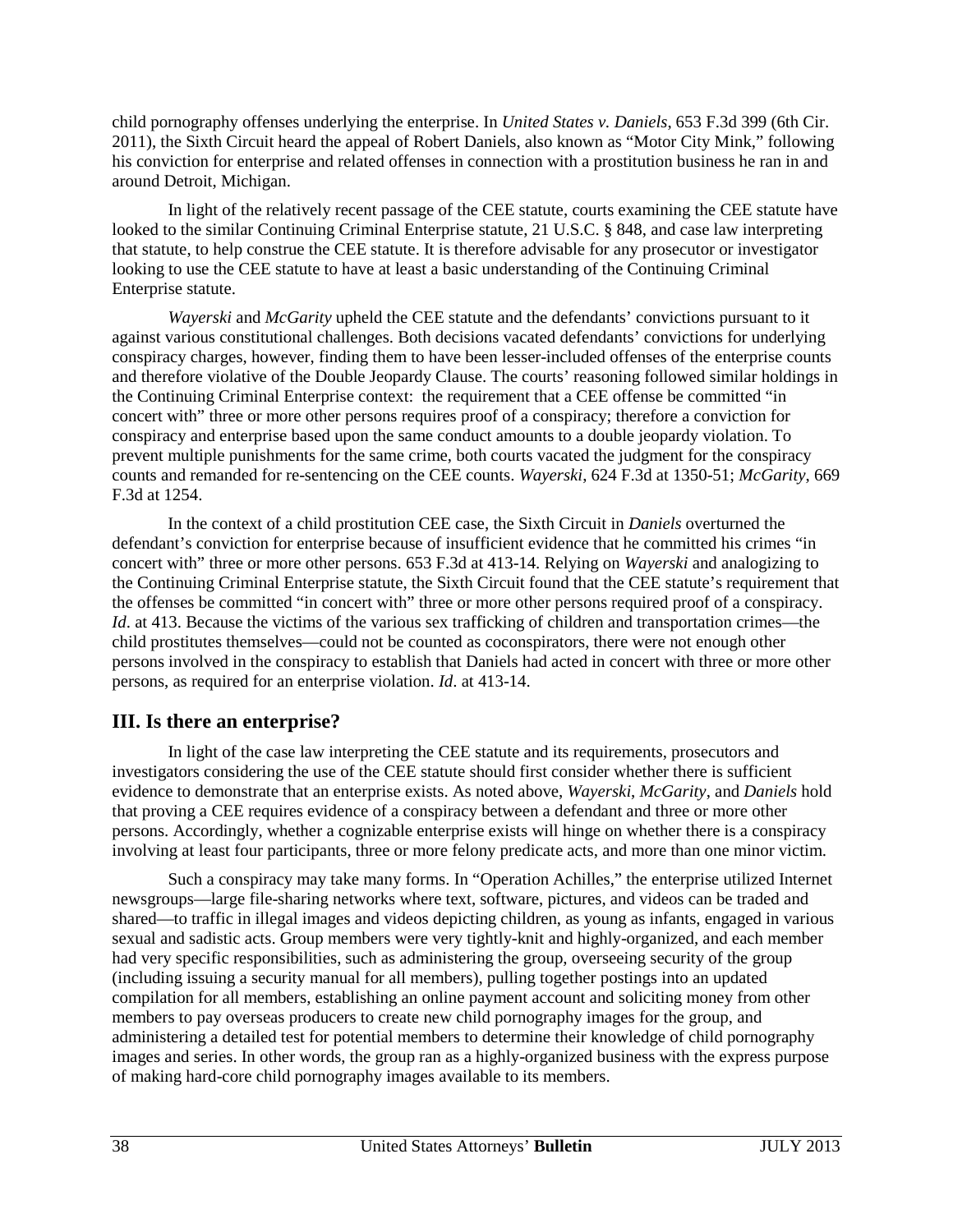child pornography offenses underlying the enterprise. In *United States v. Daniels*, 653 F.3d 399 (6th Cir. 2011), the Sixth Circuit heard the appeal of Robert Daniels, also known as "Motor City Mink," following his conviction for enterprise and related offenses in connection with a prostitution business he ran in and around Detroit, Michigan.

In light of the relatively recent passage of the CEE statute, courts examining the CEE statute have looked to the similar Continuing Criminal Enterprise statute, 21 U.S.C. § 848, and case law interpreting that statute, to help construe the CEE statute. It is therefore advisable for any prosecutor or investigator looking to use the CEE statute to have at least a basic understanding of the Continuing Criminal Enterprise statute.

*Wayerski* and *McGarity* upheld the CEE statute and the defendants' convictions pursuant to it against various constitutional challenges. Both decisions vacated defendants' convictions for underlying conspiracy charges, however, finding them to have been lesser-included offenses of the enterprise counts and therefore violative of the Double Jeopardy Clause. The courts' reasoning followed similar holdings in the Continuing Criminal Enterprise context: the requirement that a CEE offense be committed "in concert with" three or more other persons requires proof of a conspiracy; therefore a conviction for conspiracy and enterprise based upon the same conduct amounts to a double jeopardy violation. To prevent multiple punishments for the same crime, both courts vacated the judgment for the conspiracy counts and remanded for re-sentencing on the CEE counts. *Wayerski*, 624 F.3d at 1350-51; *McGarity*, 669 F.3d at 1254.

In the context of a child prostitution CEE case, the Sixth Circuit in *Daniels* overturned the defendant's conviction for enterprise because of insufficient evidence that he committed his crimes "in concert with" three or more other persons. 653 F.3d at 413-14. Relying on *Wayerski* and analogizing to the Continuing Criminal Enterprise statute, the Sixth Circuit found that the CEE statute's requirement that the offenses be committed "in concert with" three or more other persons required proof of a conspiracy. *Id.* at 413. Because the victims of the various sex trafficking of children and transportation crimes—the child prostitutes themselves—could not be counted as coconspirators, there were not enough other persons involved in the conspiracy to establish that Daniels had acted in concert with three or more other persons, as required for an enterprise violation. *Id*. at 413-14.

## **III. Is there an enterprise?**

In light of the case law interpreting the CEE statute and its requirements, prosecutors and investigators considering the use of the CEE statute should first consider whether there is sufficient evidence to demonstrate that an enterprise exists. As noted above, *Wayerski*, *McGarity*, and *Daniels* hold that proving a CEE requires evidence of a conspiracy between a defendant and three or more other persons. Accordingly, whether a cognizable enterprise exists will hinge on whether there is a conspiracy involving at least four participants, three or more felony predicate acts, and more than one minor victim.

Such a conspiracy may take many forms. In "Operation Achilles," the enterprise utilized Internet newsgroups—large file-sharing networks where text, software, pictures, and videos can be traded and shared—to traffic in illegal images and videos depicting children, as young as infants, engaged in various sexual and sadistic acts. Group members were very tightly-knit and highly-organized, and each member had very specific responsibilities, such as administering the group, overseeing security of the group (including issuing a security manual for all members), pulling together postings into an updated compilation for all members, establishing an online payment account and soliciting money from other members to pay overseas producers to create new child pornography images for the group, and administering a detailed test for potential members to determine their knowledge of child pornography images and series. In other words, the group ran as a highly-organized business with the express purpose of making hard-core child pornography images available to its members.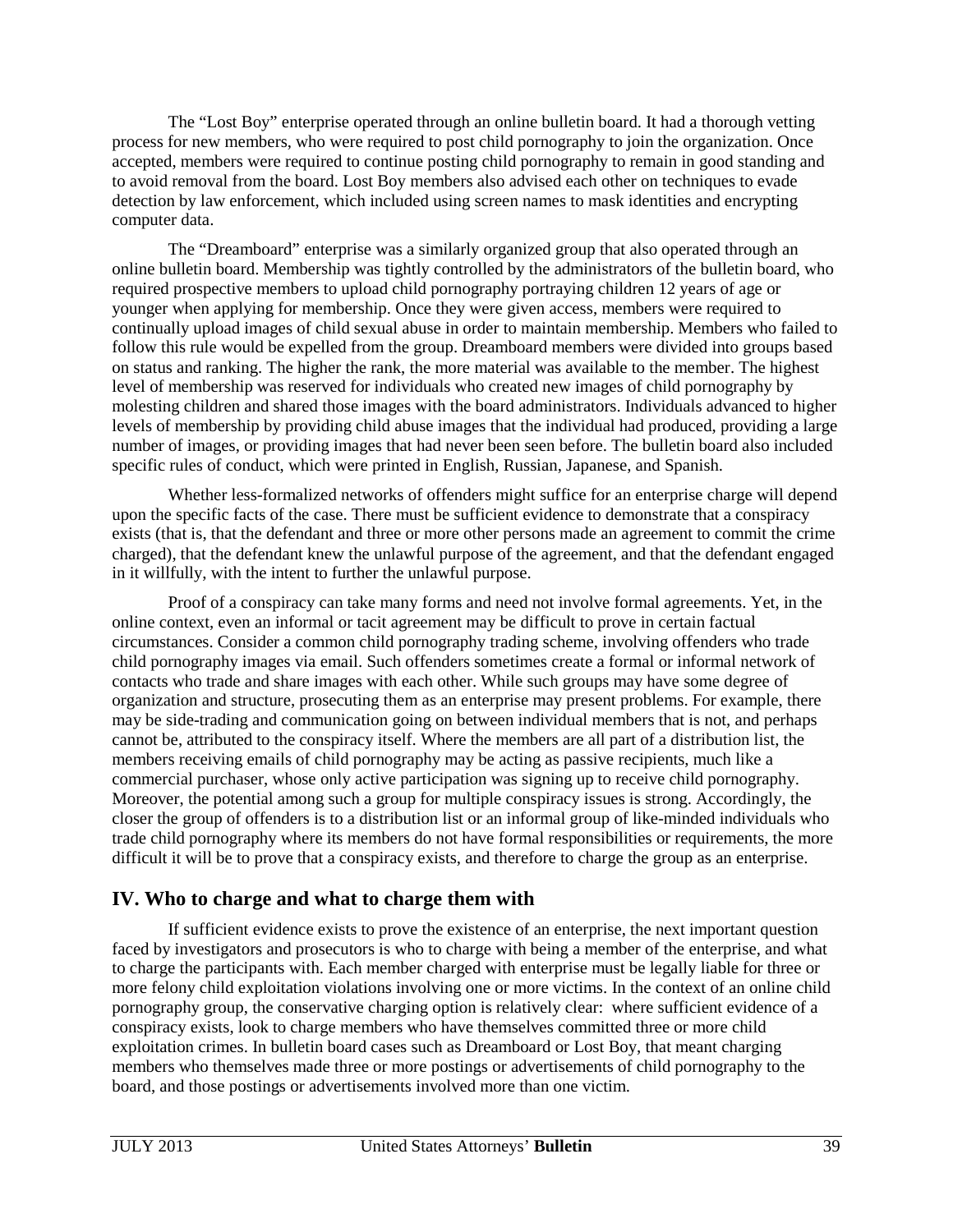The "Lost Boy" enterprise operated through an online bulletin board. It had a thorough vetting process for new members, who were required to post child pornography to join the organization. Once accepted, members were required to continue posting child pornography to remain in good standing and to avoid removal from the board. Lost Boy members also advised each other on techniques to evade detection by law enforcement, which included using screen names to mask identities and encrypting computer data.

The "Dreamboard" enterprise was a similarly organized group that also operated through an online bulletin board. Membership was tightly controlled by the administrators of the bulletin board, who required prospective members to upload child pornography portraying children 12 years of age or younger when applying for membership. Once they were given access, members were required to continually upload images of child sexual abuse in order to maintain membership. Members who failed to follow this rule would be expelled from the group. Dreamboard members were divided into groups based on status and ranking. The higher the rank, the more material was available to the member. The highest level of membership was reserved for individuals who created new images of child pornography by molesting children and shared those images with the board administrators. Individuals advanced to higher levels of membership by providing child abuse images that the individual had produced, providing a large number of images, or providing images that had never been seen before. The bulletin board also included specific rules of conduct, which were printed in English, Russian, Japanese, and Spanish.

Whether less-formalized networks of offenders might suffice for an enterprise charge will depend upon the specific facts of the case. There must be sufficient evidence to demonstrate that a conspiracy exists (that is, that the defendant and three or more other persons made an agreement to commit the crime charged), that the defendant knew the unlawful purpose of the agreement, and that the defendant engaged in it willfully, with the intent to further the unlawful purpose.

Proof of a conspiracy can take many forms and need not involve formal agreements. Yet, in the online context, even an informal or tacit agreement may be difficult to prove in certain factual circumstances. Consider a common child pornography trading scheme, involving offenders who trade child pornography images via email. Such offenders sometimes create a formal or informal network of contacts who trade and share images with each other. While such groups may have some degree of organization and structure, prosecuting them as an enterprise may present problems. For example, there may be side-trading and communication going on between individual members that is not, and perhaps cannot be, attributed to the conspiracy itself. Where the members are all part of a distribution list, the members receiving emails of child pornography may be acting as passive recipients, much like a commercial purchaser, whose only active participation was signing up to receive child pornography. Moreover, the potential among such a group for multiple conspiracy issues is strong. Accordingly, the closer the group of offenders is to a distribution list or an informal group of like-minded individuals who trade child pornography where its members do not have formal responsibilities or requirements, the more difficult it will be to prove that a conspiracy exists, and therefore to charge the group as an enterprise.

## **IV. Who to charge and what to charge them with**

If sufficient evidence exists to prove the existence of an enterprise, the next important question faced by investigators and prosecutors is who to charge with being a member of the enterprise, and what to charge the participants with. Each member charged with enterprise must be legally liable for three or more felony child exploitation violations involving one or more victims. In the context of an online child pornography group, the conservative charging option is relatively clear: where sufficient evidence of a conspiracy exists, look to charge members who have themselves committed three or more child exploitation crimes. In bulletin board cases such as Dreamboard or Lost Boy, that meant charging members who themselves made three or more postings or advertisements of child pornography to the board, and those postings or advertisements involved more than one victim.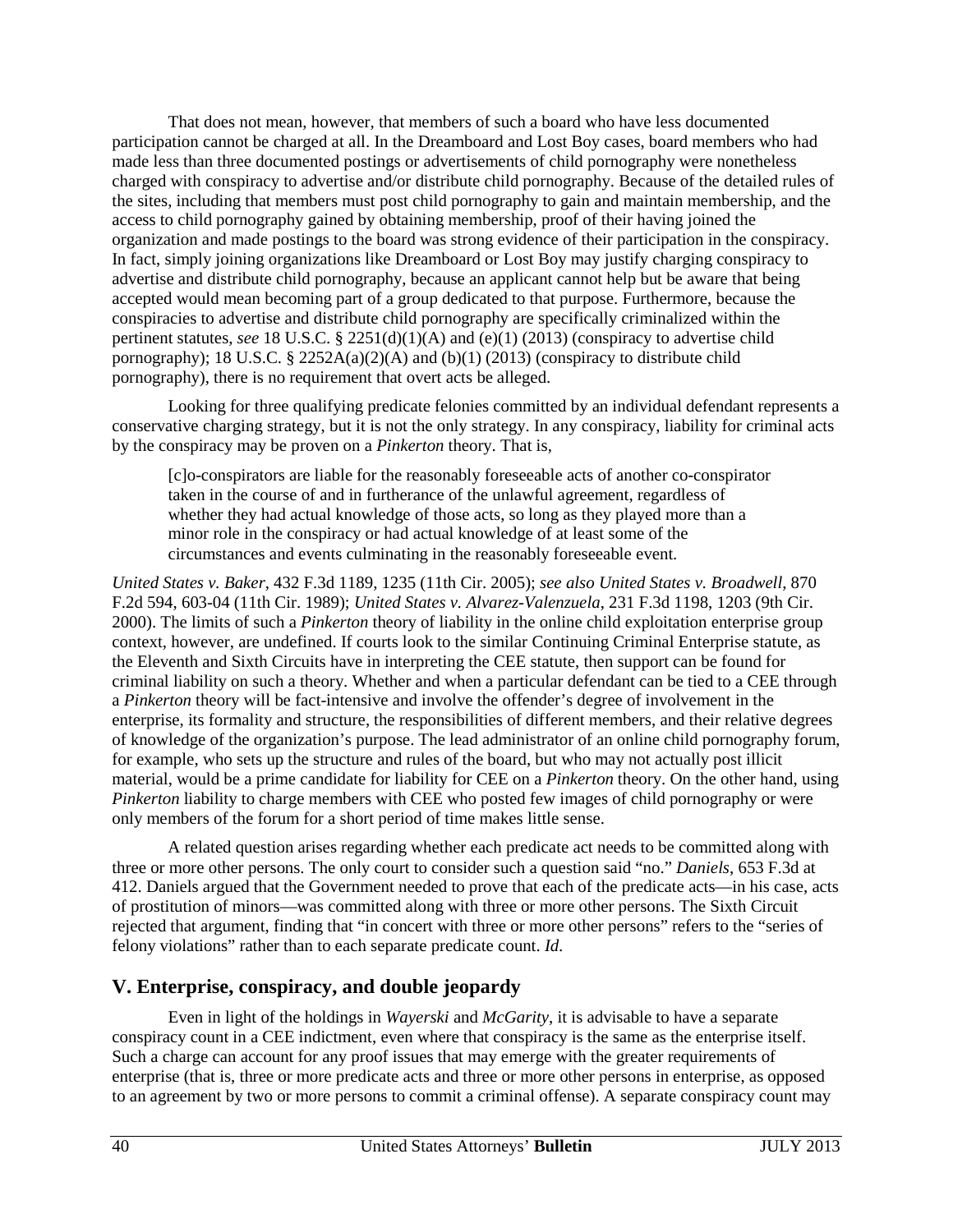That does not mean, however, that members of such a board who have less documented participation cannot be charged at all. In the Dreamboard and Lost Boy cases, board members who had made less than three documented postings or advertisements of child pornography were nonetheless charged with conspiracy to advertise and/or distribute child pornography. Because of the detailed rules of the sites, including that members must post child pornography to gain and maintain membership, and the access to child pornography gained by obtaining membership, proof of their having joined the organization and made postings to the board was strong evidence of their participation in the conspiracy. In fact, simply joining organizations like Dreamboard or Lost Boy may justify charging conspiracy to advertise and distribute child pornography, because an applicant cannot help but be aware that being accepted would mean becoming part of a group dedicated to that purpose. Furthermore, because the conspiracies to advertise and distribute child pornography are specifically criminalized within the pertinent statutes, *see* 18 U.S.C. § 2251(d)(1)(A) and (e)(1) (2013) (conspiracy to advertise child pornography); 18 U.S.C.  $\S$  2252A(a)(2)(A) and (b)(1) (2013) (conspiracy to distribute child pornography), there is no requirement that overt acts be alleged.

Looking for three qualifying predicate felonies committed by an individual defendant represents a conservative charging strategy, but it is not the only strategy. In any conspiracy, liability for criminal acts by the conspiracy may be proven on a *Pinkerton* theory. That is,

[c]o-conspirators are liable for the reasonably foreseeable acts of another co-conspirator taken in the course of and in furtherance of the unlawful agreement, regardless of whether they had actual knowledge of those acts, so long as they played more than a minor role in the conspiracy or had actual knowledge of at least some of the circumstances and events culminating in the reasonably foreseeable event.

*United States v. Baker*, 432 F.3d 1189, 1235 (11th Cir. 2005); *see also United States v. Broadwell*, 870 F.2d 594, 603-04 (11th Cir. 1989); *United States v. Alvarez-Valenzuela*, 231 F.3d 1198, 1203 (9th Cir. 2000). The limits of such a *Pinkerton* theory of liability in the online child exploitation enterprise group context, however, are undefined. If courts look to the similar Continuing Criminal Enterprise statute, as the Eleventh and Sixth Circuits have in interpreting the CEE statute, then support can be found for criminal liability on such a theory. Whether and when a particular defendant can be tied to a CEE through a *Pinkerton* theory will be fact-intensive and involve the offender's degree of involvement in the enterprise, its formality and structure, the responsibilities of different members, and their relative degrees of knowledge of the organization's purpose. The lead administrator of an online child pornography forum, for example, who sets up the structure and rules of the board, but who may not actually post illicit material, would be a prime candidate for liability for CEE on a *Pinkerton* theory. On the other hand, using *Pinkerton* liability to charge members with CEE who posted few images of child pornography or were only members of the forum for a short period of time makes little sense.

A related question arises regarding whether each predicate act needs to be committed along with three or more other persons. The only court to consider such a question said "no." *Daniels*, 653 F.3d at 412. Daniels argued that the Government needed to prove that each of the predicate acts—in his case, acts of prostitution of minors—was committed along with three or more other persons. The Sixth Circuit rejected that argument, finding that "in concert with three or more other persons" refers to the "series of felony violations" rather than to each separate predicate count. *Id*.

## **V. Enterprise, conspiracy, and double jeopardy**

Even in light of the holdings in *Wayerski* and *McGarity*, it is advisable to have a separate conspiracy count in a CEE indictment, even where that conspiracy is the same as the enterprise itself. Such a charge can account for any proof issues that may emerge with the greater requirements of enterprise (that is, three or more predicate acts and three or more other persons in enterprise, as opposed to an agreement by two or more persons to commit a criminal offense). A separate conspiracy count may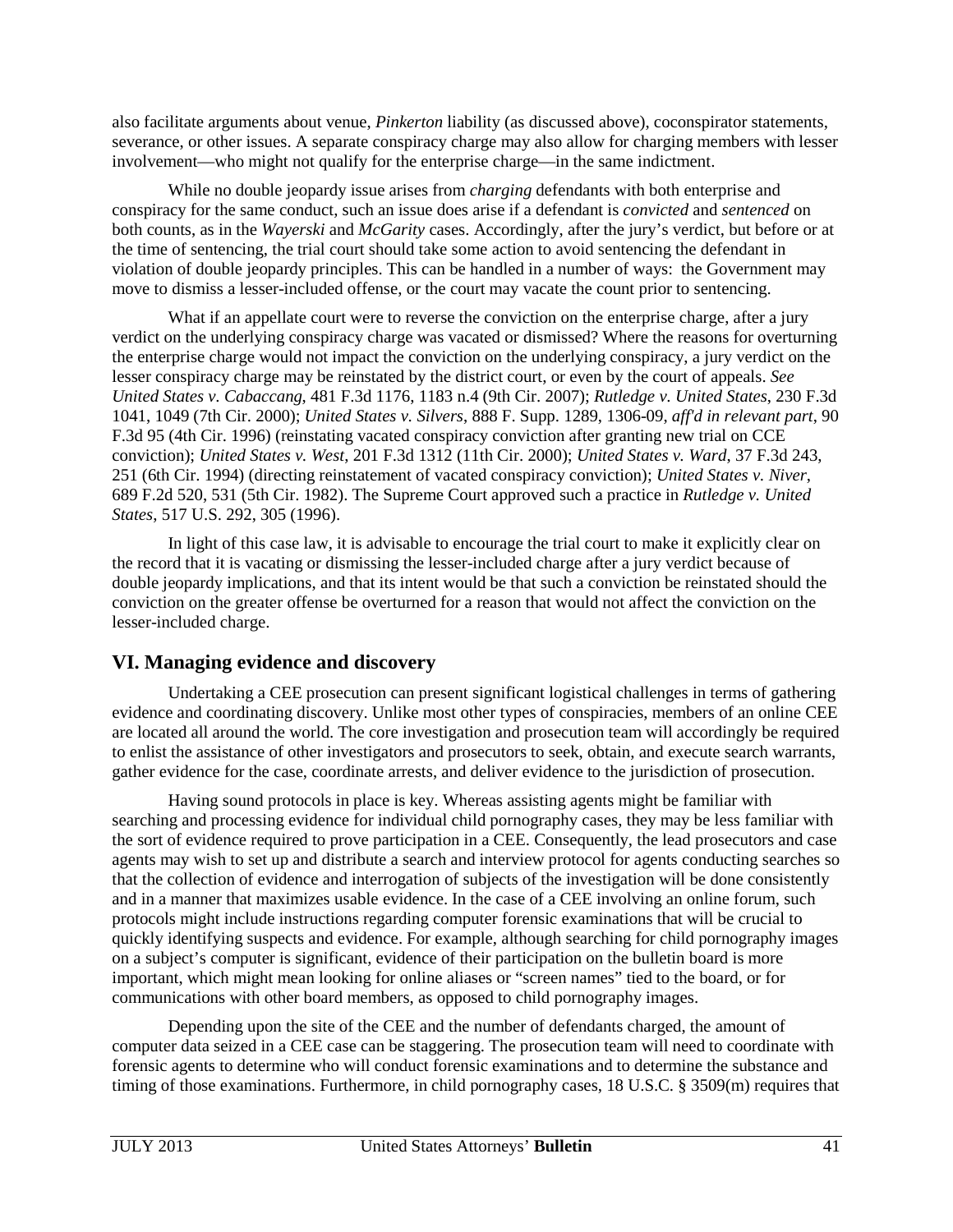also facilitate arguments about venue, *Pinkerton* liability (as discussed above), coconspirator statements, severance, or other issues. A separate conspiracy charge may also allow for charging members with lesser involvement—who might not qualify for the enterprise charge—in the same indictment.

While no double jeopardy issue arises from *charging* defendants with both enterprise and conspiracy for the same conduct, such an issue does arise if a defendant is *convicted* and *sentenced* on both counts, as in the *Wayerski* and *McGarity* cases. Accordingly, after the jury's verdict, but before or at the time of sentencing, the trial court should take some action to avoid sentencing the defendant in violation of double jeopardy principles. This can be handled in a number of ways: the Government may move to dismiss a lesser-included offense, or the court may vacate the count prior to sentencing.

What if an appellate court were to reverse the conviction on the enterprise charge, after a jury verdict on the underlying conspiracy charge was vacated or dismissed? Where the reasons for overturning the enterprise charge would not impact the conviction on the underlying conspiracy, a jury verdict on the lesser conspiracy charge may be reinstated by the district court, or even by the court of appeals. *See United States v. Cabaccang*, 481 F.3d 1176, 1183 n.4 (9th Cir. 2007); *Rutledge v. United States*, 230 F.3d 1041, 1049 (7th Cir. 2000); *United States v. Silvers*, 888 F. Supp. 1289, 1306-09, *aff'd in relevant part*, 90 F.3d 95 (4th Cir. 1996) (reinstating vacated conspiracy conviction after granting new trial on CCE conviction); *United States v. West*, 201 F.3d 1312 (11th Cir. 2000); *United States v. Ward*, 37 F.3d 243, 251 (6th Cir. 1994) (directing reinstatement of vacated conspiracy conviction); *United States v. Niver*, 689 F.2d 520, 531 (5th Cir. 1982). The Supreme Court approved such a practice in *Rutledge v. United States*, 517 U.S. 292, 305 (1996).

In light of this case law, it is advisable to encourage the trial court to make it explicitly clear on the record that it is vacating or dismissing the lesser-included charge after a jury verdict because of double jeopardy implications, and that its intent would be that such a conviction be reinstated should the conviction on the greater offense be overturned for a reason that would not affect the conviction on the lesser-included charge.

## **VI. Managing evidence and discovery**

Undertaking a CEE prosecution can present significant logistical challenges in terms of gathering evidence and coordinating discovery. Unlike most other types of conspiracies, members of an online CEE are located all around the world. The core investigation and prosecution team will accordingly be required to enlist the assistance of other investigators and prosecutors to seek, obtain, and execute search warrants, gather evidence for the case, coordinate arrests, and deliver evidence to the jurisdiction of prosecution.

Having sound protocols in place is key. Whereas assisting agents might be familiar with searching and processing evidence for individual child pornography cases, they may be less familiar with the sort of evidence required to prove participation in a CEE. Consequently, the lead prosecutors and case agents may wish to set up and distribute a search and interview protocol for agents conducting searches so that the collection of evidence and interrogation of subjects of the investigation will be done consistently and in a manner that maximizes usable evidence. In the case of a CEE involving an online forum, such protocols might include instructions regarding computer forensic examinations that will be crucial to quickly identifying suspects and evidence. For example, although searching for child pornography images on a subject's computer is significant, evidence of their participation on the bulletin board is more important, which might mean looking for online aliases or "screen names" tied to the board, or for communications with other board members, as opposed to child pornography images.

Depending upon the site of the CEE and the number of defendants charged, the amount of computer data seized in a CEE case can be staggering. The prosecution team will need to coordinate with forensic agents to determine who will conduct forensic examinations and to determine the substance and timing of those examinations. Furthermore, in child pornography cases, 18 U.S.C. § 3509(m) requires that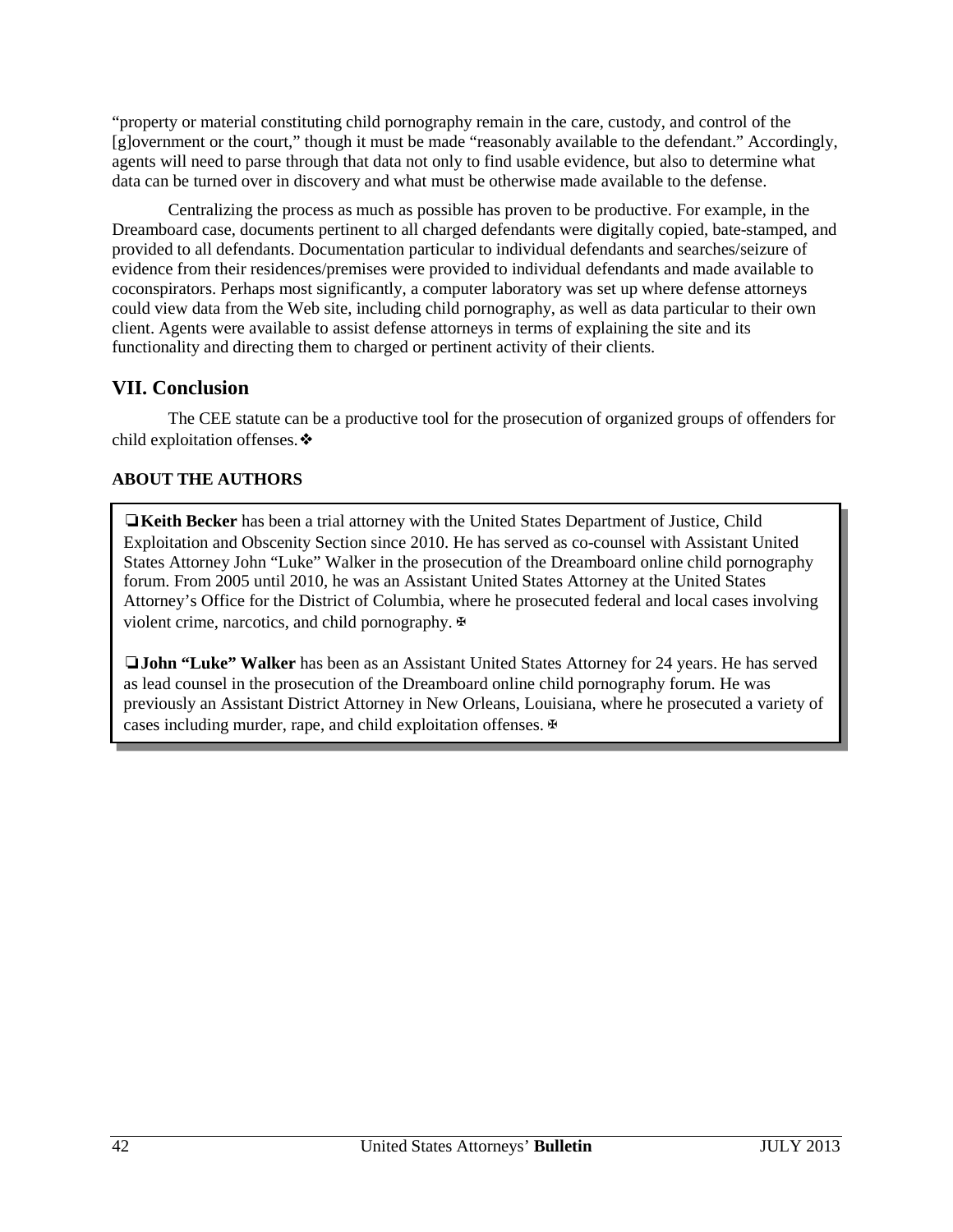"property or material constituting child pornography remain in the care, custody, and control of the [g]overnment or the court," though it must be made "reasonably available to the defendant." Accordingly, agents will need to parse through that data not only to find usable evidence, but also to determine what data can be turned over in discovery and what must be otherwise made available to the defense.

Centralizing the process as much as possible has proven to be productive. For example, in the Dreamboard case, documents pertinent to all charged defendants were digitally copied, bate-stamped, and provided to all defendants. Documentation particular to individual defendants and searches/seizure of evidence from their residences/premises were provided to individual defendants and made available to coconspirators. Perhaps most significantly, a computer laboratory was set up where defense attorneys could view data from the Web site, including child pornography, as well as data particular to their own client. Agents were available to assist defense attorneys in terms of explaining the site and its functionality and directing them to charged or pertinent activity of their clients.

## **VII. Conclusion**

The CEE statute can be a productive tool for the prosecution of organized groups of offenders for child exploitation offenses.❖

## **ABOUT THE AUTHORS**

❏**Keith Becker** has been a trial attorney with the United States Department of Justice, Child Exploitation and Obscenity Section since 2010. He has served as co-counsel with Assistant United States Attorney John "Luke" Walker in the prosecution of the Dreamboard online child pornography forum. From 2005 until 2010, he was an Assistant United States Attorney at the United States Attorney's Office for the District of Columbia, where he prosecuted federal and local cases involving violent crime, narcotics, and child pornography.  $\Phi$ 

❏**John "Luke" Walker** has been as an Assistant United States Attorney for 24 years. He has served as lead counsel in the prosecution of the Dreamboard online child pornography forum. He was previously an Assistant District Attorney in New Orleans, Louisiana, where he prosecuted a variety of cases including murder, rape, and child exploitation offenses. ⊕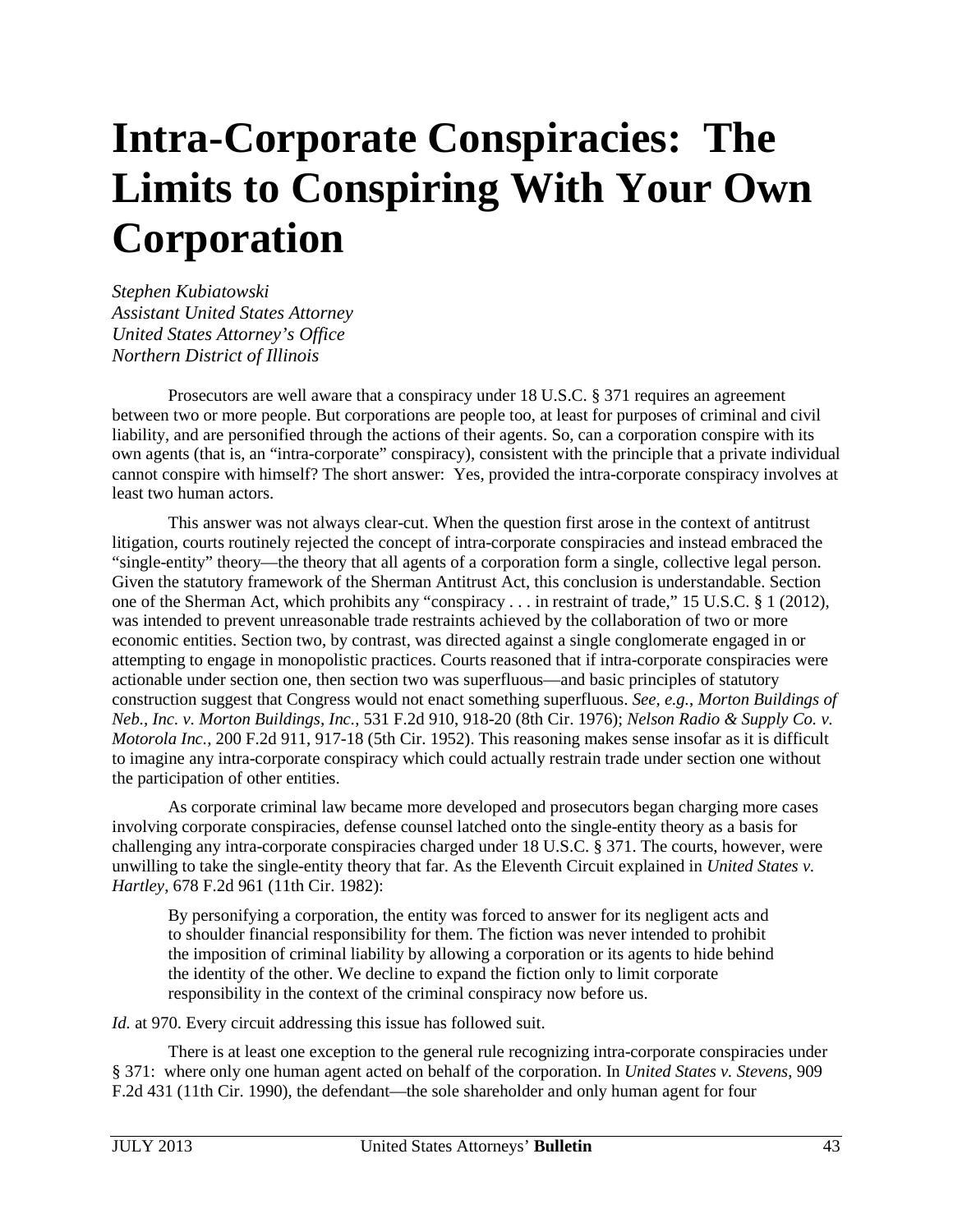# <span id="page-43-0"></span>**Intra-Corporate Conspiracies: The Limits to Conspiring With Your Own Corporation**

*Stephen Kubiatowski Assistant United States Attorney United States Attorney's Office Northern District of Illinois*

Prosecutors are well aware that a conspiracy under 18 U.S.C. § 371 requires an agreement between two or more people. But corporations are people too, at least for purposes of criminal and civil liability, and are personified through the actions of their agents. So, can a corporation conspire with its own agents (that is, an "intra-corporate" conspiracy), consistent with the principle that a private individual cannot conspire with himself? The short answer: Yes, provided the intra-corporate conspiracy involves at least two human actors.

This answer was not always clear-cut. When the question first arose in the context of antitrust litigation, courts routinely rejected the concept of intra-corporate conspiracies and instead embraced the "single-entity" theory—the theory that all agents of a corporation form a single, collective legal person. Given the statutory framework of the Sherman Antitrust Act, this conclusion is understandable. Section one of the Sherman Act, which prohibits any "conspiracy . . . in restraint of trade," 15 U.S.C. § 1 (2012), was intended to prevent unreasonable trade restraints achieved by the collaboration of two or more economic entities. Section two, by contrast, was directed against a single conglomerate engaged in or attempting to engage in monopolistic practices. Courts reasoned that if intra-corporate conspiracies were actionable under section one, then section two was superfluous—and basic principles of statutory construction suggest that Congress would not enact something superfluous. *See, e.g.*, *Morton Buildings of Neb., Inc. v. Morton Buildings, Inc.*, 531 F.2d 910, 918-20 (8th Cir. 1976); *Nelson Radio & Supply Co. v. Motorola Inc.*, 200 F.2d 911, 917-18 (5th Cir. 1952). This reasoning makes sense insofar as it is difficult to imagine any intra-corporate conspiracy which could actually restrain trade under section one without the participation of other entities.

As corporate criminal law became more developed and prosecutors began charging more cases involving corporate conspiracies, defense counsel latched onto the single-entity theory as a basis for challenging any intra-corporate conspiracies charged under 18 U.S.C. § 371. The courts, however, were unwilling to take the single-entity theory that far. As the Eleventh Circuit explained in *United States v. Hartley*, 678 F.2d 961 (11th Cir. 1982):

By personifying a corporation, the entity was forced to answer for its negligent acts and to shoulder financial responsibility for them. The fiction was never intended to prohibit the imposition of criminal liability by allowing a corporation or its agents to hide behind the identity of the other. We decline to expand the fiction only to limit corporate responsibility in the context of the criminal conspiracy now before us.

*Id.* at 970. Every circuit addressing this issue has followed suit.

There is at least one exception to the general rule recognizing intra-corporate conspiracies under § 371: where only one human agent acted on behalf of the corporation. In *United States v. Stevens*, 909 F.2d 431 (11th Cir. 1990), the defendant—the sole shareholder and only human agent for four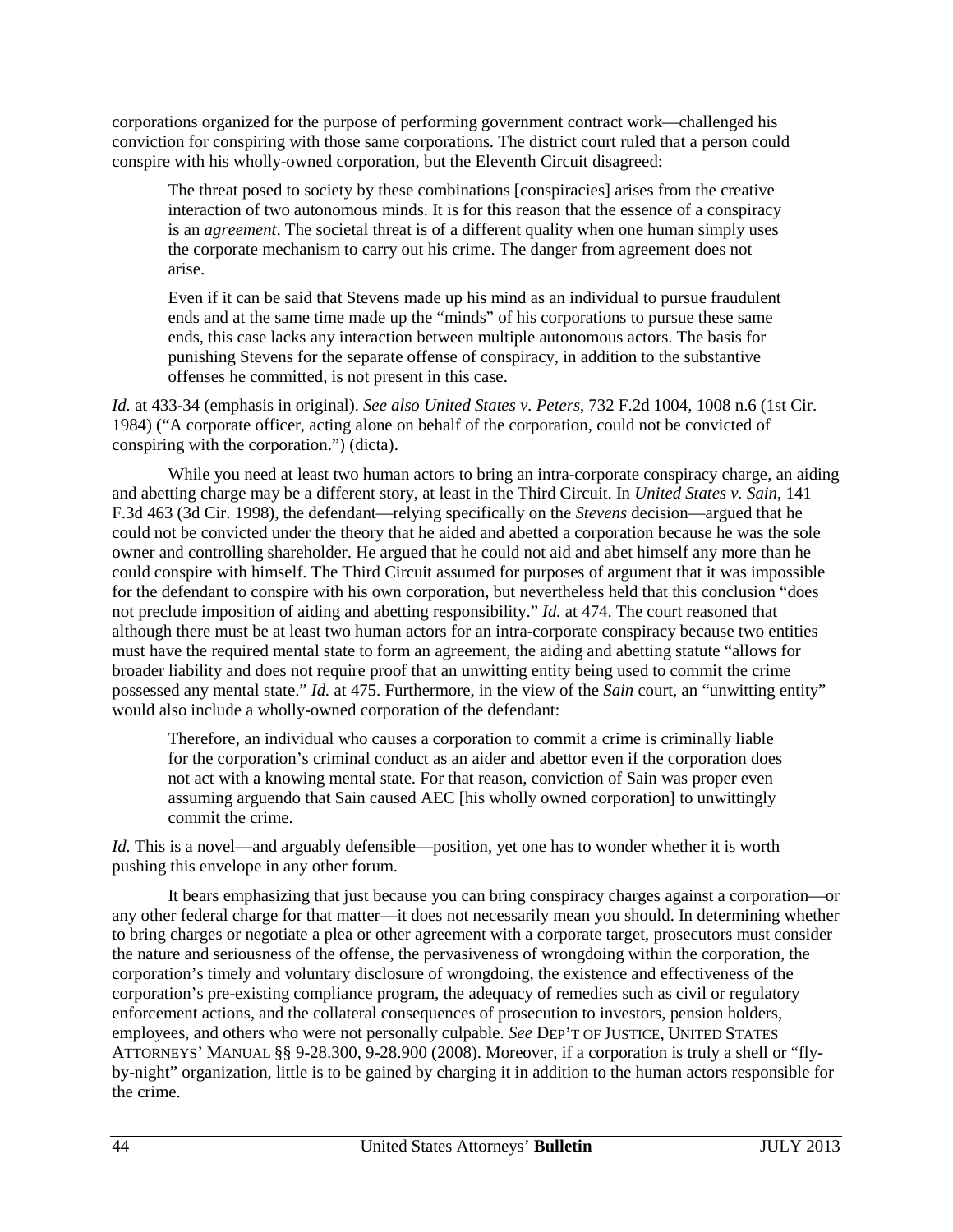corporations organized for the purpose of performing government contract work—challenged his conviction for conspiring with those same corporations. The district court ruled that a person could conspire with his wholly-owned corporation, but the Eleventh Circuit disagreed:

The threat posed to society by these combinations [conspiracies] arises from the creative interaction of two autonomous minds. It is for this reason that the essence of a conspiracy is an *agreement*. The societal threat is of a different quality when one human simply uses the corporate mechanism to carry out his crime. The danger from agreement does not arise.

Even if it can be said that Stevens made up his mind as an individual to pursue fraudulent ends and at the same time made up the "minds" of his corporations to pursue these same ends, this case lacks any interaction between multiple autonomous actors. The basis for punishing Stevens for the separate offense of conspiracy, in addition to the substantive offenses he committed, is not present in this case.

*Id.* at 433-34 (emphasis in original). *See also United States v. Peters*, 732 F.2d 1004, 1008 n.6 (1st Cir. 1984) ("A corporate officer, acting alone on behalf of the corporation, could not be convicted of conspiring with the corporation.") (dicta).

While you need at least two human actors to bring an intra-corporate conspiracy charge, an aiding and abetting charge may be a different story, at least in the Third Circuit. In *United States v. Sain*, 141 F.3d 463 (3d Cir. 1998), the defendant—relying specifically on the *Stevens* decision—argued that he could not be convicted under the theory that he aided and abetted a corporation because he was the sole owner and controlling shareholder. He argued that he could not aid and abet himself any more than he could conspire with himself. The Third Circuit assumed for purposes of argument that it was impossible for the defendant to conspire with his own corporation, but nevertheless held that this conclusion "does not preclude imposition of aiding and abetting responsibility." *Id.* at 474. The court reasoned that although there must be at least two human actors for an intra-corporate conspiracy because two entities must have the required mental state to form an agreement, the aiding and abetting statute "allows for broader liability and does not require proof that an unwitting entity being used to commit the crime possessed any mental state." *Id.* at 475. Furthermore, in the view of the *Sain* court, an "unwitting entity" would also include a wholly-owned corporation of the defendant:

Therefore, an individual who causes a corporation to commit a crime is criminally liable for the corporation's criminal conduct as an aider and abettor even if the corporation does not act with a knowing mental state. For that reason, conviction of Sain was proper even assuming arguendo that Sain caused AEC [his wholly owned corporation] to unwittingly commit the crime.

*Id.* This is a novel—and arguably defensible—position, yet one has to wonder whether it is worth pushing this envelope in any other forum.

It bears emphasizing that just because you can bring conspiracy charges against a corporation—or any other federal charge for that matter—it does not necessarily mean you should. In determining whether to bring charges or negotiate a plea or other agreement with a corporate target, prosecutors must consider the nature and seriousness of the offense, the pervasiveness of wrongdoing within the corporation, the corporation's timely and voluntary disclosure of wrongdoing, the existence and effectiveness of the corporation's pre-existing compliance program, the adequacy of remedies such as civil or regulatory enforcement actions, and the collateral consequences of prosecution to investors, pension holders, employees, and others who were not personally culpable. *See* DEP'T OF JUSTICE, UNITED STATES ATTORNEYS' MANUAL §§ 9-28.300, 9-28.900 (2008). Moreover, if a corporation is truly a shell or "flyby-night" organization, little is to be gained by charging it in addition to the human actors responsible for the crime.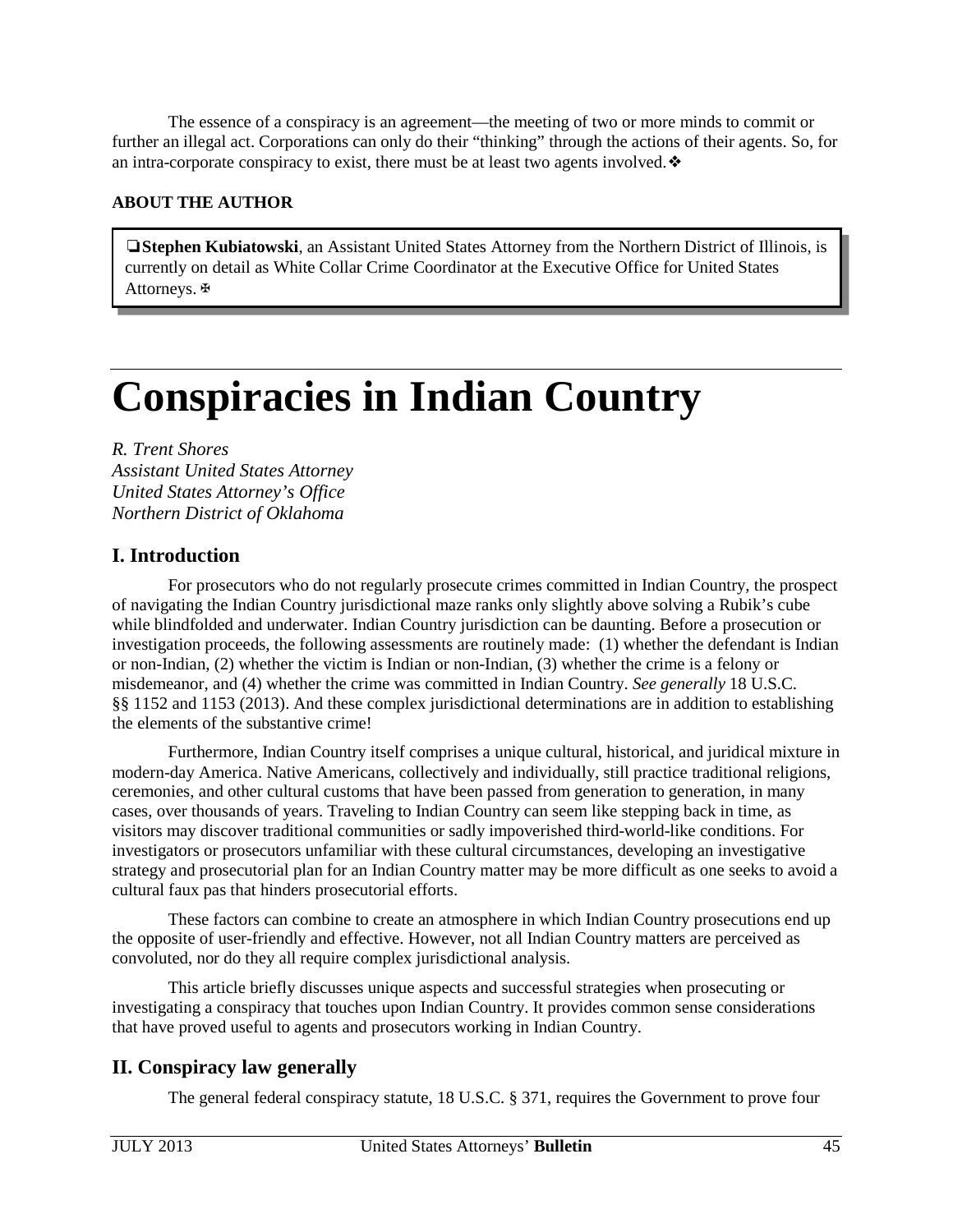<span id="page-45-0"></span>The essence of a conspiracy is an agreement—the meeting of two or more minds to commit or further an illegal act. Corporations can only do their "thinking" through the actions of their agents. So, for an intra-corporate conspiracy to exist, there must be at least two agents involved.  $\bullet$ 

## **ABOUT THE AUTHOR**

❏**Stephen Kubiatowski**, an Assistant United States Attorney from the Northern District of Illinois, is currently on detail as White Collar Crime Coordinator at the Executive Office for United States Attorneys.✠

# **Conspiracies in Indian Country**

*R. Trent Shores Assistant United States Attorney United States Attorney's Office Northern District of Oklahoma* 

## **I. Introduction**

For prosecutors who do not regularly prosecute crimes committed in Indian Country, the prospect of navigating the Indian Country jurisdictional maze ranks only slightly above solving a Rubik's cube while blindfolded and underwater. Indian Country jurisdiction can be daunting. Before a prosecution or investigation proceeds, the following assessments are routinely made: (1) whether the defendant is Indian or non-Indian, (2) whether the victim is Indian or non-Indian, (3) whether the crime is a felony or misdemeanor, and (4) whether the crime was committed in Indian Country. *See generally* 18 U.S.C. §§ 1152 and 1153 (2013). And these complex jurisdictional determinations are in addition to establishing the elements of the substantive crime!

Furthermore, Indian Country itself comprises a unique cultural, historical, and juridical mixture in modern-day America. Native Americans, collectively and individually, still practice traditional religions, ceremonies, and other cultural customs that have been passed from generation to generation, in many cases, over thousands of years. Traveling to Indian Country can seem like stepping back in time, as visitors may discover traditional communities or sadly impoverished third-world-like conditions. For investigators or prosecutors unfamiliar with these cultural circumstances, developing an investigative strategy and prosecutorial plan for an Indian Country matter may be more difficult as one seeks to avoid a cultural faux pas that hinders prosecutorial efforts.

These factors can combine to create an atmosphere in which Indian Country prosecutions end up the opposite of user-friendly and effective. However, not all Indian Country matters are perceived as convoluted, nor do they all require complex jurisdictional analysis.

This article briefly discusses unique aspects and successful strategies when prosecuting or investigating a conspiracy that touches upon Indian Country. It provides common sense considerations that have proved useful to agents and prosecutors working in Indian Country.

# **II. Conspiracy law generally**

The general federal conspiracy statute, 18 U.S.C. § 371, requires the Government to prove four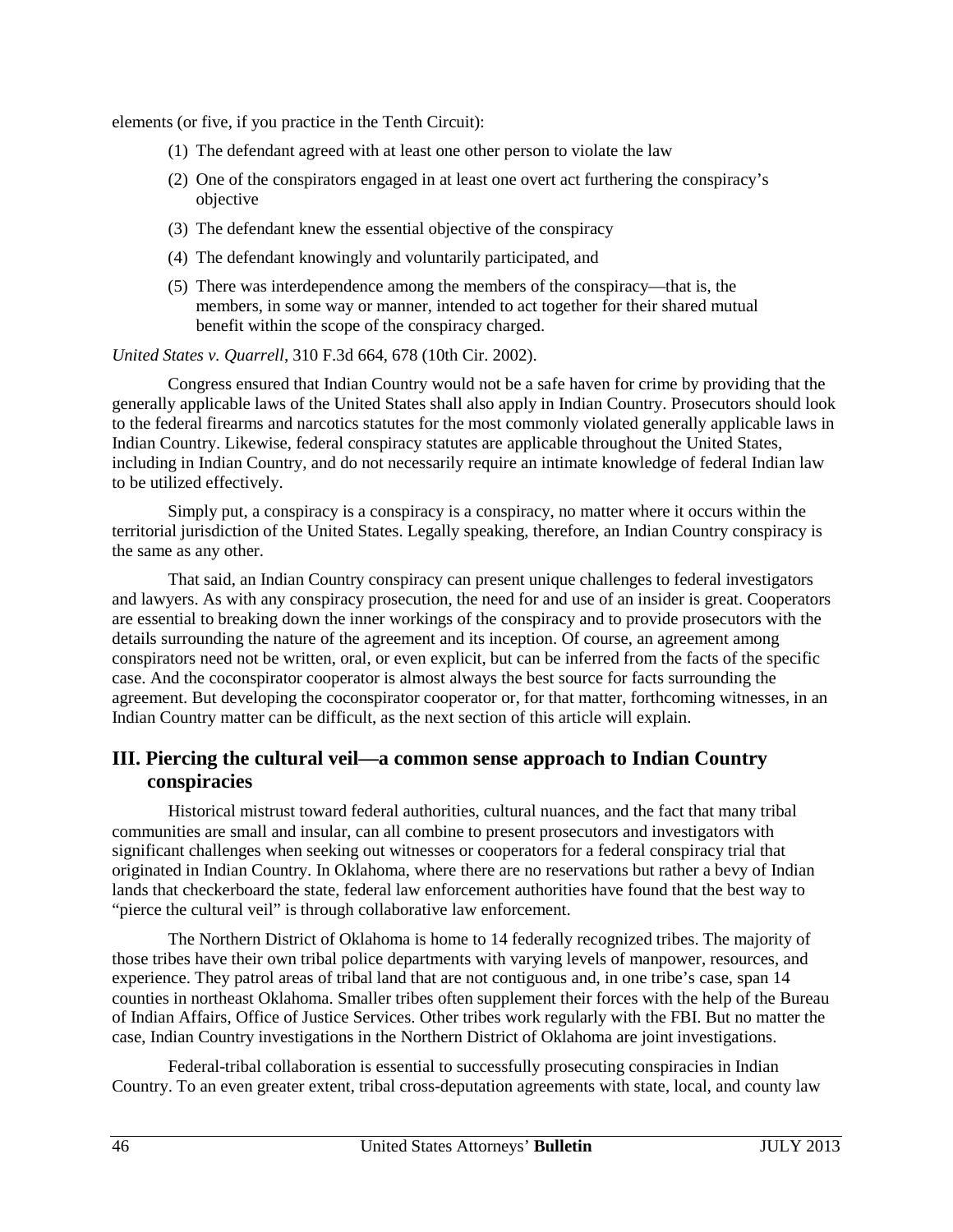elements (or five, if you practice in the Tenth Circuit):

- (1) The defendant agreed with at least one other person to violate the law
- (2) One of the conspirators engaged in at least one overt act furthering the conspiracy's objective
- (3) The defendant knew the essential objective of the conspiracy
- (4) The defendant knowingly and voluntarily participated, and
- (5) There was interdependence among the members of the conspiracy—that is, the members, in some way or manner, intended to act together for their shared mutual benefit within the scope of the conspiracy charged.

#### *United States v. Quarrell*, 310 F.3d 664, 678 (10th Cir. 2002).

Congress ensured that Indian Country would not be a safe haven for crime by providing that the generally applicable laws of the United States shall also apply in Indian Country. Prosecutors should look to the federal firearms and narcotics statutes for the most commonly violated generally applicable laws in Indian Country. Likewise, federal conspiracy statutes are applicable throughout the United States, including in Indian Country, and do not necessarily require an intimate knowledge of federal Indian law to be utilized effectively.

Simply put, a conspiracy is a conspiracy is a conspiracy, no matter where it occurs within the territorial jurisdiction of the United States. Legally speaking, therefore, an Indian Country conspiracy is the same as any other.

That said, an Indian Country conspiracy can present unique challenges to federal investigators and lawyers. As with any conspiracy prosecution, the need for and use of an insider is great. Cooperators are essential to breaking down the inner workings of the conspiracy and to provide prosecutors with the details surrounding the nature of the agreement and its inception. Of course, an agreement among conspirators need not be written, oral, or even explicit, but can be inferred from the facts of the specific case. And the coconspirator cooperator is almost always the best source for facts surrounding the agreement. But developing the coconspirator cooperator or, for that matter, forthcoming witnesses, in an Indian Country matter can be difficult, as the next section of this article will explain.

## **III. Piercing the cultural veil—a common sense approach to Indian Country conspiracies**

Historical mistrust toward federal authorities, cultural nuances, and the fact that many tribal communities are small and insular, can all combine to present prosecutors and investigators with significant challenges when seeking out witnesses or cooperators for a federal conspiracy trial that originated in Indian Country. In Oklahoma, where there are no reservations but rather a bevy of Indian lands that checkerboard the state, federal law enforcement authorities have found that the best way to "pierce the cultural veil" is through collaborative law enforcement.

The Northern District of Oklahoma is home to 14 federally recognized tribes. The majority of those tribes have their own tribal police departments with varying levels of manpower, resources, and experience. They patrol areas of tribal land that are not contiguous and, in one tribe's case, span 14 counties in northeast Oklahoma. Smaller tribes often supplement their forces with the help of the Bureau of Indian Affairs, Office of Justice Services. Other tribes work regularly with the FBI. But no matter the case, Indian Country investigations in the Northern District of Oklahoma are joint investigations.

Federal-tribal collaboration is essential to successfully prosecuting conspiracies in Indian Country. To an even greater extent, tribal cross-deputation agreements with state, local, and county law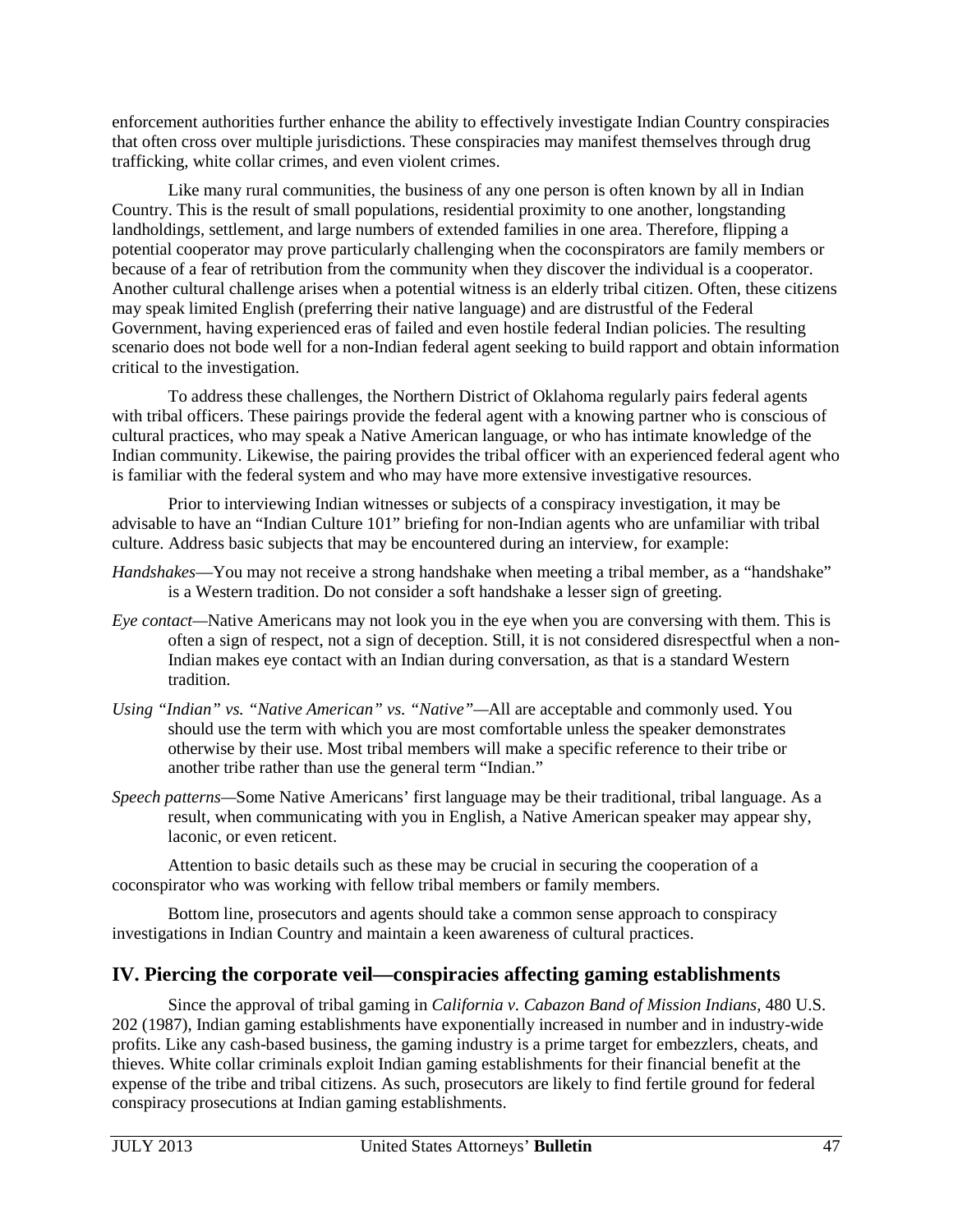enforcement authorities further enhance the ability to effectively investigate Indian Country conspiracies that often cross over multiple jurisdictions. These conspiracies may manifest themselves through drug trafficking, white collar crimes, and even violent crimes.

Like many rural communities, the business of any one person is often known by all in Indian Country. This is the result of small populations, residential proximity to one another, longstanding landholdings, settlement, and large numbers of extended families in one area. Therefore, flipping a potential cooperator may prove particularly challenging when the coconspirators are family members or because of a fear of retribution from the community when they discover the individual is a cooperator. Another cultural challenge arises when a potential witness is an elderly tribal citizen. Often, these citizens may speak limited English (preferring their native language) and are distrustful of the Federal Government, having experienced eras of failed and even hostile federal Indian policies. The resulting scenario does not bode well for a non-Indian federal agent seeking to build rapport and obtain information critical to the investigation.

To address these challenges, the Northern District of Oklahoma regularly pairs federal agents with tribal officers. These pairings provide the federal agent with a knowing partner who is conscious of cultural practices, who may speak a Native American language, or who has intimate knowledge of the Indian community. Likewise, the pairing provides the tribal officer with an experienced federal agent who is familiar with the federal system and who may have more extensive investigative resources.

Prior to interviewing Indian witnesses or subjects of a conspiracy investigation, it may be advisable to have an "Indian Culture 101" briefing for non-Indian agents who are unfamiliar with tribal culture. Address basic subjects that may be encountered during an interview, for example:

- *Handshakes*—You may not receive a strong handshake when meeting a tribal member, as a "handshake" is a Western tradition. Do not consider a soft handshake a lesser sign of greeting.
- *Eye contact—*Native Americans may not look you in the eye when you are conversing with them. This is often a sign of respect, not a sign of deception. Still, it is not considered disrespectful when a non-Indian makes eye contact with an Indian during conversation, as that is a standard Western tradition.
- *Using "Indian" vs. "Native American" vs. "Native"—*All are acceptable and commonly used. You should use the term with which you are most comfortable unless the speaker demonstrates otherwise by their use. Most tribal members will make a specific reference to their tribe or another tribe rather than use the general term "Indian."
- *Speech patterns—*Some Native Americans' first language may be their traditional, tribal language. As a result, when communicating with you in English, a Native American speaker may appear shy, laconic, or even reticent.

Attention to basic details such as these may be crucial in securing the cooperation of a coconspirator who was working with fellow tribal members or family members.

Bottom line, prosecutors and agents should take a common sense approach to conspiracy investigations in Indian Country and maintain a keen awareness of cultural practices.

## **IV. Piercing the corporate veil—conspiracies affecting gaming establishments**

Since the approval of tribal gaming in *California v. Cabazon Band of Mission Indians*, 480 U.S. 202 (1987), Indian gaming establishments have exponentially increased in number and in industry-wide profits. Like any cash-based business, the gaming industry is a prime target for embezzlers, cheats, and thieves. White collar criminals exploit Indian gaming establishments for their financial benefit at the expense of the tribe and tribal citizens. As such, prosecutors are likely to find fertile ground for federal conspiracy prosecutions at Indian gaming establishments.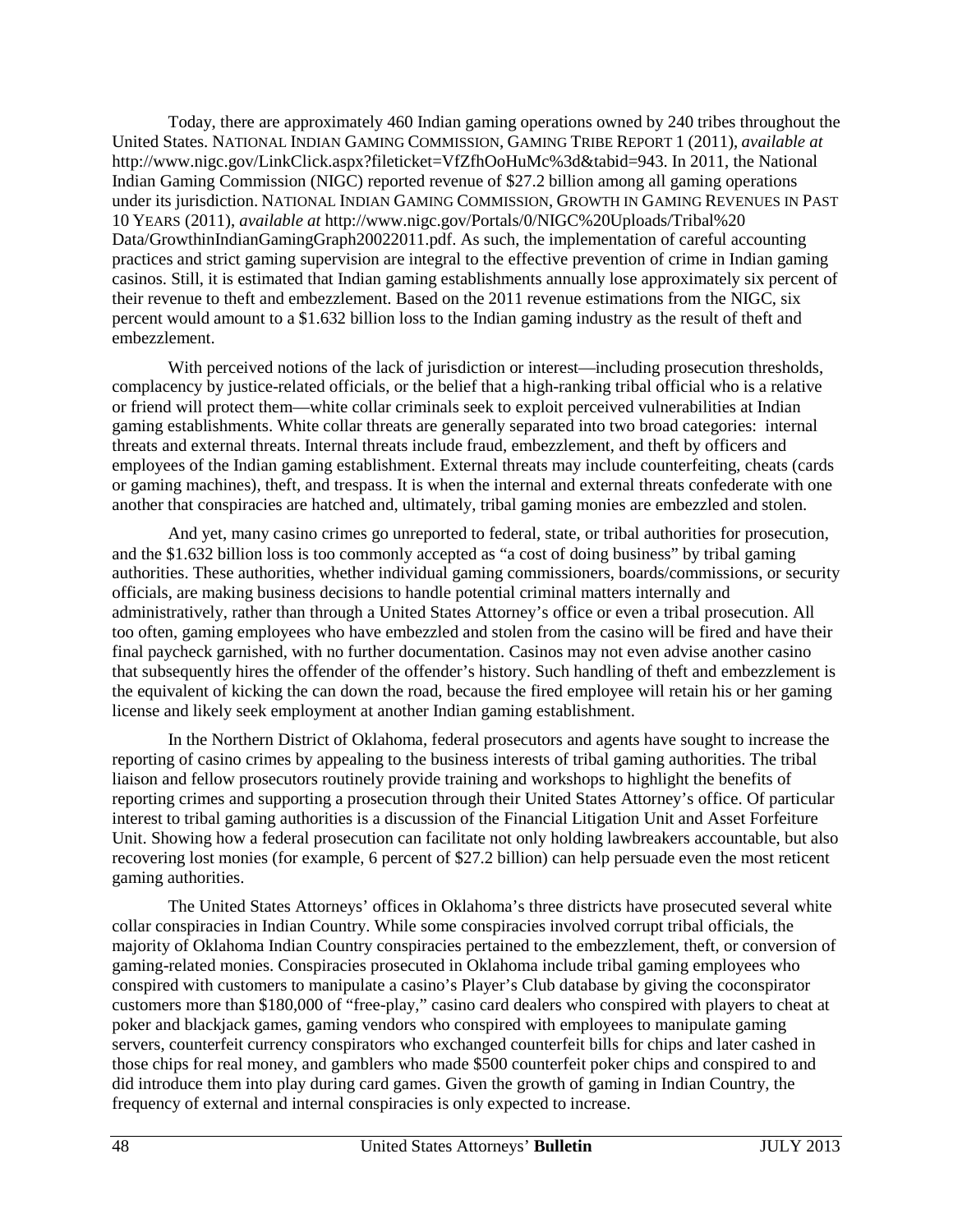Today, there are approximately 460 Indian gaming operations owned by 240 tribes throughout the United States. NATIONAL INDIAN GAMING COMMISSION, GAMING TRIBE REPORT 1 (2011), *available at* http://www.nigc.gov/LinkClick.aspx?fileticket=VfZfhOoHuMc%3d&tabid=943. In 2011, the National Indian Gaming Commission (NIGC) reported revenue of \$27.2 billion among all gaming operations under its jurisdiction. NATIONAL INDIAN GAMING COMMISSION, GROWTH IN GAMING REVENUES IN PAST 10 YEARS (2011), *available at* http://www.nigc.gov/Portals/0/NIGC%20Uploads/Tribal%20 Data/GrowthinIndianGamingGraph20022011.pdf. As such, the implementation of careful accounting practices and strict gaming supervision are integral to the effective prevention of crime in Indian gaming casinos. Still, it is estimated that Indian gaming establishments annually lose approximately six percent of their revenue to theft and embezzlement. Based on the 2011 revenue estimations from the NIGC, six percent would amount to a \$1.632 billion loss to the Indian gaming industry as the result of theft and embezzlement.

With perceived notions of the lack of jurisdiction or interest—including prosecution thresholds, complacency by justice-related officials, or the belief that a high-ranking tribal official who is a relative or friend will protect them—white collar criminals seek to exploit perceived vulnerabilities at Indian gaming establishments. White collar threats are generally separated into two broad categories: internal threats and external threats. Internal threats include fraud, embezzlement, and theft by officers and employees of the Indian gaming establishment. External threats may include counterfeiting, cheats (cards or gaming machines), theft, and trespass. It is when the internal and external threats confederate with one another that conspiracies are hatched and, ultimately, tribal gaming monies are embezzled and stolen.

And yet, many casino crimes go unreported to federal, state, or tribal authorities for prosecution, and the \$1.632 billion loss is too commonly accepted as "a cost of doing business" by tribal gaming authorities. These authorities, whether individual gaming commissioners, boards/commissions, or security officials, are making business decisions to handle potential criminal matters internally and administratively, rather than through a United States Attorney's office or even a tribal prosecution. All too often, gaming employees who have embezzled and stolen from the casino will be fired and have their final paycheck garnished, with no further documentation. Casinos may not even advise another casino that subsequently hires the offender of the offender's history. Such handling of theft and embezzlement is the equivalent of kicking the can down the road, because the fired employee will retain his or her gaming license and likely seek employment at another Indian gaming establishment.

In the Northern District of Oklahoma, federal prosecutors and agents have sought to increase the reporting of casino crimes by appealing to the business interests of tribal gaming authorities. The tribal liaison and fellow prosecutors routinely provide training and workshops to highlight the benefits of reporting crimes and supporting a prosecution through their United States Attorney's office. Of particular interest to tribal gaming authorities is a discussion of the Financial Litigation Unit and Asset Forfeiture Unit. Showing how a federal prosecution can facilitate not only holding lawbreakers accountable, but also recovering lost monies (for example, 6 percent of \$27.2 billion) can help persuade even the most reticent gaming authorities.

The United States Attorneys' offices in Oklahoma's three districts have prosecuted several white collar conspiracies in Indian Country. While some conspiracies involved corrupt tribal officials, the majority of Oklahoma Indian Country conspiracies pertained to the embezzlement, theft, or conversion of gaming-related monies. Conspiracies prosecuted in Oklahoma include tribal gaming employees who conspired with customers to manipulate a casino's Player's Club database by giving the coconspirator customers more than \$180,000 of "free-play," casino card dealers who conspired with players to cheat at poker and blackjack games, gaming vendors who conspired with employees to manipulate gaming servers, counterfeit currency conspirators who exchanged counterfeit bills for chips and later cashed in those chips for real money, and gamblers who made \$500 counterfeit poker chips and conspired to and did introduce them into play during card games. Given the growth of gaming in Indian Country, the frequency of external and internal conspiracies is only expected to increase.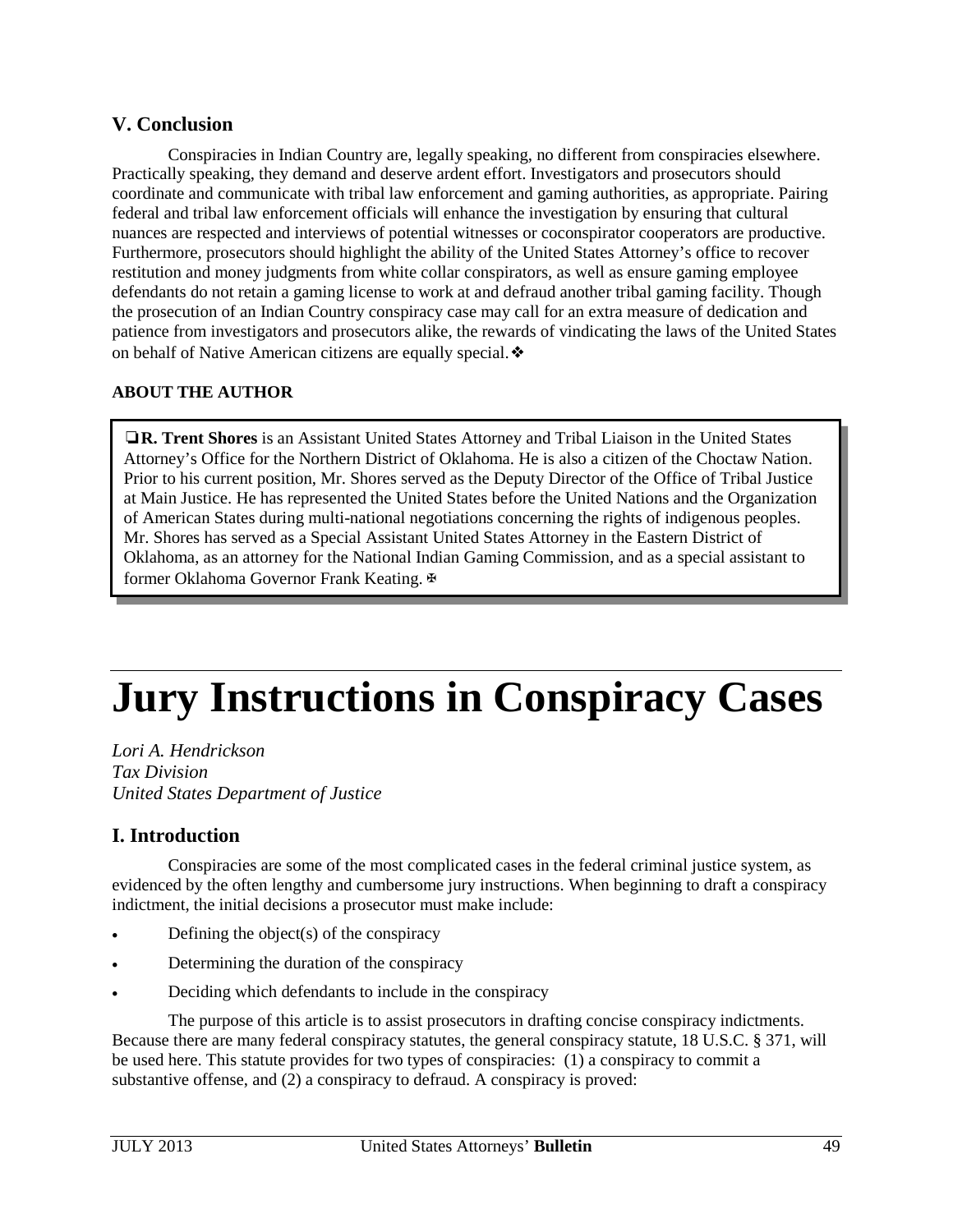## <span id="page-49-0"></span>**V. Conclusion**

Conspiracies in Indian Country are, legally speaking, no different from conspiracies elsewhere. Practically speaking, they demand and deserve ardent effort. Investigators and prosecutors should coordinate and communicate with tribal law enforcement and gaming authorities, as appropriate. Pairing federal and tribal law enforcement officials will enhance the investigation by ensuring that cultural nuances are respected and interviews of potential witnesses or coconspirator cooperators are productive. Furthermore, prosecutors should highlight the ability of the United States Attorney's office to recover restitution and money judgments from white collar conspirators, as well as ensure gaming employee defendants do not retain a gaming license to work at and defraud another tribal gaming facility. Though the prosecution of an Indian Country conspiracy case may call for an extra measure of dedication and patience from investigators and prosecutors alike, the rewards of vindicating the laws of the United States on behalf of Native American citizens are equally special. ❖

#### **ABOUT THE AUTHOR**

❏**R. Trent Shores** is an Assistant United States Attorney and Tribal Liaison in the United States Attorney's Office for the Northern District of Oklahoma. He is also a citizen of the Choctaw Nation. Prior to his current position, Mr. Shores served as the Deputy Director of the Office of Tribal Justice at Main Justice. He has represented the United States before the United Nations and the Organization of American States during multi-national negotiations concerning the rights of indigenous peoples. Mr. Shores has served as a Special Assistant United States Attorney in the Eastern District of Oklahoma, as an attorney for the National Indian Gaming Commission, and as a special assistant to former Oklahoma Governor Frank Keating. ⊕

# **Jury Instructions in Conspiracy Cases**

*Lori A. Hendrickson Tax Division United States Department of Justice*

## **I. Introduction**

Conspiracies are some of the most complicated cases in the federal criminal justice system, as evidenced by the often lengthy and cumbersome jury instructions. When beginning to draft a conspiracy indictment, the initial decisions a prosecutor must make include:

- Defining the object(s) of the conspiracy
- Determining the duration of the conspiracy
- Deciding which defendants to include in the conspiracy

The purpose of this article is to assist prosecutors in drafting concise conspiracy indictments. Because there are many federal conspiracy statutes, the general conspiracy statute, 18 U.S.C. § 371, will be used here. This statute provides for two types of conspiracies: (1) a conspiracy to commit a substantive offense, and (2) a conspiracy to defraud. A conspiracy is proved: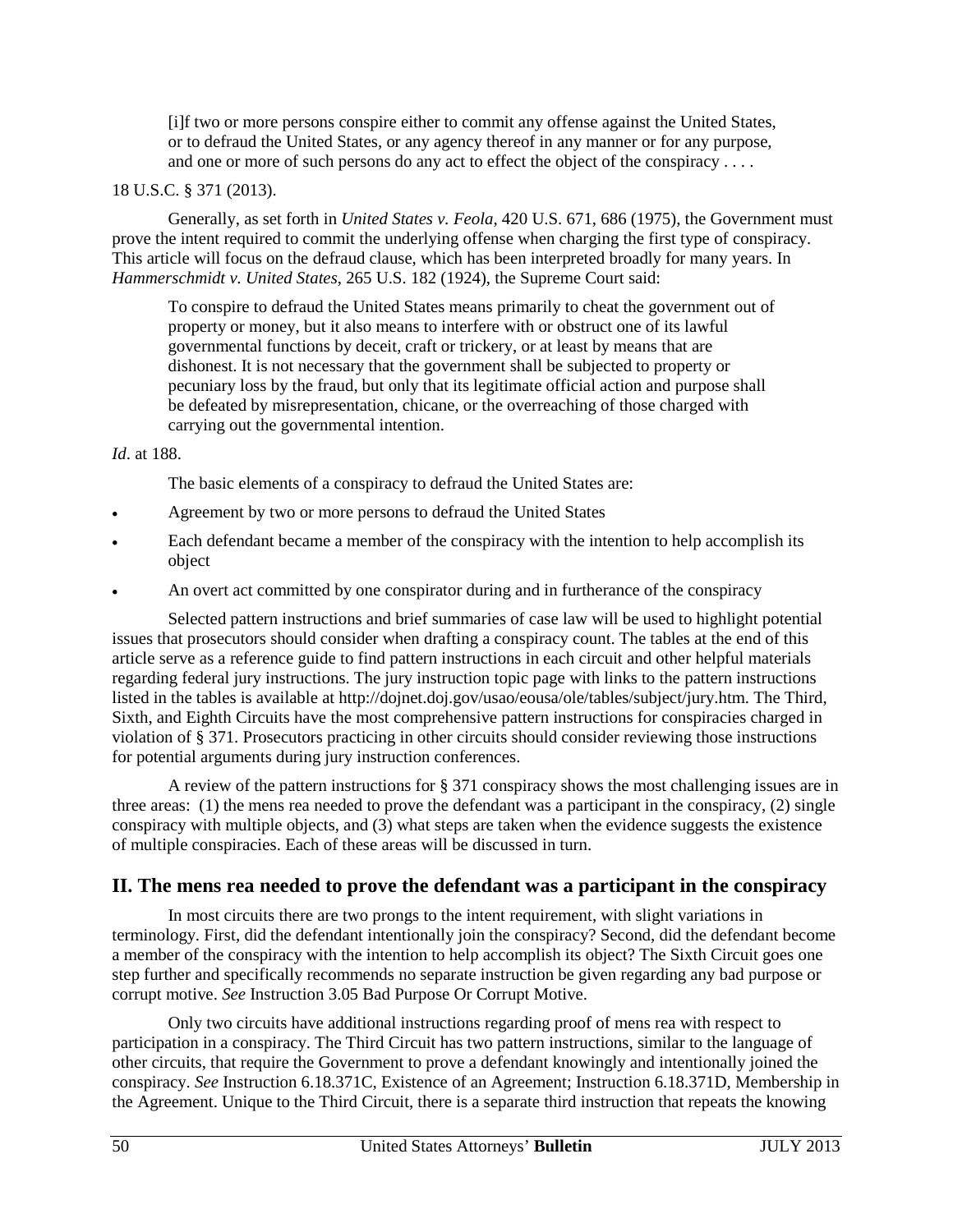[i]f two or more persons conspire either to commit any offense against the United States, or to defraud the United States, or any agency thereof in any manner or for any purpose, and one or more of such persons do any act to effect the object of the conspiracy . . . .

#### 18 U.S.C. § 371 (2013).

Generally, as set forth in *United States v. Feola*, 420 U.S. 671, 686 (1975), the Government must prove the intent required to commit the underlying offense when charging the first type of conspiracy. This article will focus on the defraud clause, which has been interpreted broadly for many years. In *Hammerschmidt v. United States*, 265 U.S. 182 (1924), the Supreme Court said:

To conspire to defraud the United States means primarily to cheat the government out of property or money, but it also means to interfere with or obstruct one of its lawful governmental functions by deceit, craft or trickery, or at least by means that are dishonest. It is not necessary that the government shall be subjected to property or pecuniary loss by the fraud, but only that its legitimate official action and purpose shall be defeated by misrepresentation, chicane, or the overreaching of those charged with carrying out the governmental intention.

#### *Id*. at 188.

The basic elements of a conspiracy to defraud the United States are:

- Agreement by two or more persons to defraud the United States
- Each defendant became a member of the conspiracy with the intention to help accomplish its object
- An overt act committed by one conspirator during and in furtherance of the conspiracy

Selected pattern instructions and brief summaries of case law will be used to highlight potential issues that prosecutors should consider when drafting a conspiracy count. The tables at the end of this article serve as a reference guide to find pattern instructions in each circuit and other helpful materials regarding federal jury instructions. The jury instruction topic page with links to the pattern instructions listed in the tables is available a[t http://dojnet.doj.gov/usao/eousa/ole/tables/subject/jury.htm.](http://dojnet.doj.gov/usao/eousa/ole/tables/subject/jury.htm) The Third, Sixth, and Eighth Circuits have the most comprehensive pattern instructions for conspiracies charged in violation of § 371. Prosecutors practicing in other circuits should consider reviewing those instructions for potential arguments during jury instruction conferences.

A review of the pattern instructions for § 371 conspiracy shows the most challenging issues are in three areas: (1) the mens rea needed to prove the defendant was a participant in the conspiracy, (2) single conspiracy with multiple objects, and (3) what steps are taken when the evidence suggests the existence of multiple conspiracies. Each of these areas will be discussed in turn.

## **II. The mens rea needed to prove the defendant was a participant in the conspiracy**

In most circuits there are two prongs to the intent requirement, with slight variations in terminology. First, did the defendant intentionally join the conspiracy? Second, did the defendant become a member of the conspiracy with the intention to help accomplish its object? The Sixth Circuit goes one step further and specifically recommends no separate instruction be given regarding any bad purpose or corrupt motive. *See* Instruction 3.05 Bad Purpose Or Corrupt Motive.

Only two circuits have additional instructions regarding proof of mens rea with respect to participation in a conspiracy. The Third Circuit has two pattern instructions, similar to the language of other circuits, that require the Government to prove a defendant knowingly and intentionally joined the conspiracy. *See* Instruction 6.18.371C, Existence of an Agreement; Instruction 6.18.371D, Membership in the Agreement. Unique to the Third Circuit, there is a separate third instruction that repeats the knowing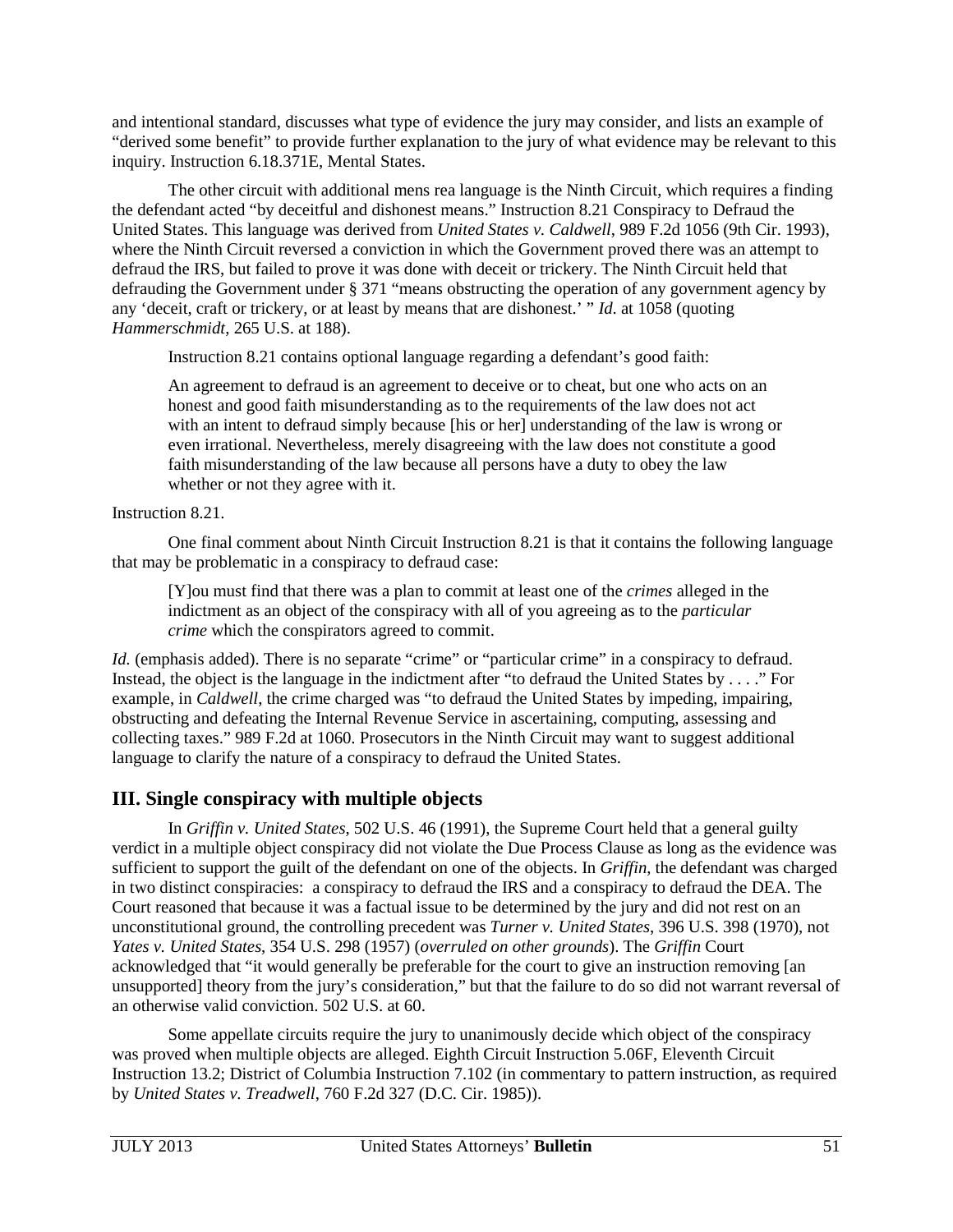and intentional standard, discusses what type of evidence the jury may consider, and lists an example of "derived some benefit" to provide further explanation to the jury of what evidence may be relevant to this inquiry. Instruction 6.18.371E, Mental States.

The other circuit with additional mens rea language is the Ninth Circuit, which requires a finding the defendant acted "by deceitful and dishonest means." Instruction 8.21 Conspiracy to Defraud the United States. This language was derived from *United States v. Caldwell*, 989 F.2d 1056 (9th Cir. 1993), where the Ninth Circuit reversed a conviction in which the Government proved there was an attempt to defraud the IRS, but failed to prove it was done with deceit or trickery. The Ninth Circuit held that defrauding the Government under § 371 "means obstructing the operation of any government agency by any 'deceit, craft or trickery, or at least by means that are dishonest.' " *Id*. at 1058 (quoting *Hammerschmidt*, 265 U.S. at 188).

Instruction 8.21 contains optional language regarding a defendant's good faith:

An agreement to defraud is an agreement to deceive or to cheat, but one who acts on an honest and good faith misunderstanding as to the requirements of the law does not act with an intent to defraud simply because [his or her] understanding of the law is wrong or even irrational. Nevertheless, merely disagreeing with the law does not constitute a good faith misunderstanding of the law because all persons have a duty to obey the law whether or not they agree with it.

Instruction 8.21.

One final comment about Ninth Circuit Instruction 8.21 is that it contains the following language that may be problematic in a conspiracy to defraud case:

[Y]ou must find that there was a plan to commit at least one of the *crimes* alleged in the indictment as an object of the conspiracy with all of you agreeing as to the *particular crime* which the conspirators agreed to commit.

*Id.* (emphasis added). There is no separate "crime" or "particular crime" in a conspiracy to defraud. Instead, the object is the language in the indictment after "to defraud the United States by . . . ." For example, in *Caldwell*, the crime charged was "to defraud the United States by impeding, impairing, obstructing and defeating the Internal Revenue Service in ascertaining, computing, assessing and collecting taxes." 989 F.2d at 1060. Prosecutors in the Ninth Circuit may want to suggest additional language to clarify the nature of a conspiracy to defraud the United States.

# **III. Single conspiracy with multiple objects**

In *Griffin v. United States*, 502 U.S. 46 (1991), the Supreme Court held that a general guilty verdict in a multiple object conspiracy did not violate the Due Process Clause as long as the evidence was sufficient to support the guilt of the defendant on one of the objects. In *Griffin*, the defendant was charged in two distinct conspiracies: a conspiracy to defraud the IRS and a conspiracy to defraud the DEA. The Court reasoned that because it was a factual issue to be determined by the jury and did not rest on an unconstitutional ground, the controlling precedent was *Turner v. United States*, 396 U.S. 398 (1970), not *Yates v. United States*, 354 U.S. 298 (1957) (*overruled on other grounds*). The *Griffin* Court acknowledged that "it would generally be preferable for the court to give an instruction removing [an unsupported] theory from the jury's consideration," but that the failure to do so did not warrant reversal of an otherwise valid conviction. 502 U.S. at 60.

Some appellate circuits require the jury to unanimously decide which object of the conspiracy was proved when multiple objects are alleged. Eighth Circuit Instruction 5.06F, Eleventh Circuit Instruction 13.2; District of Columbia Instruction 7.102 (in commentary to pattern instruction, as required by *United States v. Treadwell*, 760 F.2d 327 (D.C. Cir. 1985)).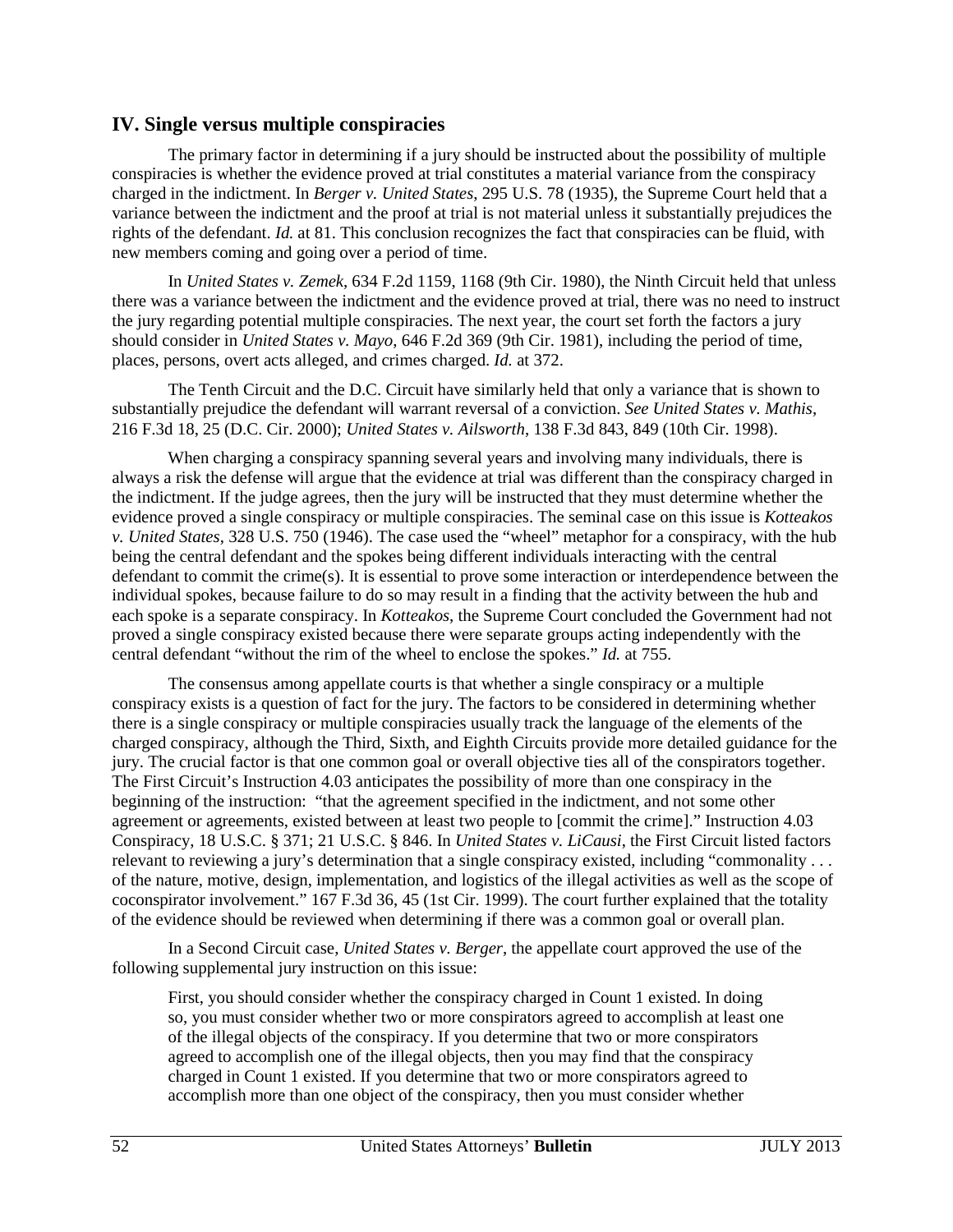## **IV. Single versus multiple conspiracies**

The primary factor in determining if a jury should be instructed about the possibility of multiple conspiracies is whether the evidence proved at trial constitutes a material variance from the conspiracy charged in the indictment. In *Berger v. United States*, 295 U.S. 78 (1935), the Supreme Court held that a variance between the indictment and the proof at trial is not material unless it substantially prejudices the rights of the defendant. *Id.* at 81. This conclusion recognizes the fact that conspiracies can be fluid, with new members coming and going over a period of time.

In *United States v. Zemek*, 634 F.2d 1159, 1168 (9th Cir. 1980), the Ninth Circuit held that unless there was a variance between the indictment and the evidence proved at trial, there was no need to instruct the jury regarding potential multiple conspiracies. The next year, the court set forth the factors a jury should consider in *United States v. Mayo*, 646 F.2d 369 (9th Cir. 1981), including the period of time, places, persons, overt acts alleged, and crimes charged. *Id.* at 372.

The Tenth Circuit and the D.C. Circuit have similarly held that only a variance that is shown to substantially prejudice the defendant will warrant reversal of a conviction. *See United States v. Mathis*, 216 F.3d 18, 25 (D.C. Cir. 2000); *United States v. Ailsworth*, 138 F.3d 843, 849 (10th Cir. 1998).

When charging a conspiracy spanning several years and involving many individuals, there is always a risk the defense will argue that the evidence at trial was different than the conspiracy charged in the indictment. If the judge agrees, then the jury will be instructed that they must determine whether the evidence proved a single conspiracy or multiple conspiracies. The seminal case on this issue is *Kotteakos v. United States*, 328 U.S. 750 (1946). The case used the "wheel" metaphor for a conspiracy, with the hub being the central defendant and the spokes being different individuals interacting with the central defendant to commit the crime(s). It is essential to prove some interaction or interdependence between the individual spokes, because failure to do so may result in a finding that the activity between the hub and each spoke is a separate conspiracy. In *Kotteakos*, the Supreme Court concluded the Government had not proved a single conspiracy existed because there were separate groups acting independently with the central defendant "without the rim of the wheel to enclose the spokes." *Id.* at 755.

The consensus among appellate courts is that whether a single conspiracy or a multiple conspiracy exists is a question of fact for the jury. The factors to be considered in determining whether there is a single conspiracy or multiple conspiracies usually track the language of the elements of the charged conspiracy, although the Third, Sixth, and Eighth Circuits provide more detailed guidance for the jury. The crucial factor is that one common goal or overall objective ties all of the conspirators together. The First Circuit's Instruction 4.03 anticipates the possibility of more than one conspiracy in the beginning of the instruction: "that the agreement specified in the indictment, and not some other agreement or agreements, existed between at least two people to [commit the crime]." Instruction 4.03 Conspiracy, 18 U.S.C. § 371; 21 U.S.C. § 846. In *United States v. LiCausi*, the First Circuit listed factors relevant to reviewing a jury's determination that a single conspiracy existed, including "commonality . . . of the nature, motive, design, implementation, and logistics of the illegal activities as well as the scope of coconspirator involvement." 167 F.3d 36, 45 (1st Cir. 1999). The court further explained that the totality of the evidence should be reviewed when determining if there was a common goal or overall plan.

In a Second Circuit case, *United States v. Berger*, the appellate court approved the use of the following supplemental jury instruction on this issue:

First, you should consider whether the conspiracy charged in Count 1 existed. In doing so, you must consider whether two or more conspirators agreed to accomplish at least one of the illegal objects of the conspiracy. If you determine that two or more conspirators agreed to accomplish one of the illegal objects, then you may find that the conspiracy charged in Count 1 existed. If you determine that two or more conspirators agreed to accomplish more than one object of the conspiracy, then you must consider whether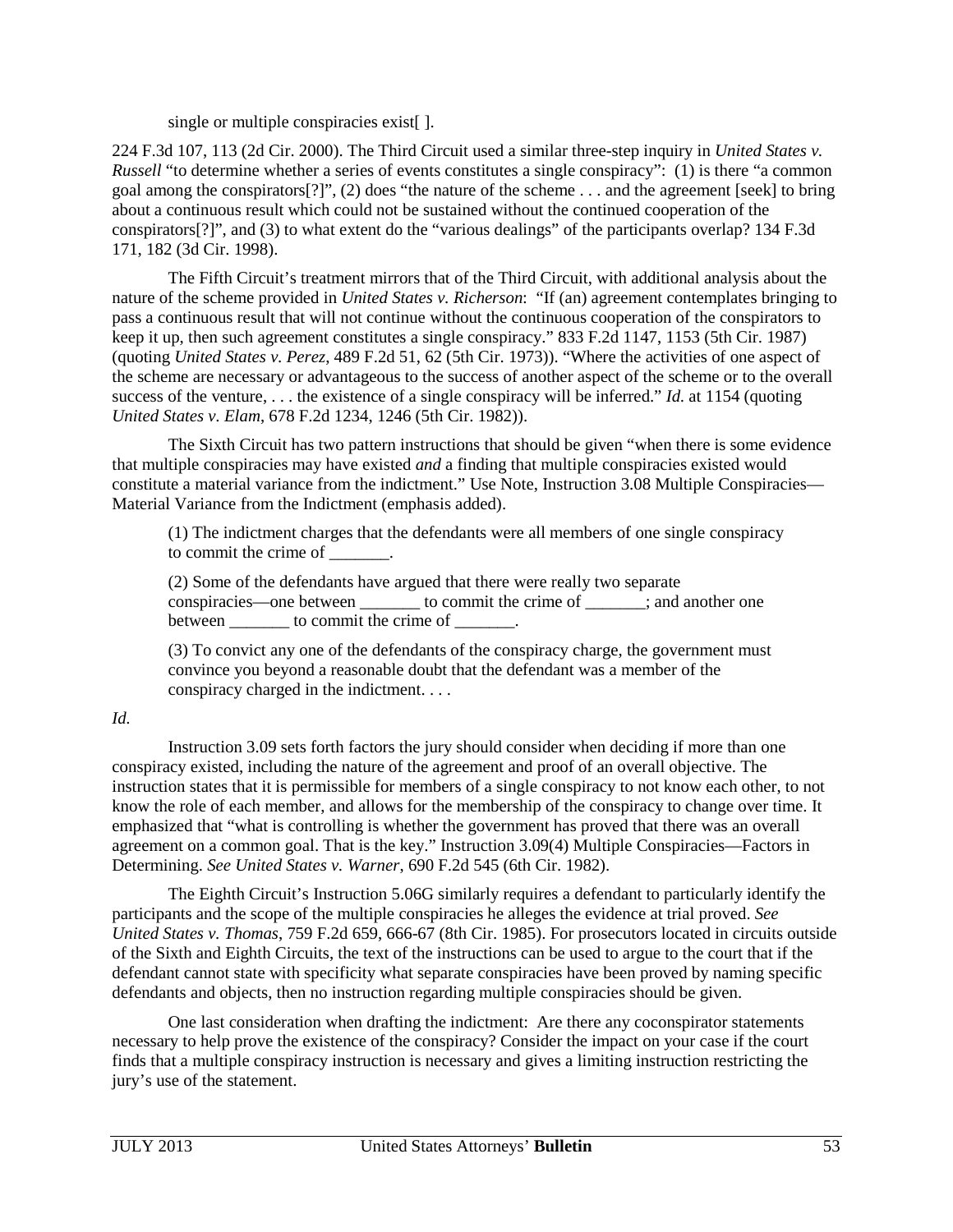single or multiple conspiracies exist.

224 F.3d 107, 113 (2d Cir. 2000). The Third Circuit used a similar three-step inquiry in *United States v. Russell* "to determine whether a series of events constitutes a single conspiracy": (1) is there "a common goal among the conspirators[?]", (2) does "the nature of the scheme . . . and the agreement [seek] to bring about a continuous result which could not be sustained without the continued cooperation of the conspirators[?]", and (3) to what extent do the "various dealings" of the participants overlap? 134 F.3d 171, 182 (3d Cir. 1998).

The Fifth Circuit's treatment mirrors that of the Third Circuit, with additional analysis about the nature of the scheme provided in *United States v. Richerson*: "If (an) agreement contemplates bringing to pass a continuous result that will not continue without the continuous cooperation of the conspirators to keep it up, then such agreement constitutes a single conspiracy." 833 F.2d 1147, 1153 (5th Cir. 1987) (quoting *United States v. Perez*, 489 F.2d 51, 62 (5th Cir. 1973)). "Where the activities of one aspect of the scheme are necessary or advantageous to the success of another aspect of the scheme or to the overall success of the venture, . . . the existence of a single conspiracy will be inferred." *Id*. at 1154 (quoting *United States v. Elam*, 678 F.2d 1234, 1246 (5th Cir. 1982)).

The Sixth Circuit has two pattern instructions that should be given "when there is some evidence that multiple conspiracies may have existed *and* a finding that multiple conspiracies existed would constitute a material variance from the indictment." Use Note, Instruction 3.08 Multiple Conspiracies— Material Variance from the Indictment (emphasis added).

(1) The indictment charges that the defendants were all members of one single conspiracy to commit the crime of  $\overline{\phantom{a}}$ 

(2) Some of the defendants have argued that there were really two separate conspiracies—one between \_\_\_\_\_\_\_ to commit the crime of \_\_\_\_\_\_\_; and another one between to commit the crime of  $\blacksquare$ 

(3) To convict any one of the defendants of the conspiracy charge, the government must convince you beyond a reasonable doubt that the defendant was a member of the conspiracy charged in the indictment. . . .

#### *Id.*

Instruction 3.09 sets forth factors the jury should consider when deciding if more than one conspiracy existed, including the nature of the agreement and proof of an overall objective. The instruction states that it is permissible for members of a single conspiracy to not know each other, to not know the role of each member, and allows for the membership of the conspiracy to change over time. It emphasized that "what is controlling is whether the government has proved that there was an overall agreement on a common goal. That is the key." Instruction 3.09(4) Multiple Conspiracies—Factors in Determining. *See United States v. Warner*, 690 F.2d 545 (6th Cir. 1982).

The Eighth Circuit's Instruction 5.06G similarly requires a defendant to particularly identify the participants and the scope of the multiple conspiracies he alleges the evidence at trial proved. *See United States v. Thomas*, 759 F.2d 659, 666-67 (8th Cir. 1985). For prosecutors located in circuits outside of the Sixth and Eighth Circuits, the text of the instructions can be used to argue to the court that if the defendant cannot state with specificity what separate conspiracies have been proved by naming specific defendants and objects, then no instruction regarding multiple conspiracies should be given.

One last consideration when drafting the indictment: Are there any coconspirator statements necessary to help prove the existence of the conspiracy? Consider the impact on your case if the court finds that a multiple conspiracy instruction is necessary and gives a limiting instruction restricting the jury's use of the statement.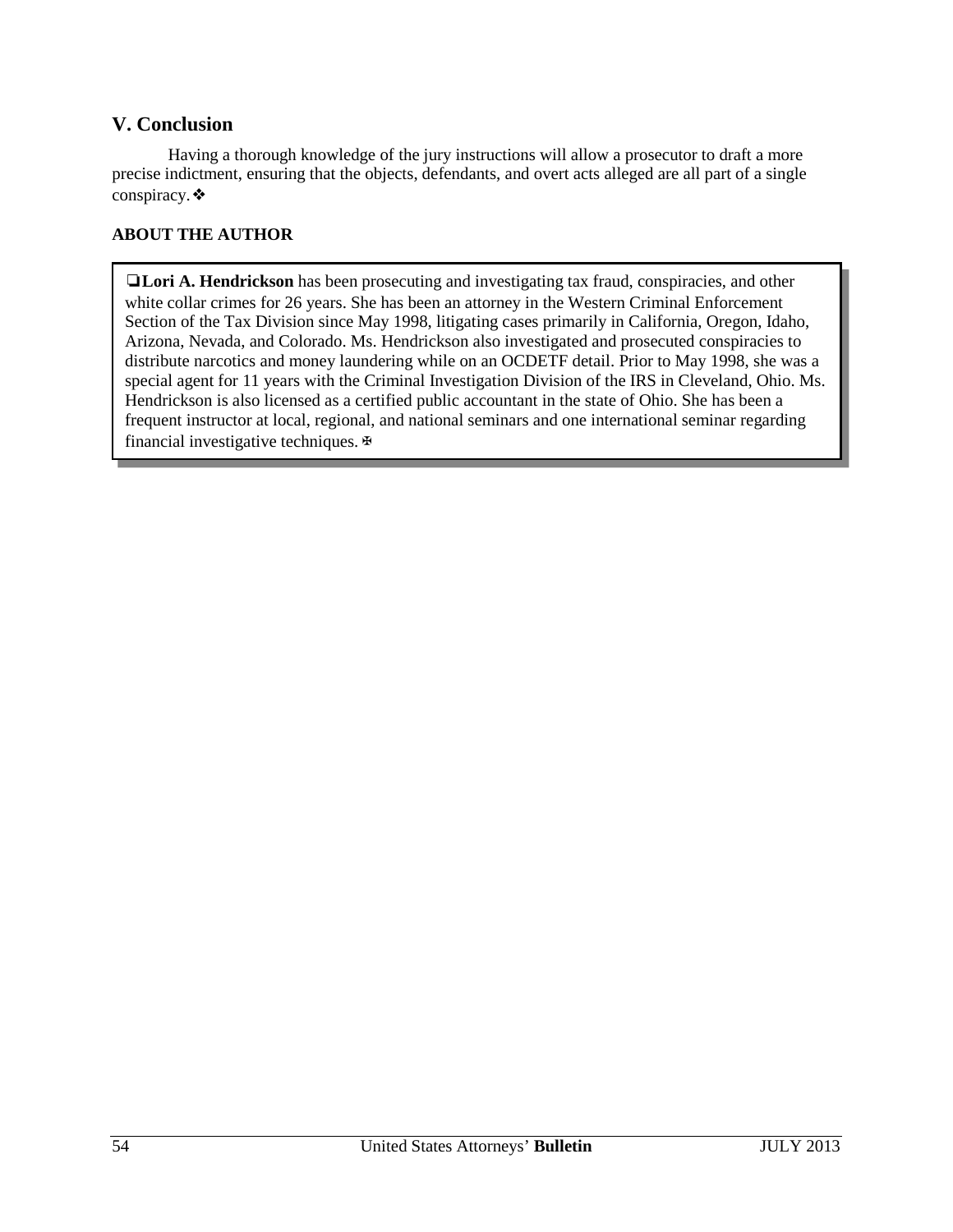## **V. Conclusion**

Having a thorough knowledge of the jury instructions will allow a prosecutor to draft a more precise indictment, ensuring that the objects, defendants, and overt acts alleged are all part of a single conspiracy.❖

#### **ABOUT THE AUTHOR**

❏**Lori A. Hendrickson** has been prosecuting and investigating tax fraud, conspiracies, and other white collar crimes for 26 years. She has been an attorney in the Western Criminal Enforcement Section of the Tax Division since May 1998, litigating cases primarily in California, Oregon, Idaho, Arizona, Nevada, and Colorado. Ms. Hendrickson also investigated and prosecuted conspiracies to distribute narcotics and money laundering while on an OCDETF detail. Prior to May 1998, she was a special agent for 11 years with the Criminal Investigation Division of the IRS in Cleveland, Ohio. Ms. Hendrickson is also licensed as a certified public accountant in the state of Ohio. She has been a frequent instructor at local, regional, and national seminars and one international seminar regarding financial investigative techniques.  $\mathbb{F}$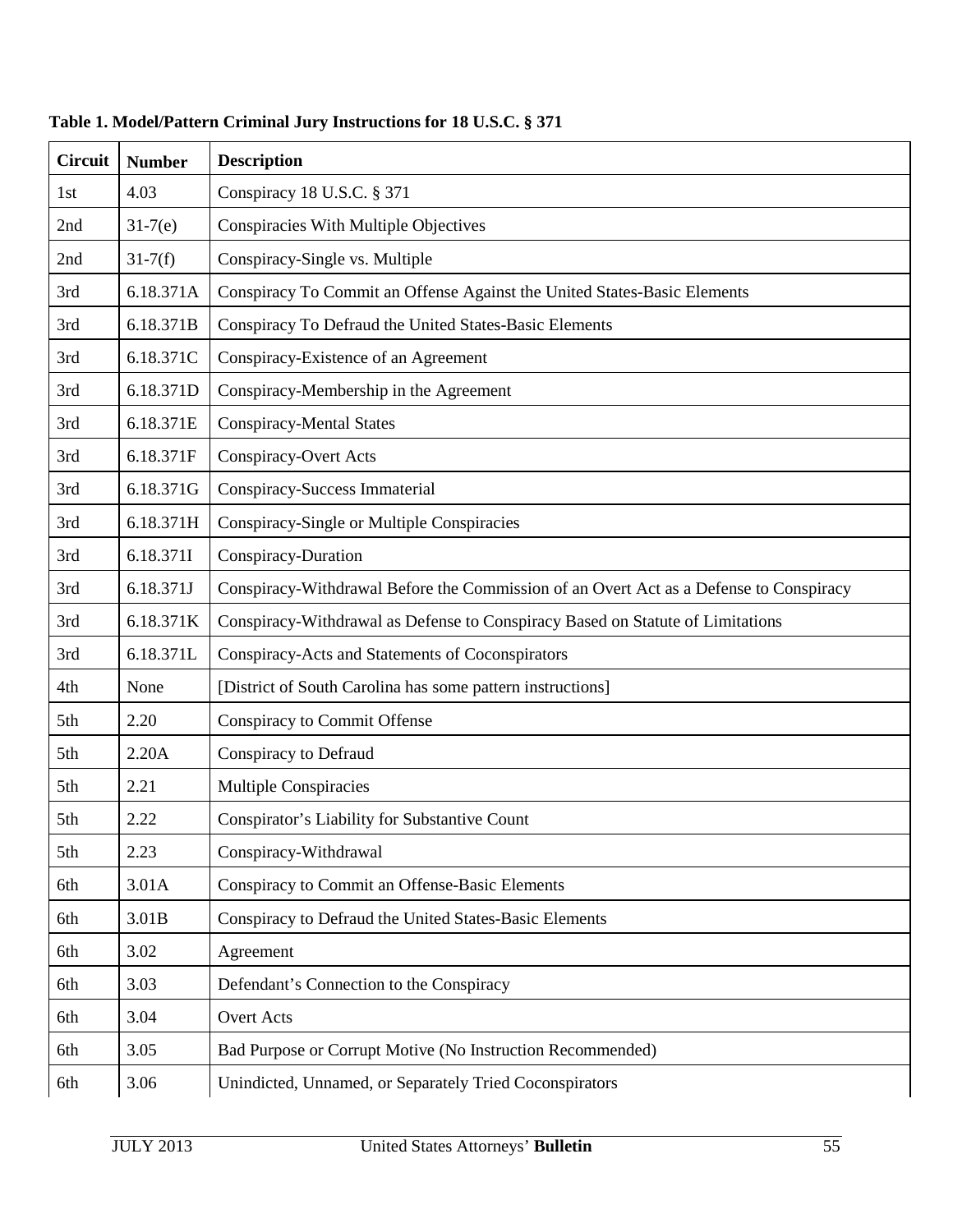| <b>Circuit</b> | <b>Number</b> | <b>Description</b>                                                                     |
|----------------|---------------|----------------------------------------------------------------------------------------|
| 1st            | 4.03          | Conspiracy 18 U.S.C. § 371                                                             |
| 2nd            | $31-7(e)$     | Conspiracies With Multiple Objectives                                                  |
| 2nd            | $31 - 7(f)$   | Conspiracy-Single vs. Multiple                                                         |
| 3rd            | 6.18.371A     | Conspiracy To Commit an Offense Against the United States-Basic Elements               |
| 3rd            | 6.18.371B     | Conspiracy To Defraud the United States-Basic Elements                                 |
| 3rd            | 6.18.371C     | Conspiracy-Existence of an Agreement                                                   |
| 3rd            | 6.18.371D     | Conspiracy-Membership in the Agreement                                                 |
| 3rd            | 6.18.371E     | <b>Conspiracy-Mental States</b>                                                        |
| 3rd            | 6.18.371F     | <b>Conspiracy-Overt Acts</b>                                                           |
| 3rd            | 6.18.371G     | Conspiracy-Success Immaterial                                                          |
| 3rd            | 6.18.371H     | Conspiracy-Single or Multiple Conspiracies                                             |
| 3rd            | 6.18.3711     | Conspiracy-Duration                                                                    |
| 3rd            | 6.18.371J     | Conspiracy-Withdrawal Before the Commission of an Overt Act as a Defense to Conspiracy |
| 3rd            | 6.18.371K     | Conspiracy-Withdrawal as Defense to Conspiracy Based on Statute of Limitations         |
| 3rd            | 6.18.371L     | Conspiracy-Acts and Statements of Coconspirators                                       |
| 4th            | None          | [District of South Carolina has some pattern instructions]                             |
| 5th            | 2.20          | <b>Conspiracy to Commit Offense</b>                                                    |
| 5th            | 2.20A         | Conspiracy to Defraud                                                                  |
| 5th            | 2.21          | <b>Multiple Conspiracies</b>                                                           |
| 5th            | 2.22          | Conspirator's Liability for Substantive Count                                          |
| 5th            | 2.23          | Conspiracy-Withdrawal                                                                  |
| 6th            | 3.01A         | Conspiracy to Commit an Offense-Basic Elements                                         |
| 6th            | 3.01B         | Conspiracy to Defraud the United States-Basic Elements                                 |
| 6th            | 3.02          | Agreement                                                                              |
| 6th            | 3.03          | Defendant's Connection to the Conspiracy                                               |
| 6th            | 3.04          | Overt Acts                                                                             |
| 6th            | 3.05          | Bad Purpose or Corrupt Motive (No Instruction Recommended)                             |
| 6th            | 3.06          | Unindicted, Unnamed, or Separately Tried Coconspirators                                |

**Table 1. Model/Pattern Criminal Jury Instructions for 18 U.S.C. § 371**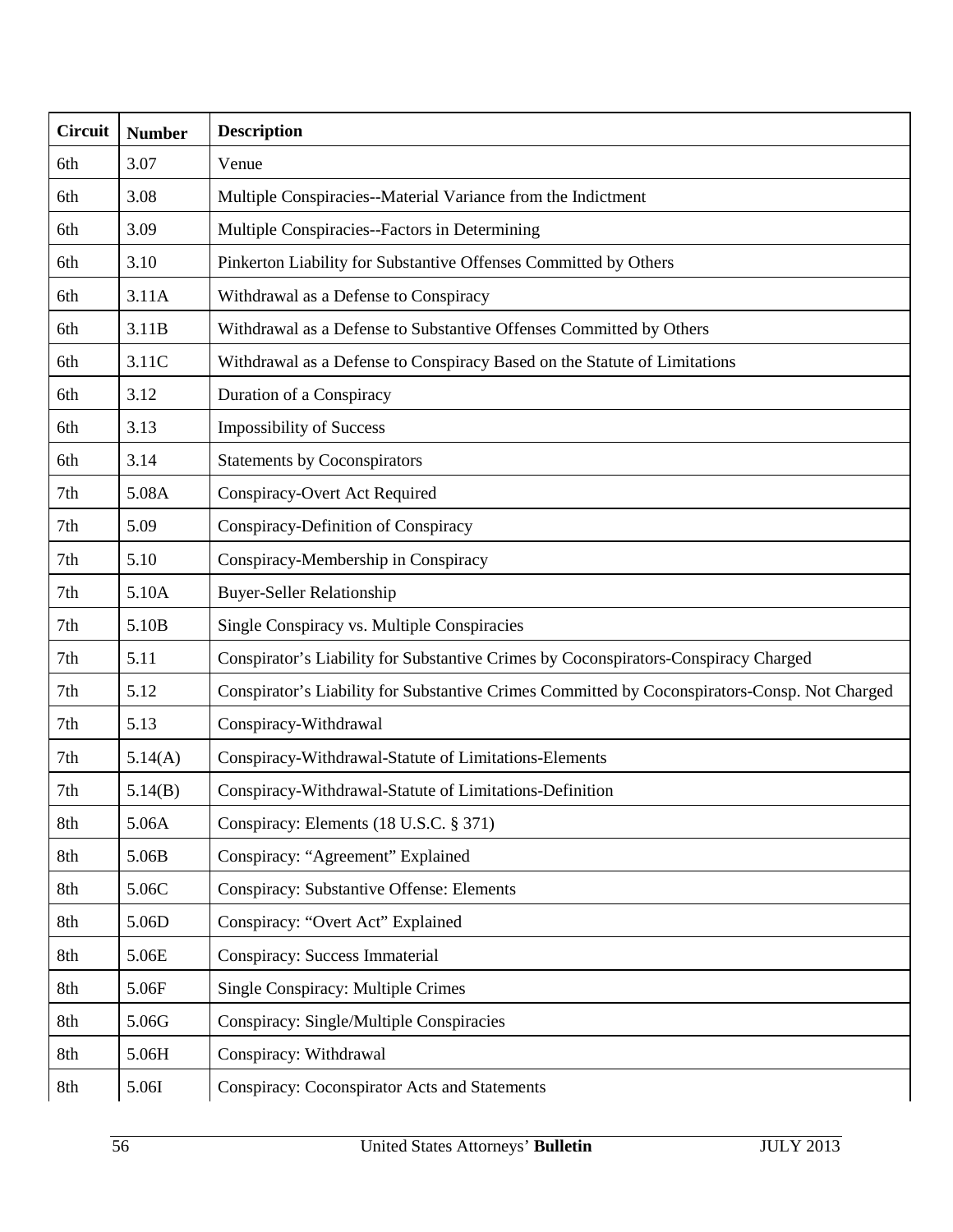| <b>Circuit</b>  | <b>Number</b> | <b>Description</b>                                                                            |
|-----------------|---------------|-----------------------------------------------------------------------------------------------|
| 6th             | 3.07          | Venue                                                                                         |
| 6th             | 3.08          | Multiple Conspiracies--Material Variance from the Indictment                                  |
| 6th             | 3.09          | Multiple Conspiracies--Factors in Determining                                                 |
| 6th             | 3.10          | Pinkerton Liability for Substantive Offenses Committed by Others                              |
| 6th             | 3.11A         | Withdrawal as a Defense to Conspiracy                                                         |
| 6th             | 3.11B         | Withdrawal as a Defense to Substantive Offenses Committed by Others                           |
| 6th             | 3.11C         | Withdrawal as a Defense to Conspiracy Based on the Statute of Limitations                     |
| 6th             | 3.12          | Duration of a Conspiracy                                                                      |
| 6th             | 3.13          | <b>Impossibility of Success</b>                                                               |
| 6th             | 3.14          | <b>Statements by Coconspirators</b>                                                           |
| 7th             | 5.08A         | Conspiracy-Overt Act Required                                                                 |
| 7 <sub>th</sub> | 5.09          | Conspiracy-Definition of Conspiracy                                                           |
| 7th             | 5.10          | Conspiracy-Membership in Conspiracy                                                           |
| 7th             | 5.10A         | <b>Buyer-Seller Relationship</b>                                                              |
| 7th             | 5.10B         | Single Conspiracy vs. Multiple Conspiracies                                                   |
| 7th             | 5.11          | Conspirator's Liability for Substantive Crimes by Coconspirators-Conspiracy Charged           |
| 7th             | 5.12          | Conspirator's Liability for Substantive Crimes Committed by Coconspirators-Consp. Not Charged |
| 7th             | 5.13          | Conspiracy-Withdrawal                                                                         |
| 7th             | 5.14(A)       | Conspiracy-Withdrawal-Statute of Limitations-Elements                                         |
| 7th             | 5.14(B)       | Conspiracy-Withdrawal-Statute of Limitations-Definition                                       |
| 8th             | 5.06A         | Conspiracy: Elements (18 U.S.C. § 371)                                                        |
| 8th             | 5.06B         | Conspiracy: "Agreement" Explained                                                             |
| 8th             | 5.06C         | <b>Conspiracy: Substantive Offense: Elements</b>                                              |
| 8th             | 5.06D         | Conspiracy: "Overt Act" Explained                                                             |
| 8th             | 5.06E         | <b>Conspiracy: Success Immaterial</b>                                                         |
| 8th             | 5.06F         | Single Conspiracy: Multiple Crimes                                                            |
| 8th             | 5.06G         | Conspiracy: Single/Multiple Conspiracies                                                      |
| 8th             | 5.06H         | Conspiracy: Withdrawal                                                                        |
| 8th             | 5.06I         | <b>Conspiracy: Coconspirator Acts and Statements</b>                                          |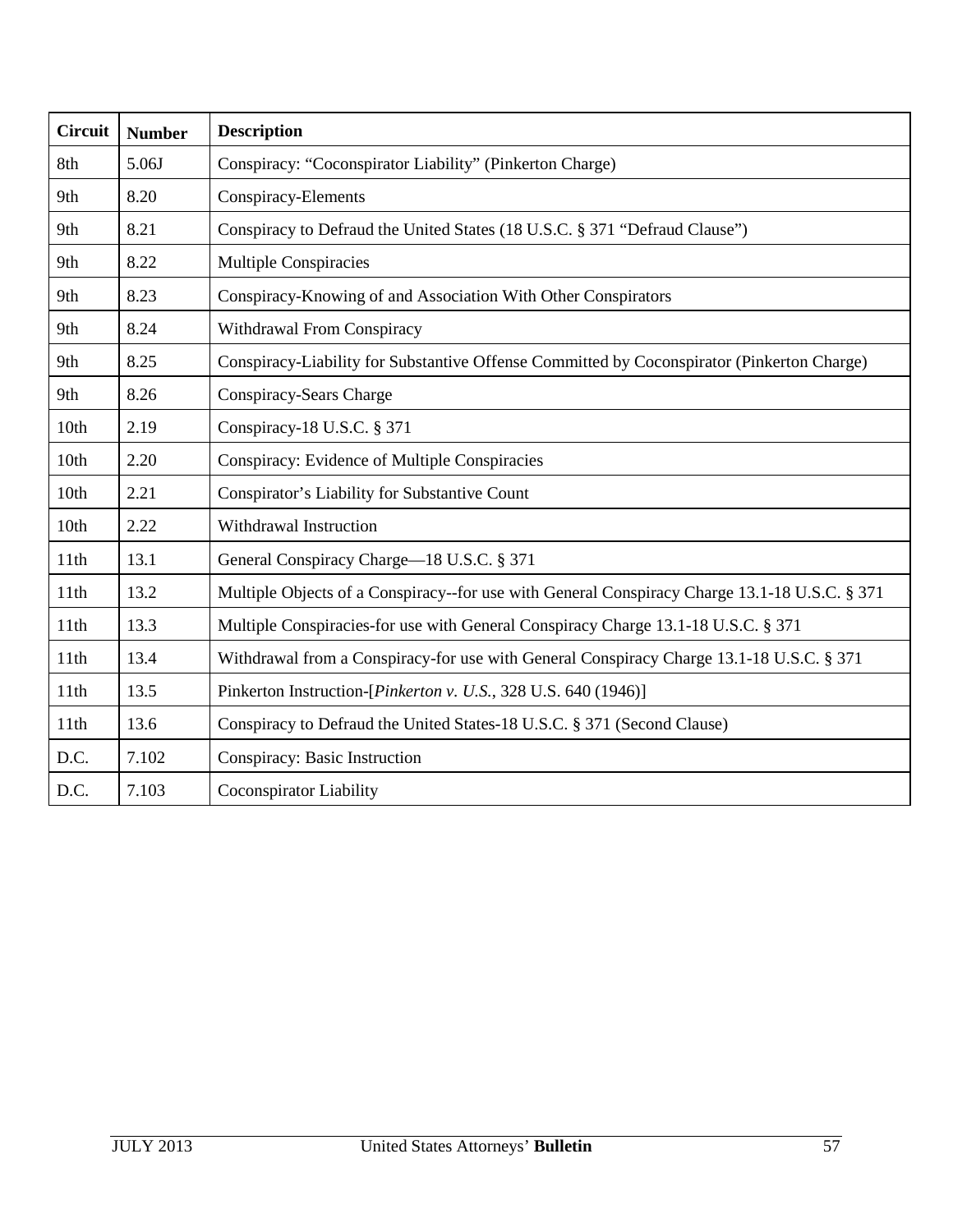| <b>Circuit</b> | <b>Number</b> | <b>Description</b>                                                                            |
|----------------|---------------|-----------------------------------------------------------------------------------------------|
| 8th            | 5.06J         | Conspiracy: "Coconspirator Liability" (Pinkerton Charge)                                      |
| 9th            | 8.20          | Conspiracy-Elements                                                                           |
| 9th            | 8.21          | Conspiracy to Defraud the United States (18 U.S.C. § 371 "Defraud Clause")                    |
| 9th            | 8.22          | <b>Multiple Conspiracies</b>                                                                  |
| 9th            | 8.23          | Conspiracy-Knowing of and Association With Other Conspirators                                 |
| 9th            | 8.24          | Withdrawal From Conspiracy                                                                    |
| 9th            | 8.25          | Conspiracy-Liability for Substantive Offense Committed by Coconspirator (Pinkerton Charge)    |
| 9th            | 8.26          | Conspiracy-Sears Charge                                                                       |
| 10th           | 2.19          | Conspiracy-18 U.S.C. § 371                                                                    |
| 10th           | 2.20          | Conspiracy: Evidence of Multiple Conspiracies                                                 |
| 10th           | 2.21          | Conspirator's Liability for Substantive Count                                                 |
| 10th           | 2.22          | Withdrawal Instruction                                                                        |
| 11th           | 13.1          | General Conspiracy Charge—18 U.S.C. § 371                                                     |
| 11th           | 13.2          | Multiple Objects of a Conspiracy--for use with General Conspiracy Charge 13.1-18 U.S.C. § 371 |
| 11th           | 13.3          | Multiple Conspiracies-for use with General Conspiracy Charge 13.1-18 U.S.C. § 371             |
| 11th           | 13.4          | Withdrawal from a Conspiracy-for use with General Conspiracy Charge 13.1-18 U.S.C. § 371      |
| 11th           | 13.5          | Pinkerton Instruction-[ <i>Pinkerton v. U.S.</i> , 328 U.S. 640 (1946)]                       |
| 11th           | 13.6          | Conspiracy to Defraud the United States-18 U.S.C. § 371 (Second Clause)                       |
| D.C.           | 7.102         | Conspiracy: Basic Instruction                                                                 |
| D.C.           | 7.103         | Coconspirator Liability                                                                       |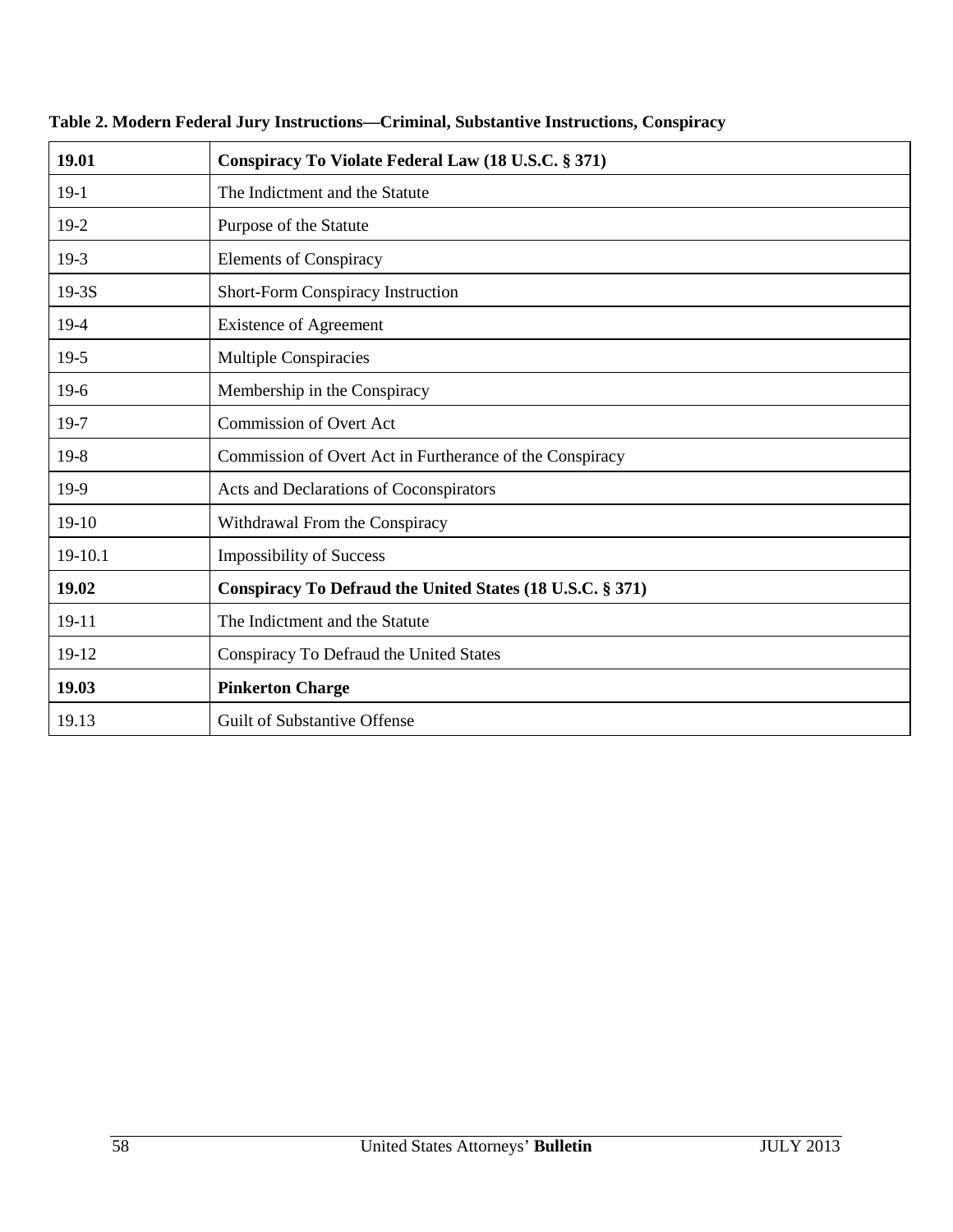| 19.01   | Conspiracy To Violate Federal Law (18 U.S.C. § 371)       |
|---------|-----------------------------------------------------------|
| $19-1$  | The Indictment and the Statute                            |
| $19-2$  | Purpose of the Statute                                    |
| $19-3$  | <b>Elements of Conspiracy</b>                             |
| $19-3S$ | Short-Form Conspiracy Instruction                         |
| $19-4$  | <b>Existence of Agreement</b>                             |
| $19-5$  | <b>Multiple Conspiracies</b>                              |
| $19-6$  | Membership in the Conspiracy                              |
| 19-7    | <b>Commission of Overt Act</b>                            |
| $19-8$  | Commission of Overt Act in Furtherance of the Conspiracy  |
| 19-9    | Acts and Declarations of Coconspirators                   |
| $19-10$ | Withdrawal From the Conspiracy                            |
| 19-10.1 | <b>Impossibility of Success</b>                           |
| 19.02   | Conspiracy To Defraud the United States (18 U.S.C. § 371) |
| $19-11$ | The Indictment and the Statute                            |
| 19-12   | Conspiracy To Defraud the United States                   |
| 19.03   | <b>Pinkerton Charge</b>                                   |
| 19.13   | <b>Guilt of Substantive Offense</b>                       |

## **Table 2. Modern Federal Jury Instructions—Criminal, Substantive Instructions, Conspiracy**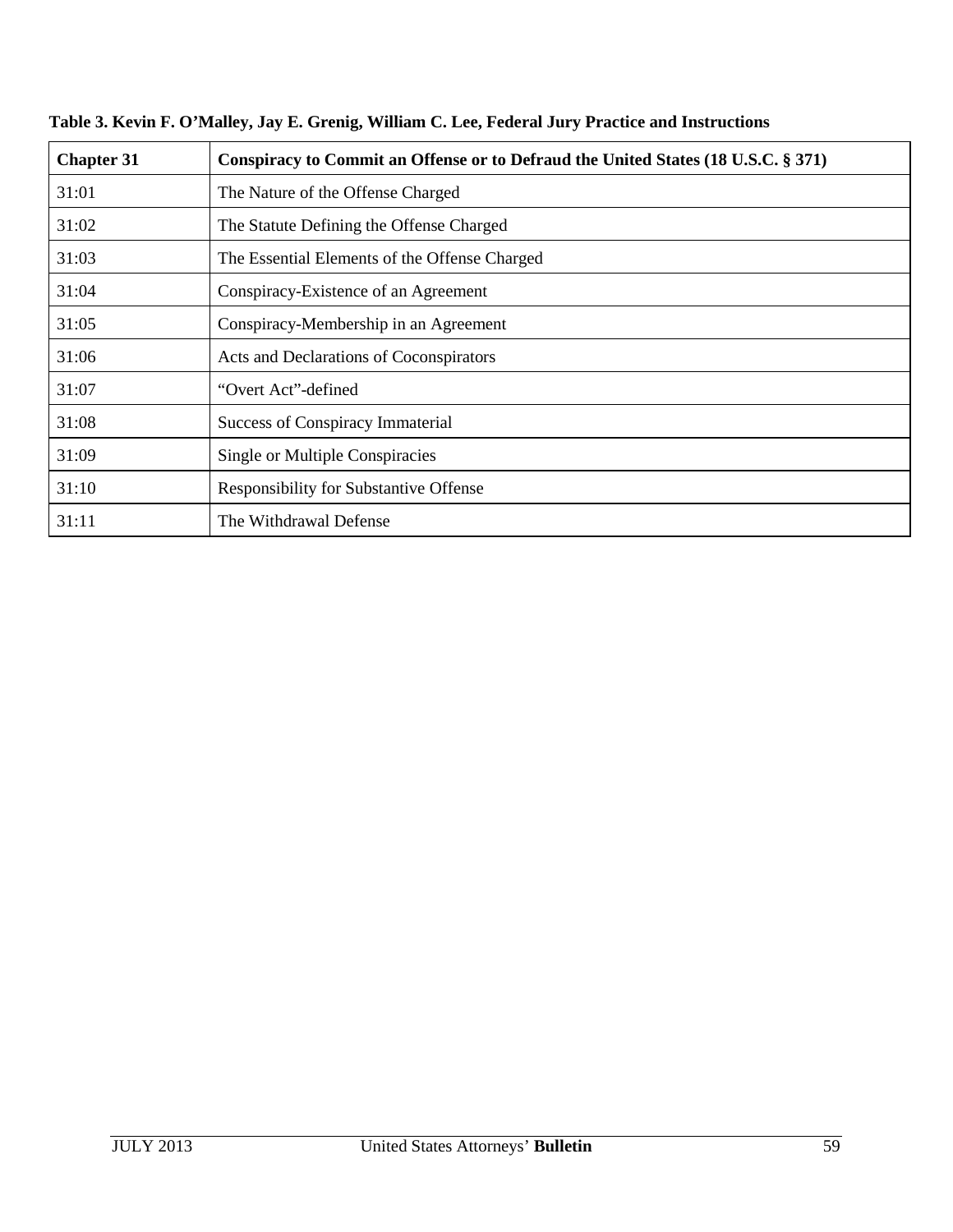| <b>Chapter 31</b> | Conspiracy to Commit an Offense or to Defraud the United States (18 U.S.C. § 371) |
|-------------------|-----------------------------------------------------------------------------------|
| 31:01             | The Nature of the Offense Charged                                                 |
| 31:02             | The Statute Defining the Offense Charged                                          |
| 31:03             | The Essential Elements of the Offense Charged                                     |
| 31:04             | Conspiracy-Existence of an Agreement                                              |
| 31:05             | Conspiracy-Membership in an Agreement                                             |
| 31:06             | Acts and Declarations of Coconspirators                                           |
| 31:07             | "Overt Act"-defined                                                               |
| 31:08             | <b>Success of Conspiracy Immaterial</b>                                           |
| 31:09             | Single or Multiple Conspiracies                                                   |
| 31:10             | Responsibility for Substantive Offense                                            |
| 31:11             | The Withdrawal Defense                                                            |

**Table 3. Kevin F. O'Malley, Jay E. Grenig, William C. Lee, Federal Jury Practice and Instructions**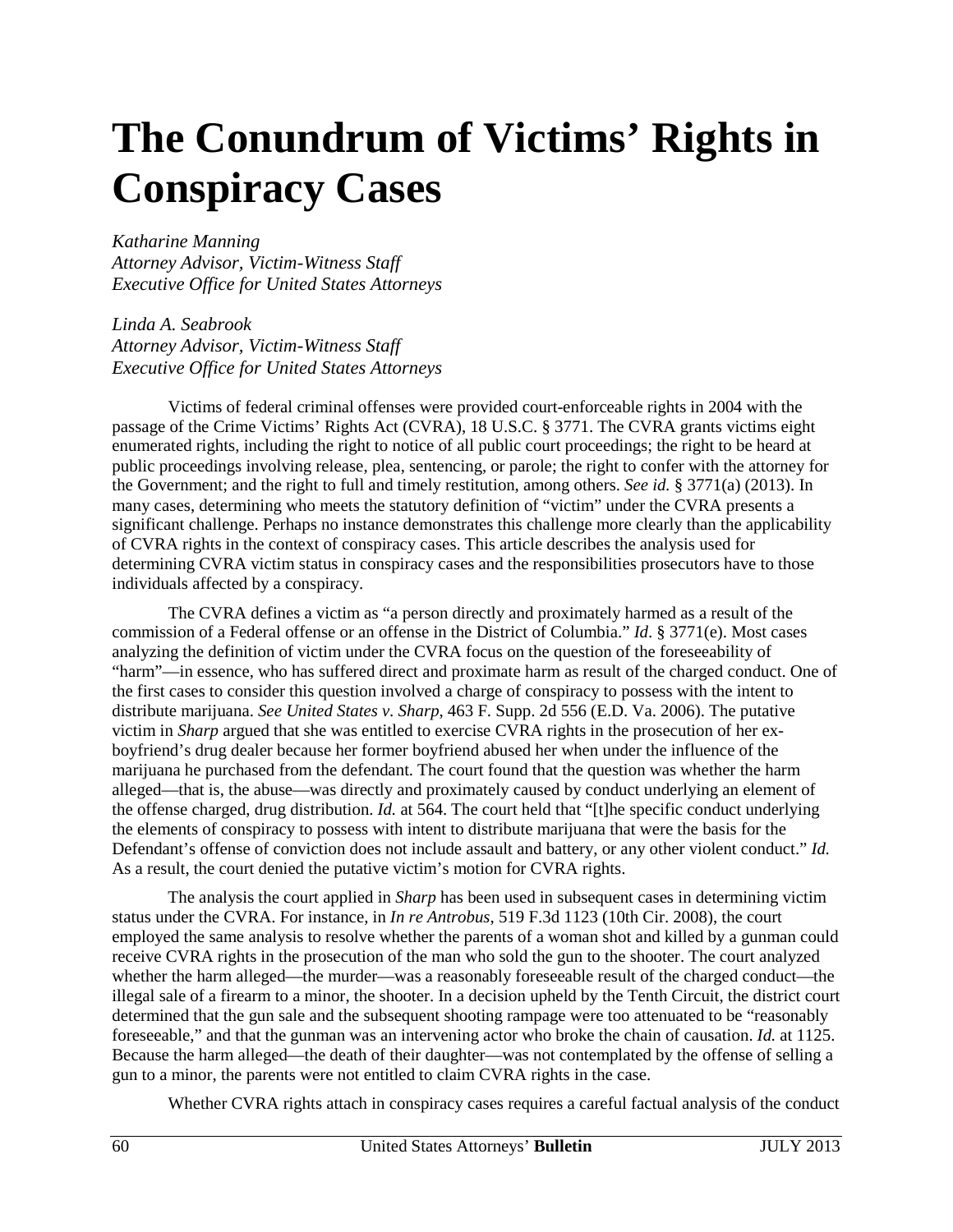# <span id="page-60-0"></span>**The Conundrum of Victims' Rights in Conspiracy Cases**

*Katharine Manning* 

*Attorney Advisor, Victim-Witness Staff Executive Office for United States Attorneys* 

*Linda A. Seabrook Attorney Advisor, Victim-Witness Staff Executive Office for United States Attorneys*

Victims of federal criminal offenses were provided court-enforceable rights in 2004 with the passage of the Crime Victims' Rights Act (CVRA), 18 U.S.C. § 3771. The CVRA grants victims eight enumerated rights, including the right to notice of all public court proceedings; the right to be heard at public proceedings involving release, plea, sentencing, or parole; the right to confer with the attorney for the Government; and the right to full and timely restitution, among others. *See id.* § 3771(a) (2013). In many cases, determining who meets the statutory definition of "victim" under the CVRA presents a significant challenge. Perhaps no instance demonstrates this challenge more clearly than the applicability of CVRA rights in the context of conspiracy cases. This article describes the analysis used for determining CVRA victim status in conspiracy cases and the responsibilities prosecutors have to those individuals affected by a conspiracy.

The CVRA defines a victim as "a person directly and proximately harmed as a result of the commission of a Federal offense or an offense in the District of Columbia." *Id*. § 3771(e). Most cases analyzing the definition of victim under the CVRA focus on the question of the foreseeability of "harm"—in essence, who has suffered direct and proximate harm as result of the charged conduct. One of the first cases to consider this question involved a charge of conspiracy to possess with the intent to distribute marijuana. *See United States v. Sharp*, 463 F. Supp. 2d 556 (E.D. Va. 2006). The putative victim in *Sharp* argued that she was entitled to exercise CVRA rights in the prosecution of her exboyfriend's drug dealer because her former boyfriend abused her when under the influence of the marijuana he purchased from the defendant. The court found that the question was whether the harm alleged—that is, the abuse—was directly and proximately caused by conduct underlying an element of the offense charged, drug distribution. *Id.* at 564. The court held that "[t]he specific conduct underlying the elements of conspiracy to possess with intent to distribute marijuana that were the basis for the Defendant's offense of conviction does not include assault and battery, or any other violent conduct." *Id.* As a result, the court denied the putative victim's motion for CVRA rights.

The analysis the court applied in *Sharp* has been used in subsequent cases in determining victim status under the CVRA. For instance, in *In re Antrobus*, 519 F.3d 1123 (10th Cir. 2008), the court employed the same analysis to resolve whether the parents of a woman shot and killed by a gunman could receive CVRA rights in the prosecution of the man who sold the gun to the shooter. The court analyzed whether the harm alleged—the murder—was a reasonably foreseeable result of the charged conduct—the illegal sale of a firearm to a minor, the shooter. In a decision upheld by the Tenth Circuit, the district court determined that the gun sale and the subsequent shooting rampage were too attenuated to be "reasonably foreseeable," and that the gunman was an intervening actor who broke the chain of causation. *Id.* at 1125. Because the harm alleged—the death of their daughter—was not contemplated by the offense of selling a gun to a minor, the parents were not entitled to claim CVRA rights in the case.

Whether CVRA rights attach in conspiracy cases requires a careful factual analysis of the conduct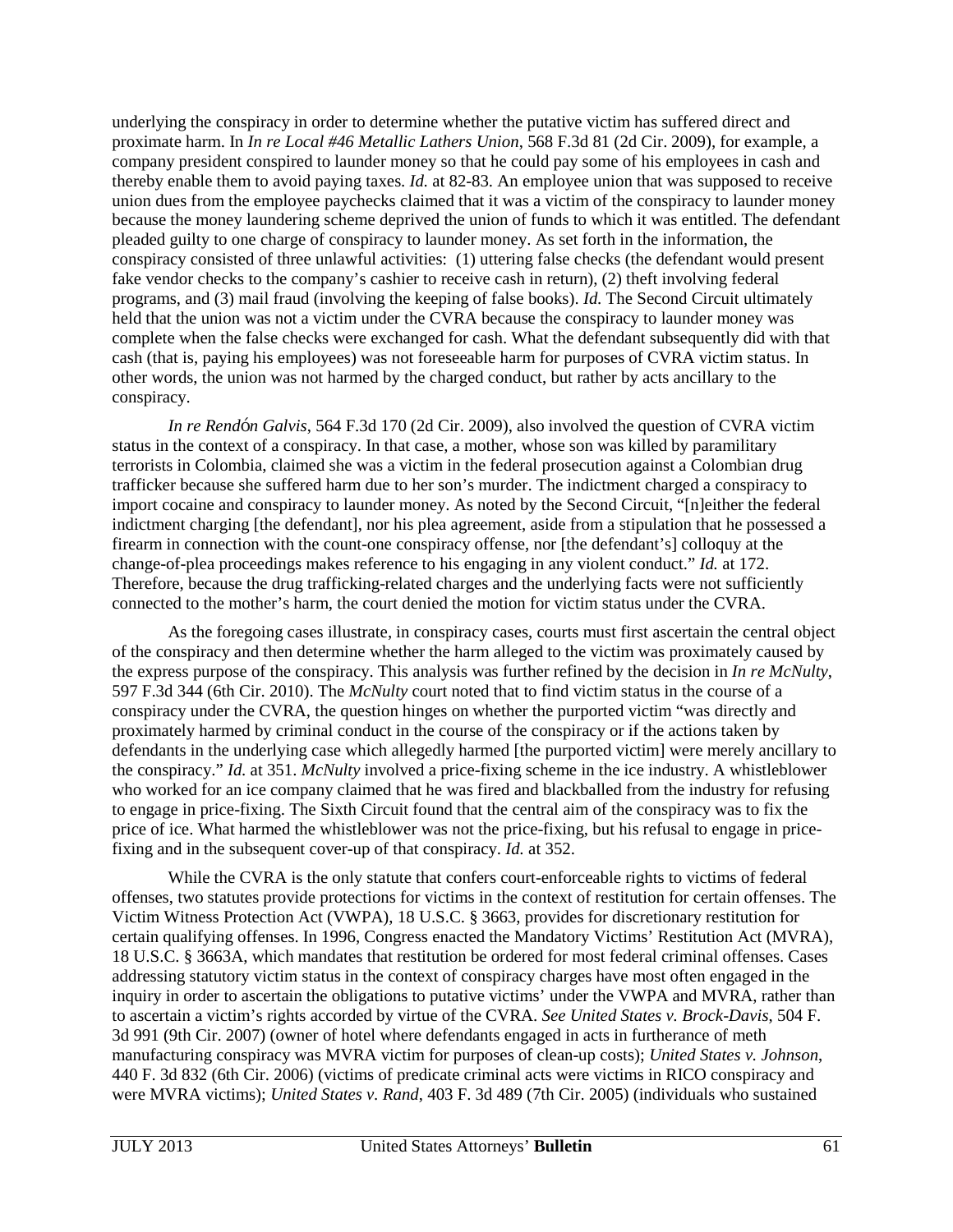underlying the conspiracy in order to determine whether the putative victim has suffered direct and proximate harm. In *In re Local #46 Metallic Lathers Union*, 568 F.3d 81 (2d Cir. 2009), for example, a company president conspired to launder money so that he could pay some of his employees in cash and thereby enable them to avoid paying taxes. *Id.* at 82-83. An employee union that was supposed to receive union dues from the employee paychecks claimed that it was a victim of the conspiracy to launder money because the money laundering scheme deprived the union of funds to which it was entitled. The defendant pleaded guilty to one charge of conspiracy to launder money. As set forth in the information, the conspiracy consisted of three unlawful activities: (1) uttering false checks (the defendant would present fake vendor checks to the company's cashier to receive cash in return), (2) theft involving federal programs, and (3) mail fraud (involving the keeping of false books). *Id.* The Second Circuit ultimately held that the union was not a victim under the CVRA because the conspiracy to launder money was complete when the false checks were exchanged for cash. What the defendant subsequently did with that cash (that is, paying his employees) was not foreseeable harm for purposes of CVRA victim status. In other words, the union was not harmed by the charged conduct, but rather by acts ancillary to the conspiracy.

*In re Rendón Galvis*, 564 F.3d 170 (2d Cir. 2009), also involved the question of CVRA victim status in the context of a conspiracy. In that case, a mother, whose son was killed by paramilitary terrorists in Colombia, claimed she was a victim in the federal prosecution against a Colombian drug trafficker because she suffered harm due to her son's murder. The indictment charged a conspiracy to import cocaine and conspiracy to launder money. As noted by the Second Circuit, "[n]either the federal indictment charging [the defendant], nor his plea agreement, aside from a stipulation that he possessed a firearm in connection with the count-one conspiracy offense, nor [the defendant's] colloquy at the change-of-plea proceedings makes reference to his engaging in any violent conduct." *Id.* at 172. Therefore, because the drug trafficking-related charges and the underlying facts were not sufficiently connected to the mother's harm, the court denied the motion for victim status under the CVRA.

As the foregoing cases illustrate, in conspiracy cases, courts must first ascertain the central object of the conspiracy and then determine whether the harm alleged to the victim was proximately caused by the express purpose of the conspiracy. This analysis was further refined by the decision in *In re McNulty*, 597 F.3d 344 (6th Cir. 2010). The *McNulty* court noted that to find victim status in the course of a conspiracy under the CVRA, the question hinges on whether the purported victim "was directly and proximately harmed by criminal conduct in the course of the conspiracy or if the actions taken by defendants in the underlying case which allegedly harmed [the purported victim] were merely ancillary to the conspiracy." *Id.* at 351. *McNulty* involved a price-fixing scheme in the ice industry. A whistleblower who worked for an ice company claimed that he was fired and blackballed from the industry for refusing to engage in price-fixing. The Sixth Circuit found that the central aim of the conspiracy was to fix the price of ice. What harmed the whistleblower was not the price-fixing, but his refusal to engage in pricefixing and in the subsequent cover-up of that conspiracy. *Id.* at 352.

While the CVRA is the only statute that confers court-enforceable rights to victims of federal offenses, two statutes provide protections for victims in the context of restitution for certain offenses. The Victim Witness Protection Act (VWPA), 18 U.S.C. § 3663, provides for discretionary restitution for certain qualifying offenses. In 1996, Congress enacted the Mandatory Victims' Restitution Act (MVRA), 18 U.S.C. § 3663A, which mandates that restitution be ordered for most federal criminal offenses. Cases addressing statutory victim status in the context of conspiracy charges have most often engaged in the inquiry in order to ascertain the obligations to putative victims' under the VWPA and MVRA, rather than to ascertain a victim's rights accorded by virtue of the CVRA. *See United States v. Brock*-*Davis*, 504 F. 3d 991 (9th Cir. 2007) (owner of hotel where defendants engaged in acts in furtherance of meth manufacturing conspiracy was MVRA victim for purposes of clean-up costs); *United States v. Johnson*, 440 F. 3d 832 (6th Cir. 2006) (victims of predicate criminal acts were victims in RICO conspiracy and were MVRA victims); *United States v. Rand*, 403 F. 3d 489 (7th Cir. 2005) (individuals who sustained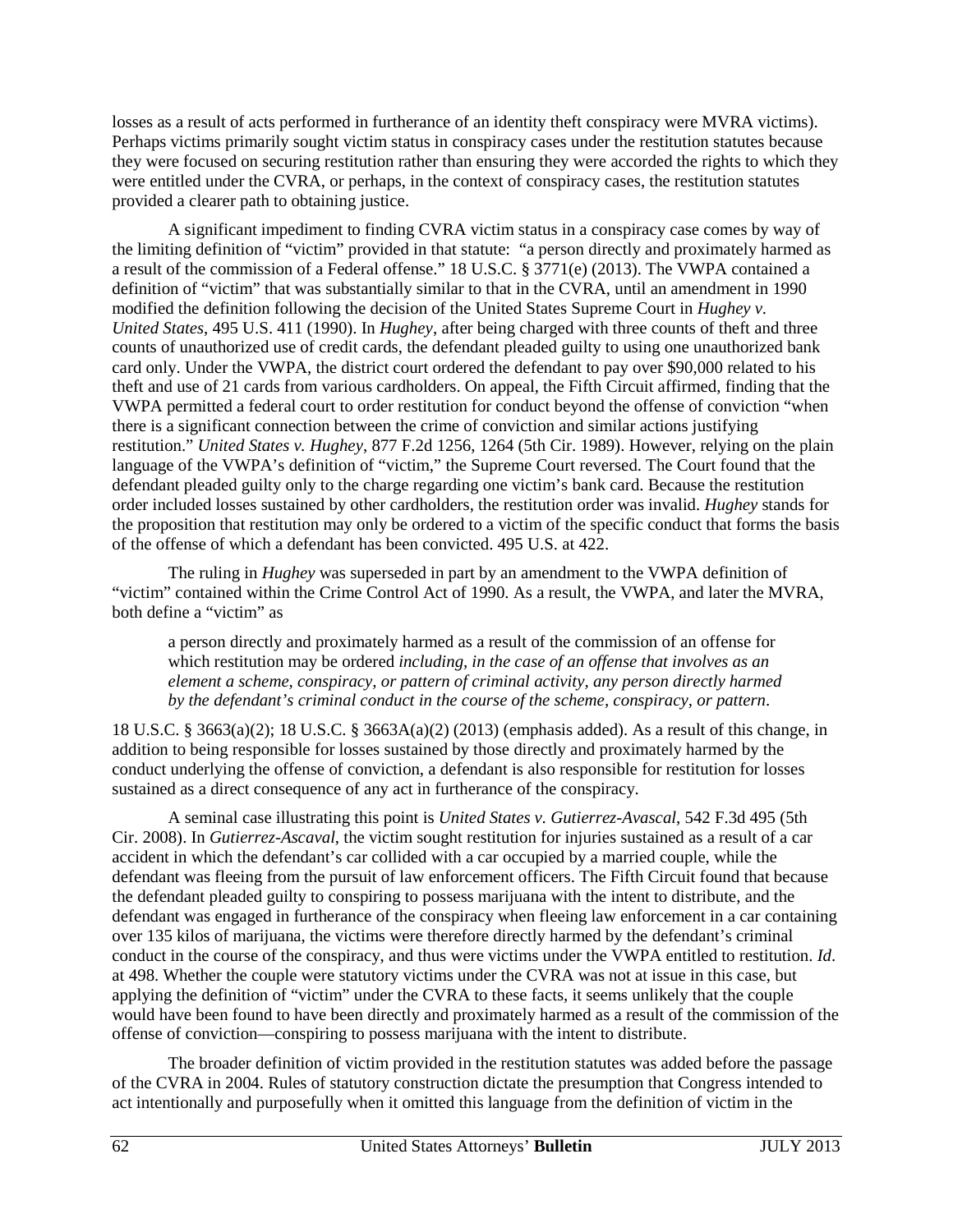losses as a result of acts performed in furtherance of an identity theft conspiracy were MVRA victims). Perhaps victims primarily sought victim status in conspiracy cases under the restitution statutes because they were focused on securing restitution rather than ensuring they were accorded the rights to which they were entitled under the CVRA, or perhaps, in the context of conspiracy cases, the restitution statutes provided a clearer path to obtaining justice.

A significant impediment to finding CVRA victim status in a conspiracy case comes by way of the limiting definition of "victim" provided in that statute: "a person directly and proximately harmed as a result of the commission of a Federal offense." 18 U.S.C. § 3771(e) (2013). The VWPA contained a definition of "victim" that was substantially similar to that in the CVRA, until an amendment in 1990 modified the definition following the decision of the United States Supreme Court in *Hughey v. United States*, 495 U.S. 411 (1990). In *Hughey*, after being charged with three counts of theft and three counts of unauthorized use of credit cards, the defendant pleaded guilty to using one unauthorized bank card only. Under the VWPA, the district court ordered the defendant to pay over \$90,000 related to his theft and use of 21 cards from various cardholders. On appeal, the Fifth Circuit affirmed, finding that the VWPA permitted a federal court to order restitution for conduct beyond the offense of conviction "when there is a significant connection between the crime of conviction and similar actions justifying restitution." *United States v. Hughey*, 877 F.2d 1256, 1264 (5th Cir. 1989). However, relying on the plain language of the VWPA's definition of "victim," the Supreme Court reversed. The Court found that the defendant pleaded guilty only to the charge regarding one victim's bank card. Because the restitution order included losses sustained by other cardholders, the restitution order was invalid. *Hughey* stands for the proposition that restitution may only be ordered to a victim of the specific conduct that forms the basis of the offense of which a defendant has been convicted. 495 U.S. at 422.

The ruling in *Hughey* was superseded in part by an amendment to the VWPA definition of "victim" contained within the Crime Control Act of 1990. As a result, the VWPA, and later the MVRA, both define a "victim" as

a person directly and proximately harmed as a result of the commission of an offense for which restitution may be ordered *including, in the case of an offense that involves as an element a scheme, conspiracy, or pattern of criminal activity, any person directly harmed by the defendant's criminal conduct in the course of the scheme, conspiracy, or pattern*.

18 U.S.C. § 3663(a)(2); 18 U.S.C. § 3663A(a)(2) (2013) (emphasis added). As a result of this change, in addition to being responsible for losses sustained by those directly and proximately harmed by the conduct underlying the offense of conviction, a defendant is also responsible for restitution for losses sustained as a direct consequence of any act in furtherance of the conspiracy.

A seminal case illustrating this point is *United States v. Gutierrez-Avascal*, 542 F.3d 495 (5th Cir. 2008). In *Gutierrez-Ascaval*, the victim sought restitution for injuries sustained as a result of a car accident in which the defendant's car collided with a car occupied by a married couple, while the defendant was fleeing from the pursuit of law enforcement officers. The Fifth Circuit found that because the defendant pleaded guilty to conspiring to possess marijuana with the intent to distribute, and the defendant was engaged in furtherance of the conspiracy when fleeing law enforcement in a car containing over 135 kilos of marijuana, the victims were therefore directly harmed by the defendant's criminal conduct in the course of the conspiracy, and thus were victims under the VWPA entitled to restitution. *Id*. at 498. Whether the couple were statutory victims under the CVRA was not at issue in this case, but applying the definition of "victim" under the CVRA to these facts, it seems unlikely that the couple would have been found to have been directly and proximately harmed as a result of the commission of the offense of conviction—conspiring to possess marijuana with the intent to distribute.

The broader definition of victim provided in the restitution statutes was added before the passage of the CVRA in 2004. Rules of statutory construction dictate the presumption that Congress intended to act intentionally and purposefully when it omitted this language from the definition of victim in the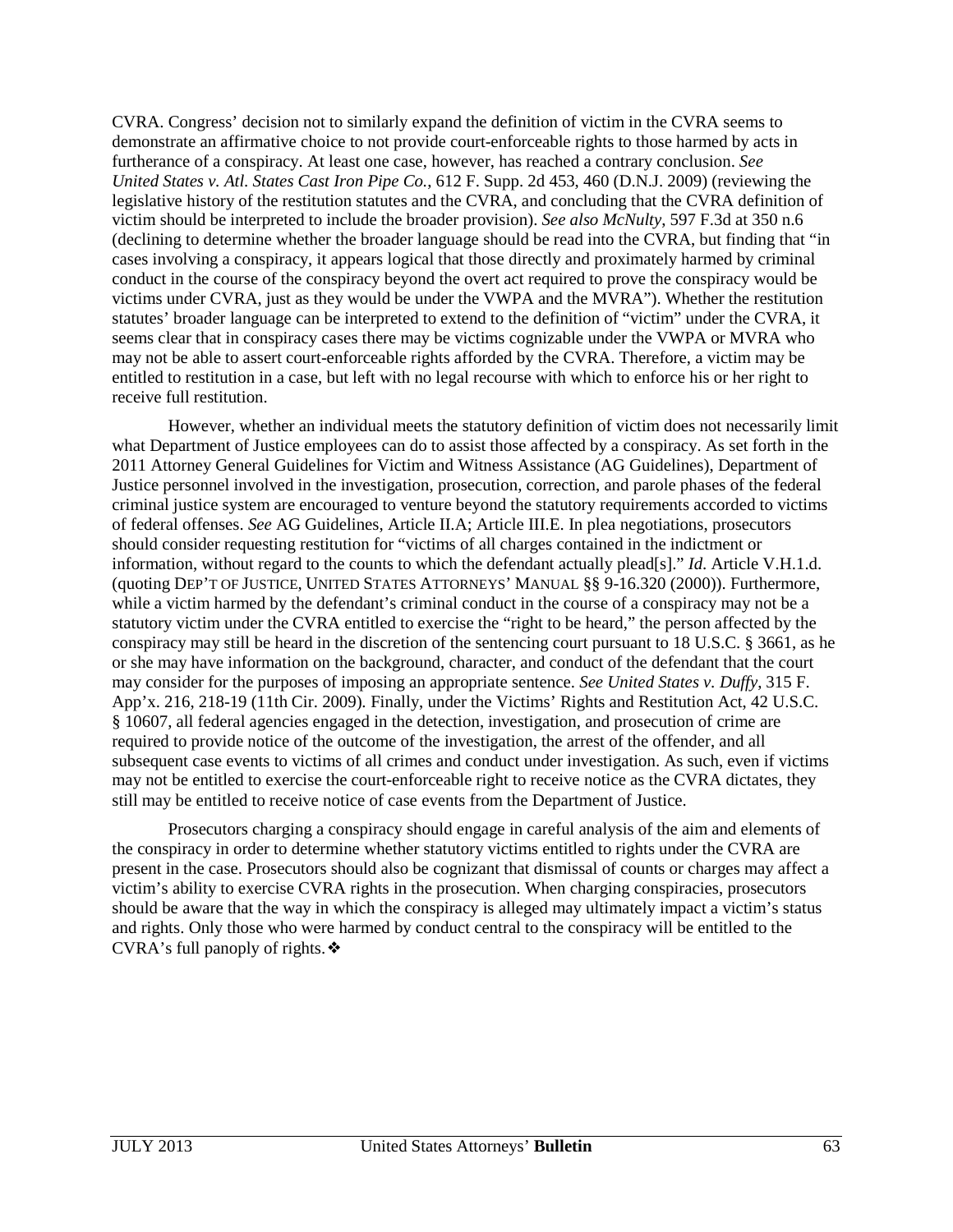CVRA. Congress' decision not to similarly expand the definition of victim in the CVRA seems to demonstrate an affirmative choice to not provide court-enforceable rights to those harmed by acts in furtherance of a conspiracy. At least one case, however, has reached a contrary conclusion. *See United States v. Atl. States Cast Iron Pipe Co.*, 612 F. Supp. 2d 453, 460 (D.N.J. 2009) (reviewing the legislative history of the restitution statutes and the CVRA, and concluding that the CVRA definition of victim should be interpreted to include the broader provision). *See also McNulty*, 597 F.3d at 350 n.6 (declining to determine whether the broader language should be read into the CVRA, but finding that "in cases involving a conspiracy, it appears logical that those directly and proximately harmed by criminal conduct in the course of the conspiracy beyond the overt act required to prove the conspiracy would be victims under CVRA, just as they would be under the VWPA and the MVRA"). Whether the restitution statutes' broader language can be interpreted to extend to the definition of "victim" under the CVRA, it seems clear that in conspiracy cases there may be victims cognizable under the VWPA or MVRA who may not be able to assert court-enforceable rights afforded by the CVRA. Therefore, a victim may be entitled to restitution in a case, but left with no legal recourse with which to enforce his or her right to receive full restitution.

However, whether an individual meets the statutory definition of victim does not necessarily limit what Department of Justice employees can do to assist those affected by a conspiracy. As set forth in the 2011 Attorney General Guidelines for Victim and Witness Assistance (AG Guidelines), Department of Justice personnel involved in the investigation, prosecution, correction, and parole phases of the federal criminal justice system are encouraged to venture beyond the statutory requirements accorded to victims of federal offenses. *See* AG Guidelines, Article II.A; Article III.E. In plea negotiations, prosecutors should consider requesting restitution for "victims of all charges contained in the indictment or information, without regard to the counts to which the defendant actually plead[s]." *Id*. Article V.H.1.d. (quoting DEP'T OF JUSTICE, UNITED STATES ATTORNEYS' MANUAL §§ 9-16.320 (2000)). Furthermore, while a victim harmed by the defendant's criminal conduct in the course of a conspiracy may not be a statutory victim under the CVRA entitled to exercise the "right to be heard," the person affected by the conspiracy may still be heard in the discretion of the sentencing court pursuant to 18 U.S.C. § 3661, as he or she may have information on the background, character, and conduct of the defendant that the court may consider for the purposes of imposing an appropriate sentence. *See United States v. Duffy*, 315 F. App'x. 216, 218-19 (11th Cir. 2009)*.* Finally, under the Victims' Rights and Restitution Act, 42 U.S.C. § 10607, all federal agencies engaged in the detection, investigation, and prosecution of crime are required to provide notice of the outcome of the investigation, the arrest of the offender, and all subsequent case events to victims of all crimes and conduct under investigation. As such, even if victims may not be entitled to exercise the court-enforceable right to receive notice as the CVRA dictates, they still may be entitled to receive notice of case events from the Department of Justice.

Prosecutors charging a conspiracy should engage in careful analysis of the aim and elements of the conspiracy in order to determine whether statutory victims entitled to rights under the CVRA are present in the case. Prosecutors should also be cognizant that dismissal of counts or charges may affect a victim's ability to exercise CVRA rights in the prosecution. When charging conspiracies, prosecutors should be aware that the way in which the conspiracy is alleged may ultimately impact a victim's status and rights. Only those who were harmed by conduct central to the conspiracy will be entitled to the CVRA's full panoply of rights.❖